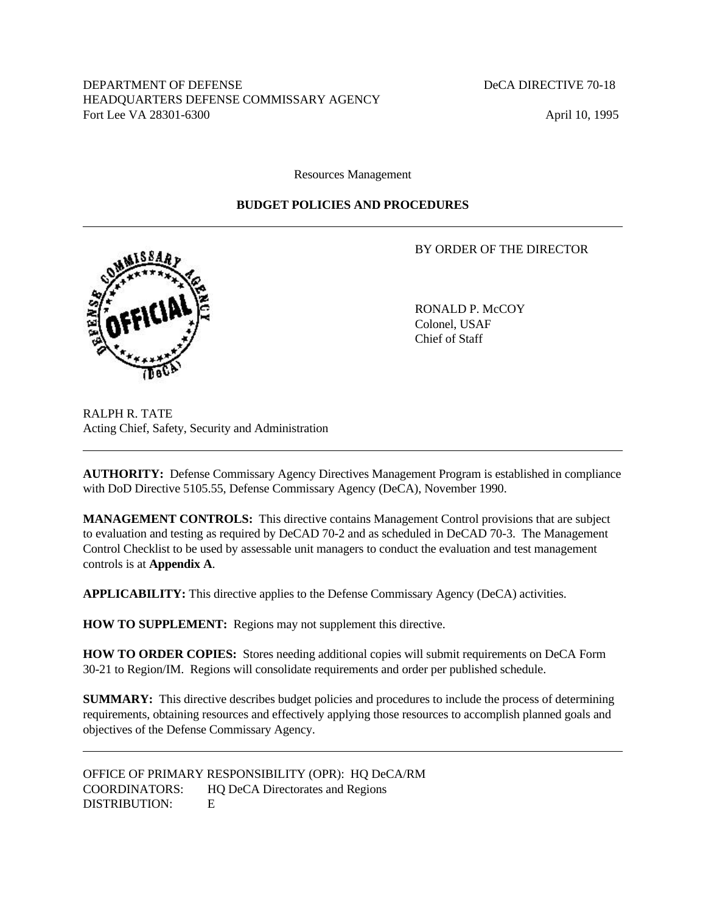DEPARTMENT OF DEFENSE DECA DIRECTIVE 70-18 HEADQUARTERS DEFENSE COMMISSARY AGENCY Fort Lee VA 28301-6300 April 10, 1995

Resources Management

## **BUDGET POLICIES AND PROCEDURES**

BY ORDER OF THE DIRECTOR

RONALD P. McCOY Colonel, USAF Chief of Staff

RALPH R. TATE Acting Chief, Safety, Security and Administration

**AUTHORITY:** Defense Commissary Agency Directives Management Program is established in compliance with DoD Directive 5105.55, Defense Commissary Agency (DeCA), November 1990.

**MANAGEMENT CONTROLS:** This directive contains Management Control provisions that are subject to evaluation and testing as required by DeCAD 70-2 and as scheduled in DeCAD 70-3. The Management Control Checklist to be used by assessable unit managers to conduct the evaluation and test management controls is at **[Appendix A](#page-134-0)**.

**APPLICABILITY:** This directive applies to the Defense Commissary Agency (DeCA) activities.

**HOW TO SUPPLEMENT:** Regions may not supplement this directive.

**HOW TO ORDER COPIES:** Stores needing additional copies will submit requirements on DeCA Form 30-21 to Region/IM. Regions will consolidate requirements and order per published schedule.

**SUMMARY:** This directive describes budget policies and procedures to include the process of determining requirements, obtaining resources and effectively applying those resources to accomplish planned goals and objectives of the Defense Commissary Agency.

OFFICE OF PRIMARY RESPONSIBILITY (OPR): HQ DeCA/RM COORDINATORS: HQ DeCA Directorates and Regions DISTRIBUTION: E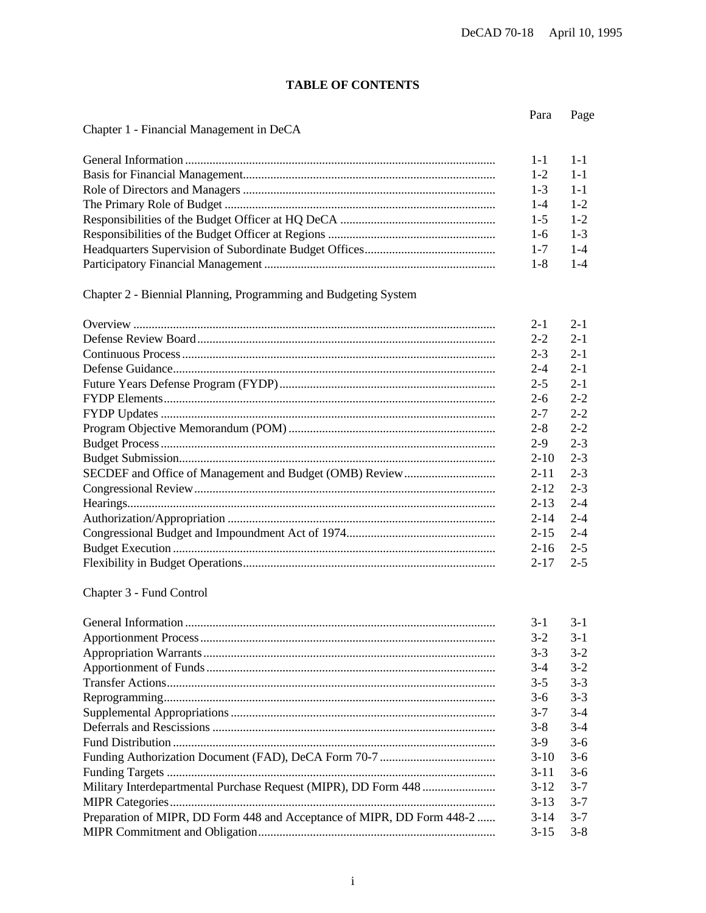# **TABLE OF CONTENTS**

#### Para Page

Chapter 1 - Financial Management in DeCA

| -1-1 - 1-1  |  |
|-------------|--|
| $1-2$ 1-1   |  |
| $1-3$ 1-1   |  |
| $1-4$ $1-2$ |  |
| $1-5$ 1-2   |  |
| $1-6$ 1-3   |  |
|             |  |
| $1-8$ 1-4   |  |

Chapter 2 - Biennial Planning, Programming and Budgeting System

| $2 - 1$  | $2 - 1$ |
|----------|---------|
| $2 - 2$  | $2 - 1$ |
| $2 - 3$  | $2 - 1$ |
| $2 - 4$  | $2 - 1$ |
| $2 - 5$  | $2 - 1$ |
| $2-6$    | $2 - 2$ |
| $2 - 7$  | $2 - 2$ |
| $2 - 8$  | $2 - 2$ |
| $2-9$    | $2 - 3$ |
| $2 - 10$ | $2 - 3$ |
| $2 - 11$ | $2 - 3$ |
| $2 - 12$ | $2 - 3$ |
| $2 - 13$ | $2 - 4$ |
| $2 - 14$ | $2 - 4$ |
| $2 - 15$ | $2 - 4$ |
| $2 - 16$ | $2 - 5$ |
| $2 - 17$ | $2 - 5$ |
|          |         |

# Chapter 3 - Fund Control

|                                                                        | $3-1$    | $3 - 1$ |
|------------------------------------------------------------------------|----------|---------|
|                                                                        | $3-2$    | $3-1$   |
|                                                                        | $3-3$    | $3-2$   |
|                                                                        | $3-4$    | $3-2$   |
|                                                                        | $3-5$    | $3-3$   |
|                                                                        | $3-6$    | $3-3$   |
|                                                                        | $3 - 7$  | $3-4$   |
|                                                                        | $3 - 8$  | $3-4$   |
|                                                                        | $3-9$    | $3-6$   |
|                                                                        | $3-10$   | $3-6$   |
|                                                                        | $3 - 11$ | $3-6$   |
|                                                                        | $3-12$   | $3 - 7$ |
|                                                                        | $3 - 13$ | $3 - 7$ |
| Preparation of MIPR, DD Form 448 and Acceptance of MIPR, DD Form 448-2 | $3 - 14$ | $3 - 7$ |
|                                                                        | $3 - 15$ | $3 - 8$ |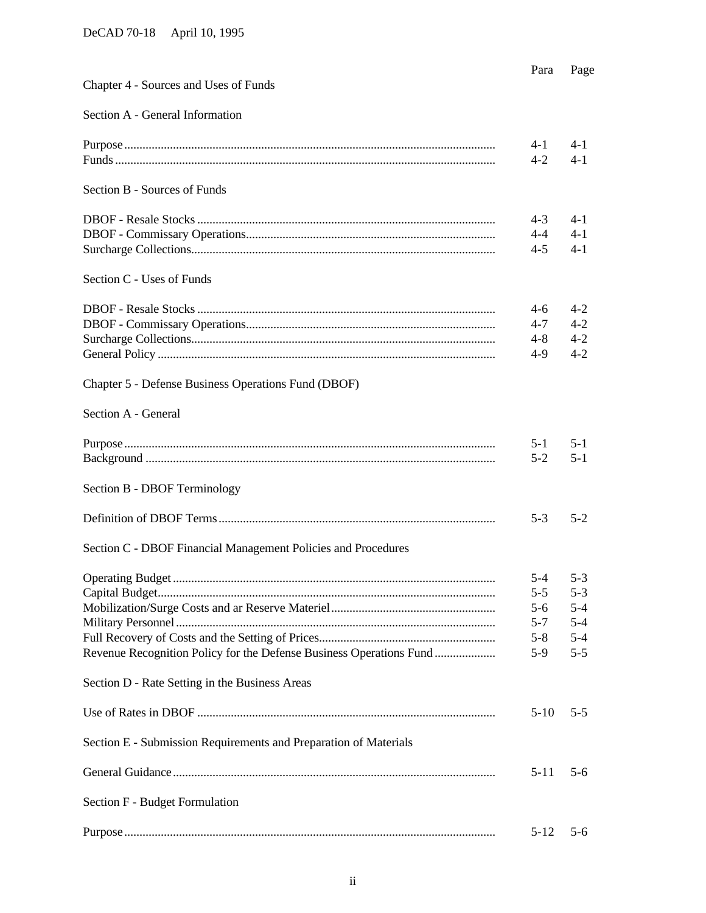| Chapter 4 - Sources and Uses of Funds                               | Para     | Page    |
|---------------------------------------------------------------------|----------|---------|
| Section A - General Information                                     |          |         |
|                                                                     | $4 - 1$  | $4 - 1$ |
|                                                                     | $4 - 2$  | $4-1$   |
| Section B - Sources of Funds                                        |          |         |
|                                                                     | $4 - 3$  | 4-1     |
|                                                                     | $4 - 4$  | $4-1$   |
|                                                                     | $4 - 5$  | $4 - 1$ |
| Section C - Uses of Funds                                           |          |         |
|                                                                     | 4-6      | $4 - 2$ |
|                                                                     | $4 - 7$  | $4 - 2$ |
|                                                                     | $4 - 8$  | $4 - 2$ |
|                                                                     | $4 - 9$  | $4 - 2$ |
| Chapter 5 - Defense Business Operations Fund (DBOF)                 |          |         |
| Section A - General                                                 |          |         |
|                                                                     | $5-1$    | $5 - 1$ |
|                                                                     | $5 - 2$  | $5-1$   |
| Section B - DBOF Terminology                                        |          |         |
|                                                                     | $5 - 3$  | $5 - 2$ |
| Section C - DBOF Financial Management Policies and Procedures       |          |         |
|                                                                     | $5-4$    | $5 - 3$ |
|                                                                     | $5 - 5$  | $5 - 3$ |
|                                                                     | $5-6$    | $5 - 4$ |
|                                                                     | $5 - 7$  | $5 - 4$ |
|                                                                     | $5 - 8$  | $5 - 4$ |
| Revenue Recognition Policy for the Defense Business Operations Fund | $5-9$    | $5 - 5$ |
| Section D - Rate Setting in the Business Areas                      |          |         |
|                                                                     | $5 - 10$ | $5 - 5$ |
| Section E - Submission Requirements and Preparation of Materials    |          |         |
|                                                                     | $5-11$   | $5-6$   |
| Section F - Budget Formulation                                      |          |         |
|                                                                     | $5 - 12$ | $5 - 6$ |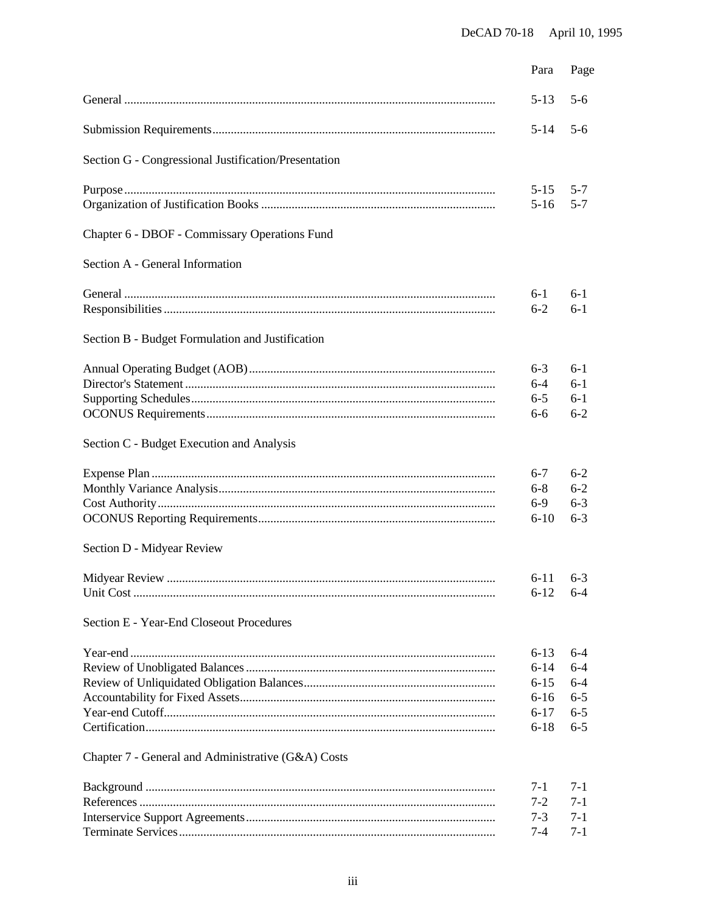|                                                      | Para     | Page    |
|------------------------------------------------------|----------|---------|
|                                                      | $5-13$   | $5-6$   |
|                                                      | $5 - 14$ | $5-6$   |
| Section G - Congressional Justification/Presentation |          |         |
|                                                      | $5 - 15$ | $5 - 7$ |
|                                                      | $5-16$   | $5 - 7$ |
| Chapter 6 - DBOF - Commissary Operations Fund        |          |         |
| Section A - General Information                      |          |         |
|                                                      | $6-1$    | $6-1$   |
|                                                      | $6 - 2$  | $6-1$   |
| Section B - Budget Formulation and Justification     |          |         |
|                                                      | $6-3$    | $6-1$   |
|                                                      | $6 - 4$  | $6-1$   |
|                                                      | $6 - 5$  | $6-1$   |
|                                                      | $6 - 6$  | $6 - 2$ |
| Section C - Budget Execution and Analysis            |          |         |
|                                                      | $6-7$    | $6 - 2$ |
|                                                      | $6 - 8$  | $6 - 2$ |
|                                                      | $6-9$    | $6 - 3$ |
|                                                      | $6 - 10$ | $6 - 3$ |
| Section D - Midyear Review                           |          |         |
|                                                      | $6 - 11$ | $6 - 3$ |
|                                                      | $6 - 12$ | $6 - 4$ |
| <b>Section E - Year-End Closeout Procedures</b>      |          |         |
|                                                      | $6-13$   | $6 - 4$ |
|                                                      | $6 - 14$ | $6 - 4$ |
|                                                      | $6 - 15$ | $6 - 4$ |
|                                                      | $6-16$   | $6 - 5$ |
|                                                      | $6 - 17$ | $6 - 5$ |
|                                                      | $6 - 18$ | $6 - 5$ |
| Chapter 7 - General and Administrative (G&A) Costs   |          |         |
|                                                      | $7-1$    | $7-1$   |
|                                                      | $7 - 2$  | $7 - 1$ |
|                                                      | $7 - 3$  | $7 - 1$ |
|                                                      | 7-4      | $7 - 1$ |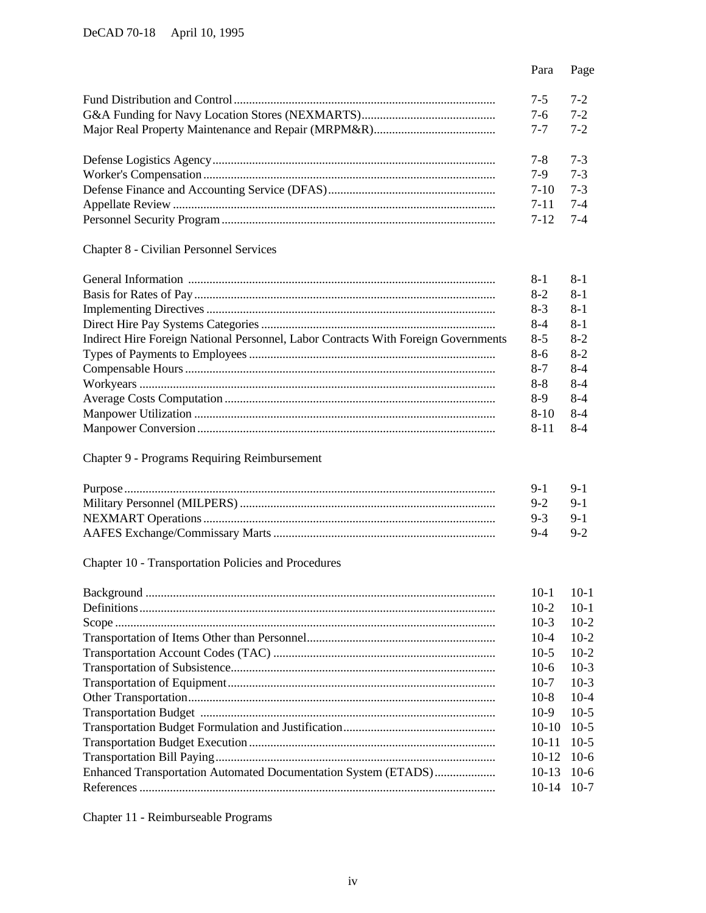| $7-5$      | $7 - 2$ |
|------------|---------|
| 7-6        | $7-2$   |
| $7 - 7$    | $7 - 2$ |
| $7-8$ 7-3  |         |
| $7-9$      | $7 - 3$ |
| $7-10$ 7-3 |         |
| $7-11$ 7-4 |         |
| $7-12$ 7-4 |         |

# **Chapter 8 - Civilian Personnel Services**

|                                                                                    | $8 - 1$  | $8 - 1$ |
|------------------------------------------------------------------------------------|----------|---------|
|                                                                                    | $8-2$    | $8 - 1$ |
|                                                                                    | $8-3$    | $8-1$   |
|                                                                                    | $8-4$    | $8 - 1$ |
| Indirect Hire Foreign National Personnel, Labor Contracts With Foreign Governments | $8-5$    | $8-2$   |
|                                                                                    | $8-6$    | $8-2$   |
|                                                                                    | $8-7$    | $8-4$   |
|                                                                                    | $8 - 8$  | $8-4$   |
|                                                                                    | 8-9      | $8-4$   |
|                                                                                    | $8-10$   | $8-4$   |
|                                                                                    | $8 - 11$ | 8-4     |

# Chapter 9 - Programs Requiring Reimbursement

| 9-1 9-1         |  |
|-----------------|--|
| $9-2$ $9-1$     |  |
| $9 - 3$ $9 - 1$ |  |
| $9-4$ $9-2$     |  |

# Chapter 10 - Transportation Policies and Procedures

| $10-1$       | $10-1$ |
|--------------|--------|
| $10-2$       | $10-1$ |
| $10-3$       | $10-2$ |
| $10 - 4$     | $10-2$ |
| $10-5$       | $10-2$ |
| $10-6$       | $10-3$ |
| $10-7$       | $10-3$ |
| $10-8$       | $10-4$ |
| 10-9         | $10-5$ |
| $10-10$      | $10-5$ |
| $10 - 11$    | $10-5$ |
| $10-12$ 10-6 |        |
| $10-13$ 10-6 |        |
| $10-14$ 10-7 |        |
|              |        |

Chapter 11 - Reimburseable Programs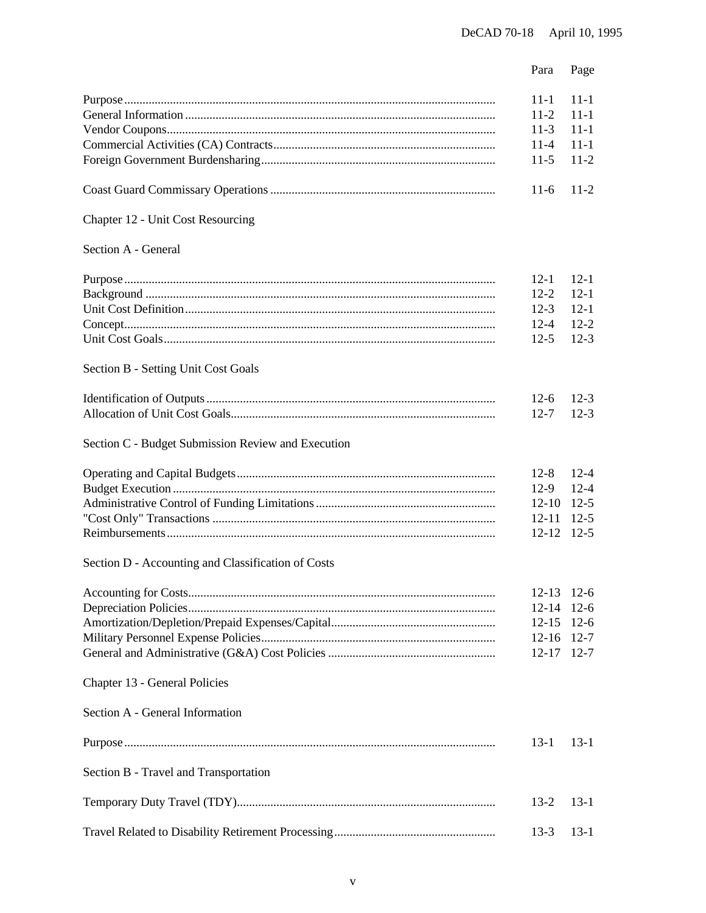|                                                    | Para         | Page     |
|----------------------------------------------------|--------------|----------|
|                                                    | $11 - 1$     | $11 - 1$ |
|                                                    | $11 - 2$     | $11 - 1$ |
|                                                    | $11-3$       | $11 - 1$ |
|                                                    | $11 - 4$     | $11 - 1$ |
|                                                    | $11-5$       | $11-2$   |
|                                                    |              |          |
|                                                    | $11-6$       | $11-2$   |
| Chapter 12 - Unit Cost Resourcing                  |              |          |
| Section A - General                                |              |          |
|                                                    | $12 - 1$     | $12 - 1$ |
|                                                    | $12 - 2$     | $12 - 1$ |
|                                                    | $12-3$       | $12-1$   |
|                                                    | $12 - 4$     | $12 - 2$ |
|                                                    | $12-5$       | $12-3$   |
|                                                    |              |          |
| Section B - Setting Unit Cost Goals                |              |          |
|                                                    | $12-6$       | $12 - 3$ |
|                                                    | $12 - 7$     | $12 - 3$ |
| Section C - Budget Submission Review and Execution |              |          |
|                                                    | $12 - 8$     | $12 - 4$ |
|                                                    | $12-9$       | $12 - 4$ |
|                                                    | $12-10$ 12-5 |          |
|                                                    | $12 - 11$    | $12 - 5$ |
|                                                    | $12-12$ 12-5 |          |
| Section D - Accounting and Classification of Costs |              |          |
|                                                    | $12 - 13$    | $12-6$   |
|                                                    | $12 - 14$    | $12-6$   |
|                                                    | $12 - 15$    | $12-6$   |
|                                                    |              |          |
|                                                    | 12-16 12-7   |          |
|                                                    | $12 - 17$    | $12 - 7$ |
| Chapter 13 - General Policies                      |              |          |
| Section A - General Information                    |              |          |
|                                                    | $13-1$       | $13-1$   |
| Section B - Travel and Transportation              |              |          |
|                                                    | $13-2$       | $13-1$   |
|                                                    |              |          |
|                                                    | $13-3$       | $13 - 1$ |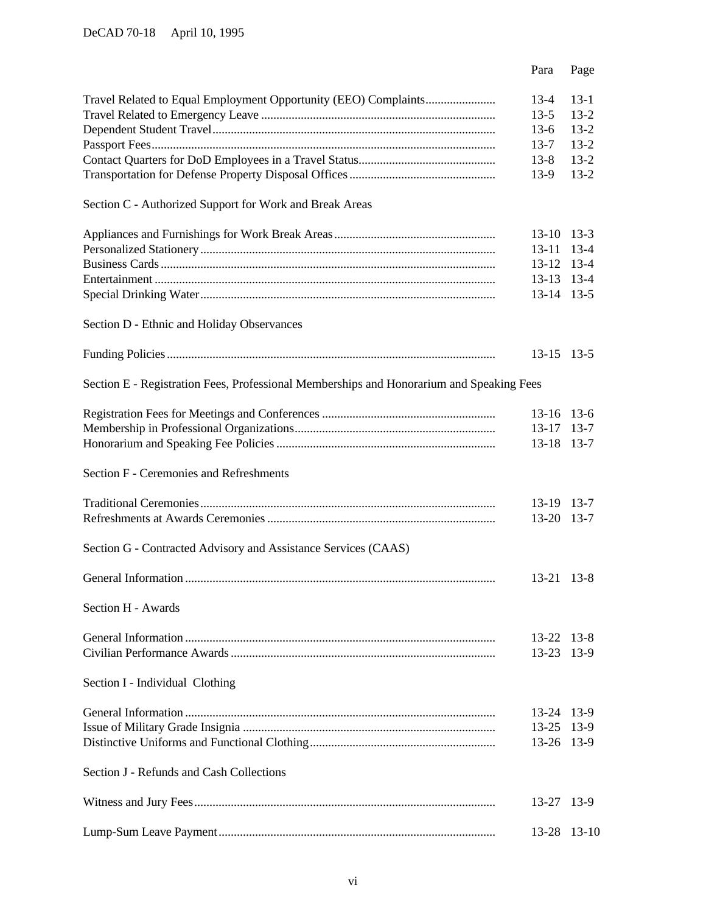|                                                                                          | Para        | Page     |
|------------------------------------------------------------------------------------------|-------------|----------|
| Travel Related to Equal Employment Opportunity (EEO) Complaints                          | $13-4$      | $13-1$   |
|                                                                                          | $13-5$      | $13 - 2$ |
|                                                                                          | $13-6$      | $13 - 2$ |
|                                                                                          | $13 - 7$    | $13 - 2$ |
|                                                                                          | $13-8$      | $13 - 2$ |
|                                                                                          | $13-9$      | $13 - 2$ |
|                                                                                          |             |          |
| Section C - Authorized Support for Work and Break Areas                                  |             |          |
|                                                                                          | 13-10 13-3  |          |
|                                                                                          | $13 - 11$   | $13-4$   |
|                                                                                          | 13-12 13-4  |          |
|                                                                                          | 13-13 13-4  |          |
|                                                                                          | 13-14 13-5  |          |
| Section D - Ethnic and Holiday Observances                                               |             |          |
|                                                                                          | 13-15 13-5  |          |
| Section E - Registration Fees, Professional Memberships and Honorarium and Speaking Fees |             |          |
|                                                                                          |             |          |
|                                                                                          | 13-16 13-6  |          |
|                                                                                          | 13-17 13-7  |          |
|                                                                                          | 13-18 13-7  |          |
| Section F - Ceremonies and Refreshments                                                  |             |          |
|                                                                                          | 13-19 13-7  |          |
|                                                                                          | 13-20 13-7  |          |
| Section G - Contracted Advisory and Assistance Services (CAAS)                           |             |          |
|                                                                                          |             |          |
|                                                                                          | 13-21 13-8  |          |
| Section H - Awards                                                                       |             |          |
|                                                                                          | 13-22 13-8  |          |
|                                                                                          | 13-23 13-9  |          |
| Section I - Individual Clothing                                                          |             |          |
|                                                                                          | 13-24 13-9  |          |
|                                                                                          | 13-25 13-9  |          |
|                                                                                          | 13-26 13-9  |          |
|                                                                                          |             |          |
| Section J - Refunds and Cash Collections                                                 |             |          |
|                                                                                          | 13-27 13-9  |          |
|                                                                                          | 13-28 13-10 |          |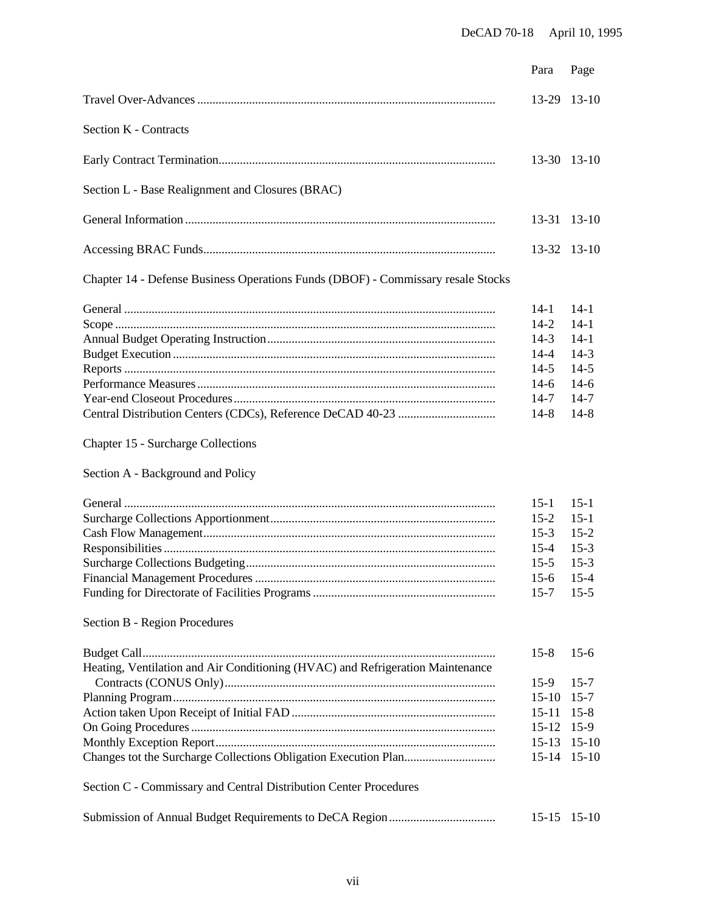|                                                                                  | Para                                                                     | Page                                                                         |
|----------------------------------------------------------------------------------|--------------------------------------------------------------------------|------------------------------------------------------------------------------|
|                                                                                  |                                                                          | 13-29 13-10                                                                  |
| Section K - Contracts                                                            |                                                                          |                                                                              |
|                                                                                  |                                                                          | 13-30 13-10                                                                  |
| Section L - Base Realignment and Closures (BRAC)                                 |                                                                          |                                                                              |
|                                                                                  |                                                                          | 13-31 13-10                                                                  |
|                                                                                  |                                                                          | 13-32 13-10                                                                  |
| Chapter 14 - Defense Business Operations Funds (DBOF) - Commissary resale Stocks |                                                                          |                                                                              |
|                                                                                  | $14-1$<br>$14 - 2$<br>$14-3$<br>$14 - 4$<br>$14-5$<br>$14-6$             | $14-1$<br>$14-1$<br>$14-1$<br>$14-3$<br>$14 - 5$<br>$14-6$                   |
|                                                                                  | $14 - 7$<br>$14-8$                                                       | $14 - 7$<br>$14-8$                                                           |
| Chapter 15 - Surcharge Collections                                               |                                                                          |                                                                              |
| Section A - Background and Policy                                                |                                                                          |                                                                              |
| Section B - Region Procedures                                                    | $15-1$<br>$15 - 2$<br>$15-3$<br>$15 - 4$<br>$15-5$<br>$15-6$<br>$15 - 7$ | $15-1$<br>$15 - 1$<br>$15 - 2$<br>$15-3$<br>$15 - 3$<br>$15 - 4$<br>$15 - 5$ |
|                                                                                  | $15 - 8$                                                                 | $15-6$                                                                       |
| Heating, Ventilation and Air Conditioning (HVAC) and Refrigeration Maintenance   | $15-9$                                                                   | $15 - 7$                                                                     |

|                                                                   | $15-9$ 15-7    |  |
|-------------------------------------------------------------------|----------------|--|
|                                                                   | $15-10$ 15-7   |  |
|                                                                   | $15-11$ $15-8$ |  |
|                                                                   | $15-12$ 15-9   |  |
|                                                                   | 15-13 15-10    |  |
|                                                                   | 15-14 15-10    |  |
| Section C - Commissary and Central Distribution Center Procedures |                |  |

|  | $15-15$ $15-10$ |  |
|--|-----------------|--|
|--|-----------------|--|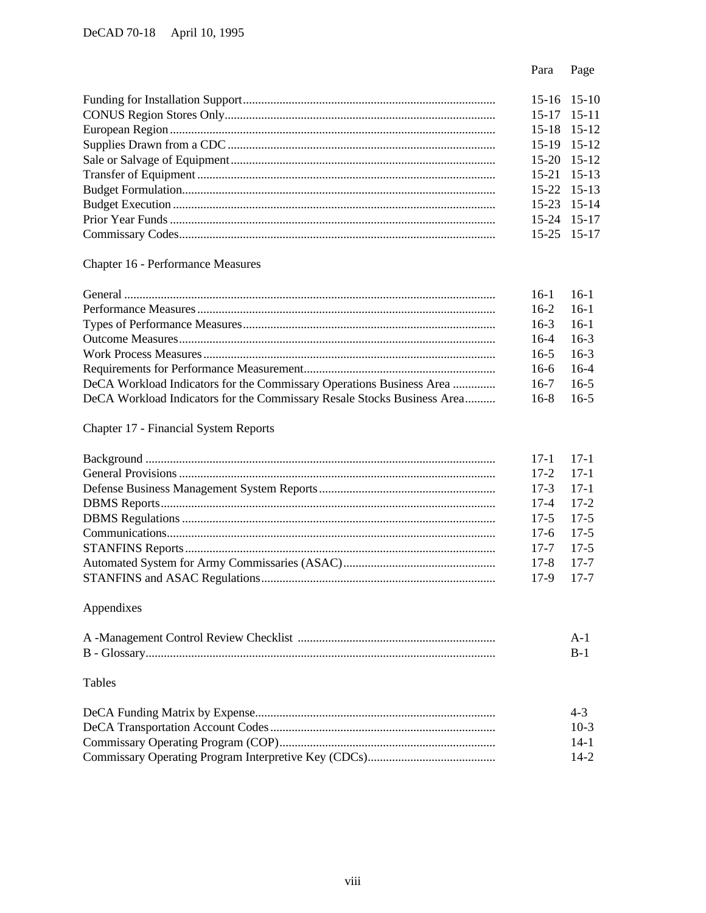| $15-16$ $15-10$ |  |
|-----------------|--|
| $15-17$ 15-11   |  |
| 15-18 15-12     |  |
| 15-19 15-12     |  |
| $15-20$ 15-12   |  |
| $15-21$ 15-13   |  |
| $15-22$ 15-13   |  |
| 15-23 15-14     |  |
| 15-24 15-17     |  |
| 15-25 15-17     |  |
|                 |  |

# **Chapter 16 - Performance Measures**

|                                                                         | $16-1$ 16-1 |  |
|-------------------------------------------------------------------------|-------------|--|
|                                                                         | $16-2$ 16-1 |  |
|                                                                         | $16-3$ 16-1 |  |
|                                                                         | $16-4$ 16-3 |  |
|                                                                         | $16-5$ 16-3 |  |
|                                                                         | $16-6$ 16-4 |  |
| DeCA Workload Indicators for the Commissary Operations Business Area    | $16-7$ 16-5 |  |
| DeCA Workload Indicators for the Commissary Resale Stocks Business Area | $16-8$ 16-5 |  |

# Chapter 17 - Financial System Reports

| $17-1$ 17-1   |  |
|---------------|--|
| $17-2$ 17-1   |  |
| $17-3$ 17-1   |  |
| $17-4$ $17-2$ |  |
| $17-5$ 17-5   |  |
| $17-6$ 17-5   |  |
| $17-7$ 17-5   |  |
| 17-8 17-7     |  |
| 17-9 17-7     |  |

# Appendixes

# Tables

| $4-3$  |
|--------|
| $10-3$ |
| $14-1$ |
| $14-2$ |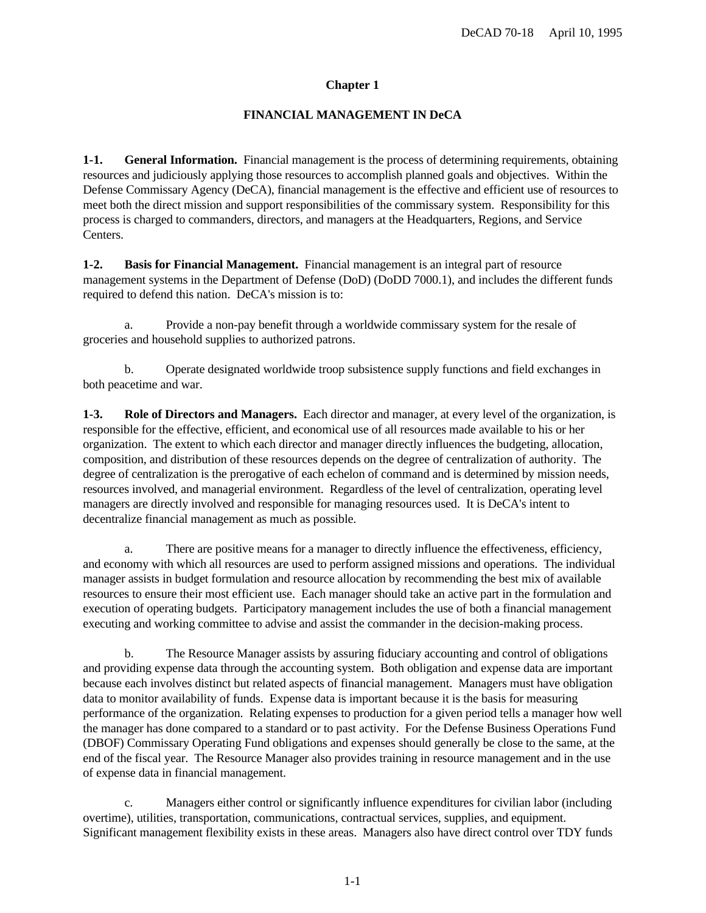## **Chapter 1**

### **FINANCIAL MANAGEMENT IN DeCA**

**1-1. General Information.** Financial management is the process of determining requirements, obtaining resources and judiciously applying those resources to accomplish planned goals and objectives. Within the Defense Commissary Agency (DeCA), financial management is the effective and efficient use of resources to meet both the direct mission and support responsibilities of the commissary system. Responsibility for this process is charged to commanders, directors, and managers at the Headquarters, Regions, and Service Centers.

**1-2. Basis for Financial Management.** Financial management is an integral part of resource management systems in the Department of Defense (DoD) (DoDD 7000.1), and includes the different funds required to defend this nation. DeCA's mission is to:

a. Provide a non-pay benefit through a worldwide commissary system for the resale of groceries and household supplies to authorized patrons.

b. Operate designated worldwide troop subsistence supply functions and field exchanges in both peacetime and war.

**1-3. Role of Directors and Managers.** Each director and manager, at every level of the organization, is responsible for the effective, efficient, and economical use of all resources made available to his or her organization. The extent to which each director and manager directly influences the budgeting, allocation, composition, and distribution of these resources depends on the degree of centralization of authority. The degree of centralization is the prerogative of each echelon of command and is determined by mission needs, resources involved, and managerial environment. Regardless of the level of centralization, operating level managers are directly involved and responsible for managing resources used. It is DeCA's intent to decentralize financial management as much as possible.

a. There are positive means for a manager to directly influence the effectiveness, efficiency, and economy with which all resources are used to perform assigned missions and operations. The individual manager assists in budget formulation and resource allocation by recommending the best mix of available resources to ensure their most efficient use. Each manager should take an active part in the formulation and execution of operating budgets. Participatory management includes the use of both a financial management executing and working committee to advise and assist the commander in the decision-making process.

b. The Resource Manager assists by assuring fiduciary accounting and control of obligations and providing expense data through the accounting system. Both obligation and expense data are important because each involves distinct but related aspects of financial management. Managers must have obligation data to monitor availability of funds. Expense data is important because it is the basis for measuring performance of the organization. Relating expenses to production for a given period tells a manager how well the manager has done compared to a standard or to past activity. For the Defense Business Operations Fund (DBOF) Commissary Operating Fund obligations and expenses should generally be close to the same, at the end of the fiscal year. The Resource Manager also provides training in resource management and in the use of expense data in financial management.

c. Managers either control or significantly influence expenditures for civilian labor (including overtime), utilities, transportation, communications, contractual services, supplies, and equipment. Significant management flexibility exists in these areas. Managers also have direct control over TDY funds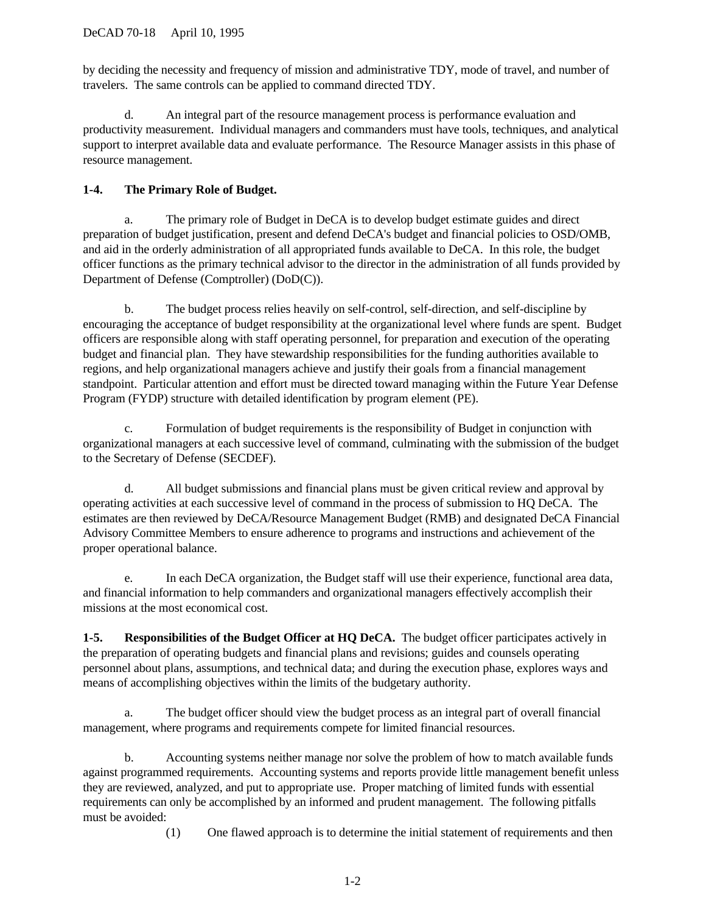by deciding the necessity and frequency of mission and administrative TDY, mode of travel, and number of travelers. The same controls can be applied to command directed TDY.

d. An integral part of the resource management process is performance evaluation and productivity measurement. Individual managers and commanders must have tools, techniques, and analytical support to interpret available data and evaluate performance. The Resource Manager assists in this phase of resource management.

# **1-4. The Primary Role of Budget.**

a. The primary role of Budget in DeCA is to develop budget estimate guides and direct preparation of budget justification, present and defend DeCA's budget and financial policies to OSD/OMB, and aid in the orderly administration of all appropriated funds available to DeCA. In this role, the budget officer functions as the primary technical advisor to the director in the administration of all funds provided by Department of Defense (Comptroller) (DoD(C)).

b. The budget process relies heavily on self-control, self-direction, and self-discipline by encouraging the acceptance of budget responsibility at the organizational level where funds are spent. Budget officers are responsible along with staff operating personnel, for preparation and execution of the operating budget and financial plan. They have stewardship responsibilities for the funding authorities available to regions, and help organizational managers achieve and justify their goals from a financial management standpoint. Particular attention and effort must be directed toward managing within the Future Year Defense Program (FYDP) structure with detailed identification by program element (PE).

c. Formulation of budget requirements is the responsibility of Budget in conjunction with organizational managers at each successive level of command, culminating with the submission of the budget to the Secretary of Defense (SECDEF).

d. All budget submissions and financial plans must be given critical review and approval by operating activities at each successive level of command in the process of submission to HQ DeCA. The estimates are then reviewed by DeCA/Resource Management Budget (RMB) and designated DeCA Financial Advisory Committee Members to ensure adherence to programs and instructions and achievement of the proper operational balance.

e. In each DeCA organization, the Budget staff will use their experience, functional area data, and financial information to help commanders and organizational managers effectively accomplish their missions at the most economical cost.

**1-5. Responsibilities of the Budget Officer at HQ DeCA.** The budget officer participates actively in the preparation of operating budgets and financial plans and revisions; guides and counsels operating personnel about plans, assumptions, and technical data; and during the execution phase, explores ways and means of accomplishing objectives within the limits of the budgetary authority.

a. The budget officer should view the budget process as an integral part of overall financial management, where programs and requirements compete for limited financial resources.

b. Accounting systems neither manage nor solve the problem of how to match available funds against programmed requirements. Accounting systems and reports provide little management benefit unless they are reviewed, analyzed, and put to appropriate use. Proper matching of limited funds with essential requirements can only be accomplished by an informed and prudent management. The following pitfalls must be avoided:

(1) One flawed approach is to determine the initial statement of requirements and then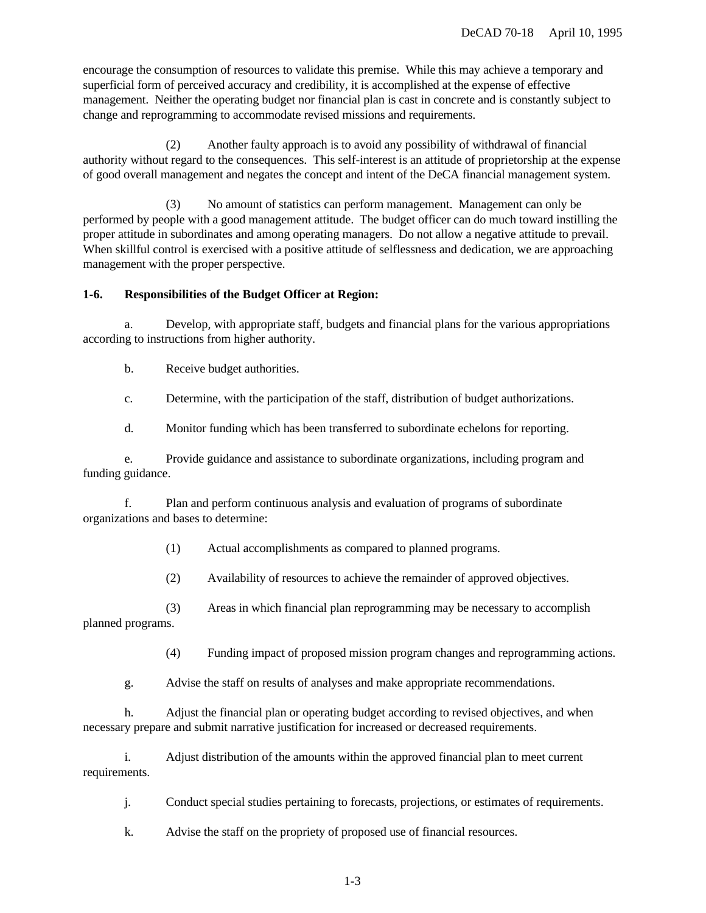encourage the consumption of resources to validate this premise. While this may achieve a temporary and superficial form of perceived accuracy and credibility, it is accomplished at the expense of effective management. Neither the operating budget nor financial plan is cast in concrete and is constantly subject to change and reprogramming to accommodate revised missions and requirements.

(2) Another faulty approach is to avoid any possibility of withdrawal of financial authority without regard to the consequences. This self-interest is an attitude of proprietorship at the expense of good overall management and negates the concept and intent of the DeCA financial management system.

(3) No amount of statistics can perform management. Management can only be performed by people with a good management attitude. The budget officer can do much toward instilling the proper attitude in subordinates and among operating managers. Do not allow a negative attitude to prevail. When skillful control is exercised with a positive attitude of selflessness and dedication, we are approaching management with the proper perspective.

#### **1-6. Responsibilities of the Budget Officer at Region:**

a. Develop, with appropriate staff, budgets and financial plans for the various appropriations according to instructions from higher authority.

b. Receive budget authorities.

c. Determine, with the participation of the staff, distribution of budget authorizations.

d. Monitor funding which has been transferred to subordinate echelons for reporting.

e. Provide guidance and assistance to subordinate organizations, including program and funding guidance.

f. Plan and perform continuous analysis and evaluation of programs of subordinate organizations and bases to determine:

(1) Actual accomplishments as compared to planned programs.

(2) Availability of resources to achieve the remainder of approved objectives.

(3) Areas in which financial plan reprogramming may be necessary to accomplish planned programs.

(4) Funding impact of proposed mission program changes and reprogramming actions.

g. Advise the staff on results of analyses and make appropriate recommendations.

h. Adjust the financial plan or operating budget according to revised objectives, and when necessary prepare and submit narrative justification for increased or decreased requirements.

i. Adjust distribution of the amounts within the approved financial plan to meet current requirements.

j. Conduct special studies pertaining to forecasts, projections, or estimates of requirements.

k. Advise the staff on the propriety of proposed use of financial resources.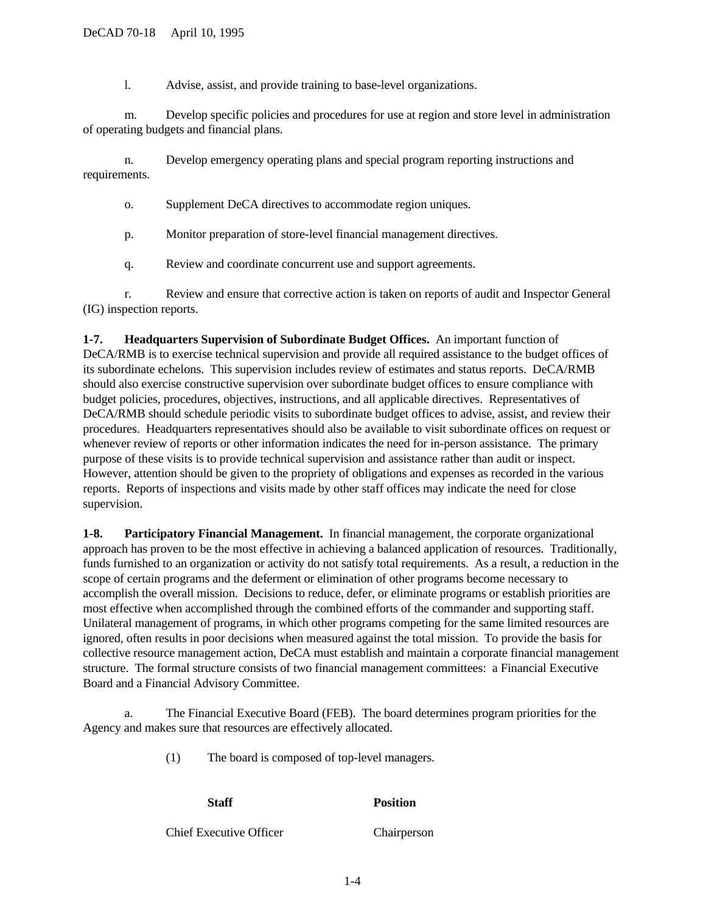l. Advise, assist, and provide training to base-level organizations.

m. Develop specific policies and procedures for use at region and store level in administration of operating budgets and financial plans.

n. Develop emergency operating plans and special program reporting instructions and requirements.

o. Supplement DeCA directives to accommodate region uniques.

p. Monitor preparation of store-level financial management directives.

q. Review and coordinate concurrent use and support agreements.

r. Review and ensure that corrective action is taken on reports of audit and Inspector General (IG) inspection reports.

**1-7. Headquarters Supervision of Subordinate Budget Offices.** An important function of DeCA/RMB is to exercise technical supervision and provide all required assistance to the budget offices of its subordinate echelons. This supervision includes review of estimates and status reports. DeCA/RMB should also exercise constructive supervision over subordinate budget offices to ensure compliance with budget policies, procedures, objectives, instructions, and all applicable directives. Representatives of DeCA/RMB should schedule periodic visits to subordinate budget offices to advise, assist, and review their procedures. Headquarters representatives should also be available to visit subordinate offices on request or whenever review of reports or other information indicates the need for in-person assistance. The primary purpose of these visits is to provide technical supervision and assistance rather than audit or inspect. However, attention should be given to the propriety of obligations and expenses as recorded in the various reports. Reports of inspections and visits made by other staff offices may indicate the need for close supervision.

**1-8. Participatory Financial Management.** In financial management, the corporate organizational approach has proven to be the most effective in achieving a balanced application of resources. Traditionally, funds furnished to an organization or activity do not satisfy total requirements. As a result, a reduction in the scope of certain programs and the deferment or elimination of other programs become necessary to accomplish the overall mission. Decisions to reduce, defer, or eliminate programs or establish priorities are most effective when accomplished through the combined efforts of the commander and supporting staff. Unilateral management of programs, in which other programs competing for the same limited resources are ignored, often results in poor decisions when measured against the total mission. To provide the basis for collective resource management action, DeCA must establish and maintain a corporate financial management structure. The formal structure consists of two financial management committees: a Financial Executive Board and a Financial Advisory Committee.

a. The Financial Executive Board (FEB). The board determines program priorities for the Agency and makes sure that resources are effectively allocated.

(1) The board is composed of top-level managers.

| Staff                   | <b>Position</b> |
|-------------------------|-----------------|
| Chief Executive Officer | Chairperson     |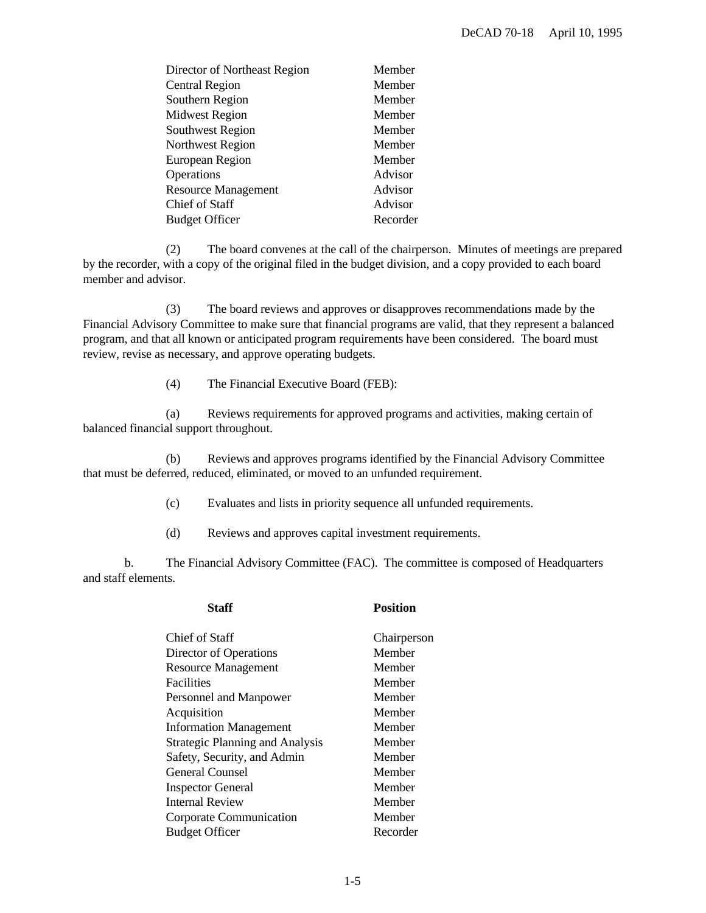| Director of Northeast Region | Member   |
|------------------------------|----------|
| <b>Central Region</b>        | Member   |
| Southern Region              | Member   |
| <b>Midwest Region</b>        | Member   |
| <b>Southwest Region</b>      | Member   |
| <b>Northwest Region</b>      | Member   |
| <b>European Region</b>       | Member   |
| Operations                   | Advisor  |
| <b>Resource Management</b>   | Advisor  |
| Chief of Staff               | Advisor  |
| <b>Budget Officer</b>        | Recorder |
|                              |          |

(2) The board convenes at the call of the chairperson. Minutes of meetings are prepared by the recorder, with a copy of the original filed in the budget division, and a copy provided to each board member and advisor.

(3) The board reviews and approves or disapproves recommendations made by the Financial Advisory Committee to make sure that financial programs are valid, that they represent a balanced program, and that all known or anticipated program requirements have been considered. The board must review, revise as necessary, and approve operating budgets.

(4) The Financial Executive Board (FEB):

(a) Reviews requirements for approved programs and activities, making certain of balanced financial support throughout.

(b) Reviews and approves programs identified by the Financial Advisory Committee that must be deferred, reduced, eliminated, or moved to an unfunded requirement.

- (c) Evaluates and lists in priority sequence all unfunded requirements.
- (d) Reviews and approves capital investment requirements.

b. The Financial Advisory Committee (FAC). The committee is composed of Headquarters and staff elements.

| <b>Staff</b>                           | <b>Position</b> |
|----------------------------------------|-----------------|
| Chief of Staff                         | Chairperson     |
| Director of Operations                 | Member          |
| <b>Resource Management</b>             | Member          |
| <b>Facilities</b>                      | Member          |
| Personnel and Manpower                 | Member          |
| Acquisition                            | Member          |
| <b>Information Management</b>          | Member          |
| <b>Strategic Planning and Analysis</b> | Member          |
| Safety, Security, and Admin            | Member          |
| <b>General Counsel</b>                 | Member          |
| <b>Inspector General</b>               | Member          |
| <b>Internal Review</b>                 | Member          |
| Corporate Communication                | Member          |
| <b>Budget Officer</b>                  | Recorder        |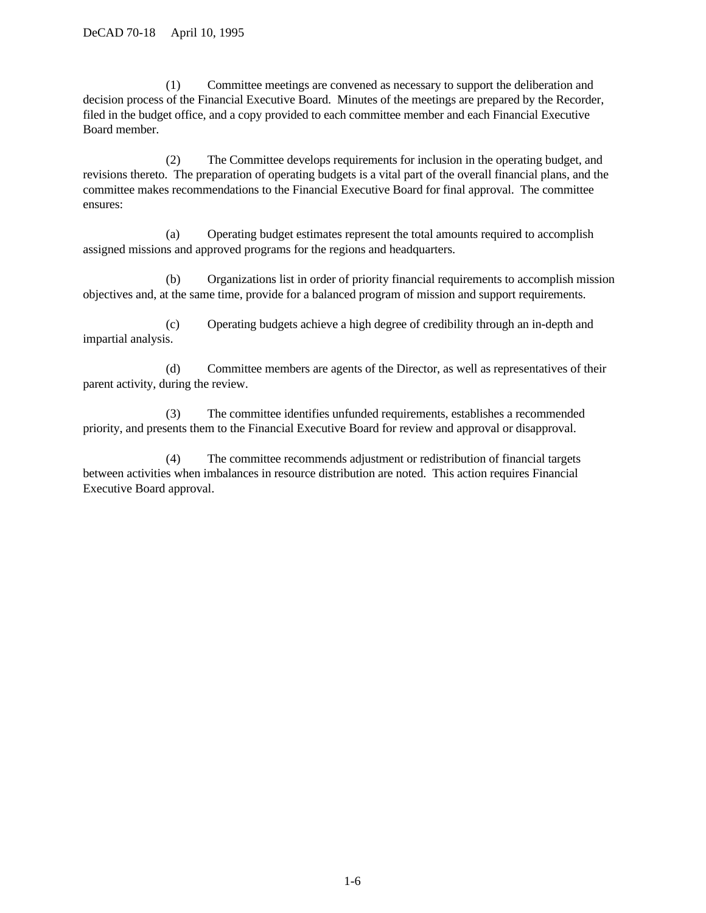(1) Committee meetings are convened as necessary to support the deliberation and decision process of the Financial Executive Board. Minutes of the meetings are prepared by the Recorder, filed in the budget office, and a copy provided to each committee member and each Financial Executive Board member.

(2) The Committee develops requirements for inclusion in the operating budget, and revisions thereto. The preparation of operating budgets is a vital part of the overall financial plans, and the committee makes recommendations to the Financial Executive Board for final approval. The committee ensures:

(a) Operating budget estimates represent the total amounts required to accomplish assigned missions and approved programs for the regions and headquarters.

(b) Organizations list in order of priority financial requirements to accomplish mission objectives and, at the same time, provide for a balanced program of mission and support requirements.

(c) Operating budgets achieve a high degree of credibility through an in-depth and impartial analysis.

(d) Committee members are agents of the Director, as well as representatives of their parent activity, during the review.

(3) The committee identifies unfunded requirements, establishes a recommended priority, and presents them to the Financial Executive Board for review and approval or disapproval.

(4) The committee recommends adjustment or redistribution of financial targets between activities when imbalances in resource distribution are noted. This action requires Financial Executive Board approval.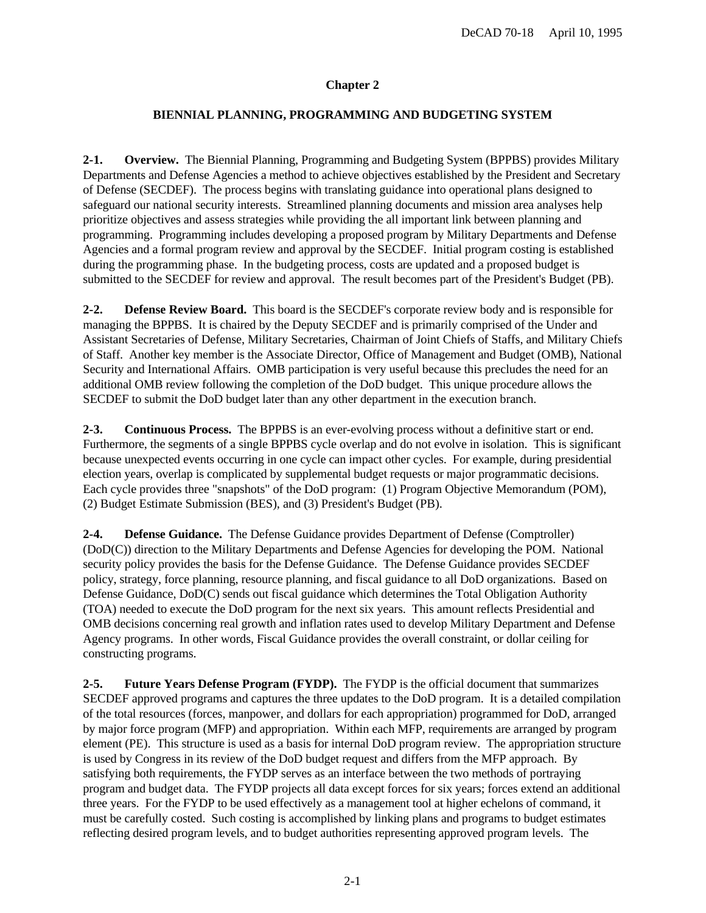### **Chapter 2**

#### **BIENNIAL PLANNING, PROGRAMMING AND BUDGETING SYSTEM**

**2-1. Overview.** The Biennial Planning, Programming and Budgeting System (BPPBS) provides Military Departments and Defense Agencies a method to achieve objectives established by the President and Secretary of Defense (SECDEF). The process begins with translating guidance into operational plans designed to safeguard our national security interests. Streamlined planning documents and mission area analyses help prioritize objectives and assess strategies while providing the all important link between planning and programming. Programming includes developing a proposed program by Military Departments and Defense Agencies and a formal program review and approval by the SECDEF. Initial program costing is established during the programming phase. In the budgeting process, costs are updated and a proposed budget is submitted to the SECDEF for review and approval. The result becomes part of the President's Budget (PB).

**2-2. Defense Review Board.** This board is the SECDEF's corporate review body and is responsible for managing the BPPBS. It is chaired by the Deputy SECDEF and is primarily comprised of the Under and Assistant Secretaries of Defense, Military Secretaries, Chairman of Joint Chiefs of Staffs, and Military Chiefs of Staff. Another key member is the Associate Director, Office of Management and Budget (OMB), National Security and International Affairs. OMB participation is very useful because this precludes the need for an additional OMB review following the completion of the DoD budget. This unique procedure allows the SECDEF to submit the DoD budget later than any other department in the execution branch.

**2-3. Continuous Process.** The BPPBS is an ever-evolving process without a definitive start or end. Furthermore, the segments of a single BPPBS cycle overlap and do not evolve in isolation. This is significant because unexpected events occurring in one cycle can impact other cycles. For example, during presidential election years, overlap is complicated by supplemental budget requests or major programmatic decisions. Each cycle provides three "snapshots" of the DoD program: (1) Program Objective Memorandum (POM), (2) Budget Estimate Submission (BES), and (3) President's Budget (PB).

**2-4. Defense Guidance.** The Defense Guidance provides Department of Defense (Comptroller) (DoD(C)) direction to the Military Departments and Defense Agencies for developing the POM. National security policy provides the basis for the Defense Guidance. The Defense Guidance provides SECDEF policy, strategy, force planning, resource planning, and fiscal guidance to all DoD organizations. Based on Defense Guidance, DoD(C) sends out fiscal guidance which determines the Total Obligation Authority (TOA) needed to execute the DoD program for the next six years. This amount reflects Presidential and OMB decisions concerning real growth and inflation rates used to develop Military Department and Defense Agency programs. In other words, Fiscal Guidance provides the overall constraint, or dollar ceiling for constructing programs.

**2-5. Future Years Defense Program (FYDP).** The FYDP is the official document that summarizes SECDEF approved programs and captures the three updates to the DoD program. It is a detailed compilation of the total resources (forces, manpower, and dollars for each appropriation) programmed for DoD, arranged by major force program (MFP) and appropriation. Within each MFP, requirements are arranged by program element (PE). This structure is used as a basis for internal DoD program review. The appropriation structure is used by Congress in its review of the DoD budget request and differs from the MFP approach. By satisfying both requirements, the FYDP serves as an interface between the two methods of portraying program and budget data. The FYDP projects all data except forces for six years; forces extend an additional three years. For the FYDP to be used effectively as a management tool at higher echelons of command, it must be carefully costed. Such costing is accomplished by linking plans and programs to budget estimates reflecting desired program levels, and to budget authorities representing approved program levels. The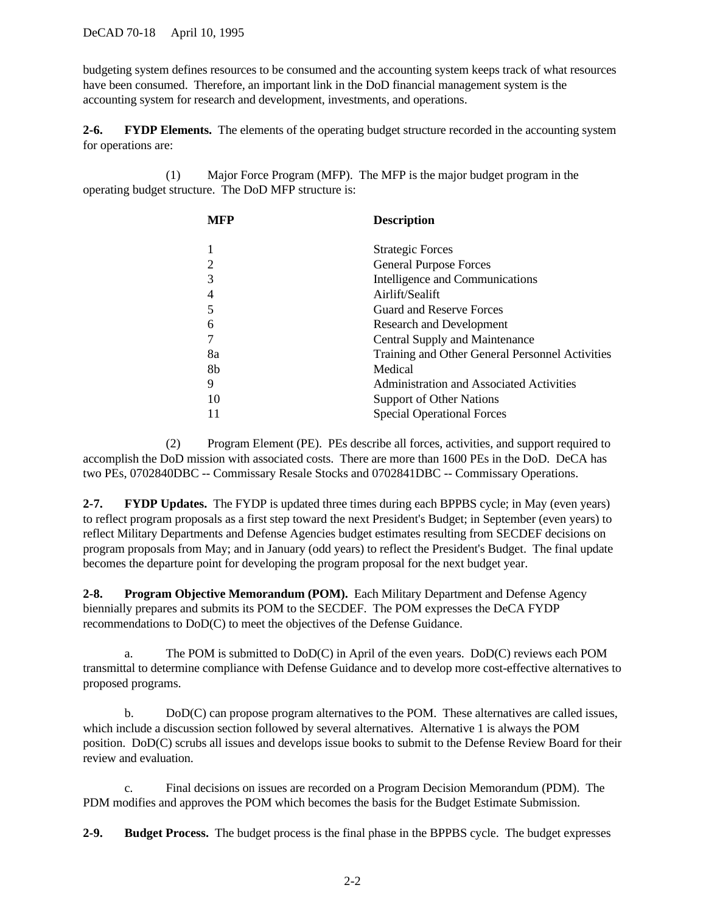budgeting system defines resources to be consumed and the accounting system keeps track of what resources have been consumed. Therefore, an important link in the DoD financial management system is the accounting system for research and development, investments, and operations.

**2-6. FYDP Elements.** The elements of the operating budget structure recorded in the accounting system for operations are:

(1) Major Force Program (MFP). The MFP is the major budget program in the operating budget structure. The DoD MFP structure is:

| MFP | <b>Description</b>                              |
|-----|-------------------------------------------------|
|     | <b>Strategic Forces</b>                         |
|     | <b>General Purpose Forces</b>                   |
| 3   | Intelligence and Communications                 |
|     | Airlift/Sealift                                 |
|     | <b>Guard and Reserve Forces</b>                 |
| 6   | <b>Research and Development</b>                 |
|     | Central Supply and Maintenance                  |
| 8a  | Training and Other General Personnel Activities |
| 8b  | Medical                                         |
| 9   | Administration and Associated Activities        |
| 10  | <b>Support of Other Nations</b>                 |
|     | <b>Special Operational Forces</b>               |

(2) Program Element (PE). PEs describe all forces, activities, and support required to accomplish the DoD mission with associated costs. There are more than 1600 PEs in the DoD. DeCA has two PEs, 0702840DBC -- Commissary Resale Stocks and 0702841DBC -- Commissary Operations.

**2-7. FYDP Updates.** The FYDP is updated three times during each BPPBS cycle; in May (even years) to reflect program proposals as a first step toward the next President's Budget; in September (even years) to reflect Military Departments and Defense Agencies budget estimates resulting from SECDEF decisions on program proposals from May; and in January (odd years) to reflect the President's Budget. The final update becomes the departure point for developing the program proposal for the next budget year.

**2-8. Program Objective Memorandum (POM).** Each Military Department and Defense Agency biennially prepares and submits its POM to the SECDEF. The POM expresses the DeCA FYDP recommendations to DoD(C) to meet the objectives of the Defense Guidance.

a. The POM is submitted to DoD(C) in April of the even years. DoD(C) reviews each POM transmittal to determine compliance with Defense Guidance and to develop more cost-effective alternatives to proposed programs.

b. DoD(C) can propose program alternatives to the POM. These alternatives are called issues, which include a discussion section followed by several alternatives. Alternative 1 is always the POM position. DoD(C) scrubs all issues and develops issue books to submit to the Defense Review Board for their review and evaluation.

c. Final decisions on issues are recorded on a Program Decision Memorandum (PDM). The PDM modifies and approves the POM which becomes the basis for the Budget Estimate Submission.

**2-9. Budget Process.** The budget process is the final phase in the BPPBS cycle. The budget expresses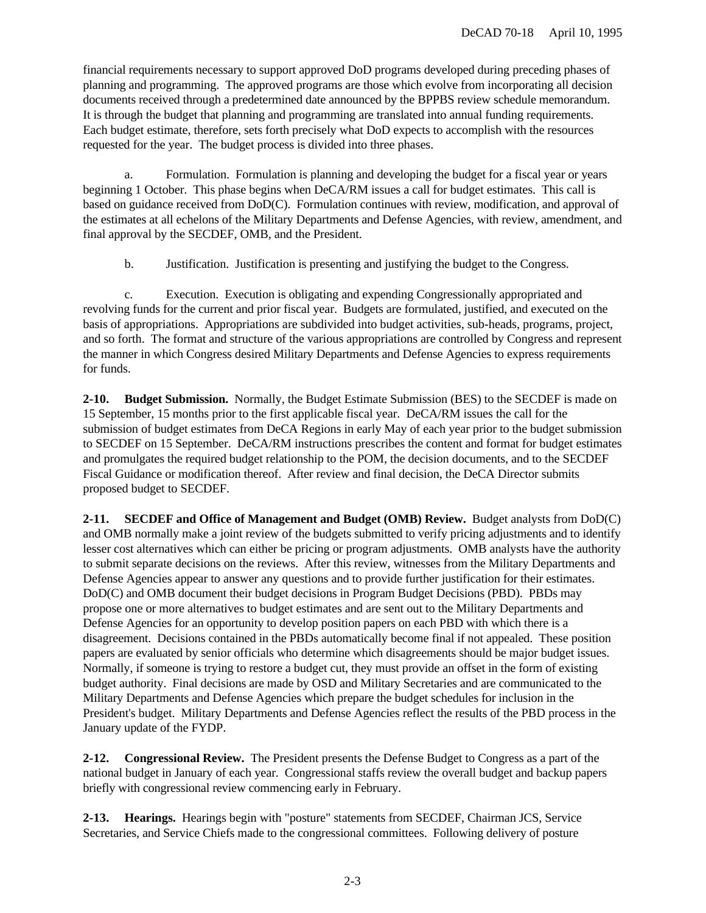financial requirements necessary to support approved DoD programs developed during preceding phases of planning and programming. The approved programs are those which evolve from incorporating all decision documents received through a predetermined date announced by the BPPBS review schedule memorandum. It is through the budget that planning and programming are translated into annual funding requirements. Each budget estimate, therefore, sets forth precisely what DoD expects to accomplish with the resources requested for the year. The budget process is divided into three phases.

a. Formulation. Formulation is planning and developing the budget for a fiscal year or years beginning 1 October. This phase begins when DeCA/RM issues a call for budget estimates. This call is based on guidance received from DoD(C). Formulation continues with review, modification, and approval of the estimates at all echelons of the Military Departments and Defense Agencies, with review, amendment, and final approval by the SECDEF, OMB, and the President.

b. Justification. Justification is presenting and justifying the budget to the Congress.

c. Execution. Execution is obligating and expending Congressionally appropriated and revolving funds for the current and prior fiscal year. Budgets are formulated, justified, and executed on the basis of appropriations. Appropriations are subdivided into budget activities, sub-heads, programs, project, and so forth. The format and structure of the various appropriations are controlled by Congress and represent the manner in which Congress desired Military Departments and Defense Agencies to express requirements for funds.

**2-10. Budget Submission.** Normally, the Budget Estimate Submission (BES) to the SECDEF is made on 15 September, 15 months prior to the first applicable fiscal year. DeCA/RM issues the call for the submission of budget estimates from DeCA Regions in early May of each year prior to the budget submission to SECDEF on 15 September. DeCA/RM instructions prescribes the content and format for budget estimates and promulgates the required budget relationship to the POM, the decision documents, and to the SECDEF Fiscal Guidance or modification thereof. After review and final decision, the DeCA Director submits proposed budget to SECDEF.

**2-11. SECDEF and Office of Management and Budget (OMB) Review.** Budget analysts from DoD(C) and OMB normally make a joint review of the budgets submitted to verify pricing adjustments and to identify lesser cost alternatives which can either be pricing or program adjustments. OMB analysts have the authority to submit separate decisions on the reviews. After this review, witnesses from the Military Departments and Defense Agencies appear to answer any questions and to provide further justification for their estimates. DoD(C) and OMB document their budget decisions in Program Budget Decisions (PBD). PBDs may propose one or more alternatives to budget estimates and are sent out to the Military Departments and Defense Agencies for an opportunity to develop position papers on each PBD with which there is a disagreement. Decisions contained in the PBDs automatically become final if not appealed. These position papers are evaluated by senior officials who determine which disagreements should be major budget issues. Normally, if someone is trying to restore a budget cut, they must provide an offset in the form of existing budget authority. Final decisions are made by OSD and Military Secretaries and are communicated to the Military Departments and Defense Agencies which prepare the budget schedules for inclusion in the President's budget. Military Departments and Defense Agencies reflect the results of the PBD process in the January update of the FYDP.

**2-12. Congressional Review.** The President presents the Defense Budget to Congress as a part of the national budget in January of each year. Congressional staffs review the overall budget and backup papers briefly with congressional review commencing early in February.

**2-13. Hearings.** Hearings begin with "posture" statements from SECDEF, Chairman JCS, Service Secretaries, and Service Chiefs made to the congressional committees. Following delivery of posture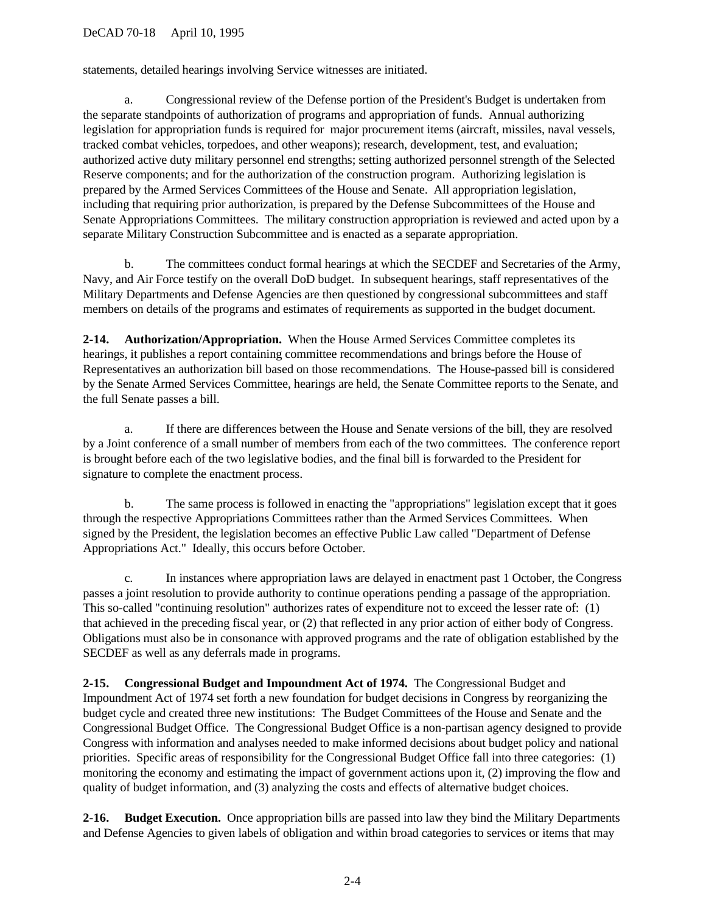statements, detailed hearings involving Service witnesses are initiated.

a. Congressional review of the Defense portion of the President's Budget is undertaken from the separate standpoints of authorization of programs and appropriation of funds. Annual authorizing legislation for appropriation funds is required for major procurement items (aircraft, missiles, naval vessels, tracked combat vehicles, torpedoes, and other weapons); research, development, test, and evaluation; authorized active duty military personnel end strengths; setting authorized personnel strength of the Selected Reserve components; and for the authorization of the construction program. Authorizing legislation is prepared by the Armed Services Committees of the House and Senate. All appropriation legislation, including that requiring prior authorization, is prepared by the Defense Subcommittees of the House and Senate Appropriations Committees. The military construction appropriation is reviewed and acted upon by a separate Military Construction Subcommittee and is enacted as a separate appropriation.

b. The committees conduct formal hearings at which the SECDEF and Secretaries of the Army, Navy, and Air Force testify on the overall DoD budget. In subsequent hearings, staff representatives of the Military Departments and Defense Agencies are then questioned by congressional subcommittees and staff members on details of the programs and estimates of requirements as supported in the budget document.

**2-14. Authorization/Appropriation.** When the House Armed Services Committee completes its hearings, it publishes a report containing committee recommendations and brings before the House of Representatives an authorization bill based on those recommendations. The House-passed bill is considered by the Senate Armed Services Committee, hearings are held, the Senate Committee reports to the Senate, and the full Senate passes a bill.

a. If there are differences between the House and Senate versions of the bill, they are resolved by a Joint conference of a small number of members from each of the two committees. The conference report is brought before each of the two legislative bodies, and the final bill is forwarded to the President for signature to complete the enactment process.

b. The same process is followed in enacting the "appropriations" legislation except that it goes through the respective Appropriations Committees rather than the Armed Services Committees. When signed by the President, the legislation becomes an effective Public Law called "Department of Defense Appropriations Act." Ideally, this occurs before October.

c. In instances where appropriation laws are delayed in enactment past 1 October, the Congress passes a joint resolution to provide authority to continue operations pending a passage of the appropriation. This so-called "continuing resolution" authorizes rates of expenditure not to exceed the lesser rate of: (1) that achieved in the preceding fiscal year, or (2) that reflected in any prior action of either body of Congress. Obligations must also be in consonance with approved programs and the rate of obligation established by the SECDEF as well as any deferrals made in programs.

**2-15. Congressional Budget and Impoundment Act of 1974.** The Congressional Budget and Impoundment Act of 1974 set forth a new foundation for budget decisions in Congress by reorganizing the budget cycle and created three new institutions: The Budget Committees of the House and Senate and the Congressional Budget Office. The Congressional Budget Office is a non-partisan agency designed to provide Congress with information and analyses needed to make informed decisions about budget policy and national priorities. Specific areas of responsibility for the Congressional Budget Office fall into three categories: (1) monitoring the economy and estimating the impact of government actions upon it, (2) improving the flow and quality of budget information, and (3) analyzing the costs and effects of alternative budget choices.

**2-16. Budget Execution.** Once appropriation bills are passed into law they bind the Military Departments and Defense Agencies to given labels of obligation and within broad categories to services or items that may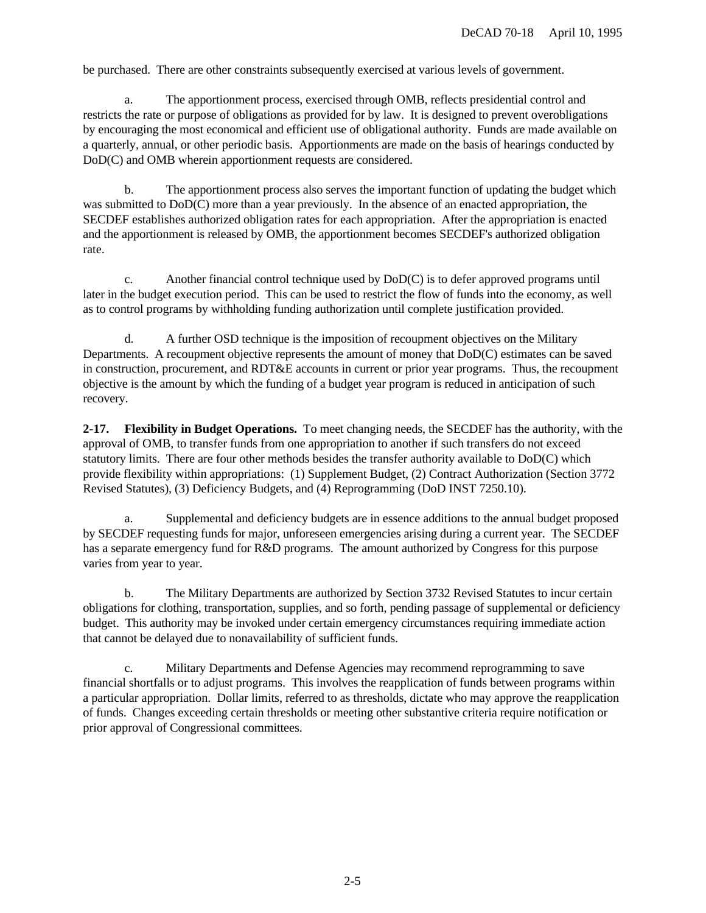be purchased. There are other constraints subsequently exercised at various levels of government.

a. The apportionment process, exercised through OMB, reflects presidential control and restricts the rate or purpose of obligations as provided for by law. It is designed to prevent overobligations by encouraging the most economical and efficient use of obligational authority. Funds are made available on a quarterly, annual, or other periodic basis. Apportionments are made on the basis of hearings conducted by DoD(C) and OMB wherein apportionment requests are considered.

b. The apportionment process also serves the important function of updating the budget which was submitted to DoD(C) more than a year previously. In the absence of an enacted appropriation, the SECDEF establishes authorized obligation rates for each appropriation. After the appropriation is enacted and the apportionment is released by OMB, the apportionment becomes SECDEF's authorized obligation rate.

c. Another financial control technique used by DoD(C) is to defer approved programs until later in the budget execution period. This can be used to restrict the flow of funds into the economy, as well as to control programs by withholding funding authorization until complete justification provided.

d. A further OSD technique is the imposition of recoupment objectives on the Military Departments. A recoupment objective represents the amount of money that DoD(C) estimates can be saved in construction, procurement, and RDT&E accounts in current or prior year programs. Thus, the recoupment objective is the amount by which the funding of a budget year program is reduced in anticipation of such recovery.

**2-17. Flexibility in Budget Operations.** To meet changing needs, the SECDEF has the authority, with the approval of OMB, to transfer funds from one appropriation to another if such transfers do not exceed statutory limits. There are four other methods besides the transfer authority available to DoD(C) which provide flexibility within appropriations: (1) Supplement Budget, (2) Contract Authorization (Section 3772 Revised Statutes), (3) Deficiency Budgets, and (4) Reprogramming (DoD INST 7250.10).

a. Supplemental and deficiency budgets are in essence additions to the annual budget proposed by SECDEF requesting funds for major, unforeseen emergencies arising during a current year. The SECDEF has a separate emergency fund for R&D programs. The amount authorized by Congress for this purpose varies from year to year.

b. The Military Departments are authorized by Section 3732 Revised Statutes to incur certain obligations for clothing, transportation, supplies, and so forth, pending passage of supplemental or deficiency budget. This authority may be invoked under certain emergency circumstances requiring immediate action that cannot be delayed due to nonavailability of sufficient funds.

c. Military Departments and Defense Agencies may recommend reprogramming to save financial shortfalls or to adjust programs. This involves the reapplication of funds between programs within a particular appropriation. Dollar limits, referred to as thresholds, dictate who may approve the reapplication of funds. Changes exceeding certain thresholds or meeting other substantive criteria require notification or prior approval of Congressional committees.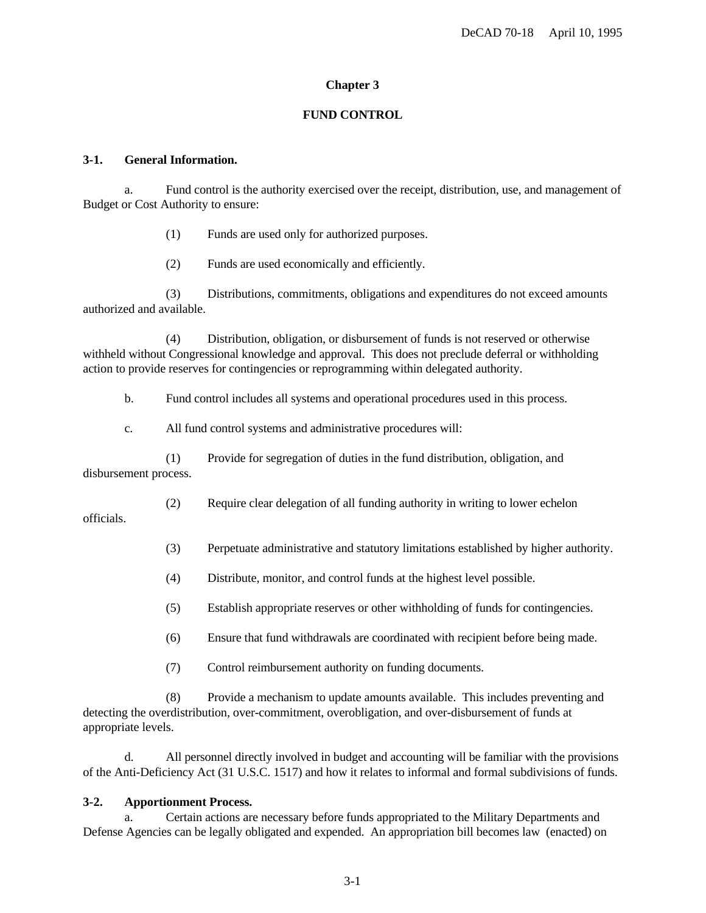### **Chapter 3**

#### **FUND CONTROL**

#### **3-1. General Information.**

a. Fund control is the authority exercised over the receipt, distribution, use, and management of Budget or Cost Authority to ensure:

(1) Funds are used only for authorized purposes.

(2) Funds are used economically and efficiently.

(3) Distributions, commitments, obligations and expenditures do not exceed amounts authorized and available.

(4) Distribution, obligation, or disbursement of funds is not reserved or otherwise withheld without Congressional knowledge and approval. This does not preclude deferral or withholding action to provide reserves for contingencies or reprogramming within delegated authority.

b. Fund control includes all systems and operational procedures used in this process.

c. All fund control systems and administrative procedures will:

(1) Provide for segregation of duties in the fund distribution, obligation, and disbursement process.

(2) Require clear delegation of all funding authority in writing to lower echelon

officials.

- (3) Perpetuate administrative and statutory limitations established by higher authority.
- (4) Distribute, monitor, and control funds at the highest level possible.
- (5) Establish appropriate reserves or other withholding of funds for contingencies.
- (6) Ensure that fund withdrawals are coordinated with recipient before being made.
- (7) Control reimbursement authority on funding documents.

(8) Provide a mechanism to update amounts available. This includes preventing and detecting the overdistribution, over-commitment, overobligation, and over-disbursement of funds at appropriate levels.

d. All personnel directly involved in budget and accounting will be familiar with the provisions of the Anti-Deficiency Act (31 U.S.C. 1517) and how it relates to informal and formal subdivisions of funds.

#### **3-2. Apportionment Process.**

a. Certain actions are necessary before funds appropriated to the Military Departments and Defense Agencies can be legally obligated and expended. An appropriation bill becomes law (enacted) on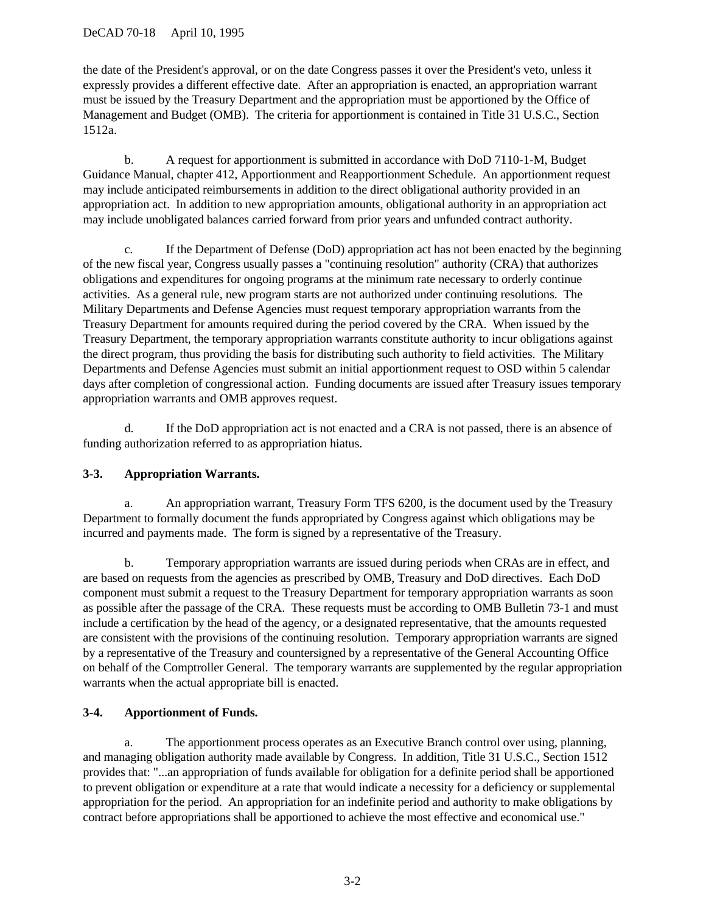#### DeCAD 70-18 April 10, 1995

the date of the President's approval, or on the date Congress passes it over the President's veto, unless it expressly provides a different effective date. After an appropriation is enacted, an appropriation warrant must be issued by the Treasury Department and the appropriation must be apportioned by the Office of Management and Budget (OMB). The criteria for apportionment is contained in Title 31 U.S.C., Section 1512a.

b. A request for apportionment is submitted in accordance with DoD 7110-1-M, Budget Guidance Manual, chapter 412, Apportionment and Reapportionment Schedule. An apportionment request may include anticipated reimbursements in addition to the direct obligational authority provided in an appropriation act. In addition to new appropriation amounts, obligational authority in an appropriation act may include unobligated balances carried forward from prior years and unfunded contract authority.

c. If the Department of Defense (DoD) appropriation act has not been enacted by the beginning of the new fiscal year, Congress usually passes a "continuing resolution" authority (CRA) that authorizes obligations and expenditures for ongoing programs at the minimum rate necessary to orderly continue activities. As a general rule, new program starts are not authorized under continuing resolutions. The Military Departments and Defense Agencies must request temporary appropriation warrants from the Treasury Department for amounts required during the period covered by the CRA. When issued by the Treasury Department, the temporary appropriation warrants constitute authority to incur obligations against the direct program, thus providing the basis for distributing such authority to field activities. The Military Departments and Defense Agencies must submit an initial apportionment request to OSD within 5 calendar days after completion of congressional action. Funding documents are issued after Treasury issues temporary appropriation warrants and OMB approves request.

d. If the DoD appropriation act is not enacted and a CRA is not passed, there is an absence of funding authorization referred to as appropriation hiatus.

# **3-3. Appropriation Warrants.**

a. An appropriation warrant, Treasury Form TFS 6200, is the document used by the Treasury Department to formally document the funds appropriated by Congress against which obligations may be incurred and payments made. The form is signed by a representative of the Treasury.

b. Temporary appropriation warrants are issued during periods when CRAs are in effect, and are based on requests from the agencies as prescribed by OMB, Treasury and DoD directives. Each DoD component must submit a request to the Treasury Department for temporary appropriation warrants as soon as possible after the passage of the CRA. These requests must be according to OMB Bulletin 73-1 and must include a certification by the head of the agency, or a designated representative, that the amounts requested are consistent with the provisions of the continuing resolution. Temporary appropriation warrants are signed by a representative of the Treasury and countersigned by a representative of the General Accounting Office on behalf of the Comptroller General. The temporary warrants are supplemented by the regular appropriation warrants when the actual appropriate bill is enacted.

# **3-4. Apportionment of Funds.**

a. The apportionment process operates as an Executive Branch control over using, planning, and managing obligation authority made available by Congress. In addition, Title 31 U.S.C., Section 1512 provides that: "...an appropriation of funds available for obligation for a definite period shall be apportioned to prevent obligation or expenditure at a rate that would indicate a necessity for a deficiency or supplemental appropriation for the period. An appropriation for an indefinite period and authority to make obligations by contract before appropriations shall be apportioned to achieve the most effective and economical use."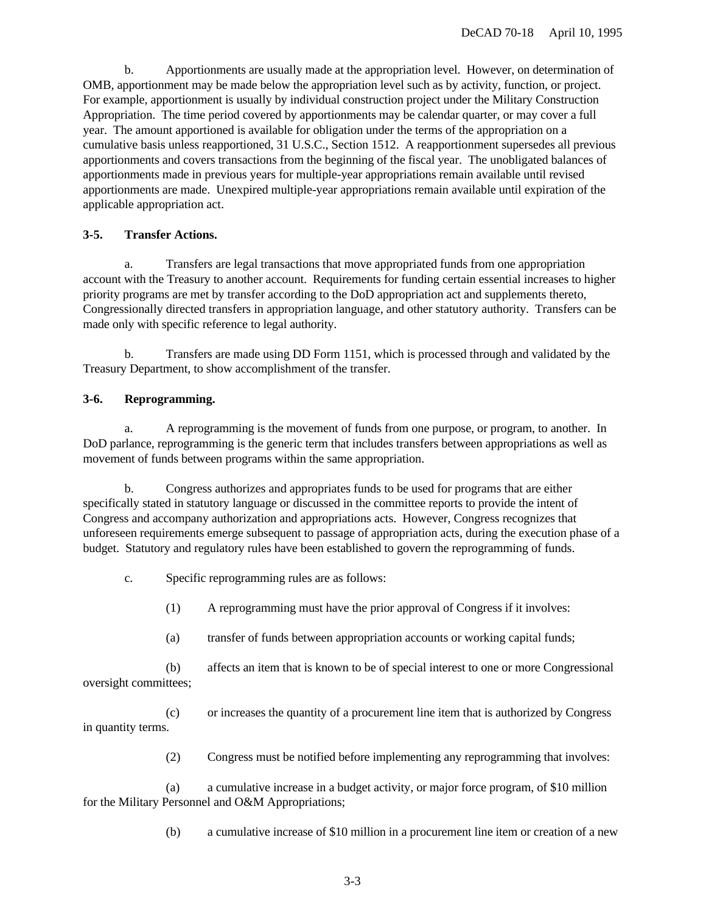b. Apportionments are usually made at the appropriation level. However, on determination of OMB, apportionment may be made below the appropriation level such as by activity, function, or project. For example, apportionment is usually by individual construction project under the Military Construction Appropriation. The time period covered by apportionments may be calendar quarter, or may cover a full year. The amount apportioned is available for obligation under the terms of the appropriation on a cumulative basis unless reapportioned, 31 U.S.C., Section 1512. A reapportionment supersedes all previous apportionments and covers transactions from the beginning of the fiscal year. The unobligated balances of apportionments made in previous years for multiple-year appropriations remain available until revised apportionments are made. Unexpired multiple-year appropriations remain available until expiration of the applicable appropriation act.

# **3-5. Transfer Actions.**

a. Transfers are legal transactions that move appropriated funds from one appropriation account with the Treasury to another account. Requirements for funding certain essential increases to higher priority programs are met by transfer according to the DoD appropriation act and supplements thereto, Congressionally directed transfers in appropriation language, and other statutory authority. Transfers can be made only with specific reference to legal authority.

b. Transfers are made using DD Form 1151, which is processed through and validated by the Treasury Department, to show accomplishment of the transfer.

#### **3-6. Reprogramming.**

a. A reprogramming is the movement of funds from one purpose, or program, to another. In DoD parlance, reprogramming is the generic term that includes transfers between appropriations as well as movement of funds between programs within the same appropriation.

b. Congress authorizes and appropriates funds to be used for programs that are either specifically stated in statutory language or discussed in the committee reports to provide the intent of Congress and accompany authorization and appropriations acts. However, Congress recognizes that unforeseen requirements emerge subsequent to passage of appropriation acts, during the execution phase of a budget. Statutory and regulatory rules have been established to govern the reprogramming of funds.

c. Specific reprogramming rules are as follows:

- (1) A reprogramming must have the prior approval of Congress if it involves:
- (a) transfer of funds between appropriation accounts or working capital funds;

(b) affects an item that is known to be of special interest to one or more Congressional oversight committees;

(c) or increases the quantity of a procurement line item that is authorized by Congress in quantity terms.

(2) Congress must be notified before implementing any reprogramming that involves:

(a) a cumulative increase in a budget activity, or major force program, of \$10 million for the Military Personnel and O&M Appropriations;

(b) a cumulative increase of \$10 million in a procurement line item or creation of a new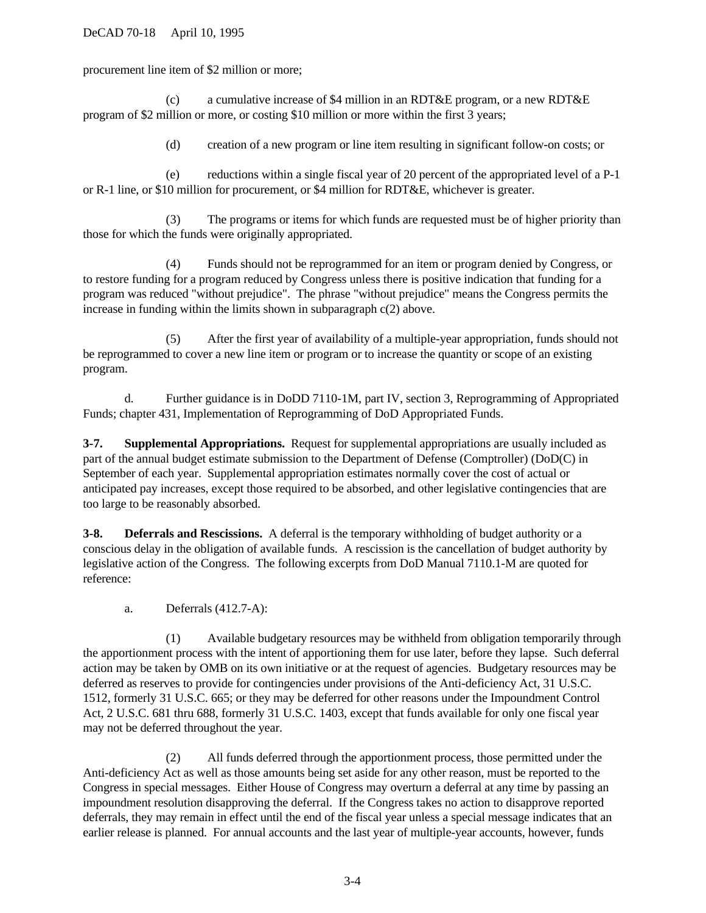procurement line item of \$2 million or more;

(c) a cumulative increase of \$4 million in an RDT&E program, or a new RDT&E program of \$2 million or more, or costing \$10 million or more within the first 3 years;

(d) creation of a new program or line item resulting in significant follow-on costs; or

(e) reductions within a single fiscal year of 20 percent of the appropriated level of a P-1 or R-1 line, or \$10 million for procurement, or \$4 million for RDT&E, whichever is greater.

(3) The programs or items for which funds are requested must be of higher priority than those for which the funds were originally appropriated.

(4) Funds should not be reprogrammed for an item or program denied by Congress, or to restore funding for a program reduced by Congress unless there is positive indication that funding for a program was reduced "without prejudice". The phrase "without prejudice" means the Congress permits the increase in funding within the limits shown in subparagraph c(2) above.

(5) After the first year of availability of a multiple-year appropriation, funds should not be reprogrammed to cover a new line item or program or to increase the quantity or scope of an existing program.

d. Further guidance is in DoDD 7110-1M, part IV, section 3, Reprogramming of Appropriated Funds; chapter 431, Implementation of Reprogramming of DoD Appropriated Funds.

**3-7. Supplemental Appropriations.** Request for supplemental appropriations are usually included as part of the annual budget estimate submission to the Department of Defense (Comptroller) (DoD(C) in September of each year. Supplemental appropriation estimates normally cover the cost of actual or anticipated pay increases, except those required to be absorbed, and other legislative contingencies that are too large to be reasonably absorbed.

**3-8. Deferrals and Rescissions.** A deferral is the temporary withholding of budget authority or a conscious delay in the obligation of available funds. A rescission is the cancellation of budget authority by legislative action of the Congress. The following excerpts from DoD Manual 7110.1-M are quoted for reference:

a. Deferrals (412.7-A):

(1) Available budgetary resources may be withheld from obligation temporarily through the apportionment process with the intent of apportioning them for use later, before they lapse. Such deferral action may be taken by OMB on its own initiative or at the request of agencies. Budgetary resources may be deferred as reserves to provide for contingencies under provisions of the Anti-deficiency Act, 31 U.S.C. 1512, formerly 31 U.S.C. 665; or they may be deferred for other reasons under the Impoundment Control Act, 2 U.S.C. 681 thru 688, formerly 31 U.S.C. 1403, except that funds available for only one fiscal year may not be deferred throughout the year.

(2) All funds deferred through the apportionment process, those permitted under the Anti-deficiency Act as well as those amounts being set aside for any other reason, must be reported to the Congress in special messages. Either House of Congress may overturn a deferral at any time by passing an impoundment resolution disapproving the deferral. If the Congress takes no action to disapprove reported deferrals, they may remain in effect until the end of the fiscal year unless a special message indicates that an earlier release is planned. For annual accounts and the last year of multiple-year accounts, however, funds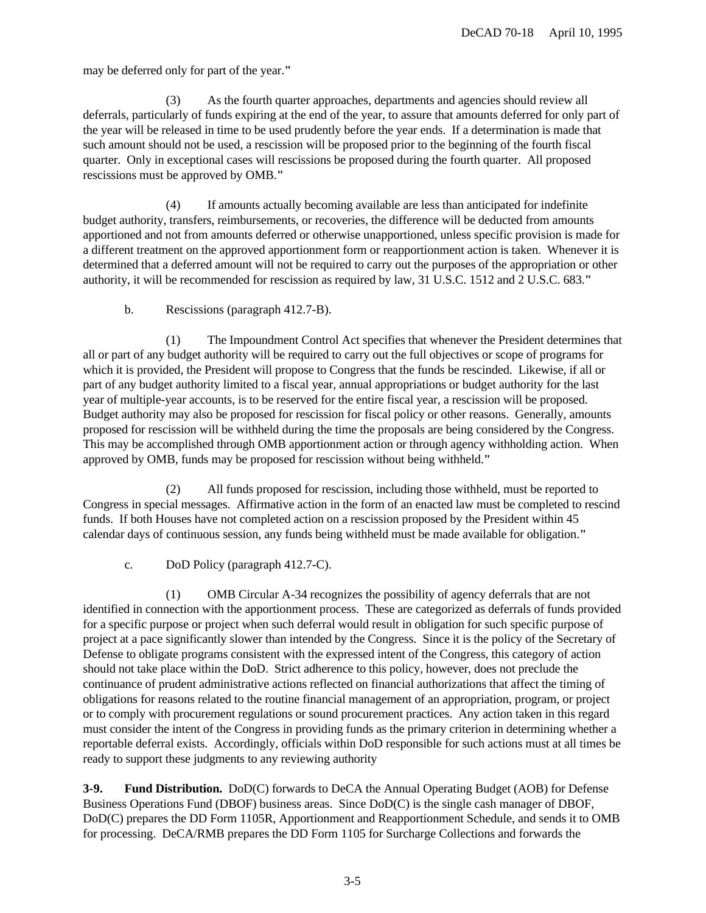may be deferred only for part of the year.**"**

(3) As the fourth quarter approaches, departments and agencies should review all deferrals, particularly of funds expiring at the end of the year, to assure that amounts deferred for only part of the year will be released in time to be used prudently before the year ends. If a determination is made that such amount should not be used, a rescission will be proposed prior to the beginning of the fourth fiscal quarter. Only in exceptional cases will rescissions be proposed during the fourth quarter. All proposed rescissions must be approved by OMB.**"**

(4) If amounts actually becoming available are less than anticipated for indefinite budget authority, transfers, reimbursements, or recoveries, the difference will be deducted from amounts apportioned and not from amounts deferred or otherwise unapportioned, unless specific provision is made for a different treatment on the approved apportionment form or reapportionment action is taken. Whenever it is determined that a deferred amount will not be required to carry out the purposes of the appropriation or other authority, it will be recommended for rescission as required by law, 31 U.S.C. 1512 and 2 U.S.C. 683.**"**

b. Rescissions (paragraph 412.7-B).

(1) The Impoundment Control Act specifies that whenever the President determines that all or part of any budget authority will be required to carry out the full objectives or scope of programs for which it is provided, the President will propose to Congress that the funds be rescinded. Likewise, if all or part of any budget authority limited to a fiscal year, annual appropriations or budget authority for the last year of multiple-year accounts, is to be reserved for the entire fiscal year, a rescission will be proposed. Budget authority may also be proposed for rescission for fiscal policy or other reasons. Generally, amounts proposed for rescission will be withheld during the time the proposals are being considered by the Congress. This may be accomplished through OMB apportionment action or through agency withholding action. When approved by OMB, funds may be proposed for rescission without being withheld.**"**

(2) All funds proposed for rescission, including those withheld, must be reported to Congress in special messages. Affirmative action in the form of an enacted law must be completed to rescind funds. If both Houses have not completed action on a rescission proposed by the President within 45 calendar days of continuous session, any funds being withheld must be made available for obligation.**"**

c. DoD Policy (paragraph 412.7-C).

(1) OMB Circular A-34 recognizes the possibility of agency deferrals that are not identified in connection with the apportionment process. These are categorized as deferrals of funds provided for a specific purpose or project when such deferral would result in obligation for such specific purpose of project at a pace significantly slower than intended by the Congress. Since it is the policy of the Secretary of Defense to obligate programs consistent with the expressed intent of the Congress, this category of action should not take place within the DoD. Strict adherence to this policy, however, does not preclude the continuance of prudent administrative actions reflected on financial authorizations that affect the timing of obligations for reasons related to the routine financial management of an appropriation, program, or project or to comply with procurement regulations or sound procurement practices. Any action taken in this regard must consider the intent of the Congress in providing funds as the primary criterion in determining whether a reportable deferral exists. Accordingly, officials within DoD responsible for such actions must at all times be ready to support these judgments to any reviewing authority

**3-9. Fund Distribution.** DoD(C) forwards to DeCA the Annual Operating Budget (AOB) for Defense Business Operations Fund (DBOF) business areas. Since DoD(C) is the single cash manager of DBOF, DoD(C) prepares the DD Form 1105R, Apportionment and Reapportionment Schedule, and sends it to OMB for processing. DeCA/RMB prepares the DD Form 1105 for Surcharge Collections and forwards the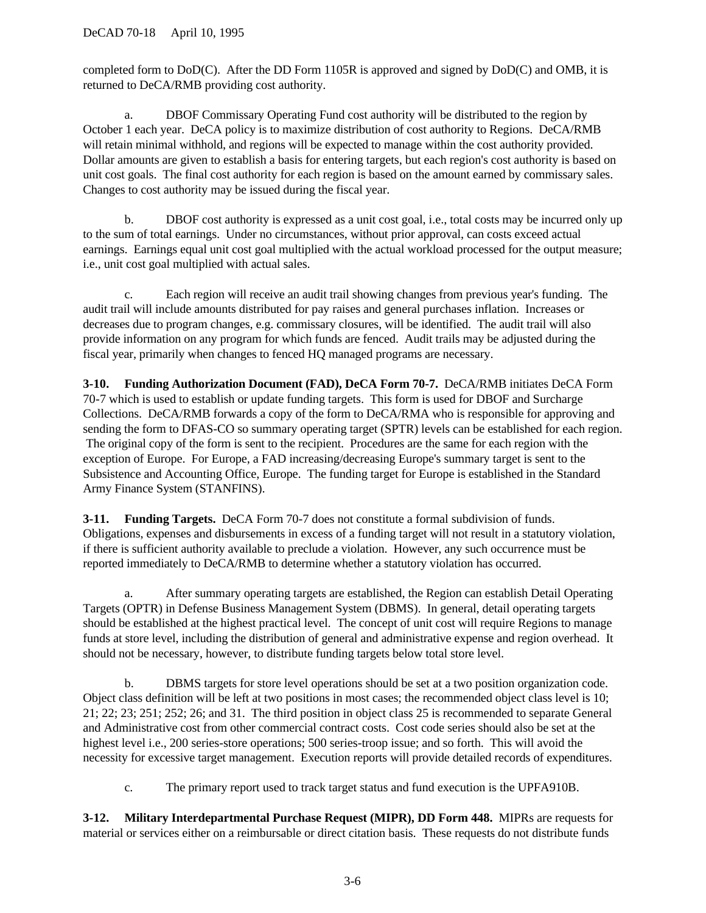completed form to DoD(C). After the DD Form 1105R is approved and signed by DoD(C) and OMB, it is returned to DeCA/RMB providing cost authority.

a. DBOF Commissary Operating Fund cost authority will be distributed to the region by October 1 each year. DeCA policy is to maximize distribution of cost authority to Regions. DeCA/RMB will retain minimal withhold, and regions will be expected to manage within the cost authority provided. Dollar amounts are given to establish a basis for entering targets, but each region's cost authority is based on unit cost goals. The final cost authority for each region is based on the amount earned by commissary sales. Changes to cost authority may be issued during the fiscal year.

b. DBOF cost authority is expressed as a unit cost goal, i.e., total costs may be incurred only up to the sum of total earnings. Under no circumstances, without prior approval, can costs exceed actual earnings. Earnings equal unit cost goal multiplied with the actual workload processed for the output measure; i.e., unit cost goal multiplied with actual sales.

c. Each region will receive an audit trail showing changes from previous year's funding. The audit trail will include amounts distributed for pay raises and general purchases inflation. Increases or decreases due to program changes, e.g. commissary closures, will be identified. The audit trail will also provide information on any program for which funds are fenced. Audit trails may be adjusted during the fiscal year, primarily when changes to fenced HQ managed programs are necessary.

**3-10. Funding Authorization Document (FAD), DeCA Form 70-7.** DeCA/RMB initiates DeCA Form 70-7 which is used to establish or update funding targets. This form is used for DBOF and Surcharge Collections. DeCA/RMB forwards a copy of the form to DeCA/RMA who is responsible for approving and sending the form to DFAS-CO so summary operating target (SPTR) levels can be established for each region. The original copy of the form is sent to the recipient. Procedures are the same for each region with the exception of Europe. For Europe, a FAD increasing/decreasing Europe's summary target is sent to the Subsistence and Accounting Office, Europe. The funding target for Europe is established in the Standard Army Finance System (STANFINS).

**3-11. Funding Targets.** DeCA Form 70-7 does not constitute a formal subdivision of funds. Obligations, expenses and disbursements in excess of a funding target will not result in a statutory violation, if there is sufficient authority available to preclude a violation. However, any such occurrence must be reported immediately to DeCA/RMB to determine whether a statutory violation has occurred.

a. After summary operating targets are established, the Region can establish Detail Operating Targets (OPTR) in Defense Business Management System (DBMS). In general, detail operating targets should be established at the highest practical level. The concept of unit cost will require Regions to manage funds at store level, including the distribution of general and administrative expense and region overhead. It should not be necessary, however, to distribute funding targets below total store level.

b. DBMS targets for store level operations should be set at a two position organization code. Object class definition will be left at two positions in most cases; the recommended object class level is 10; 21; 22; 23; 251; 252; 26; and 31. The third position in object class 25 is recommended to separate General and Administrative cost from other commercial contract costs. Cost code series should also be set at the highest level i.e., 200 series-store operations; 500 series-troop issue; and so forth. This will avoid the necessity for excessive target management. Execution reports will provide detailed records of expenditures.

c. The primary report used to track target status and fund execution is the UPFA910B.

**3-12. Military Interdepartmental Purchase Request (MIPR), DD Form 448.** MIPRs are requests for material or services either on a reimbursable or direct citation basis. These requests do not distribute funds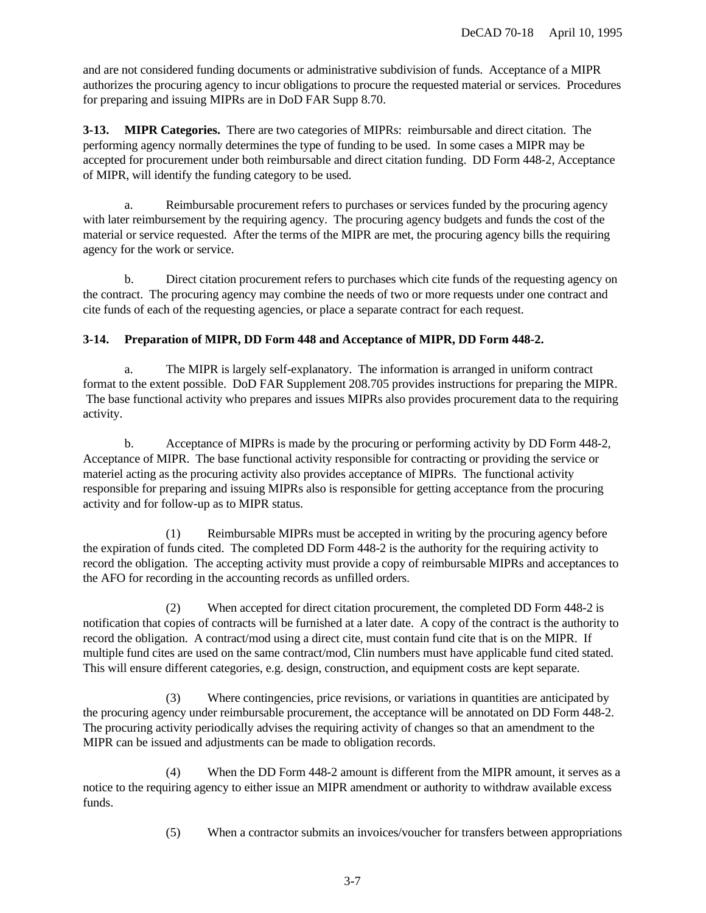and are not considered funding documents or administrative subdivision of funds. Acceptance of a MIPR authorizes the procuring agency to incur obligations to procure the requested material or services. Procedures for preparing and issuing MIPRs are in DoD FAR Supp 8.70.

**3-13. MIPR Categories.** There are two categories of MIPRs: reimbursable and direct citation. The performing agency normally determines the type of funding to be used. In some cases a MIPR may be accepted for procurement under both reimbursable and direct citation funding. DD Form 448-2, Acceptance of MIPR, will identify the funding category to be used.

a. Reimbursable procurement refers to purchases or services funded by the procuring agency with later reimbursement by the requiring agency. The procuring agency budgets and funds the cost of the material or service requested. After the terms of the MIPR are met, the procuring agency bills the requiring agency for the work or service.

b. Direct citation procurement refers to purchases which cite funds of the requesting agency on the contract. The procuring agency may combine the needs of two or more requests under one contract and cite funds of each of the requesting agencies, or place a separate contract for each request.

# **3-14. Preparation of MIPR, DD Form 448 and Acceptance of MIPR, DD Form 448-2.**

a. The MIPR is largely self-explanatory. The information is arranged in uniform contract format to the extent possible. DoD FAR Supplement 208.705 provides instructions for preparing the MIPR. The base functional activity who prepares and issues MIPRs also provides procurement data to the requiring activity.

b. Acceptance of MIPRs is made by the procuring or performing activity by DD Form 448-2, Acceptance of MIPR. The base functional activity responsible for contracting or providing the service or materiel acting as the procuring activity also provides acceptance of MIPRs. The functional activity responsible for preparing and issuing MIPRs also is responsible for getting acceptance from the procuring activity and for follow-up as to MIPR status.

(1) Reimbursable MIPRs must be accepted in writing by the procuring agency before the expiration of funds cited. The completed DD Form 448-2 is the authority for the requiring activity to record the obligation. The accepting activity must provide a copy of reimbursable MIPRs and acceptances to the AFO for recording in the accounting records as unfilled orders.

(2) When accepted for direct citation procurement, the completed DD Form 448-2 is notification that copies of contracts will be furnished at a later date. A copy of the contract is the authority to record the obligation. A contract/mod using a direct cite, must contain fund cite that is on the MIPR. If multiple fund cites are used on the same contract/mod, Clin numbers must have applicable fund cited stated. This will ensure different categories, e.g. design, construction, and equipment costs are kept separate.

(3) Where contingencies, price revisions, or variations in quantities are anticipated by the procuring agency under reimbursable procurement, the acceptance will be annotated on DD Form 448-2. The procuring activity periodically advises the requiring activity of changes so that an amendment to the MIPR can be issued and adjustments can be made to obligation records.

(4) When the DD Form 448-2 amount is different from the MIPR amount, it serves as a notice to the requiring agency to either issue an MIPR amendment or authority to withdraw available excess funds.

(5) When a contractor submits an invoices/voucher for transfers between appropriations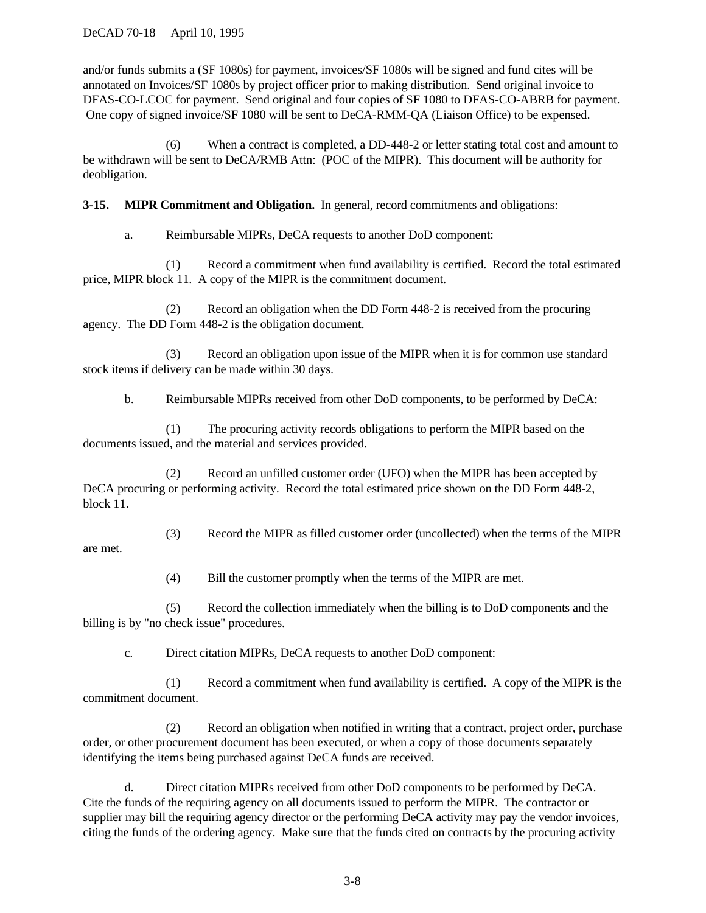DeCAD 70-18 April 10, 1995

are met.

and/or funds submits a (SF 1080s) for payment, invoices/SF 1080s will be signed and fund cites will be annotated on Invoices/SF 1080s by project officer prior to making distribution. Send original invoice to DFAS-CO-LCOC for payment. Send original and four copies of SF 1080 to DFAS-CO-ABRB for payment. One copy of signed invoice/SF 1080 will be sent to DeCA-RMM-QA (Liaison Office) to be expensed.

(6) When a contract is completed, a DD-448-2 or letter stating total cost and amount to be withdrawn will be sent to DeCA/RMB Attn: (POC of the MIPR). This document will be authority for deobligation.

**3-15. MIPR Commitment and Obligation.** In general, record commitments and obligations:

a. Reimbursable MIPRs, DeCA requests to another DoD component:

(1) Record a commitment when fund availability is certified. Record the total estimated price, MIPR block 11. A copy of the MIPR is the commitment document.

(2) Record an obligation when the DD Form 448-2 is received from the procuring agency. The DD Form 448-2 is the obligation document.

(3) Record an obligation upon issue of the MIPR when it is for common use standard stock items if delivery can be made within 30 days.

b. Reimbursable MIPRs received from other DoD components, to be performed by DeCA:

(1) The procuring activity records obligations to perform the MIPR based on the documents issued, and the material and services provided.

(2) Record an unfilled customer order (UFO) when the MIPR has been accepted by DeCA procuring or performing activity. Record the total estimated price shown on the DD Form 448-2, block 11.

(3) Record the MIPR as filled customer order (uncollected) when the terms of the MIPR

(4) Bill the customer promptly when the terms of the MIPR are met.

(5) Record the collection immediately when the billing is to DoD components and the billing is by "no check issue" procedures.

c. Direct citation MIPRs, DeCA requests to another DoD component:

(1) Record a commitment when fund availability is certified. A copy of the MIPR is the commitment document.

(2) Record an obligation when notified in writing that a contract, project order, purchase order, or other procurement document has been executed, or when a copy of those documents separately identifying the items being purchased against DeCA funds are received.

d. Direct citation MIPRs received from other DoD components to be performed by DeCA. Cite the funds of the requiring agency on all documents issued to perform the MIPR. The contractor or supplier may bill the requiring agency director or the performing DeCA activity may pay the vendor invoices, citing the funds of the ordering agency. Make sure that the funds cited on contracts by the procuring activity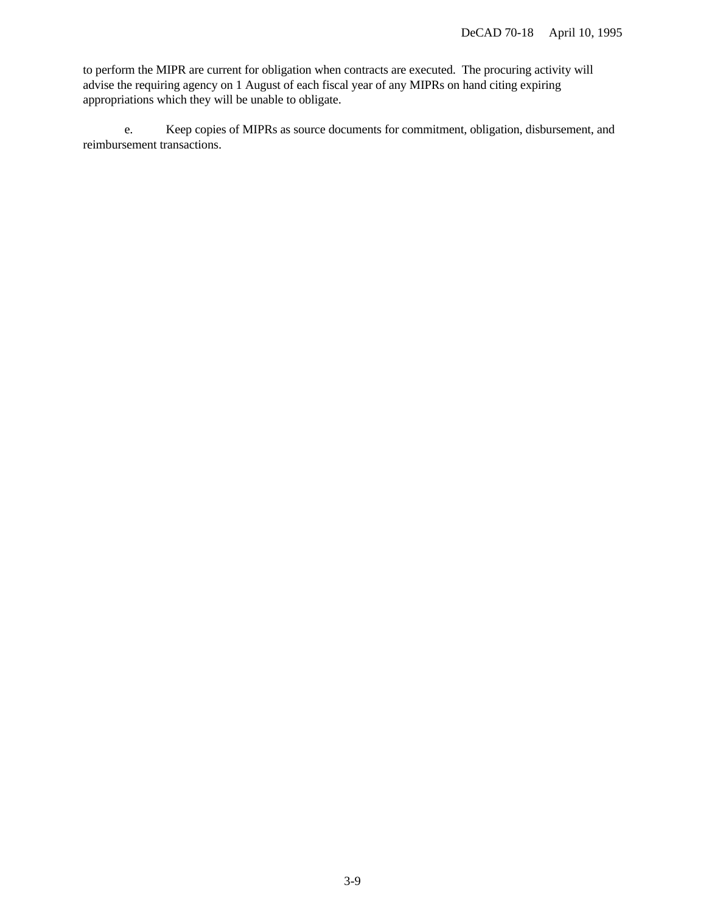to perform the MIPR are current for obligation when contracts are executed. The procuring activity will advise the requiring agency on 1 August of each fiscal year of any MIPRs on hand citing expiring appropriations which they will be unable to obligate.

e. Keep copies of MIPRs as source documents for commitment, obligation, disbursement, and reimbursement transactions.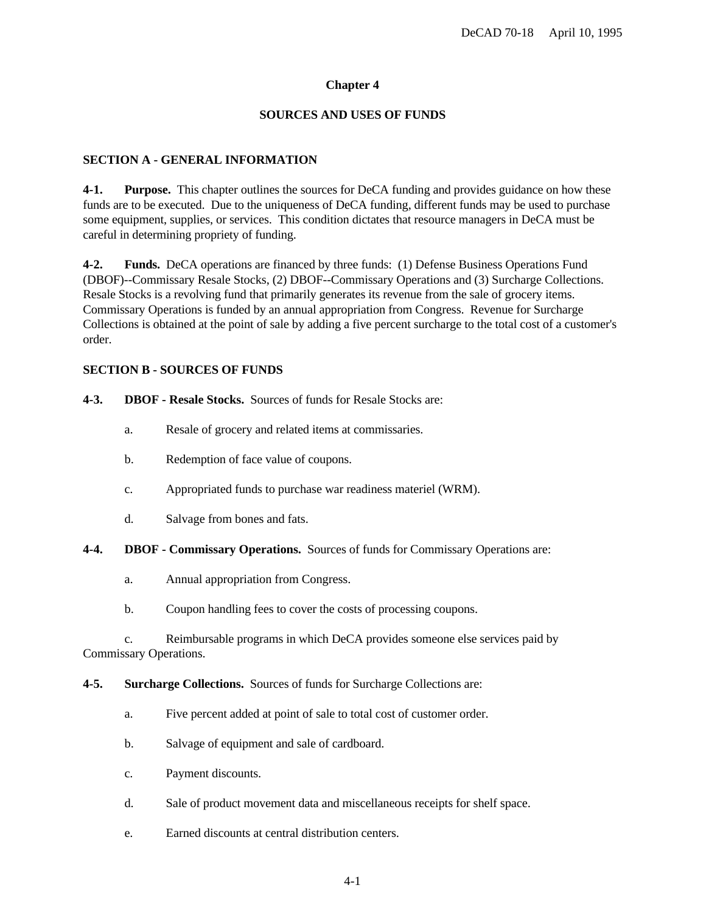#### **Chapter 4**

#### **SOURCES AND USES OF FUNDS**

#### **SECTION A - GENERAL INFORMATION**

**4-1. Purpose.** This chapter outlines the sources for DeCA funding and provides guidance on how these funds are to be executed. Due to the uniqueness of DeCA funding, different funds may be used to purchase some equipment, supplies, or services. This condition dictates that resource managers in DeCA must be careful in determining propriety of funding.

**4-2. Funds.** DeCA operations are financed by three funds: (1) Defense Business Operations Fund (DBOF)--Commissary Resale Stocks, (2) DBOF--Commissary Operations and (3) Surcharge Collections. Resale Stocks is a revolving fund that primarily generates its revenue from the sale of grocery items. Commissary Operations is funded by an annual appropriation from Congress. Revenue for Surcharge Collections is obtained at the point of sale by adding a five percent surcharge to the total cost of a customer's order.

#### **SECTION B - SOURCES OF FUNDS**

- **4-3. DBOF Resale Stocks.** Sources of funds for Resale Stocks are:
	- a. Resale of grocery and related items at commissaries.
	- b. Redemption of face value of coupons.
	- c. Appropriated funds to purchase war readiness materiel (WRM).
	- d. Salvage from bones and fats.
- **4-4. DBOF Commissary Operations.** Sources of funds for Commissary Operations are:
	- a. Annual appropriation from Congress.
	- b. Coupon handling fees to cover the costs of processing coupons.

c. Reimbursable programs in which DeCA provides someone else services paid by Commissary Operations.

- **4-5. Surcharge Collections.** Sources of funds for Surcharge Collections are:
	- a. Five percent added at point of sale to total cost of customer order.
	- b. Salvage of equipment and sale of cardboard.
	- c. Payment discounts.
	- d. Sale of product movement data and miscellaneous receipts for shelf space.
	- e. Earned discounts at central distribution centers.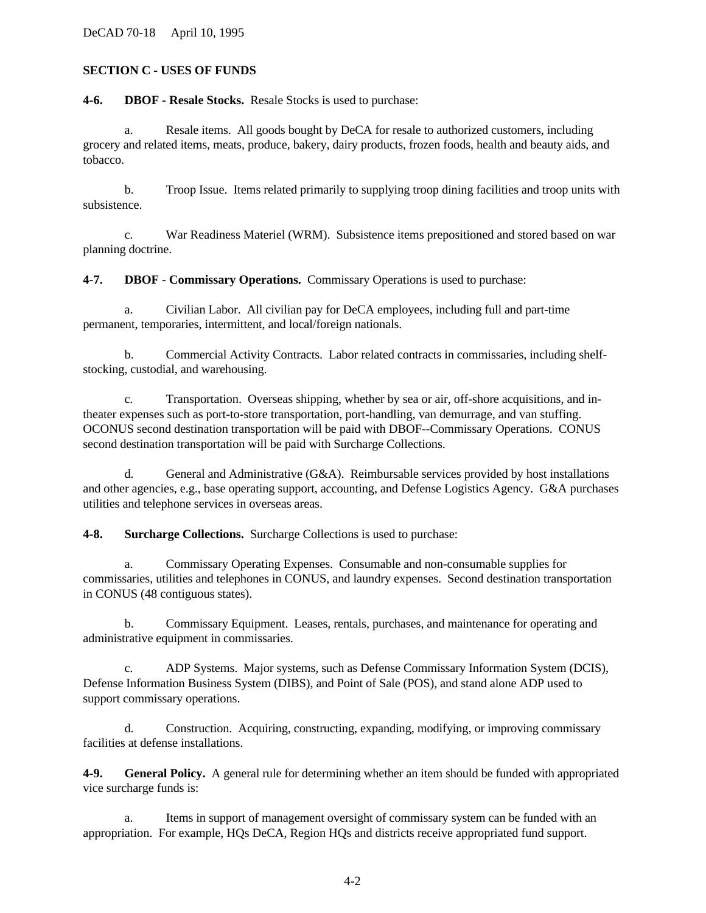#### **SECTION C - USES OF FUNDS**

**4-6. DBOF - Resale Stocks.** Resale Stocks is used to purchase:

a. Resale items. All goods bought by DeCA for resale to authorized customers, including grocery and related items, meats, produce, bakery, dairy products, frozen foods, health and beauty aids, and tobacco.

b. Troop Issue. Items related primarily to supplying troop dining facilities and troop units with subsistence.

c. War Readiness Materiel (WRM). Subsistence items prepositioned and stored based on war planning doctrine.

**4-7. DBOF - Commissary Operations.** Commissary Operations is used to purchase:

a. Civilian Labor. All civilian pay for DeCA employees, including full and part-time permanent, temporaries, intermittent, and local/foreign nationals.

b. Commercial Activity Contracts. Labor related contracts in commissaries, including shelfstocking, custodial, and warehousing.

c. Transportation. Overseas shipping, whether by sea or air, off-shore acquisitions, and intheater expenses such as port-to-store transportation, port-handling, van demurrage, and van stuffing. OCONUS second destination transportation will be paid with DBOF--Commissary Operations. CONUS second destination transportation will be paid with Surcharge Collections.

d. General and Administrative (G&A). Reimbursable services provided by host installations and other agencies, e.g., base operating support, accounting, and Defense Logistics Agency. G&A purchases utilities and telephone services in overseas areas.

**4-8. Surcharge Collections.** Surcharge Collections is used to purchase:

a. Commissary Operating Expenses. Consumable and non-consumable supplies for commissaries, utilities and telephones in CONUS, and laundry expenses. Second destination transportation in CONUS (48 contiguous states).

b. Commissary Equipment. Leases, rentals, purchases, and maintenance for operating and administrative equipment in commissaries.

c. ADP Systems. Major systems, such as Defense Commissary Information System (DCIS), Defense Information Business System (DIBS), and Point of Sale (POS), and stand alone ADP used to support commissary operations.

d. Construction. Acquiring, constructing, expanding, modifying, or improving commissary facilities at defense installations.

**4-9. General Policy.** A general rule for determining whether an item should be funded with appropriated vice surcharge funds is:

a. Items in support of management oversight of commissary system can be funded with an appropriation. For example, HQs DeCA, Region HQs and districts receive appropriated fund support.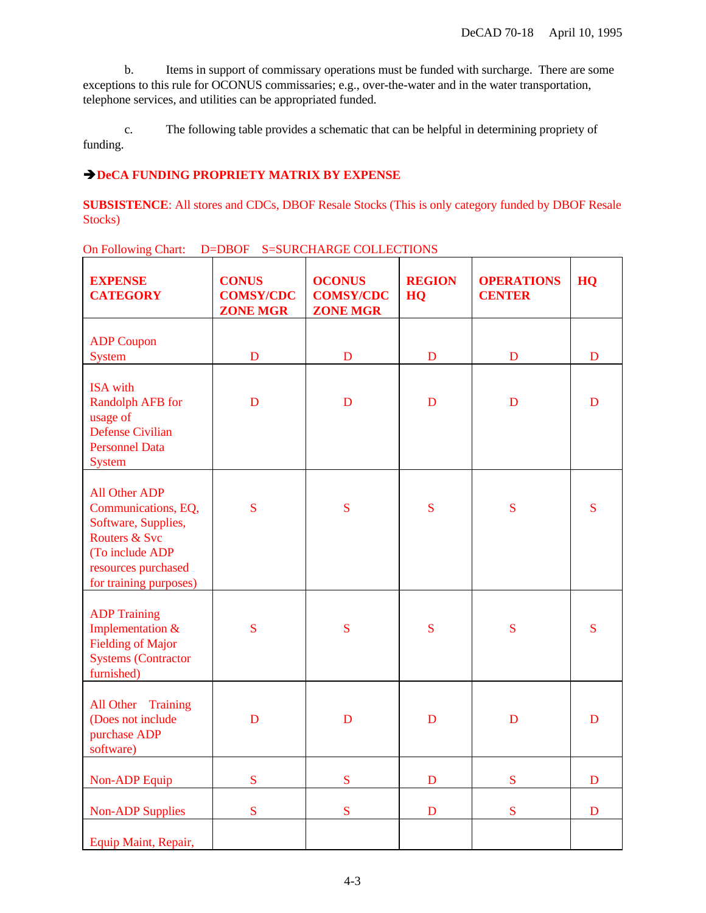b. Items in support of commissary operations must be funded with surcharge. There are some exceptions to this rule for OCONUS commissaries; e.g., over-the-water and in the water transportation, telephone services, and utilities can be appropriated funded.

c. The following table provides a schematic that can be helpful in determining propriety of funding.

# $→$  **DeCA FUNDING PROPRIETY MATRIX BY EXPENSE**

**SUBSISTENCE**: All stores and CDCs, DBOF Resale Stocks (This is only category funded by DBOF Resale Stocks)

| <b>EXPENSE</b><br><b>CATEGORY</b>                                                                                                                | <b>CONUS</b><br><b>COMSY/CDC</b><br><b>ZONE MGR</b> | <b>OCONUS</b><br><b>COMSY/CDC</b><br><b>ZONE MGR</b> | <b>REGION</b><br>HQ | <b>OPERATIONS</b><br><b>CENTER</b> | HQ          |
|--------------------------------------------------------------------------------------------------------------------------------------------------|-----------------------------------------------------|------------------------------------------------------|---------------------|------------------------------------|-------------|
| <b>ADP</b> Coupon<br>System                                                                                                                      | D                                                   | $\mathbf D$                                          | D                   | D                                  | D           |
| <b>ISA</b> with<br><b>Randolph AFB</b> for<br>usage of<br><b>Defense Civilian</b><br><b>Personnel Data</b><br><b>System</b>                      | D                                                   | D                                                    | D                   | D                                  | D           |
| All Other ADP<br>Communications, EQ,<br>Software, Supplies,<br>Routers & Svc<br>(To include ADP<br>resources purchased<br>for training purposes) | S                                                   | S                                                    | S                   | S                                  | S           |
| <b>ADP Training</b><br>Implementation &<br><b>Fielding of Major</b><br><b>Systems (Contractor</b><br>furnished)                                  | S                                                   | S                                                    | S                   | S                                  | S           |
| All Other Training<br>(Does not include<br>purchase ADP<br>software)                                                                             | D                                                   | D                                                    | D                   | D                                  | D           |
| Non-ADP Equip                                                                                                                                    | S                                                   | S                                                    | D                   | S                                  | $\mathbf D$ |
| <b>Non-ADP Supplies</b>                                                                                                                          | S                                                   | S                                                    | D                   | S                                  | D           |
| Equip Maint, Repair,                                                                                                                             |                                                     |                                                      |                     |                                    |             |

On Following Chart: D=DBOF S=SURCHARGE COLLECTIONS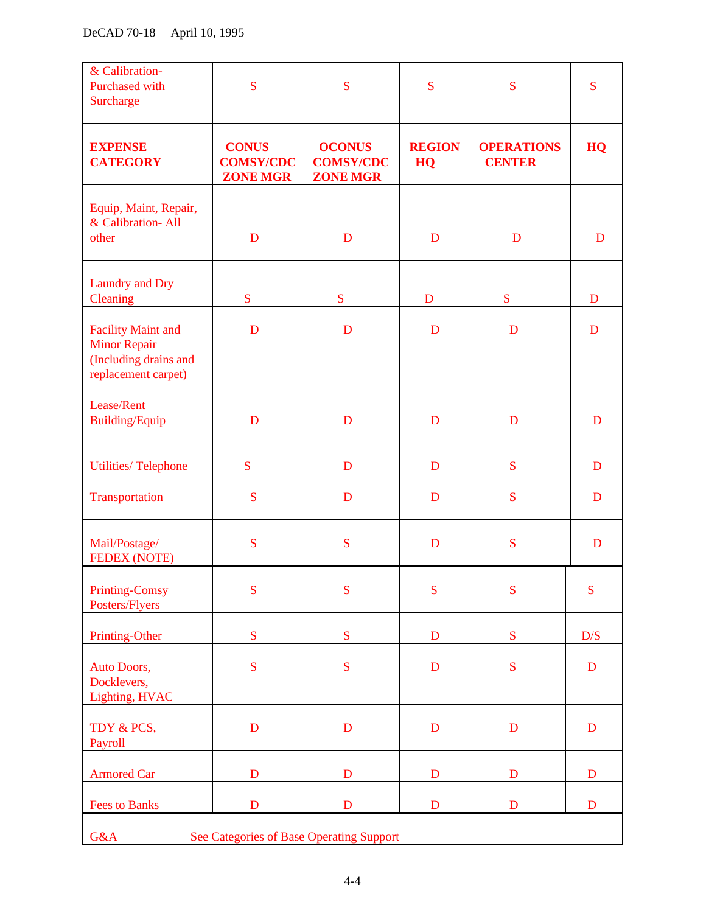| & Calibration-<br><b>Purchased with</b><br>Surcharge                                             | S                                                   | S                                                    | S                   | S                                  | S   |
|--------------------------------------------------------------------------------------------------|-----------------------------------------------------|------------------------------------------------------|---------------------|------------------------------------|-----|
| <b>EXPENSE</b><br><b>CATEGORY</b>                                                                | <b>CONUS</b><br><b>COMSY/CDC</b><br><b>ZONE MGR</b> | <b>OCONUS</b><br><b>COMSY/CDC</b><br><b>ZONE MGR</b> | <b>REGION</b><br>HQ | <b>OPERATIONS</b><br><b>CENTER</b> | HQ  |
| Equip, Maint, Repair,<br>& Calibration- All<br>other                                             | D                                                   | D                                                    | D                   | D                                  | D   |
| Laundry and Dry<br>Cleaning                                                                      | S                                                   | S                                                    | $\mathbf D$         | S                                  | D   |
| <b>Facility Maint and</b><br><b>Minor Repair</b><br>(Including drains and<br>replacement carpet) | D                                                   | D                                                    | D                   | D                                  | D   |
| Lease/Rent<br><b>Building/Equip</b>                                                              | D                                                   | D                                                    | D                   | D                                  | D   |
| <b>Utilities/Telephone</b>                                                                       | S                                                   | D                                                    | D                   | S                                  | D   |
| Transportation                                                                                   | S                                                   | D                                                    | D                   | S                                  | D   |
| Mail/Postage/<br><b>FEDEX (NOTE)</b>                                                             | S                                                   | S                                                    | D                   | S                                  | D   |
| <b>Printing-Comsy</b><br>Posters/Flyers                                                          | S                                                   | S                                                    | S                   | S                                  | S   |
| Printing-Other                                                                                   | ${\bf S}$                                           | ${\bf S}$                                            | D                   | S                                  | D/S |
| Auto Doors,<br>Docklevers,<br>Lighting, HVAC                                                     | S                                                   | S                                                    | D                   | S                                  | D   |
| TDY & PCS,<br>Payroll                                                                            | $\mathbf D$                                         | D                                                    | D                   | $\mathbf D$                        | D   |
| <b>Armored Car</b>                                                                               | $\mathbf D$                                         | $\mathbf D$                                          | D                   | D                                  | D   |
| <b>Fees to Banks</b>                                                                             | D                                                   | D                                                    | D                   | D                                  | D   |
| G&A<br>See Categories of Base Operating Support                                                  |                                                     |                                                      |                     |                                    |     |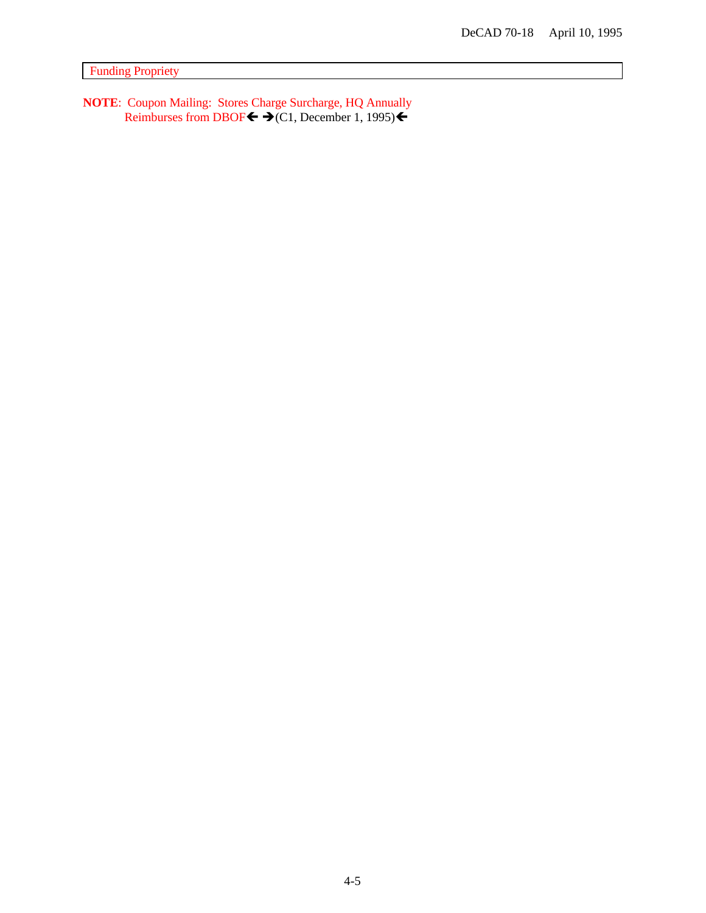**Funding Propriety** 

**NOTE:** Coupon Mailing: Stores Charge Surcharge, HQ Annually<br>Reimburses from DBOF← → (C1, December 1, 1995)←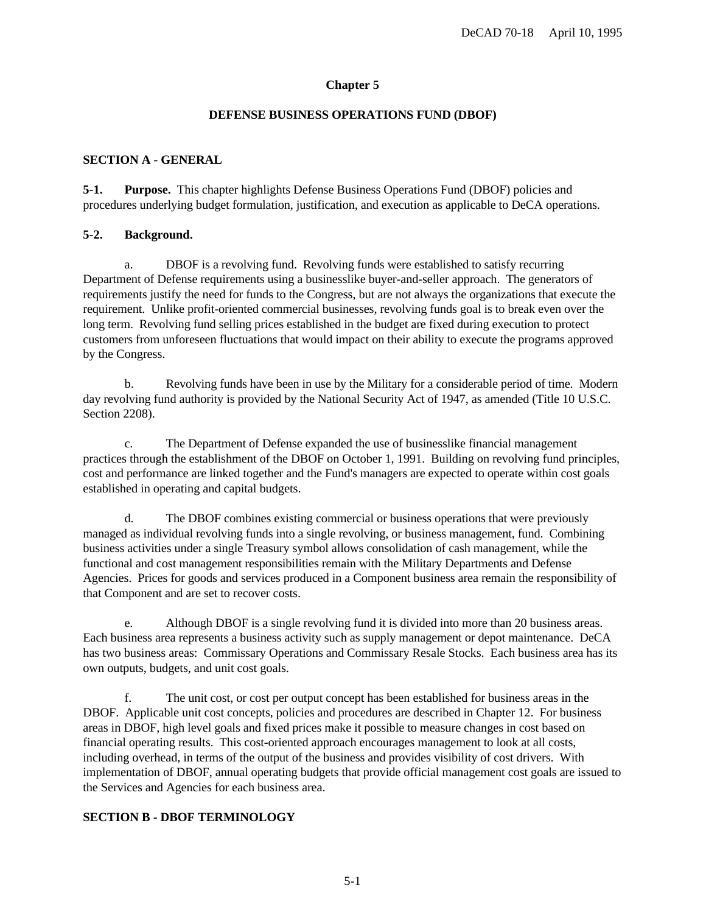## **Chapter 5**

#### **DEFENSE BUSINESS OPERATIONS FUND (DBOF)**

#### **SECTION A - GENERAL**

**5-1. Purpose.** This chapter highlights Defense Business Operations Fund (DBOF) policies and procedures underlying budget formulation, justification, and execution as applicable to DeCA operations.

#### **5-2. Background.**

a. DBOF is a revolving fund. Revolving funds were established to satisfy recurring Department of Defense requirements using a businesslike buyer-and-seller approach. The generators of requirements justify the need for funds to the Congress, but are not always the organizations that execute the requirement. Unlike profit-oriented commercial businesses, revolving funds goal is to break even over the long term. Revolving fund selling prices established in the budget are fixed during execution to protect customers from unforeseen fluctuations that would impact on their ability to execute the programs approved by the Congress.

b. Revolving funds have been in use by the Military for a considerable period of time. Modern day revolving fund authority is provided by the National Security Act of 1947, as amended (Title 10 U.S.C. Section 2208).

c. The Department of Defense expanded the use of businesslike financial management practices through the establishment of the DBOF on October 1, 1991. Building on revolving fund principles, cost and performance are linked together and the Fund's managers are expected to operate within cost goals established in operating and capital budgets.

d. The DBOF combines existing commercial or business operations that were previously managed as individual revolving funds into a single revolving, or business management, fund. Combining business activities under a single Treasury symbol allows consolidation of cash management, while the functional and cost management responsibilities remain with the Military Departments and Defense Agencies. Prices for goods and services produced in a Component business area remain the responsibility of that Component and are set to recover costs.

e. Although DBOF is a single revolving fund it is divided into more than 20 business areas. Each business area represents a business activity such as supply management or depot maintenance. DeCA has two business areas: Commissary Operations and Commissary Resale Stocks. Each business area has its own outputs, budgets, and unit cost goals.

f. The unit cost, or cost per output concept has been established for business areas in the DBOF. Applicable unit cost concepts, policies and procedures are described in Chapter 12. For business areas in DBOF, high level goals and fixed prices make it possible to measure changes in cost based on financial operating results. This cost-oriented approach encourages management to look at all costs, including overhead, in terms of the output of the business and provides visibility of cost drivers. With implementation of DBOF, annual operating budgets that provide official management cost goals are issued to the Services and Agencies for each business area.

#### **SECTION B - DBOF TERMINOLOGY**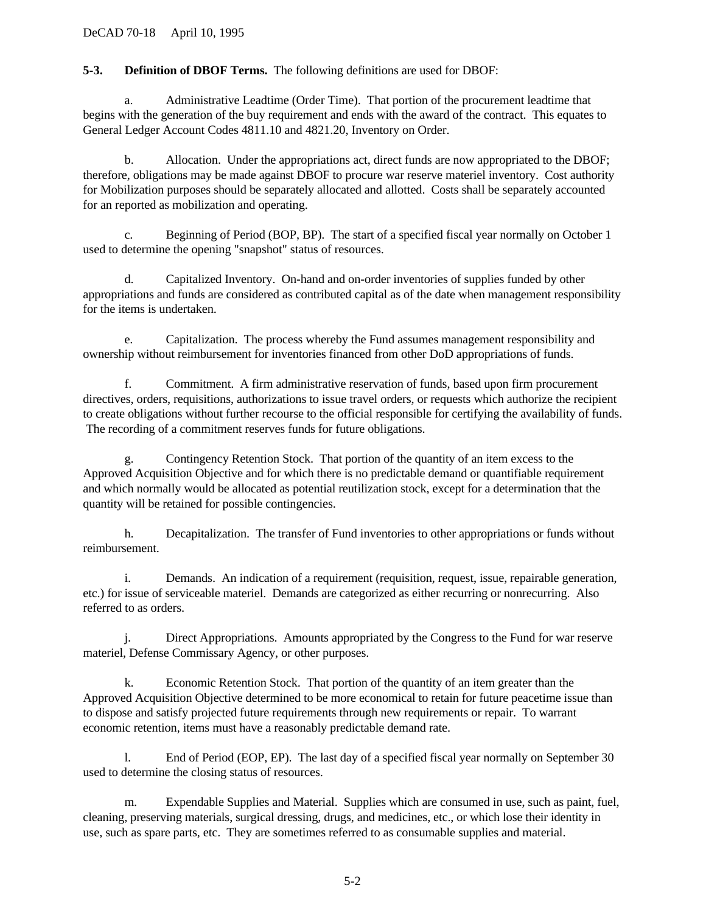## **5-3. Definition of DBOF Terms.** The following definitions are used for DBOF:

a. Administrative Leadtime (Order Time). That portion of the procurement leadtime that begins with the generation of the buy requirement and ends with the award of the contract. This equates to General Ledger Account Codes 4811.10 and 4821.20, Inventory on Order.

b. Allocation. Under the appropriations act, direct funds are now appropriated to the DBOF; therefore, obligations may be made against DBOF to procure war reserve materiel inventory. Cost authority for Mobilization purposes should be separately allocated and allotted. Costs shall be separately accounted for an reported as mobilization and operating.

c. Beginning of Period (BOP, BP). The start of a specified fiscal year normally on October 1 used to determine the opening "snapshot" status of resources.

d. Capitalized Inventory. On-hand and on-order inventories of supplies funded by other appropriations and funds are considered as contributed capital as of the date when management responsibility for the items is undertaken.

e. Capitalization. The process whereby the Fund assumes management responsibility and ownership without reimbursement for inventories financed from other DoD appropriations of funds.

f. Commitment. A firm administrative reservation of funds, based upon firm procurement directives, orders, requisitions, authorizations to issue travel orders, or requests which authorize the recipient to create obligations without further recourse to the official responsible for certifying the availability of funds. The recording of a commitment reserves funds for future obligations.

g. Contingency Retention Stock. That portion of the quantity of an item excess to the Approved Acquisition Objective and for which there is no predictable demand or quantifiable requirement and which normally would be allocated as potential reutilization stock, except for a determination that the quantity will be retained for possible contingencies.

h. Decapitalization. The transfer of Fund inventories to other appropriations or funds without reimbursement.

i. Demands. An indication of a requirement (requisition, request, issue, repairable generation, etc.) for issue of serviceable materiel. Demands are categorized as either recurring or nonrecurring. Also referred to as orders.

j. Direct Appropriations. Amounts appropriated by the Congress to the Fund for war reserve materiel, Defense Commissary Agency, or other purposes.

k. Economic Retention Stock. That portion of the quantity of an item greater than the Approved Acquisition Objective determined to be more economical to retain for future peacetime issue than to dispose and satisfy projected future requirements through new requirements or repair. To warrant economic retention, items must have a reasonably predictable demand rate.

l. End of Period (EOP, EP). The last day of a specified fiscal year normally on September 30 used to determine the closing status of resources.

m. Expendable Supplies and Material. Supplies which are consumed in use, such as paint, fuel, cleaning, preserving materials, surgical dressing, drugs, and medicines, etc., or which lose their identity in use, such as spare parts, etc. They are sometimes referred to as consumable supplies and material.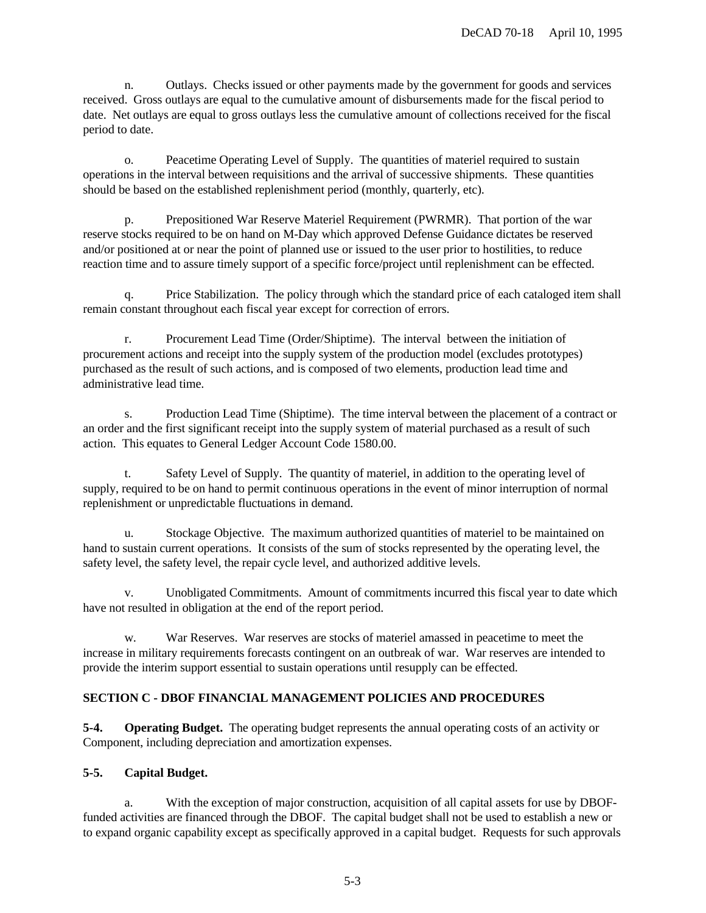n. Outlays. Checks issued or other payments made by the government for goods and services received. Gross outlays are equal to the cumulative amount of disbursements made for the fiscal period to date. Net outlays are equal to gross outlays less the cumulative amount of collections received for the fiscal period to date.

o. Peacetime Operating Level of Supply. The quantities of materiel required to sustain operations in the interval between requisitions and the arrival of successive shipments. These quantities should be based on the established replenishment period (monthly, quarterly, etc).

p. Prepositioned War Reserve Materiel Requirement (PWRMR). That portion of the war reserve stocks required to be on hand on M-Day which approved Defense Guidance dictates be reserved and/or positioned at or near the point of planned use or issued to the user prior to hostilities, to reduce reaction time and to assure timely support of a specific force/project until replenishment can be effected.

q. Price Stabilization. The policy through which the standard price of each cataloged item shall remain constant throughout each fiscal year except for correction of errors.

r. Procurement Lead Time (Order/Shiptime). The interval between the initiation of procurement actions and receipt into the supply system of the production model (excludes prototypes) purchased as the result of such actions, and is composed of two elements, production lead time and administrative lead time.

s. Production Lead Time (Shiptime). The time interval between the placement of a contract or an order and the first significant receipt into the supply system of material purchased as a result of such action. This equates to General Ledger Account Code 1580.00.

t. Safety Level of Supply. The quantity of materiel, in addition to the operating level of supply, required to be on hand to permit continuous operations in the event of minor interruption of normal replenishment or unpredictable fluctuations in demand.

u. Stockage Objective. The maximum authorized quantities of materiel to be maintained on hand to sustain current operations. It consists of the sum of stocks represented by the operating level, the safety level, the safety level, the repair cycle level, and authorized additive levels.

v. Unobligated Commitments. Amount of commitments incurred this fiscal year to date which have not resulted in obligation at the end of the report period.

w. War Reserves. War reserves are stocks of materiel amassed in peacetime to meet the increase in military requirements forecasts contingent on an outbreak of war. War reserves are intended to provide the interim support essential to sustain operations until resupply can be effected.

# **SECTION C - DBOF FINANCIAL MANAGEMENT POLICIES AND PROCEDURES**

**5-4. Operating Budget.** The operating budget represents the annual operating costs of an activity or Component, including depreciation and amortization expenses.

### **5-5. Capital Budget.**

a. With the exception of major construction, acquisition of all capital assets for use by DBOFfunded activities are financed through the DBOF. The capital budget shall not be used to establish a new or to expand organic capability except as specifically approved in a capital budget. Requests for such approvals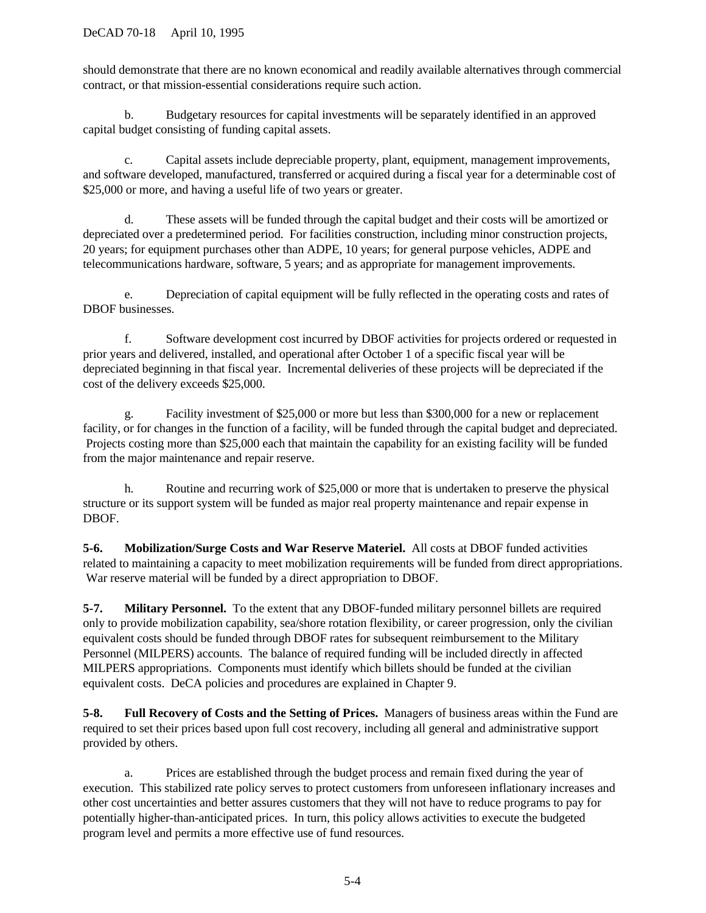should demonstrate that there are no known economical and readily available alternatives through commercial contract, or that mission-essential considerations require such action.

b. Budgetary resources for capital investments will be separately identified in an approved capital budget consisting of funding capital assets.

c. Capital assets include depreciable property, plant, equipment, management improvements, and software developed, manufactured, transferred or acquired during a fiscal year for a determinable cost of \$25,000 or more, and having a useful life of two years or greater.

d. These assets will be funded through the capital budget and their costs will be amortized or depreciated over a predetermined period. For facilities construction, including minor construction projects, 20 years; for equipment purchases other than ADPE, 10 years; for general purpose vehicles, ADPE and telecommunications hardware, software, 5 years; and as appropriate for management improvements.

e. Depreciation of capital equipment will be fully reflected in the operating costs and rates of DBOF businesses.

f. Software development cost incurred by DBOF activities for projects ordered or requested in prior years and delivered, installed, and operational after October 1 of a specific fiscal year will be depreciated beginning in that fiscal year. Incremental deliveries of these projects will be depreciated if the cost of the delivery exceeds \$25,000.

g. Facility investment of \$25,000 or more but less than \$300,000 for a new or replacement facility, or for changes in the function of a facility, will be funded through the capital budget and depreciated. Projects costing more than \$25,000 each that maintain the capability for an existing facility will be funded from the major maintenance and repair reserve.

h. Routine and recurring work of \$25,000 or more that is undertaken to preserve the physical structure or its support system will be funded as major real property maintenance and repair expense in DBOF.

**5-6. Mobilization/Surge Costs and War Reserve Materiel.** All costs at DBOF funded activities related to maintaining a capacity to meet mobilization requirements will be funded from direct appropriations. War reserve material will be funded by a direct appropriation to DBOF.

**5-7. Military Personnel.** To the extent that any DBOF-funded military personnel billets are required only to provide mobilization capability, sea/shore rotation flexibility, or career progression, only the civilian equivalent costs should be funded through DBOF rates for subsequent reimbursement to the Military Personnel (MILPERS) accounts. The balance of required funding will be included directly in affected MILPERS appropriations. Components must identify which billets should be funded at the civilian equivalent costs. DeCA policies and procedures are explained in Chapter 9.

**5-8. Full Recovery of Costs and the Setting of Prices.** Managers of business areas within the Fund are required to set their prices based upon full cost recovery, including all general and administrative support provided by others.

a. Prices are established through the budget process and remain fixed during the year of execution. This stabilized rate policy serves to protect customers from unforeseen inflationary increases and other cost uncertainties and better assures customers that they will not have to reduce programs to pay for potentially higher-than-anticipated prices. In turn, this policy allows activities to execute the budgeted program level and permits a more effective use of fund resources.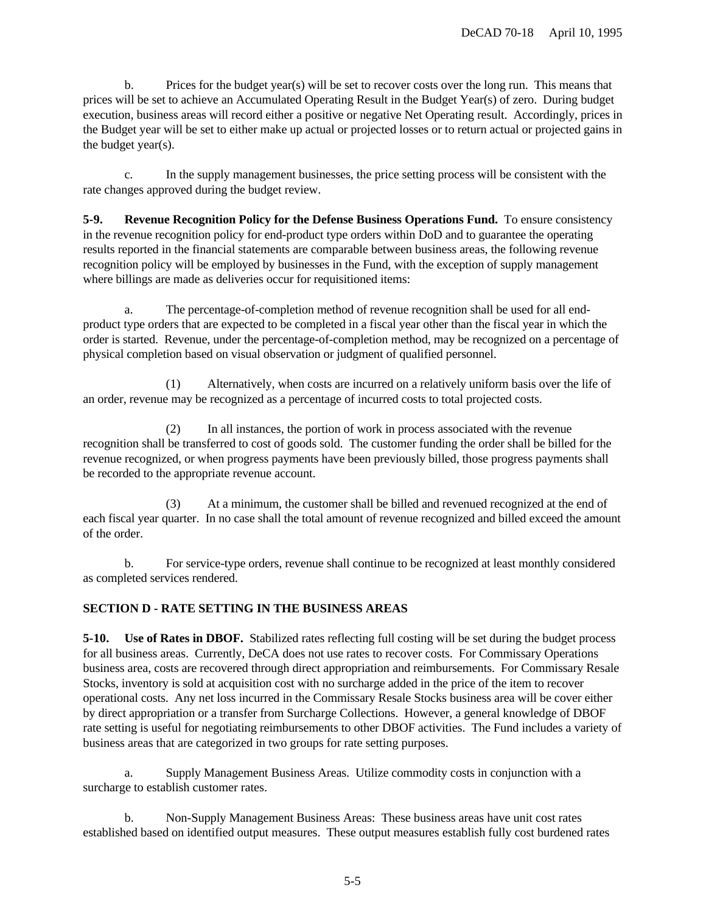b. Prices for the budget year(s) will be set to recover costs over the long run. This means that prices will be set to achieve an Accumulated Operating Result in the Budget Year(s) of zero. During budget execution, business areas will record either a positive or negative Net Operating result. Accordingly, prices in the Budget year will be set to either make up actual or projected losses or to return actual or projected gains in the budget year(s).

c. In the supply management businesses, the price setting process will be consistent with the rate changes approved during the budget review.

**5-9. Revenue Recognition Policy for the Defense Business Operations Fund.** To ensure consistency in the revenue recognition policy for end-product type orders within DoD and to guarantee the operating results reported in the financial statements are comparable between business areas, the following revenue recognition policy will be employed by businesses in the Fund, with the exception of supply management where billings are made as deliveries occur for requisitioned items:

a. The percentage-of-completion method of revenue recognition shall be used for all endproduct type orders that are expected to be completed in a fiscal year other than the fiscal year in which the order is started. Revenue, under the percentage-of-completion method, may be recognized on a percentage of physical completion based on visual observation or judgment of qualified personnel.

(1) Alternatively, when costs are incurred on a relatively uniform basis over the life of an order, revenue may be recognized as a percentage of incurred costs to total projected costs.

(2) In all instances, the portion of work in process associated with the revenue recognition shall be transferred to cost of goods sold. The customer funding the order shall be billed for the revenue recognized, or when progress payments have been previously billed, those progress payments shall be recorded to the appropriate revenue account.

(3) At a minimum, the customer shall be billed and revenued recognized at the end of each fiscal year quarter. In no case shall the total amount of revenue recognized and billed exceed the amount of the order.

b. For service-type orders, revenue shall continue to be recognized at least monthly considered as completed services rendered.

# **SECTION D - RATE SETTING IN THE BUSINESS AREAS**

**5-10. Use of Rates in DBOF.** Stabilized rates reflecting full costing will be set during the budget process for all business areas. Currently, DeCA does not use rates to recover costs. For Commissary Operations business area, costs are recovered through direct appropriation and reimbursements. For Commissary Resale Stocks, inventory is sold at acquisition cost with no surcharge added in the price of the item to recover operational costs. Any net loss incurred in the Commissary Resale Stocks business area will be cover either by direct appropriation or a transfer from Surcharge Collections. However, a general knowledge of DBOF rate setting is useful for negotiating reimbursements to other DBOF activities. The Fund includes a variety of business areas that are categorized in two groups for rate setting purposes.

a. Supply Management Business Areas. Utilize commodity costs in conjunction with a surcharge to establish customer rates.

b. Non-Supply Management Business Areas: These business areas have unit cost rates established based on identified output measures. These output measures establish fully cost burdened rates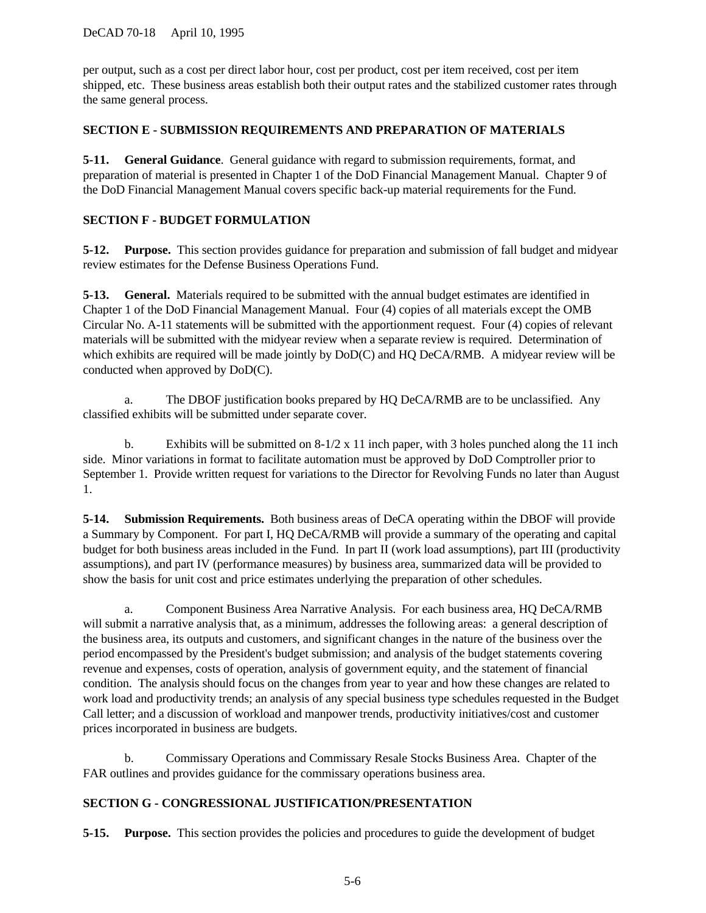per output, such as a cost per direct labor hour, cost per product, cost per item received, cost per item shipped, etc. These business areas establish both their output rates and the stabilized customer rates through the same general process.

# **SECTION E - SUBMISSION REQUIREMENTS AND PREPARATION OF MATERIALS**

**5-11. General Guidance**. General guidance with regard to submission requirements, format, and preparation of material is presented in Chapter 1 of the DoD Financial Management Manual. Chapter 9 of the DoD Financial Management Manual covers specific back-up material requirements for the Fund.

## **SECTION F - BUDGET FORMULATION**

**5-12. Purpose.** This section provides guidance for preparation and submission of fall budget and midyear review estimates for the Defense Business Operations Fund.

**5-13. General.** Materials required to be submitted with the annual budget estimates are identified in Chapter 1 of the DoD Financial Management Manual. Four (4) copies of all materials except the OMB Circular No. A-11 statements will be submitted with the apportionment request. Four (4) copies of relevant materials will be submitted with the midyear review when a separate review is required. Determination of which exhibits are required will be made jointly by  $DoD(C)$  and HQ DeCA/RMB. A midyear review will be conducted when approved by DoD(C).

a. The DBOF justification books prepared by HQ DeCA/RMB are to be unclassified. Any classified exhibits will be submitted under separate cover.

b. Exhibits will be submitted on  $8-1/2 \times 11$  inch paper, with 3 holes punched along the 11 inch side. Minor variations in format to facilitate automation must be approved by DoD Comptroller prior to September 1. Provide written request for variations to the Director for Revolving Funds no later than August 1.

**5-14. Submission Requirements.** Both business areas of DeCA operating within the DBOF will provide a Summary by Component. For part I, HQ DeCA/RMB will provide a summary of the operating and capital budget for both business areas included in the Fund. In part II (work load assumptions), part III (productivity assumptions), and part IV (performance measures) by business area, summarized data will be provided to show the basis for unit cost and price estimates underlying the preparation of other schedules.

a. Component Business Area Narrative Analysis. For each business area, HQ DeCA/RMB will submit a narrative analysis that, as a minimum, addresses the following areas: a general description of the business area, its outputs and customers, and significant changes in the nature of the business over the period encompassed by the President's budget submission; and analysis of the budget statements covering revenue and expenses, costs of operation, analysis of government equity, and the statement of financial condition. The analysis should focus on the changes from year to year and how these changes are related to work load and productivity trends; an analysis of any special business type schedules requested in the Budget Call letter; and a discussion of workload and manpower trends, productivity initiatives/cost and customer prices incorporated in business are budgets.

b. Commissary Operations and Commissary Resale Stocks Business Area. Chapter of the FAR outlines and provides guidance for the commissary operations business area.

### **SECTION G - CONGRESSIONAL JUSTIFICATION/PRESENTATION**

**5-15. Purpose.** This section provides the policies and procedures to guide the development of budget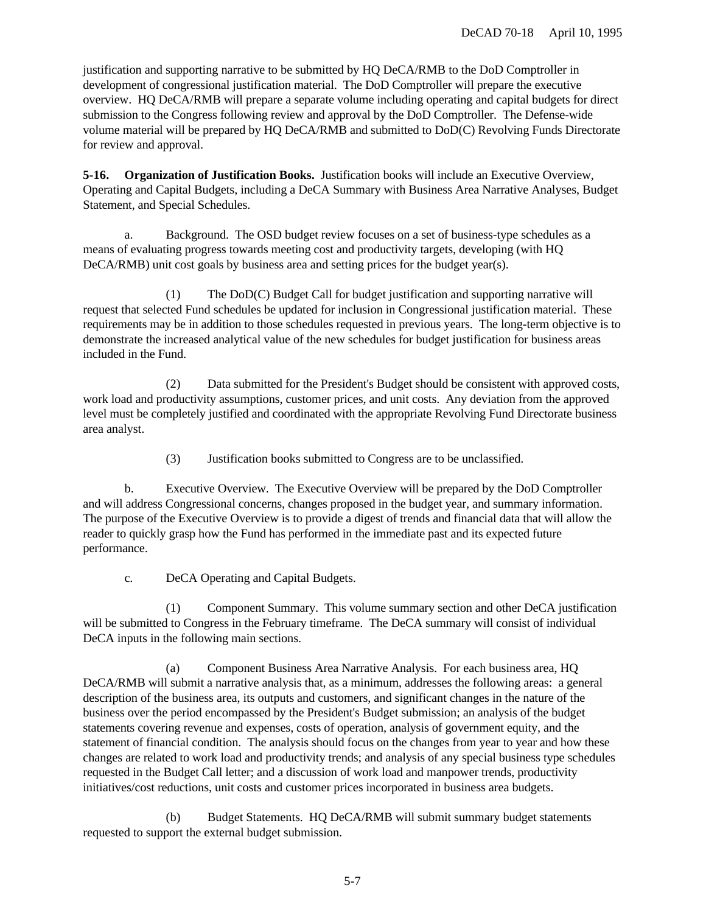justification and supporting narrative to be submitted by HQ DeCA/RMB to the DoD Comptroller in development of congressional justification material. The DoD Comptroller will prepare the executive overview. HQ DeCA/RMB will prepare a separate volume including operating and capital budgets for direct submission to the Congress following review and approval by the DoD Comptroller. The Defense-wide volume material will be prepared by HQ DeCA/RMB and submitted to DoD(C) Revolving Funds Directorate for review and approval.

**5-16. Organization of Justification Books.** Justification books will include an Executive Overview, Operating and Capital Budgets, including a DeCA Summary with Business Area Narrative Analyses, Budget Statement, and Special Schedules.

a. Background. The OSD budget review focuses on a set of business-type schedules as a means of evaluating progress towards meeting cost and productivity targets, developing (with HQ DeCA/RMB) unit cost goals by business area and setting prices for the budget year(s).

(1) The DoD(C) Budget Call for budget justification and supporting narrative will request that selected Fund schedules be updated for inclusion in Congressional justification material. These requirements may be in addition to those schedules requested in previous years. The long-term objective is to demonstrate the increased analytical value of the new schedules for budget justification for business areas included in the Fund.

(2) Data submitted for the President's Budget should be consistent with approved costs, work load and productivity assumptions, customer prices, and unit costs. Any deviation from the approved level must be completely justified and coordinated with the appropriate Revolving Fund Directorate business area analyst.

(3) Justification books submitted to Congress are to be unclassified.

b. Executive Overview. The Executive Overview will be prepared by the DoD Comptroller and will address Congressional concerns, changes proposed in the budget year, and summary information. The purpose of the Executive Overview is to provide a digest of trends and financial data that will allow the reader to quickly grasp how the Fund has performed in the immediate past and its expected future performance.

c. DeCA Operating and Capital Budgets.

(1) Component Summary. This volume summary section and other DeCA justification will be submitted to Congress in the February timeframe. The DeCA summary will consist of individual DeCA inputs in the following main sections.

(a) Component Business Area Narrative Analysis. For each business area, HQ DeCA/RMB will submit a narrative analysis that, as a minimum, addresses the following areas: a general description of the business area, its outputs and customers, and significant changes in the nature of the business over the period encompassed by the President's Budget submission; an analysis of the budget statements covering revenue and expenses, costs of operation, analysis of government equity, and the statement of financial condition. The analysis should focus on the changes from year to year and how these changes are related to work load and productivity trends; and analysis of any special business type schedules requested in the Budget Call letter; and a discussion of work load and manpower trends, productivity initiatives/cost reductions, unit costs and customer prices incorporated in business area budgets.

(b) Budget Statements. HQ DeCA/RMB will submit summary budget statements requested to support the external budget submission.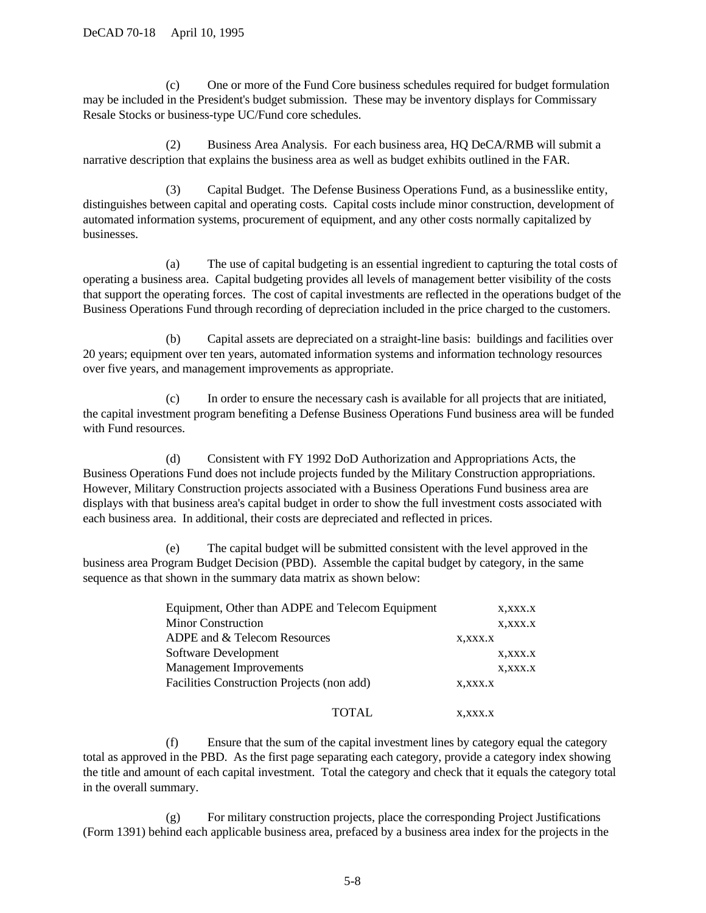(c) One or more of the Fund Core business schedules required for budget formulation may be included in the President's budget submission. These may be inventory displays for Commissary Resale Stocks or business-type UC/Fund core schedules.

(2) Business Area Analysis. For each business area, HQ DeCA/RMB will submit a narrative description that explains the business area as well as budget exhibits outlined in the FAR.

(3) Capital Budget. The Defense Business Operations Fund, as a businesslike entity, distinguishes between capital and operating costs. Capital costs include minor construction, development of automated information systems, procurement of equipment, and any other costs normally capitalized by businesses.

(a) The use of capital budgeting is an essential ingredient to capturing the total costs of operating a business area. Capital budgeting provides all levels of management better visibility of the costs that support the operating forces. The cost of capital investments are reflected in the operations budget of the Business Operations Fund through recording of depreciation included in the price charged to the customers.

(b) Capital assets are depreciated on a straight-line basis: buildings and facilities over 20 years; equipment over ten years, automated information systems and information technology resources over five years, and management improvements as appropriate.

(c) In order to ensure the necessary cash is available for all projects that are initiated, the capital investment program benefiting a Defense Business Operations Fund business area will be funded with Fund resources.

(d) Consistent with FY 1992 DoD Authorization and Appropriations Acts, the Business Operations Fund does not include projects funded by the Military Construction appropriations. However, Military Construction projects associated with a Business Operations Fund business area are displays with that business area's capital budget in order to show the full investment costs associated with each business area. In additional, their costs are depreciated and reflected in prices.

(e) The capital budget will be submitted consistent with the level approved in the business area Program Budget Decision (PBD). Assemble the capital budget by category, in the same sequence as that shown in the summary data matrix as shown below:

| Equipment, Other than ADPE and Telecom Equipment | X,XXX.X |
|--------------------------------------------------|---------|
| <b>Minor Construction</b>                        | X,XXX.X |
| ADPE and & Telecom Resources                     | X,XXX.X |
| Software Development                             | X,XXX.X |
| <b>Management Improvements</b>                   | X,XXX.X |
| Facilities Construction Projects (non add)       | X,XXX.X |
|                                                  |         |
| <b>TOTAL</b>                                     | X,XXX.X |

(f) Ensure that the sum of the capital investment lines by category equal the category total as approved in the PBD. As the first page separating each category, provide a category index showing the title and amount of each capital investment. Total the category and check that it equals the category total in the overall summary.

(g) For military construction projects, place the corresponding Project Justifications (Form 1391) behind each applicable business area, prefaced by a business area index for the projects in the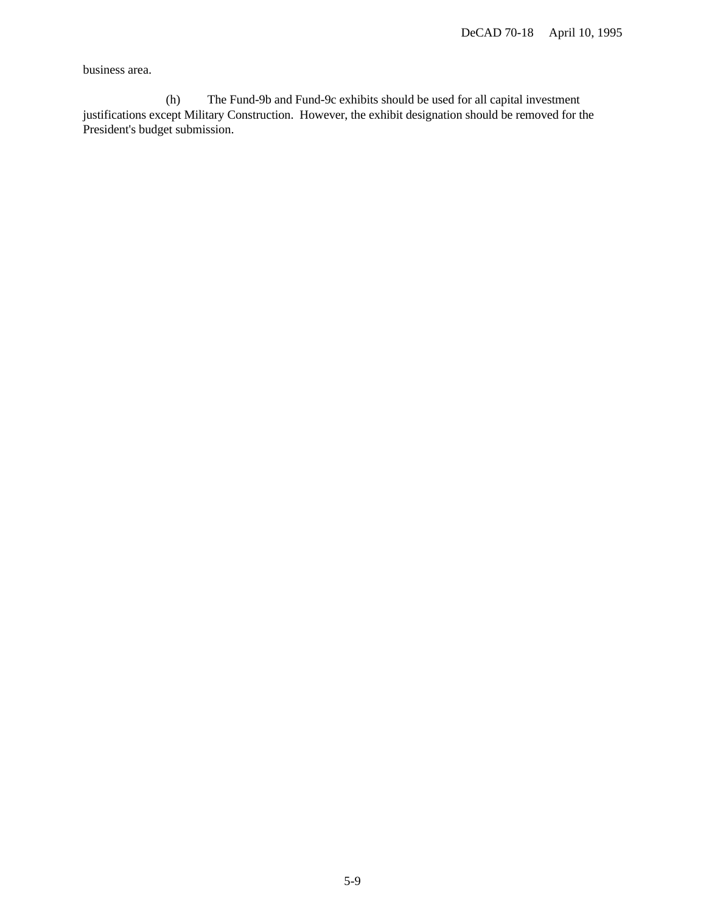business area.

(h) The Fund-9b and Fund-9c exhibits should be used for all capital investment justifications except Military Construction. However, the exhibit designation should be removed for the President's budget submission.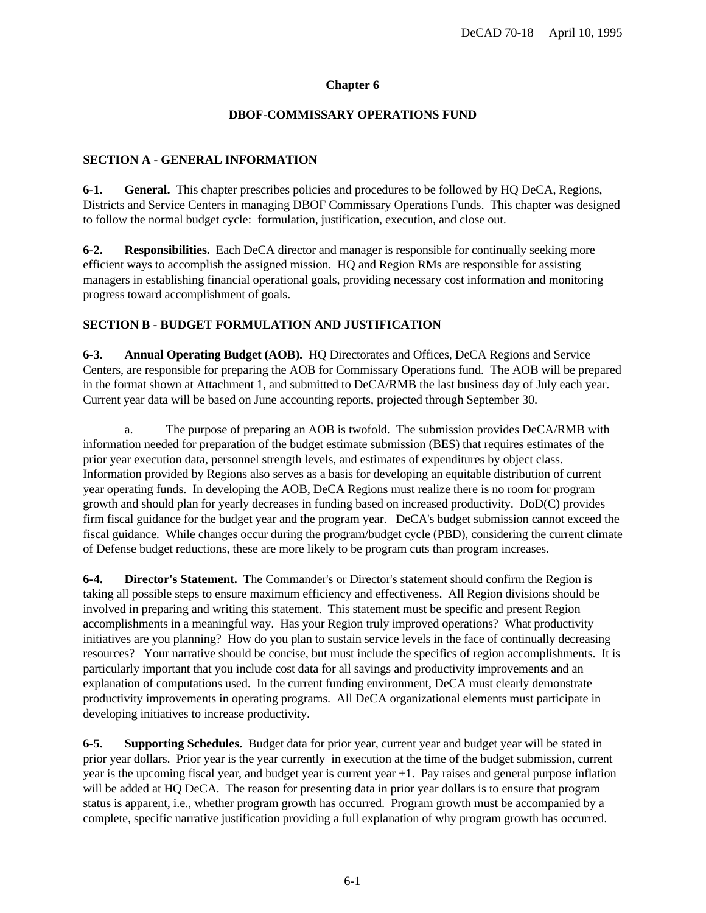## **Chapter 6**

## **DBOF-COMMISSARY OPERATIONS FUND**

## **SECTION A - GENERAL INFORMATION**

**6-1. General.** This chapter prescribes policies and procedures to be followed by HQ DeCA, Regions, Districts and Service Centers in managing DBOF Commissary Operations Funds. This chapter was designed to follow the normal budget cycle: formulation, justification, execution, and close out.

**6-2. Responsibilities.** Each DeCA director and manager is responsible for continually seeking more efficient ways to accomplish the assigned mission. HQ and Region RMs are responsible for assisting managers in establishing financial operational goals, providing necessary cost information and monitoring progress toward accomplishment of goals.

# **SECTION B - BUDGET FORMULATION AND JUSTIFICATION**

**6-3. Annual Operating Budget (AOB).** HQ Directorates and Offices, DeCA Regions and Service Centers, are responsible for preparing the AOB for Commissary Operations fund. The AOB will be prepared in the format shown at Attachment 1, and submitted to DeCA/RMB the last business day of July each year. Current year data will be based on June accounting reports, projected through September 30.

a. The purpose of preparing an AOB is twofold. The submission provides DeCA/RMB with information needed for preparation of the budget estimate submission (BES) that requires estimates of the prior year execution data, personnel strength levels, and estimates of expenditures by object class. Information provided by Regions also serves as a basis for developing an equitable distribution of current year operating funds. In developing the AOB, DeCA Regions must realize there is no room for program growth and should plan for yearly decreases in funding based on increased productivity. DoD(C) provides firm fiscal guidance for the budget year and the program year. DeCA's budget submission cannot exceed the fiscal guidance. While changes occur during the program/budget cycle (PBD), considering the current climate of Defense budget reductions, these are more likely to be program cuts than program increases.

**6-4. Director's Statement.** The Commander's or Director's statement should confirm the Region is taking all possible steps to ensure maximum efficiency and effectiveness. All Region divisions should be involved in preparing and writing this statement. This statement must be specific and present Region accomplishments in a meaningful way. Has your Region truly improved operations? What productivity initiatives are you planning? How do you plan to sustain service levels in the face of continually decreasing resources? Your narrative should be concise, but must include the specifics of region accomplishments. It is particularly important that you include cost data for all savings and productivity improvements and an explanation of computations used. In the current funding environment, DeCA must clearly demonstrate productivity improvements in operating programs. All DeCA organizational elements must participate in developing initiatives to increase productivity.

**6-5. Supporting Schedules.** Budget data for prior year, current year and budget year will be stated in prior year dollars. Prior year is the year currently in execution at the time of the budget submission, current year is the upcoming fiscal year, and budget year is current year +1. Pay raises and general purpose inflation will be added at HQ DeCA. The reason for presenting data in prior year dollars is to ensure that program status is apparent, i.e., whether program growth has occurred. Program growth must be accompanied by a complete, specific narrative justification providing a full explanation of why program growth has occurred.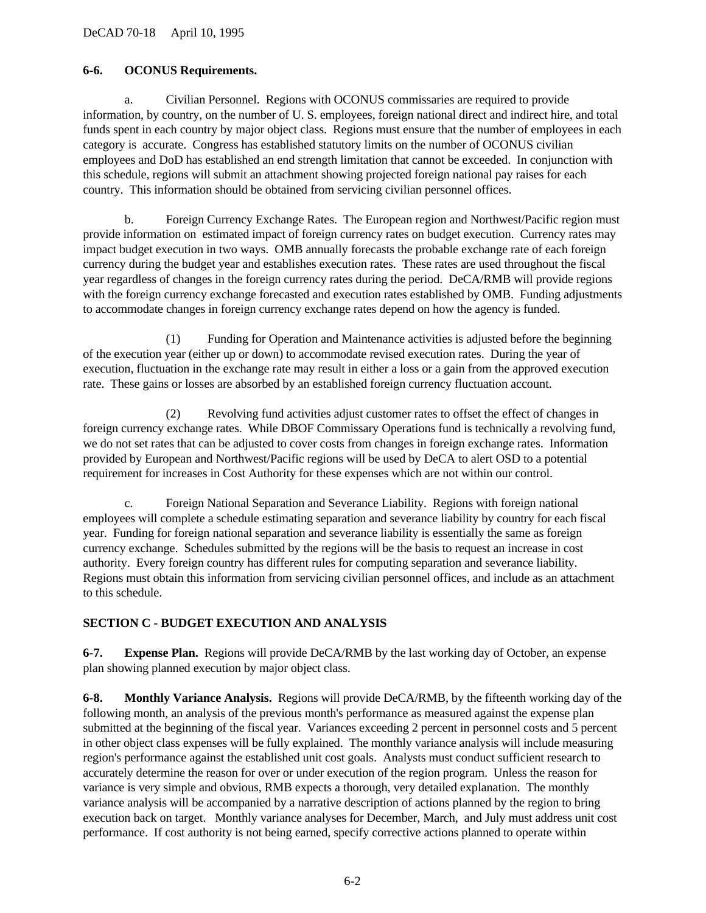DeCAD 70-18 April 10, 1995

## **6-6. OCONUS Requirements.**

a. Civilian Personnel. Regions with OCONUS commissaries are required to provide information, by country, on the number of U. S. employees, foreign national direct and indirect hire, and total funds spent in each country by major object class. Regions must ensure that the number of employees in each category is accurate. Congress has established statutory limits on the number of OCONUS civilian employees and DoD has established an end strength limitation that cannot be exceeded. In conjunction with this schedule, regions will submit an attachment showing projected foreign national pay raises for each country. This information should be obtained from servicing civilian personnel offices.

b. Foreign Currency Exchange Rates. The European region and Northwest/Pacific region must provide information on estimated impact of foreign currency rates on budget execution. Currency rates may impact budget execution in two ways. OMB annually forecasts the probable exchange rate of each foreign currency during the budget year and establishes execution rates. These rates are used throughout the fiscal year regardless of changes in the foreign currency rates during the period. DeCA/RMB will provide regions with the foreign currency exchange forecasted and execution rates established by OMB. Funding adjustments to accommodate changes in foreign currency exchange rates depend on how the agency is funded.

(1) Funding for Operation and Maintenance activities is adjusted before the beginning of the execution year (either up or down) to accommodate revised execution rates. During the year of execution, fluctuation in the exchange rate may result in either a loss or a gain from the approved execution rate. These gains or losses are absorbed by an established foreign currency fluctuation account.

(2) Revolving fund activities adjust customer rates to offset the effect of changes in foreign currency exchange rates. While DBOF Commissary Operations fund is technically a revolving fund, we do not set rates that can be adjusted to cover costs from changes in foreign exchange rates. Information provided by European and Northwest/Pacific regions will be used by DeCA to alert OSD to a potential requirement for increases in Cost Authority for these expenses which are not within our control.

c. Foreign National Separation and Severance Liability. Regions with foreign national employees will complete a schedule estimating separation and severance liability by country for each fiscal year. Funding for foreign national separation and severance liability is essentially the same as foreign currency exchange. Schedules submitted by the regions will be the basis to request an increase in cost authority. Every foreign country has different rules for computing separation and severance liability. Regions must obtain this information from servicing civilian personnel offices, and include as an attachment to this schedule.

# **SECTION C - BUDGET EXECUTION AND ANALYSIS**

**6-7. Expense Plan.** Regions will provide DeCA/RMB by the last working day of October, an expense plan showing planned execution by major object class.

**6-8. Monthly Variance Analysis.** Regions will provide DeCA/RMB, by the fifteenth working day of the following month, an analysis of the previous month's performance as measured against the expense plan submitted at the beginning of the fiscal year. Variances exceeding 2 percent in personnel costs and 5 percent in other object class expenses will be fully explained. The monthly variance analysis will include measuring region's performance against the established unit cost goals. Analysts must conduct sufficient research to accurately determine the reason for over or under execution of the region program. Unless the reason for variance is very simple and obvious, RMB expects a thorough, very detailed explanation. The monthly variance analysis will be accompanied by a narrative description of actions planned by the region to bring execution back on target. Monthly variance analyses for December, March, and July must address unit cost performance. If cost authority is not being earned, specify corrective actions planned to operate within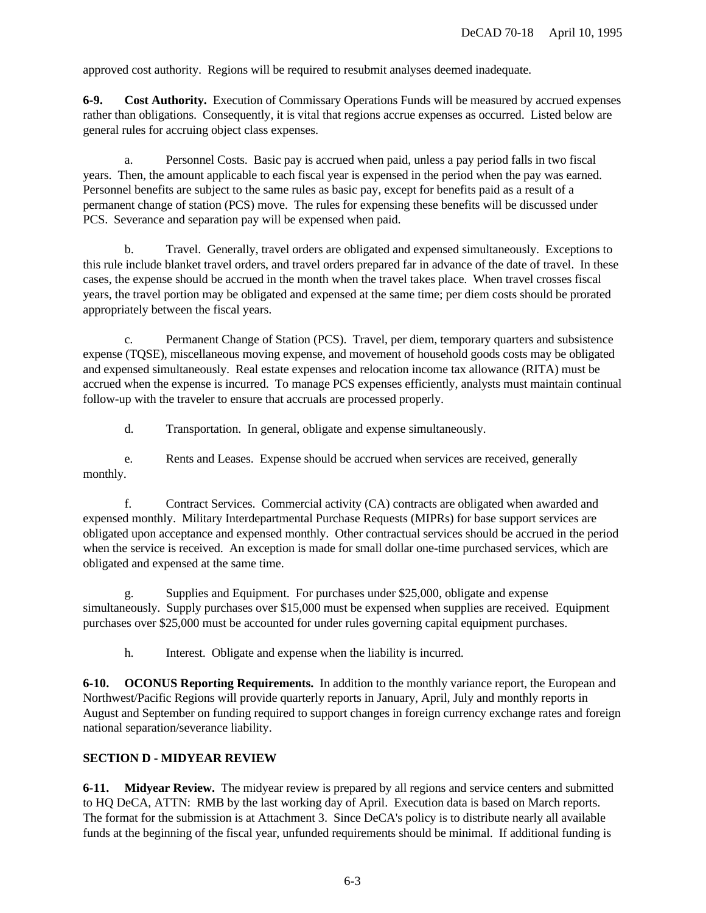approved cost authority. Regions will be required to resubmit analyses deemed inadequate.

**6-9. Cost Authority.** Execution of Commissary Operations Funds will be measured by accrued expenses rather than obligations. Consequently, it is vital that regions accrue expenses as occurred. Listed below are general rules for accruing object class expenses.

a. Personnel Costs. Basic pay is accrued when paid, unless a pay period falls in two fiscal years. Then, the amount applicable to each fiscal year is expensed in the period when the pay was earned. Personnel benefits are subject to the same rules as basic pay, except for benefits paid as a result of a permanent change of station (PCS) move. The rules for expensing these benefits will be discussed under PCS. Severance and separation pay will be expensed when paid.

b. Travel. Generally, travel orders are obligated and expensed simultaneously. Exceptions to this rule include blanket travel orders, and travel orders prepared far in advance of the date of travel. In these cases, the expense should be accrued in the month when the travel takes place. When travel crosses fiscal years, the travel portion may be obligated and expensed at the same time; per diem costs should be prorated appropriately between the fiscal years.

c. Permanent Change of Station (PCS). Travel, per diem, temporary quarters and subsistence expense (TQSE), miscellaneous moving expense, and movement of household goods costs may be obligated and expensed simultaneously. Real estate expenses and relocation income tax allowance (RITA) must be accrued when the expense is incurred. To manage PCS expenses efficiently, analysts must maintain continual follow-up with the traveler to ensure that accruals are processed properly.

d. Transportation. In general, obligate and expense simultaneously.

e. Rents and Leases. Expense should be accrued when services are received, generally monthly.

f. Contract Services. Commercial activity (CA) contracts are obligated when awarded and expensed monthly. Military Interdepartmental Purchase Requests (MIPRs) for base support services are obligated upon acceptance and expensed monthly. Other contractual services should be accrued in the period when the service is received. An exception is made for small dollar one-time purchased services, which are obligated and expensed at the same time.

g. Supplies and Equipment. For purchases under \$25,000, obligate and expense simultaneously. Supply purchases over \$15,000 must be expensed when supplies are received. Equipment purchases over \$25,000 must be accounted for under rules governing capital equipment purchases.

h. Interest. Obligate and expense when the liability is incurred.

**6-10. OCONUS Reporting Requirements.** In addition to the monthly variance report, the European and Northwest/Pacific Regions will provide quarterly reports in January, April, July and monthly reports in August and September on funding required to support changes in foreign currency exchange rates and foreign national separation/severance liability.

### **SECTION D - MIDYEAR REVIEW**

**6-11. Midyear Review.** The midyear review is prepared by all regions and service centers and submitted to HQ DeCA, ATTN: RMB by the last working day of April. Execution data is based on March reports. The format for the submission is at Attachment 3. Since DeCA's policy is to distribute nearly all available funds at the beginning of the fiscal year, unfunded requirements should be minimal. If additional funding is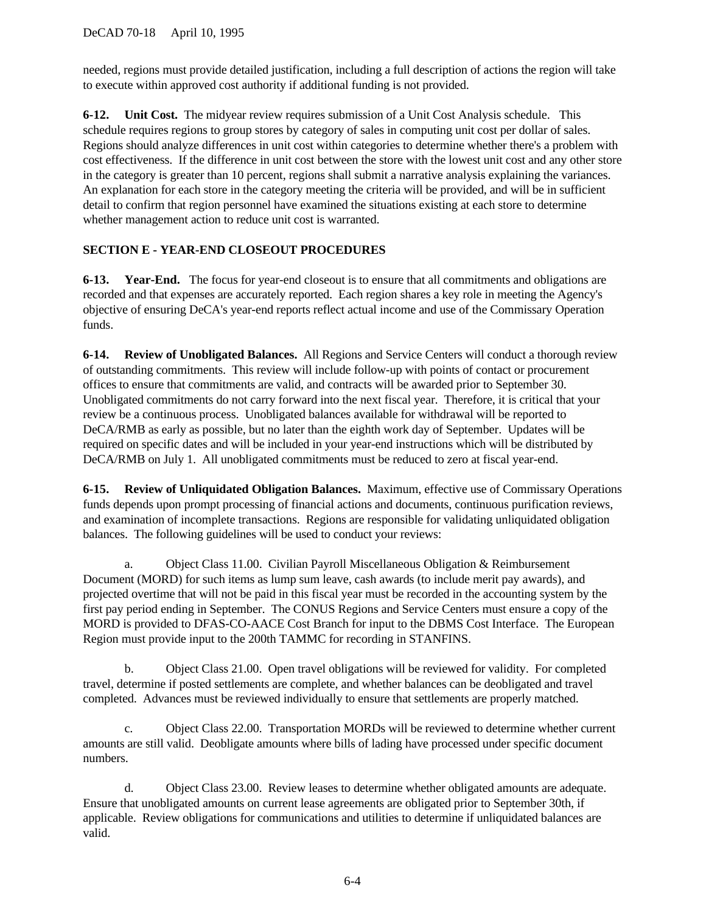needed, regions must provide detailed justification, including a full description of actions the region will take to execute within approved cost authority if additional funding is not provided.

**6-12. Unit Cost.** The midyear review requires submission of a Unit Cost Analysis schedule. This schedule requires regions to group stores by category of sales in computing unit cost per dollar of sales. Regions should analyze differences in unit cost within categories to determine whether there's a problem with cost effectiveness. If the difference in unit cost between the store with the lowest unit cost and any other store in the category is greater than 10 percent, regions shall submit a narrative analysis explaining the variances. An explanation for each store in the category meeting the criteria will be provided, and will be in sufficient detail to confirm that region personnel have examined the situations existing at each store to determine whether management action to reduce unit cost is warranted.

# **SECTION E - YEAR-END CLOSEOUT PROCEDURES**

**6-13. Year-End.** The focus for year-end closeout is to ensure that all commitments and obligations are recorded and that expenses are accurately reported. Each region shares a key role in meeting the Agency's objective of ensuring DeCA's year-end reports reflect actual income and use of the Commissary Operation funds.

**6-14. Review of Unobligated Balances.** All Regions and Service Centers will conduct a thorough review of outstanding commitments. This review will include follow-up with points of contact or procurement offices to ensure that commitments are valid, and contracts will be awarded prior to September 30. Unobligated commitments do not carry forward into the next fiscal year. Therefore, it is critical that your review be a continuous process. Unobligated balances available for withdrawal will be reported to DeCA/RMB as early as possible, but no later than the eighth work day of September. Updates will be required on specific dates and will be included in your year-end instructions which will be distributed by DeCA/RMB on July 1. All unobligated commitments must be reduced to zero at fiscal year-end.

**6-15. Review of Unliquidated Obligation Balances.** Maximum, effective use of Commissary Operations funds depends upon prompt processing of financial actions and documents, continuous purification reviews, and examination of incomplete transactions. Regions are responsible for validating unliquidated obligation balances. The following guidelines will be used to conduct your reviews:

a. Object Class 11.00. Civilian Payroll Miscellaneous Obligation & Reimbursement Document (MORD) for such items as lump sum leave, cash awards (to include merit pay awards), and projected overtime that will not be paid in this fiscal year must be recorded in the accounting system by the first pay period ending in September. The CONUS Regions and Service Centers must ensure a copy of the MORD is provided to DFAS-CO-AACE Cost Branch for input to the DBMS Cost Interface. The European Region must provide input to the 200th TAMMC for recording in STANFINS.

b. Object Class 21.00. Open travel obligations will be reviewed for validity. For completed travel, determine if posted settlements are complete, and whether balances can be deobligated and travel completed. Advances must be reviewed individually to ensure that settlements are properly matched.

c. Object Class 22.00. Transportation MORDs will be reviewed to determine whether current amounts are still valid. Deobligate amounts where bills of lading have processed under specific document numbers.

d. Object Class 23.00. Review leases to determine whether obligated amounts are adequate. Ensure that unobligated amounts on current lease agreements are obligated prior to September 30th, if applicable. Review obligations for communications and utilities to determine if unliquidated balances are valid.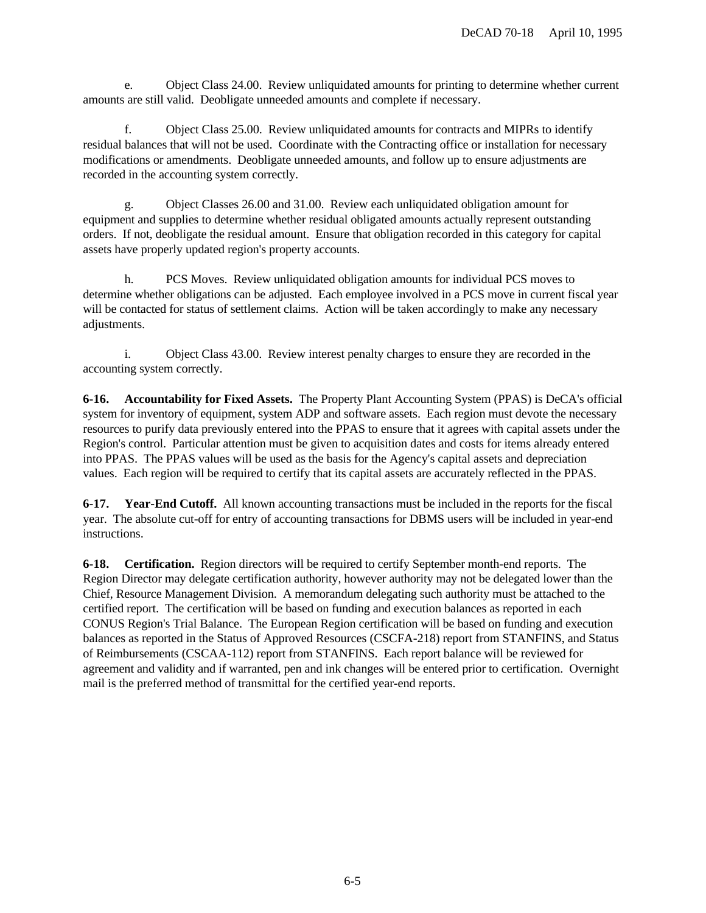e. Object Class 24.00. Review unliquidated amounts for printing to determine whether current amounts are still valid. Deobligate unneeded amounts and complete if necessary.

f. Object Class 25.00. Review unliquidated amounts for contracts and MIPRs to identify residual balances that will not be used. Coordinate with the Contracting office or installation for necessary modifications or amendments. Deobligate unneeded amounts, and follow up to ensure adjustments are recorded in the accounting system correctly.

g. Object Classes 26.00 and 31.00. Review each unliquidated obligation amount for equipment and supplies to determine whether residual obligated amounts actually represent outstanding orders. If not, deobligate the residual amount. Ensure that obligation recorded in this category for capital assets have properly updated region's property accounts.

h. PCS Moves. Review unliquidated obligation amounts for individual PCS moves to determine whether obligations can be adjusted. Each employee involved in a PCS move in current fiscal year will be contacted for status of settlement claims. Action will be taken accordingly to make any necessary adjustments.

i. Object Class 43.00. Review interest penalty charges to ensure they are recorded in the accounting system correctly.

**6-16. Accountability for Fixed Assets.** The Property Plant Accounting System (PPAS) is DeCA's official system for inventory of equipment, system ADP and software assets. Each region must devote the necessary resources to purify data previously entered into the PPAS to ensure that it agrees with capital assets under the Region's control. Particular attention must be given to acquisition dates and costs for items already entered into PPAS. The PPAS values will be used as the basis for the Agency's capital assets and depreciation values. Each region will be required to certify that its capital assets are accurately reflected in the PPAS.

**6-17. Year-End Cutoff.** All known accounting transactions must be included in the reports for the fiscal year. The absolute cut-off for entry of accounting transactions for DBMS users will be included in year-end instructions.

**6-18. Certification.** Region directors will be required to certify September month-end reports. The Region Director may delegate certification authority, however authority may not be delegated lower than the Chief, Resource Management Division. A memorandum delegating such authority must be attached to the certified report. The certification will be based on funding and execution balances as reported in each CONUS Region's Trial Balance. The European Region certification will be based on funding and execution balances as reported in the Status of Approved Resources (CSCFA-218) report from STANFINS, and Status of Reimbursements (CSCAA-112) report from STANFINS. Each report balance will be reviewed for agreement and validity and if warranted, pen and ink changes will be entered prior to certification. Overnight mail is the preferred method of transmittal for the certified year-end reports.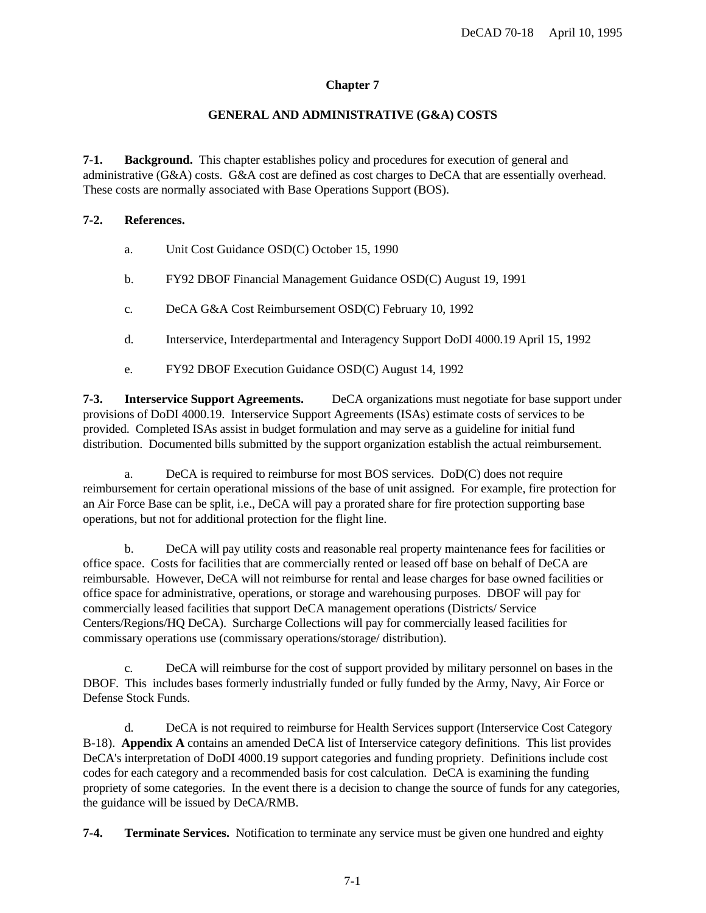## **Chapter 7**

## **GENERAL AND ADMINISTRATIVE (G&A) COSTS**

**7-1. Background.** This chapter establishes policy and procedures for execution of general and administrative (G&A) costs. G&A cost are defined as cost charges to DeCA that are essentially overhead. These costs are normally associated with Base Operations Support (BOS).

### **7-2. References.**

- a. Unit Cost Guidance OSD(C) October 15, 1990
- b. FY92 DBOF Financial Management Guidance OSD(C) August 19, 1991
- c. DeCA G&A Cost Reimbursement OSD(C) February 10, 1992
- d. Interservice, Interdepartmental and Interagency Support DoDI 4000.19 April 15, 1992
- e. FY92 DBOF Execution Guidance OSD(C) August 14, 1992

**7-3. Interservice Support Agreements.** DeCA organizations must negotiate for base support under provisions of DoDI 4000.19. Interservice Support Agreements (ISAs) estimate costs of services to be provided. Completed ISAs assist in budget formulation and may serve as a guideline for initial fund distribution. Documented bills submitted by the support organization establish the actual reimbursement.

a. DeCA is required to reimburse for most BOS services. DoD(C) does not require reimbursement for certain operational missions of the base of unit assigned. For example, fire protection for an Air Force Base can be split, i.e., DeCA will pay a prorated share for fire protection supporting base operations, but not for additional protection for the flight line.

b. DeCA will pay utility costs and reasonable real property maintenance fees for facilities or office space. Costs for facilities that are commercially rented or leased off base on behalf of DeCA are reimbursable. However, DeCA will not reimburse for rental and lease charges for base owned facilities or office space for administrative, operations, or storage and warehousing purposes. DBOF will pay for commercially leased facilities that support DeCA management operations (Districts/ Service Centers/Regions/HQ DeCA). Surcharge Collections will pay for commercially leased facilities for commissary operations use (commissary operations/storage/ distribution).

c. DeCA will reimburse for the cost of support provided by military personnel on bases in the DBOF. This includes bases formerly industrially funded or fully funded by the Army, Navy, Air Force or Defense Stock Funds.

d. DeCA is not required to reimburse for Health Services support (Interservice Cost Category B-18). **[Appendix A](#page-134-0)** contains an amended DeCA list of Interservice category definitions. This list provides DeCA's interpretation of DoDI 4000.19 support categories and funding propriety. Definitions include cost codes for each category and a recommended basis for cost calculation. DeCA is examining the funding propriety of some categories. In the event there is a decision to change the source of funds for any categories, the guidance will be issued by DeCA/RMB.

**7-4. Terminate Services.** Notification to terminate any service must be given one hundred and eighty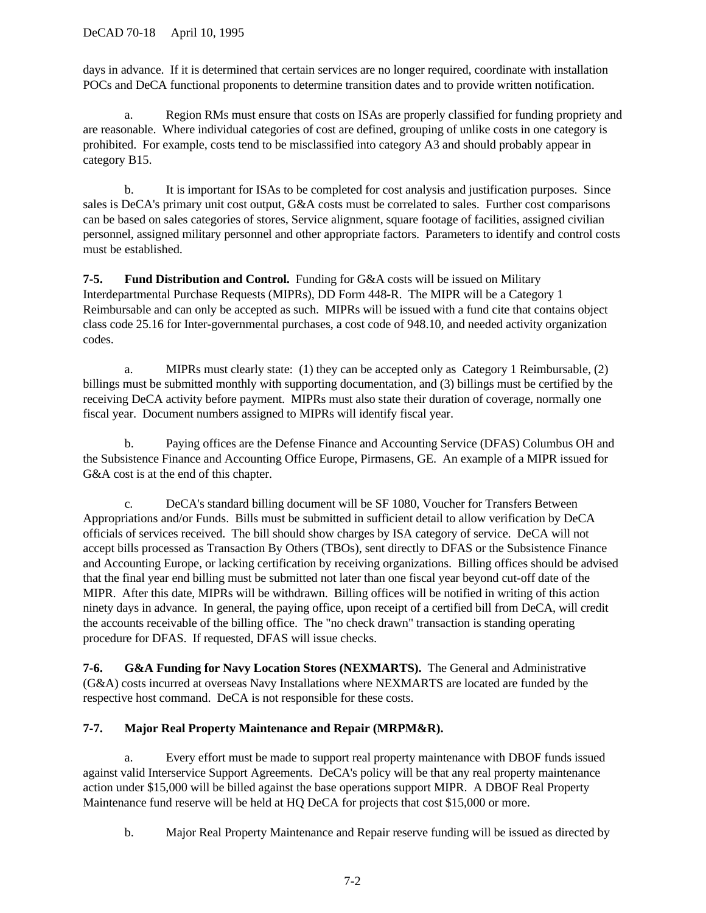days in advance. If it is determined that certain services are no longer required, coordinate with installation POCs and DeCA functional proponents to determine transition dates and to provide written notification.

a. Region RMs must ensure that costs on ISAs are properly classified for funding propriety and are reasonable. Where individual categories of cost are defined, grouping of unlike costs in one category is prohibited. For example, costs tend to be misclassified into category A3 and should probably appear in category B15.

b. It is important for ISAs to be completed for cost analysis and justification purposes. Since sales is DeCA's primary unit cost output, G&A costs must be correlated to sales. Further cost comparisons can be based on sales categories of stores, Service alignment, square footage of facilities, assigned civilian personnel, assigned military personnel and other appropriate factors. Parameters to identify and control costs must be established.

**7-5. Fund Distribution and Control.** Funding for G&A costs will be issued on Military Interdepartmental Purchase Requests (MIPRs), DD Form 448-R. The MIPR will be a Category 1 Reimbursable and can only be accepted as such. MIPRs will be issued with a fund cite that contains object class code 25.16 for Inter-governmental purchases, a cost code of 948.10, and needed activity organization codes.

a. MIPRs must clearly state: (1) they can be accepted only as Category 1 Reimbursable, (2) billings must be submitted monthly with supporting documentation, and (3) billings must be certified by the receiving DeCA activity before payment. MIPRs must also state their duration of coverage, normally one fiscal year. Document numbers assigned to MIPRs will identify fiscal year.

b. Paying offices are the Defense Finance and Accounting Service (DFAS) Columbus OH and the Subsistence Finance and Accounting Office Europe, Pirmasens, GE. An example of a MIPR issued for G&A cost is at the end of this chapter.

c. DeCA's standard billing document will be SF 1080, Voucher for Transfers Between Appropriations and/or Funds. Bills must be submitted in sufficient detail to allow verification by DeCA officials of services received. The bill should show charges by ISA category of service. DeCA will not accept bills processed as Transaction By Others (TBOs), sent directly to DFAS or the Subsistence Finance and Accounting Europe, or lacking certification by receiving organizations. Billing offices should be advised that the final year end billing must be submitted not later than one fiscal year beyond cut-off date of the MIPR. After this date, MIPRs will be withdrawn. Billing offices will be notified in writing of this action ninety days in advance. In general, the paying office, upon receipt of a certified bill from DeCA, will credit the accounts receivable of the billing office. The "no check drawn" transaction is standing operating procedure for DFAS. If requested, DFAS will issue checks.

**7-6. G&A Funding for Navy Location Stores (NEXMARTS).** The General and Administrative (G&A) costs incurred at overseas Navy Installations where NEXMARTS are located are funded by the respective host command. DeCA is not responsible for these costs.

# **7-7. Major Real Property Maintenance and Repair (MRPM&R).**

a. Every effort must be made to support real property maintenance with DBOF funds issued against valid Interservice Support Agreements. DeCA's policy will be that any real property maintenance action under \$15,000 will be billed against the base operations support MIPR. A DBOF Real Property Maintenance fund reserve will be held at HQ DeCA for projects that cost \$15,000 or more.

b. Major Real Property Maintenance and Repair reserve funding will be issued as directed by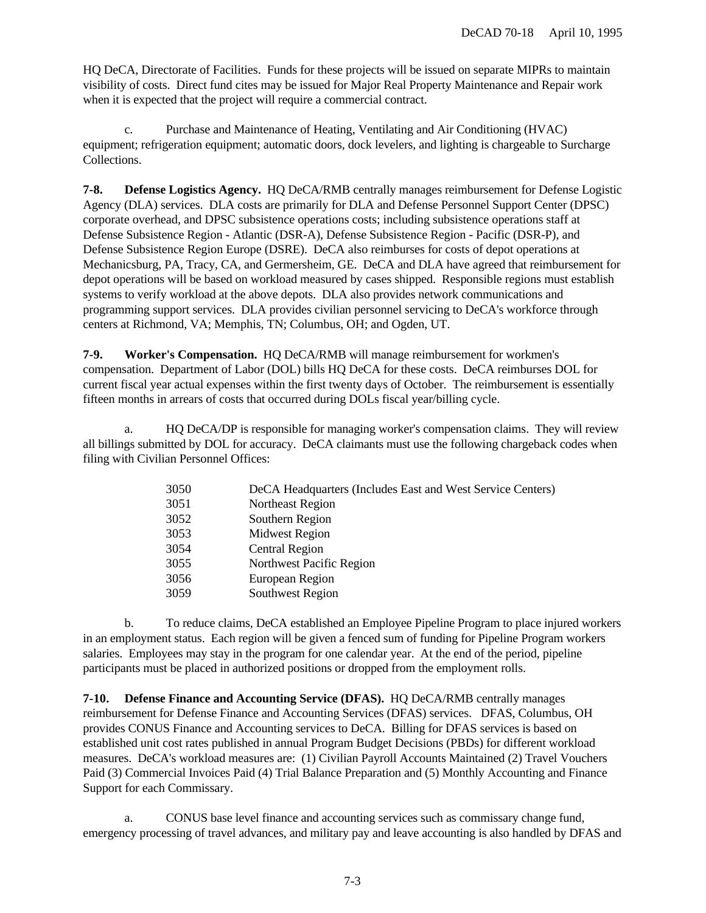HQ DeCA, Directorate of Facilities. Funds for these projects will be issued on separate MIPRs to maintain visibility of costs. Direct fund cites may be issued for Major Real Property Maintenance and Repair work when it is expected that the project will require a commercial contract.

c. Purchase and Maintenance of Heating, Ventilating and Air Conditioning (HVAC) equipment; refrigeration equipment; automatic doors, dock levelers, and lighting is chargeable to Surcharge Collections.

**7-8. Defense Logistics Agency.** HQ DeCA/RMB centrally manages reimbursement for Defense Logistic Agency (DLA) services. DLA costs are primarily for DLA and Defense Personnel Support Center (DPSC) corporate overhead, and DPSC subsistence operations costs; including subsistence operations staff at Defense Subsistence Region - Atlantic (DSR-A), Defense Subsistence Region - Pacific (DSR-P), and Defense Subsistence Region Europe (DSRE). DeCA also reimburses for costs of depot operations at Mechanicsburg, PA, Tracy, CA, and Germersheim, GE. DeCA and DLA have agreed that reimbursement for depot operations will be based on workload measured by cases shipped. Responsible regions must establish systems to verify workload at the above depots. DLA also provides network communications and programming support services. DLA provides civilian personnel servicing to DeCA's workforce through centers at Richmond, VA; Memphis, TN; Columbus, OH; and Ogden, UT.

**7-9. Worker's Compensation.** HQ DeCA/RMB will manage reimbursement for workmen's compensation. Department of Labor (DOL) bills HQ DeCA for these costs. DeCA reimburses DOL for current fiscal year actual expenses within the first twenty days of October. The reimbursement is essentially fifteen months in arrears of costs that occurred during DOLs fiscal year/billing cycle.

a. HQ DeCA/DP is responsible for managing worker's compensation claims. They will review all billings submitted by DOL for accuracy. DeCA claimants must use the following chargeback codes when filing with Civilian Personnel Offices:

| 3050 | DeCA Headquarters (Includes East and West Service Centers) |
|------|------------------------------------------------------------|
| 3051 | Northeast Region                                           |
| 3052 | Southern Region                                            |
| 3053 | <b>Midwest Region</b>                                      |
| 3054 | <b>Central Region</b>                                      |
| 3055 | Northwest Pacific Region                                   |
| 3056 | European Region                                            |
| 3059 | Southwest Region                                           |
|      |                                                            |

b. To reduce claims, DeCA established an Employee Pipeline Program to place injured workers in an employment status. Each region will be given a fenced sum of funding for Pipeline Program workers salaries. Employees may stay in the program for one calendar year. At the end of the period, pipeline participants must be placed in authorized positions or dropped from the employment rolls.

**7-10. Defense Finance and Accounting Service (DFAS).** HQ DeCA/RMB centrally manages reimbursement for Defense Finance and Accounting Services (DFAS) services. DFAS, Columbus, OH provides CONUS Finance and Accounting services to DeCA. Billing for DFAS services is based on established unit cost rates published in annual Program Budget Decisions (PBDs) for different workload measures. DeCA's workload measures are: (1) Civilian Payroll Accounts Maintained (2) Travel Vouchers Paid (3) Commercial Invoices Paid (4) Trial Balance Preparation and (5) Monthly Accounting and Finance Support for each Commissary.

a. CONUS base level finance and accounting services such as commissary change fund, emergency processing of travel advances, and military pay and leave accounting is also handled by DFAS and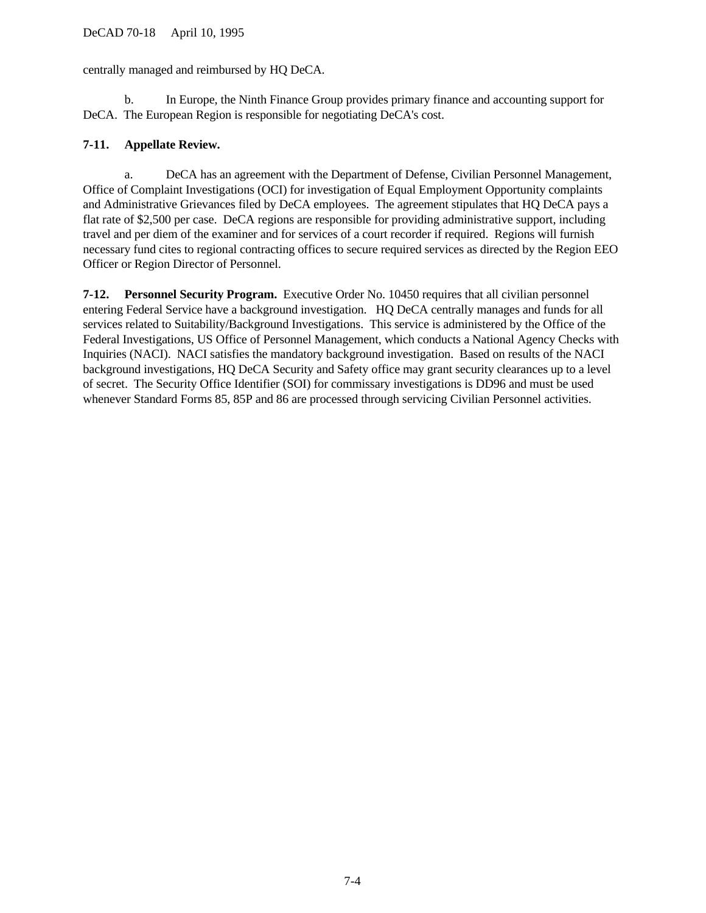centrally managed and reimbursed by HQ DeCA.

b. In Europe, the Ninth Finance Group provides primary finance and accounting support for DeCA. The European Region is responsible for negotiating DeCA's cost.

## **7-11. Appellate Review.**

a. DeCA has an agreement with the Department of Defense, Civilian Personnel Management, Office of Complaint Investigations (OCI) for investigation of Equal Employment Opportunity complaints and Administrative Grievances filed by DeCA employees. The agreement stipulates that HQ DeCA pays a flat rate of \$2,500 per case. DeCA regions are responsible for providing administrative support, including travel and per diem of the examiner and for services of a court recorder if required. Regions will furnish necessary fund cites to regional contracting offices to secure required services as directed by the Region EEO Officer or Region Director of Personnel.

**7-12. Personnel Security Program.** Executive Order No. 10450 requires that all civilian personnel entering Federal Service have a background investigation. HQ DeCA centrally manages and funds for all services related to Suitability/Background Investigations. This service is administered by the Office of the Federal Investigations, US Office of Personnel Management, which conducts a National Agency Checks with Inquiries (NACI). NACI satisfies the mandatory background investigation. Based on results of the NACI background investigations, HQ DeCA Security and Safety office may grant security clearances up to a level of secret. The Security Office Identifier (SOI) for commissary investigations is DD96 and must be used whenever Standard Forms 85, 85P and 86 are processed through servicing Civilian Personnel activities.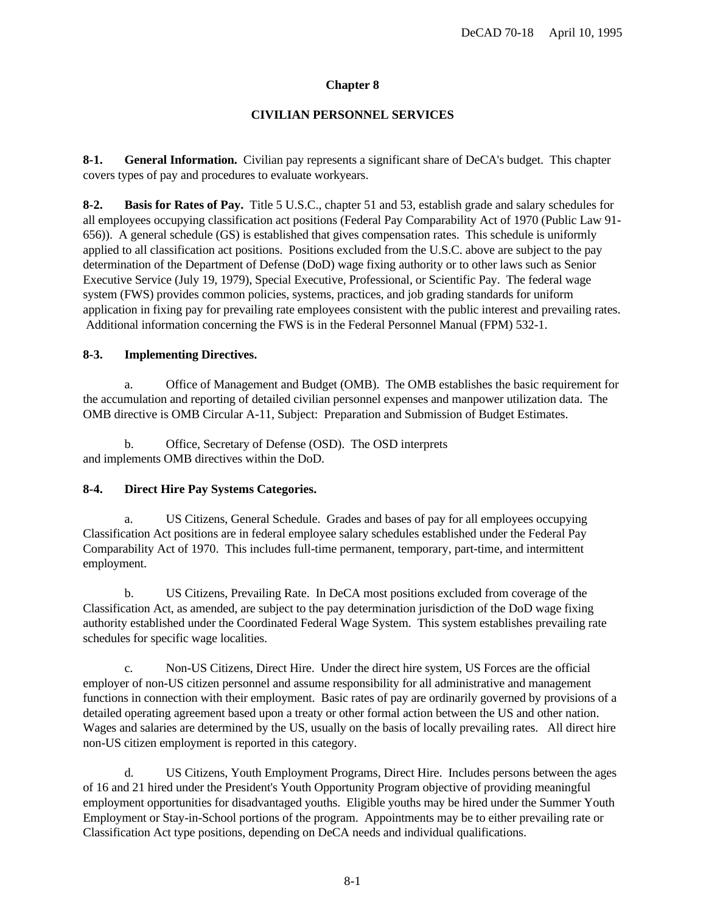## **Chapter 8**

## **CIVILIAN PERSONNEL SERVICES**

**8-1. General Information.** Civilian pay represents a significant share of DeCA's budget. This chapter covers types of pay and procedures to evaluate workyears.

**8-2. Basis for Rates of Pay.** Title 5 U.S.C., chapter 51 and 53, establish grade and salary schedules for all employees occupying classification act positions (Federal Pay Comparability Act of 1970 (Public Law 91- 656)). A general schedule (GS) is established that gives compensation rates. This schedule is uniformly applied to all classification act positions. Positions excluded from the U.S.C. above are subject to the pay determination of the Department of Defense (DoD) wage fixing authority or to other laws such as Senior Executive Service (July 19, 1979), Special Executive, Professional, or Scientific Pay. The federal wage system (FWS) provides common policies, systems, practices, and job grading standards for uniform application in fixing pay for prevailing rate employees consistent with the public interest and prevailing rates. Additional information concerning the FWS is in the Federal Personnel Manual (FPM) 532-1.

### **8-3. Implementing Directives.**

a. Office of Management and Budget (OMB).The OMB establishes the basic requirement for the accumulation and reporting of detailed civilian personnel expenses and manpower utilization data. The OMB directive is OMB Circular A-11, Subject: Preparation and Submission of Budget Estimates.

b. Office, Secretary of Defense (OSD).The OSD interprets and implements OMB directives within the DoD.

### **8-4. Direct Hire Pay Systems Categories.**

a. US Citizens, General Schedule. Grades and bases of pay for all employees occupying Classification Act positions are in federal employee salary schedules established under the Federal Pay Comparability Act of 1970. This includes full-time permanent, temporary, part-time, and intermittent employment.

b. US Citizens, Prevailing Rate. In DeCA most positions excluded from coverage of the Classification Act, as amended, are subject to the pay determination jurisdiction of the DoD wage fixing authority established under the Coordinated Federal Wage System. This system establishes prevailing rate schedules for specific wage localities.

c. Non-US Citizens, Direct Hire. Under the direct hire system, US Forces are the official employer of non-US citizen personnel and assume responsibility for all administrative and management functions in connection with their employment. Basic rates of pay are ordinarily governed by provisions of a detailed operating agreement based upon a treaty or other formal action between the US and other nation. Wages and salaries are determined by the US, usually on the basis of locally prevailing rates. All direct hire non-US citizen employment is reported in this category.

d. US Citizens, Youth Employment Programs, Direct Hire. Includes persons between the ages of 16 and 21 hired under the President's Youth Opportunity Program objective of providing meaningful employment opportunities for disadvantaged youths. Eligible youths may be hired under the Summer Youth Employment or Stay-in-School portions of the program. Appointments may be to either prevailing rate or Classification Act type positions, depending on DeCA needs and individual qualifications.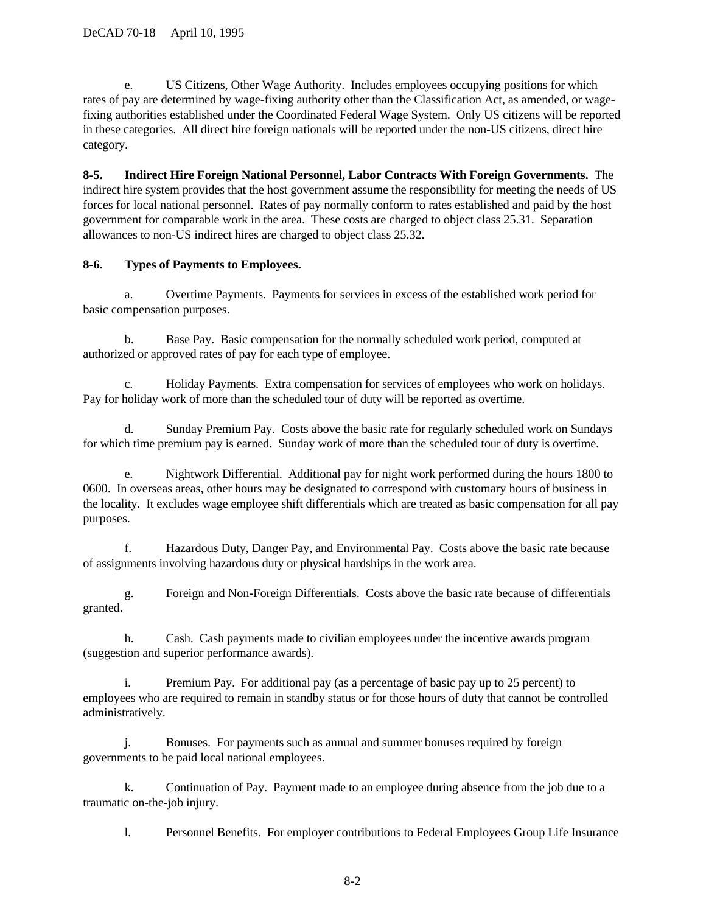e. US Citizens, Other Wage Authority.Includes employees occupying positions for which rates of pay are determined by wage-fixing authority other than the Classification Act, as amended, or wagefixing authorities established under the Coordinated Federal Wage System. Only US citizens will be reported in these categories. All direct hire foreign nationals will be reported under the non-US citizens, direct hire category.

**8-5. Indirect Hire Foreign National Personnel, Labor Contracts With Foreign Governments.** The indirect hire system provides that the host government assume the responsibility for meeting the needs of US forces for local national personnel. Rates of pay normally conform to rates established and paid by the host government for comparable work in the area. These costs are charged to object class 25.31. Separation allowances to non-US indirect hires are charged to object class 25.32.

# **8-6. Types of Payments to Employees.**

a. Overtime Payments. Payments for services in excess of the established work period for basic compensation purposes.

b. Base Pay.Basic compensation for the normally scheduled work period, computed at authorized or approved rates of pay for each type of employee.

c. Holiday Payments. Extra compensation for services of employees who work on holidays. Pay for holiday work of more than the scheduled tour of duty will be reported as overtime.

d. Sunday Premium Pay. Costs above the basic rate for regularly scheduled work on Sundays for which time premium pay is earned. Sunday work of more than the scheduled tour of duty is overtime.

e. Nightwork Differential. Additional pay for night work performed during the hours 1800 to 0600. In overseas areas, other hours may be designated to correspond with customary hours of business in the locality. It excludes wage employee shift differentials which are treated as basic compensation for all pay purposes.

f. Hazardous Duty, Danger Pay, and Environmental Pay.Costs above the basic rate because of assignments involving hazardous duty or physical hardships in the work area.

g. Foreign and Non-Foreign Differentials. Costs above the basic rate because of differentials granted.

h. Cash. Cash payments made to civilian employees under the incentive awards program (suggestion and superior performance awards).

i. Premium Pay.For additional pay (as a percentage of basic pay up to 25 percent) to employees who are required to remain in standby status or for those hours of duty that cannot be controlled administratively.

j. Bonuses. For payments such as annual and summer bonuses required by foreign governments to be paid local national employees.

k. Continuation of Pay. Payment made to an employee during absence from the job due to a traumatic on-the-job injury.

l. Personnel Benefits. For employer contributions to Federal Employees Group Life Insurance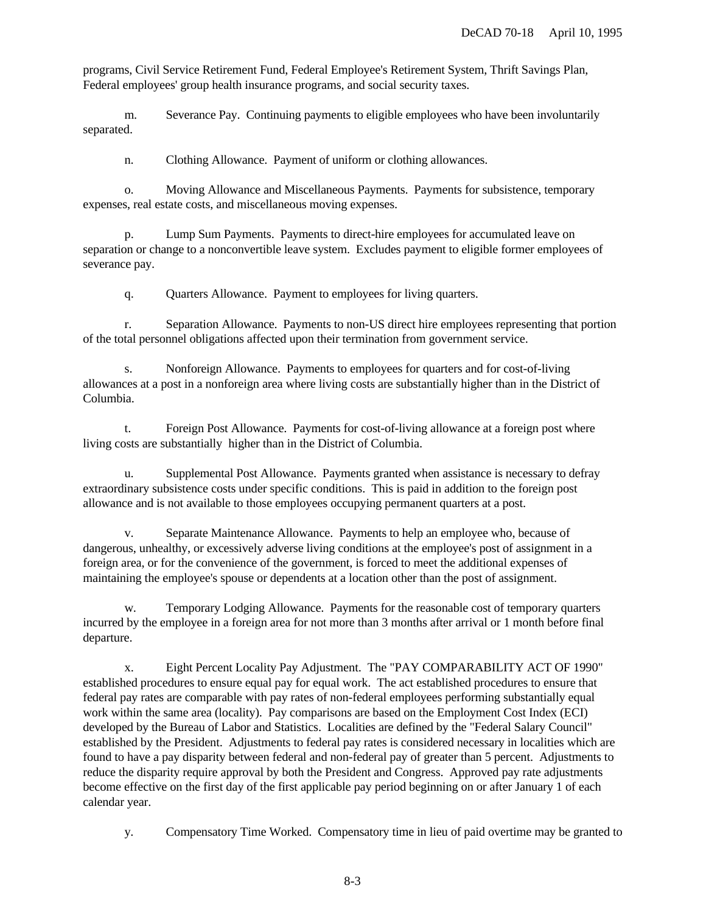programs, Civil Service Retirement Fund, Federal Employee's Retirement System, Thrift Savings Plan, Federal employees' group health insurance programs, and social security taxes.

m. Severance Pay.Continuing payments to eligible employees who have been involuntarily separated.

n. Clothing Allowance. Payment of uniform or clothing allowances.

o. Moving Allowance and Miscellaneous Payments.Payments for subsistence, temporary expenses, real estate costs, and miscellaneous moving expenses.

p. Lump Sum Payments. Payments to direct-hire employees for accumulated leave on separation or change to a nonconvertible leave system. Excludes payment to eligible former employees of severance pay.

q. Quarters Allowance.Payment to employees for living quarters.

r. Separation Allowance.Payments to non-US direct hire employees representing that portion of the total personnel obligations affected upon their termination from government service.

s. Nonforeign Allowance.Payments to employees for quarters and for cost-of-living allowances at a post in a nonforeign area where living costs are substantially higher than in the District of Columbia.

t. Foreign Post Allowance. Payments for cost-of-living allowance at a foreign post where living costs are substantially higher than in the District of Columbia.

u. Supplemental Post Allowance.Payments granted when assistance is necessary to defray extraordinary subsistence costs under specific conditions. This is paid in addition to the foreign post allowance and is not available to those employees occupying permanent quarters at a post.

v. Separate Maintenance Allowance. Payments to help an employee who, because of dangerous, unhealthy, or excessively adverse living conditions at the employee's post of assignment in a foreign area, or for the convenience of the government, is forced to meet the additional expenses of maintaining the employee's spouse or dependents at a location other than the post of assignment.

w. Temporary Lodging Allowance. Payments for the reasonable cost of temporary quarters incurred by the employee in a foreign area for not more than 3 months after arrival or 1 month before final departure.

x. Eight Percent Locality Pay Adjustment. The "PAY COMPARABILITY ACT OF 1990" established procedures to ensure equal pay for equal work. The act established procedures to ensure that federal pay rates are comparable with pay rates of non-federal employees performing substantially equal work within the same area (locality). Pay comparisons are based on the Employment Cost Index (ECI) developed by the Bureau of Labor and Statistics. Localities are defined by the "Federal Salary Council" established by the President. Adjustments to federal pay rates is considered necessary in localities which are found to have a pay disparity between federal and non-federal pay of greater than 5 percent. Adjustments to reduce the disparity require approval by both the President and Congress. Approved pay rate adjustments become effective on the first day of the first applicable pay period beginning on or after January 1 of each calendar year.

y. Compensatory Time Worked. Compensatory time in lieu of paid overtime may be granted to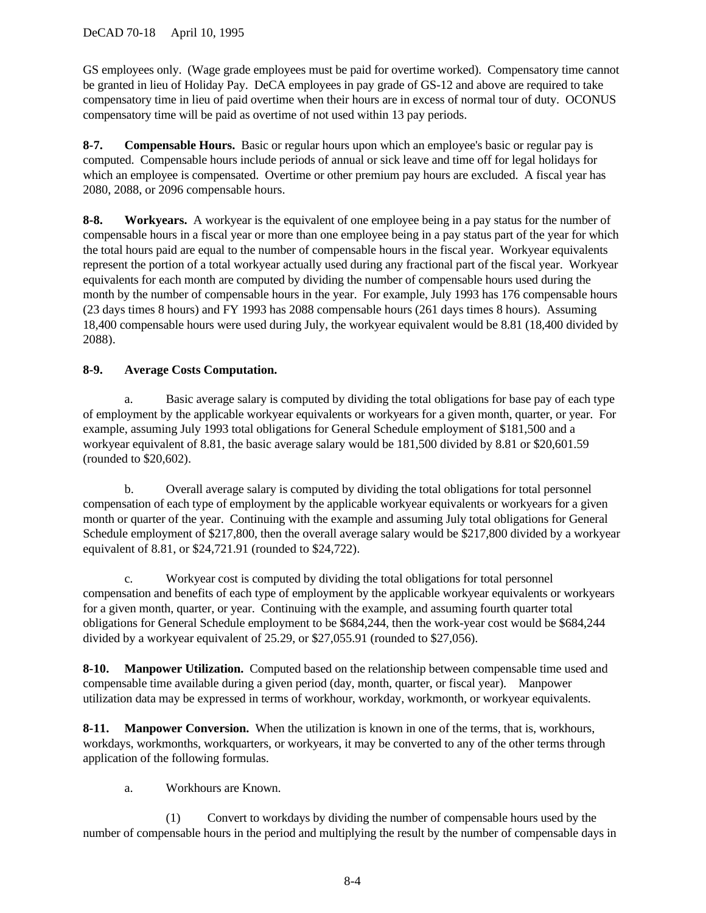GS employees only. (Wage grade employees must be paid for overtime worked). Compensatory time cannot be granted in lieu of Holiday Pay. DeCA employees in pay grade of GS-12 and above are required to take compensatory time in lieu of paid overtime when their hours are in excess of normal tour of duty. OCONUS compensatory time will be paid as overtime of not used within 13 pay periods.

**8-7. Compensable Hours.** Basic or regular hours upon which an employee's basic or regular pay is computed. Compensable hours include periods of annual or sick leave and time off for legal holidays for which an employee is compensated. Overtime or other premium pay hours are excluded. A fiscal year has 2080, 2088, or 2096 compensable hours.

**8-8. Workyears.** A workyear is the equivalent of one employee being in a pay status for the number of compensable hours in a fiscal year or more than one employee being in a pay status part of the year for which the total hours paid are equal to the number of compensable hours in the fiscal year. Workyear equivalents represent the portion of a total workyear actually used during any fractional part of the fiscal year. Workyear equivalents for each month are computed by dividing the number of compensable hours used during the month by the number of compensable hours in the year. For example, July 1993 has 176 compensable hours (23 days times 8 hours) and FY 1993 has 2088 compensable hours (261 days times 8 hours). Assuming 18,400 compensable hours were used during July, the workyear equivalent would be 8.81 (18,400 divided by 2088).

# **8-9. Average Costs Computation.**

a. Basic average salary is computed by dividing the total obligations for base pay of each type of employment by the applicable workyear equivalents or workyears for a given month, quarter, or year. For example, assuming July 1993 total obligations for General Schedule employment of \$181,500 and a workyear equivalent of 8.81, the basic average salary would be 181,500 divided by 8.81 or \$20,601.59 (rounded to \$20,602).

b. Overall average salary is computed by dividing the total obligations for total personnel compensation of each type of employment by the applicable workyear equivalents or workyears for a given month or quarter of the year. Continuing with the example and assuming July total obligations for General Schedule employment of \$217,800, then the overall average salary would be \$217,800 divided by a workyear equivalent of 8.81, or \$24,721.91 (rounded to \$24,722).

c. Workyear cost is computed by dividing the total obligations for total personnel compensation and benefits of each type of employment by the applicable workyear equivalents or workyears for a given month, quarter, or year. Continuing with the example, and assuming fourth quarter total obligations for General Schedule employment to be \$684,244, then the work-year cost would be \$684,244 divided by a workyear equivalent of 25.29, or \$27,055.91 (rounded to \$27,056).

**8-10. Manpower Utilization.** Computed based on the relationship between compensable time used and compensable time available during a given period (day, month, quarter, or fiscal year). Manpower utilization data may be expressed in terms of workhour, workday, workmonth, or workyear equivalents.

**8-11. Manpower Conversion.** When the utilization is known in one of the terms, that is, workhours, workdays, workmonths, workquarters, or workyears, it may be converted to any of the other terms through application of the following formulas.

a. Workhours are Known.

(1) Convert to workdays by dividing the number of compensable hours used by the number of compensable hours in the period and multiplying the result by the number of compensable days in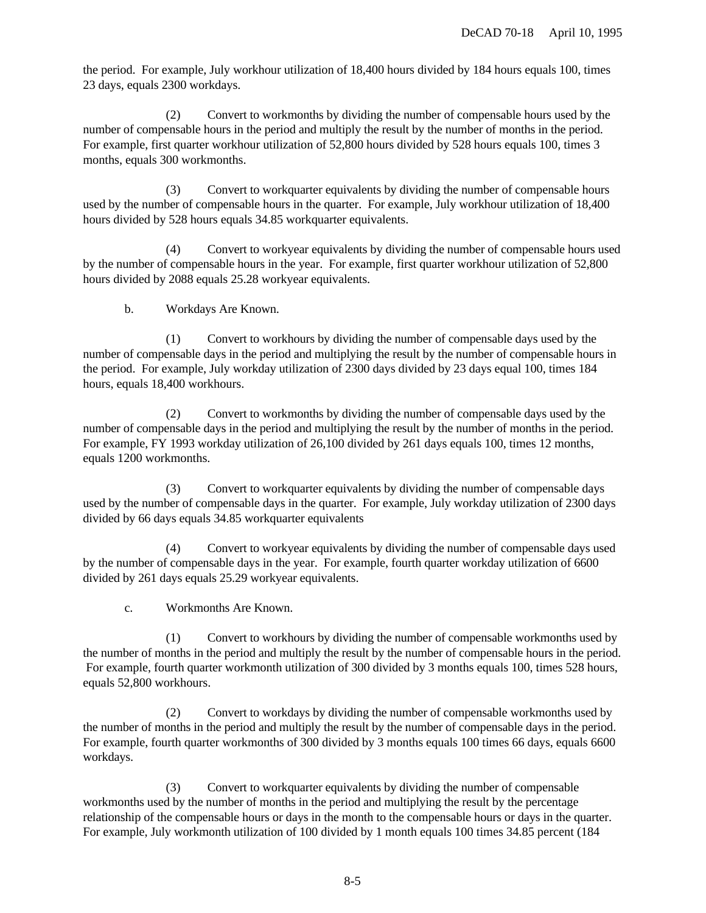the period. For example, July workhour utilization of 18,400 hours divided by 184 hours equals 100, times 23 days, equals 2300 workdays.

(2) Convert to workmonths by dividing the number of compensable hours used by the number of compensable hours in the period and multiply the result by the number of months in the period. For example, first quarter workhour utilization of 52,800 hours divided by 528 hours equals 100, times 3 months, equals 300 workmonths.

(3) Convert to workquarter equivalents by dividing the number of compensable hours used by the number of compensable hours in the quarter. For example, July workhour utilization of 18,400 hours divided by 528 hours equals 34.85 workquarter equivalents.

(4) Convert to workyear equivalents by dividing the number of compensable hours used by the number of compensable hours in the year. For example, first quarter workhour utilization of 52,800 hours divided by 2088 equals 25.28 workyear equivalents.

b. Workdays Are Known.

(1) Convert to workhours by dividing the number of compensable days used by the number of compensable days in the period and multiplying the result by the number of compensable hours in the period. For example, July workday utilization of 2300 days divided by 23 days equal 100, times 184 hours, equals 18,400 workhours.

(2) Convert to workmonths by dividing the number of compensable days used by the number of compensable days in the period and multiplying the result by the number of months in the period. For example, FY 1993 workday utilization of 26,100 divided by 261 days equals 100, times 12 months, equals 1200 workmonths.

(3) Convert to workquarter equivalents by dividing the number of compensable days used by the number of compensable days in the quarter. For example, July workday utilization of 2300 days divided by 66 days equals 34.85 workquarter equivalents

(4) Convert to workyear equivalents by dividing the number of compensable days used by the number of compensable days in the year. For example, fourth quarter workday utilization of 6600 divided by 261 days equals 25.29 workyear equivalents.

c. Workmonths Are Known.

(1) Convert to workhours by dividing the number of compensable workmonths used by the number of months in the period and multiply the result by the number of compensable hours in the period. For example, fourth quarter workmonth utilization of 300 divided by 3 months equals 100, times 528 hours, equals 52,800 workhours.

(2) Convert to workdays by dividing the number of compensable workmonths used by the number of months in the period and multiply the result by the number of compensable days in the period. For example, fourth quarter workmonths of 300 divided by 3 months equals 100 times 66 days, equals 6600 workdays.

(3) Convert to workquarter equivalents by dividing the number of compensable workmonths used by the number of months in the period and multiplying the result by the percentage relationship of the compensable hours or days in the month to the compensable hours or days in the quarter. For example, July workmonth utilization of 100 divided by 1 month equals 100 times 34.85 percent (184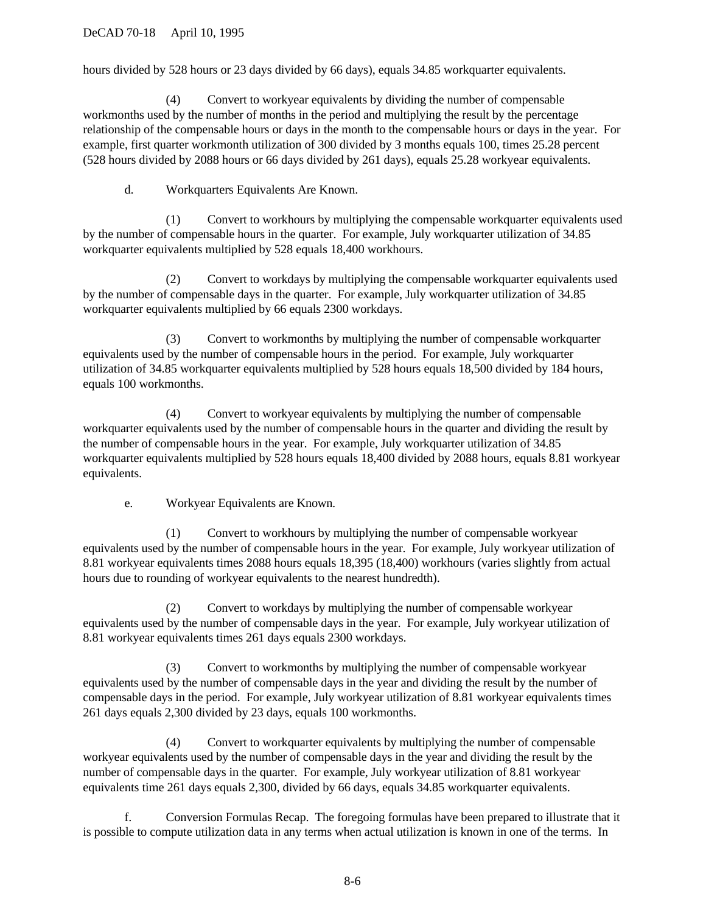hours divided by 528 hours or 23 days divided by 66 days), equals 34.85 workquarter equivalents.

(4) Convert to workyear equivalents by dividing the number of compensable workmonths used by the number of months in the period and multiplying the result by the percentage relationship of the compensable hours or days in the month to the compensable hours or days in the year. For example, first quarter workmonth utilization of 300 divided by 3 months equals 100, times 25.28 percent (528 hours divided by 2088 hours or 66 days divided by 261 days), equals 25.28 workyear equivalents.

d. Workquarters Equivalents Are Known.

(1) Convert to workhours by multiplying the compensable workquarter equivalents used by the number of compensable hours in the quarter. For example, July workquarter utilization of 34.85 workquarter equivalents multiplied by 528 equals 18,400 workhours.

(2) Convert to workdays by multiplying the compensable workquarter equivalents used by the number of compensable days in the quarter. For example, July workquarter utilization of 34.85 workquarter equivalents multiplied by 66 equals 2300 workdays.

(3) Convert to workmonths by multiplying the number of compensable workquarter equivalents used by the number of compensable hours in the period. For example, July workquarter utilization of 34.85 workquarter equivalents multiplied by 528 hours equals 18,500 divided by 184 hours, equals 100 workmonths.

(4) Convert to workyear equivalents by multiplying the number of compensable workquarter equivalents used by the number of compensable hours in the quarter and dividing the result by the number of compensable hours in the year. For example, July workquarter utilization of 34.85 workquarter equivalents multiplied by 528 hours equals 18,400 divided by 2088 hours, equals 8.81 workyear equivalents.

e. Workyear Equivalents are Known.

(1) Convert to workhours by multiplying the number of compensable workyear equivalents used by the number of compensable hours in the year. For example, July workyear utilization of 8.81 workyear equivalents times 2088 hours equals 18,395 (18,400) workhours (varies slightly from actual hours due to rounding of workyear equivalents to the nearest hundredth).

(2) Convert to workdays by multiplying the number of compensable workyear equivalents used by the number of compensable days in the year. For example, July workyear utilization of 8.81 workyear equivalents times 261 days equals 2300 workdays.

(3) Convert to workmonths by multiplying the number of compensable workyear equivalents used by the number of compensable days in the year and dividing the result by the number of compensable days in the period. For example, July workyear utilization of 8.81 workyear equivalents times 261 days equals 2,300 divided by 23 days, equals 100 workmonths.

(4) Convert to workquarter equivalents by multiplying the number of compensable workyear equivalents used by the number of compensable days in the year and dividing the result by the number of compensable days in the quarter. For example, July workyear utilization of 8.81 workyear equivalents time 261 days equals 2,300, divided by 66 days, equals 34.85 workquarter equivalents.

f. Conversion Formulas Recap. The foregoing formulas have been prepared to illustrate that it is possible to compute utilization data in any terms when actual utilization is known in one of the terms. In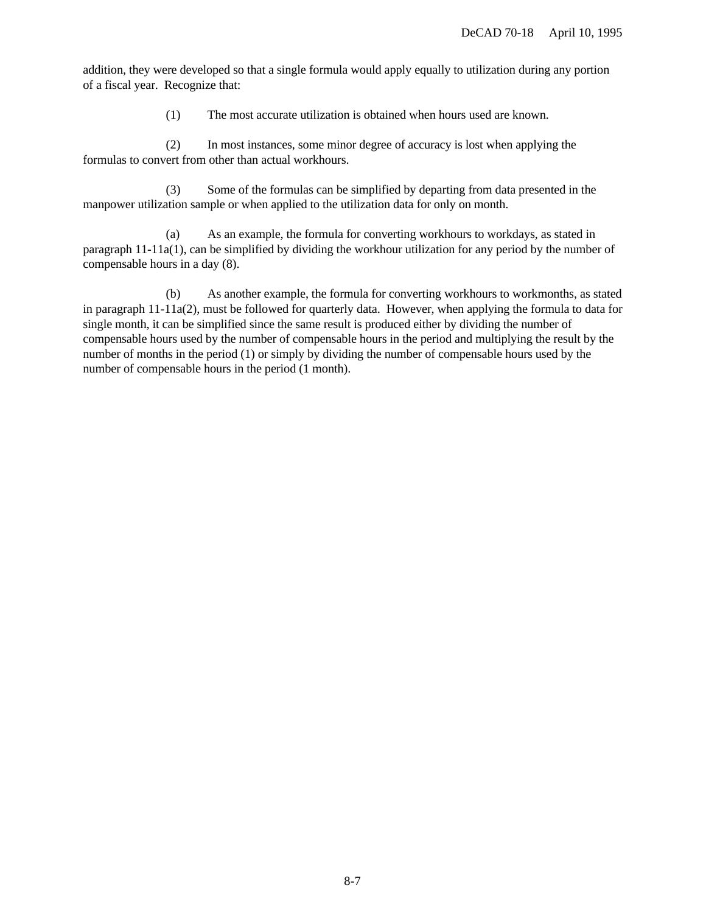addition, they were developed so that a single formula would apply equally to utilization during any portion of a fiscal year. Recognize that:

(1) The most accurate utilization is obtained when hours used are known.

(2) In most instances, some minor degree of accuracy is lost when applying the formulas to convert from other than actual workhours.

(3) Some of the formulas can be simplified by departing from data presented in the manpower utilization sample or when applied to the utilization data for only on month.

(a) As an example, the formula for converting workhours to workdays, as stated in paragraph 11-11a(1), can be simplified by dividing the workhour utilization for any period by the number of compensable hours in a day (8).

(b) As another example, the formula for converting workhours to workmonths, as stated in paragraph 11-11a(2), must be followed for quarterly data. However, when applying the formula to data for single month, it can be simplified since the same result is produced either by dividing the number of compensable hours used by the number of compensable hours in the period and multiplying the result by the number of months in the period (1) or simply by dividing the number of compensable hours used by the number of compensable hours in the period (1 month).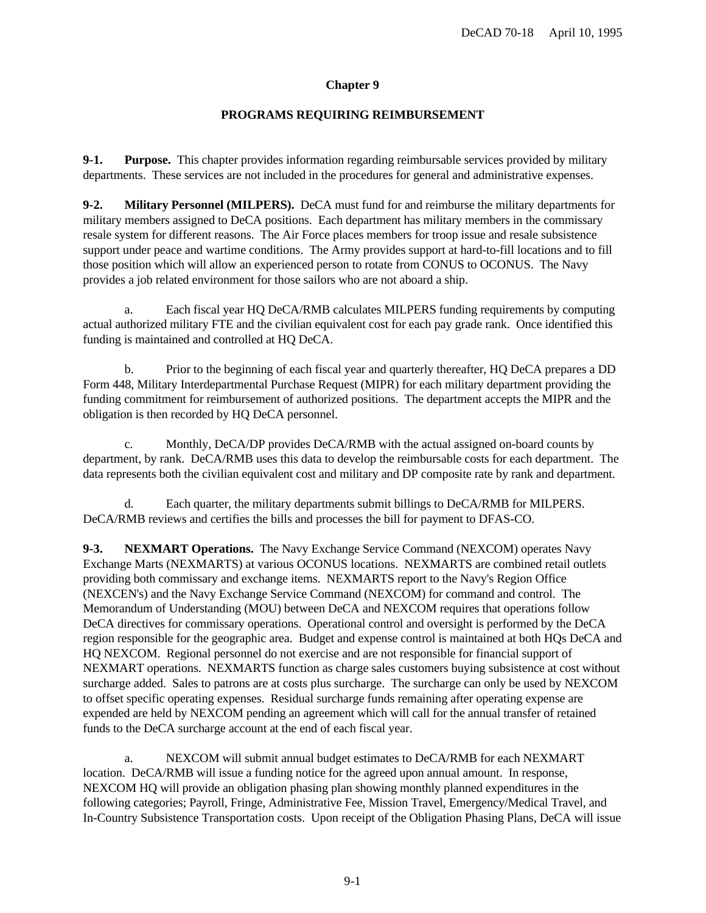## **Chapter 9**

## **PROGRAMS REQUIRING REIMBURSEMENT**

**9-1. Purpose.** This chapter provides information regarding reimbursable services provided by military departments. These services are not included in the procedures for general and administrative expenses.

**9-2. Military Personnel (MILPERS).** DeCA must fund for and reimburse the military departments for military members assigned to DeCA positions. Each department has military members in the commissary resale system for different reasons. The Air Force places members for troop issue and resale subsistence support under peace and wartime conditions. The Army provides support at hard-to-fill locations and to fill those position which will allow an experienced person to rotate from CONUS to OCONUS. The Navy provides a job related environment for those sailors who are not aboard a ship.

a. Each fiscal year HQ DeCA/RMB calculates MILPERS funding requirements by computing actual authorized military FTE and the civilian equivalent cost for each pay grade rank. Once identified this funding is maintained and controlled at HQ DeCA.

b. Prior to the beginning of each fiscal year and quarterly thereafter, HQ DeCA prepares a DD Form 448, Military Interdepartmental Purchase Request (MIPR) for each military department providing the funding commitment for reimbursement of authorized positions. The department accepts the MIPR and the obligation is then recorded by HQ DeCA personnel.

c. Monthly, DeCA/DP provides DeCA/RMB with the actual assigned on-board counts by department, by rank. DeCA/RMB uses this data to develop the reimbursable costs for each department. The data represents both the civilian equivalent cost and military and DP composite rate by rank and department.

d. Each quarter, the military departments submit billings to DeCA/RMB for MILPERS. DeCA/RMB reviews and certifies the bills and processes the bill for payment to DFAS-CO.

**9-3. NEXMART Operations.** The Navy Exchange Service Command (NEXCOM) operates Navy Exchange Marts (NEXMARTS) at various OCONUS locations. NEXMARTS are combined retail outlets providing both commissary and exchange items. NEXMARTS report to the Navy's Region Office (NEXCEN's) and the Navy Exchange Service Command (NEXCOM) for command and control. The Memorandum of Understanding (MOU) between DeCA and NEXCOM requires that operations follow DeCA directives for commissary operations. Operational control and oversight is performed by the DeCA region responsible for the geographic area. Budget and expense control is maintained at both HQs DeCA and HQ NEXCOM. Regional personnel do not exercise and are not responsible for financial support of NEXMART operations. NEXMARTS function as charge sales customers buying subsistence at cost without surcharge added. Sales to patrons are at costs plus surcharge. The surcharge can only be used by NEXCOM to offset specific operating expenses. Residual surcharge funds remaining after operating expense are expended are held by NEXCOM pending an agreement which will call for the annual transfer of retained funds to the DeCA surcharge account at the end of each fiscal year.

a. NEXCOM will submit annual budget estimates to DeCA/RMB for each NEXMART location. DeCA/RMB will issue a funding notice for the agreed upon annual amount. In response, NEXCOM HQ will provide an obligation phasing plan showing monthly planned expenditures in the following categories; Payroll, Fringe, Administrative Fee, Mission Travel, Emergency/Medical Travel, and In-Country Subsistence Transportation costs. Upon receipt of the Obligation Phasing Plans, DeCA will issue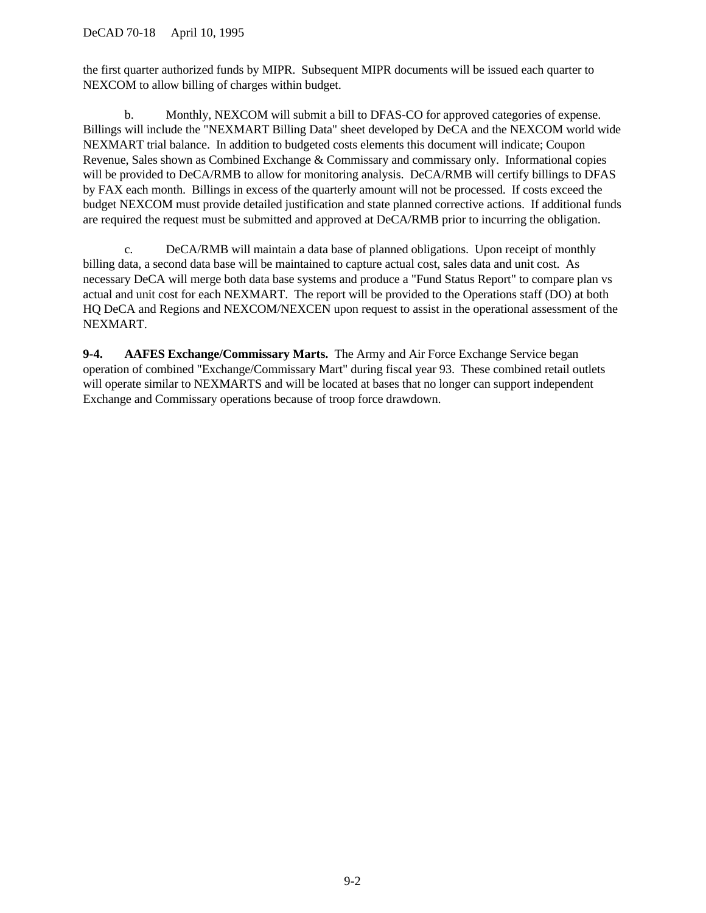the first quarter authorized funds by MIPR. Subsequent MIPR documents will be issued each quarter to NEXCOM to allow billing of charges within budget.

b. Monthly, NEXCOM will submit a bill to DFAS-CO for approved categories of expense. Billings will include the "NEXMART Billing Data" sheet developed by DeCA and the NEXCOM world wide NEXMART trial balance. In addition to budgeted costs elements this document will indicate; Coupon Revenue, Sales shown as Combined Exchange & Commissary and commissary only. Informational copies will be provided to DeCA/RMB to allow for monitoring analysis. DeCA/RMB will certify billings to DFAS by FAX each month. Billings in excess of the quarterly amount will not be processed. If costs exceed the budget NEXCOM must provide detailed justification and state planned corrective actions. If additional funds are required the request must be submitted and approved at DeCA/RMB prior to incurring the obligation.

c. DeCA/RMB will maintain a data base of planned obligations. Upon receipt of monthly billing data, a second data base will be maintained to capture actual cost, sales data and unit cost. As necessary DeCA will merge both data base systems and produce a "Fund Status Report" to compare plan vs actual and unit cost for each NEXMART. The report will be provided to the Operations staff (DO) at both HQ DeCA and Regions and NEXCOM/NEXCEN upon request to assist in the operational assessment of the NEXMART.

**9-4. AAFES Exchange/Commissary Marts.** The Army and Air Force Exchange Service began operation of combined "Exchange/Commissary Mart" during fiscal year 93. These combined retail outlets will operate similar to NEXMARTS and will be located at bases that no longer can support independent Exchange and Commissary operations because of troop force drawdown.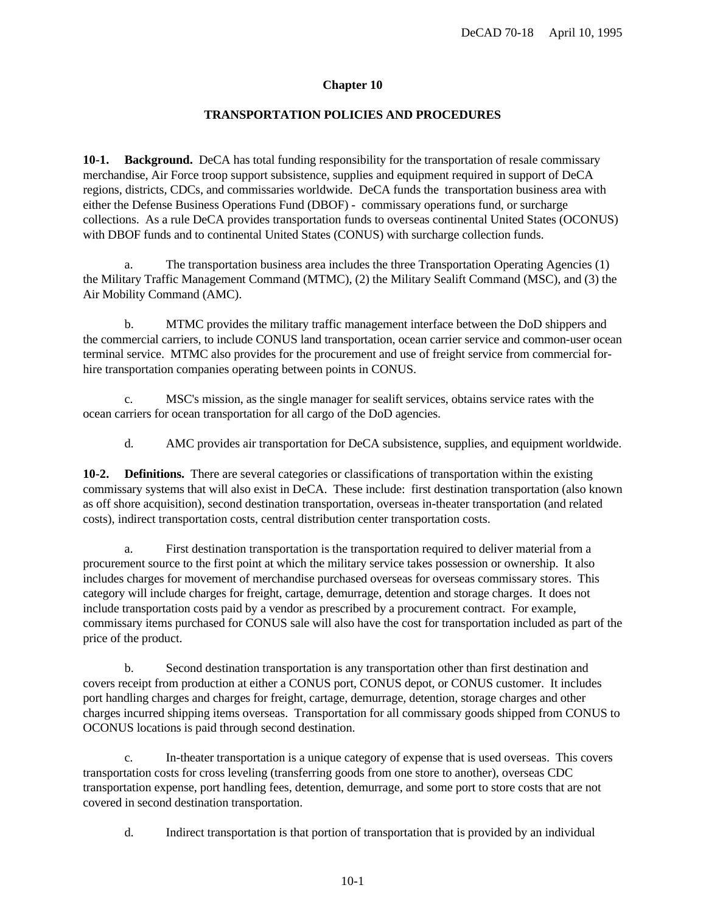#### **Chapter 10**

#### **TRANSPORTATION POLICIES AND PROCEDURES**

**10-1. Background.** DeCA has total funding responsibility for the transportation of resale commissary merchandise, Air Force troop support subsistence, supplies and equipment required in support of DeCA regions, districts, CDCs, and commissaries worldwide. DeCA funds the transportation business area with either the Defense Business Operations Fund (DBOF) - commissary operations fund, or surcharge collections. As a rule DeCA provides transportation funds to overseas continental United States (OCONUS) with DBOF funds and to continental United States (CONUS) with surcharge collection funds.

a. The transportation business area includes the three Transportation Operating Agencies (1) the Military Traffic Management Command (MTMC), (2) the Military Sealift Command (MSC), and (3) the Air Mobility Command (AMC).

b. MTMC provides the military traffic management interface between the DoD shippers and the commercial carriers, to include CONUS land transportation, ocean carrier service and common-user ocean terminal service. MTMC also provides for the procurement and use of freight service from commercial forhire transportation companies operating between points in CONUS.

c. MSC's mission, as the single manager for sealift services, obtains service rates with the ocean carriers for ocean transportation for all cargo of the DoD agencies.

d. AMC provides air transportation for DeCA subsistence, supplies, and equipment worldwide.

**10-2. Definitions.** There are several categories or classifications of transportation within the existing commissary systems that will also exist in DeCA. These include: first destination transportation (also known as off shore acquisition), second destination transportation, overseas in-theater transportation (and related costs), indirect transportation costs, central distribution center transportation costs.

a. First destination transportation is the transportation required to deliver material from a procurement source to the first point at which the military service takes possession or ownership. It also includes charges for movement of merchandise purchased overseas for overseas commissary stores. This category will include charges for freight, cartage, demurrage, detention and storage charges. It does not include transportation costs paid by a vendor as prescribed by a procurement contract. For example, commissary items purchased for CONUS sale will also have the cost for transportation included as part of the price of the product.

b. Second destination transportation is any transportation other than first destination and covers receipt from production at either a CONUS port, CONUS depot, or CONUS customer. It includes port handling charges and charges for freight, cartage, demurrage, detention, storage charges and other charges incurred shipping items overseas. Transportation for all commissary goods shipped from CONUS to OCONUS locations is paid through second destination.

c. In-theater transportation is a unique category of expense that is used overseas. This covers transportation costs for cross leveling (transferring goods from one store to another), overseas CDC transportation expense, port handling fees, detention, demurrage, and some port to store costs that are not covered in second destination transportation.

d. Indirect transportation is that portion of transportation that is provided by an individual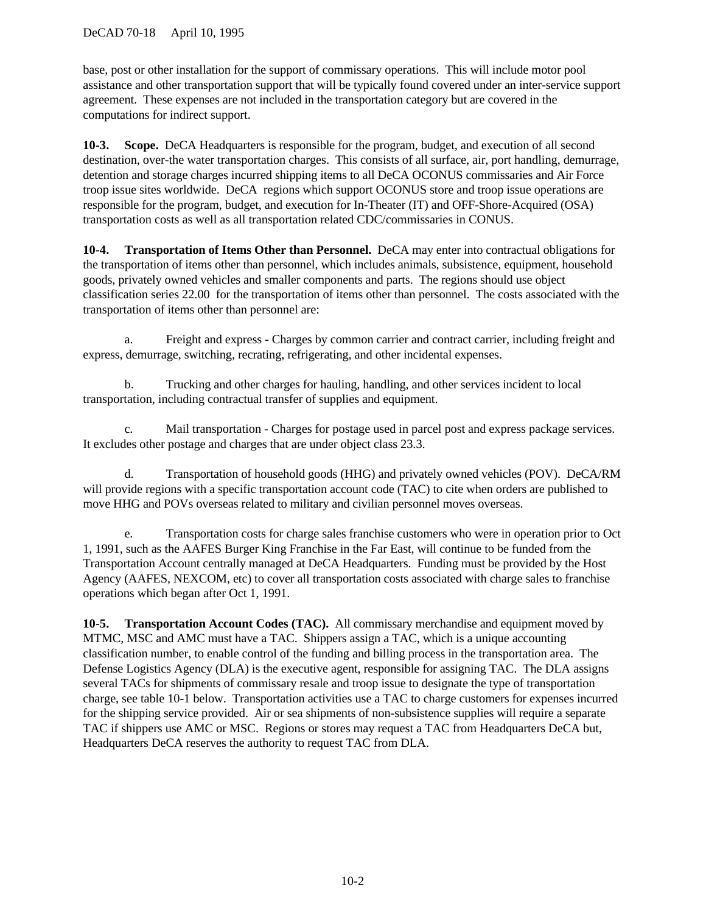## DeCAD 70-18 April 10, 1995

base, post or other installation for the support of commissary operations. This will include motor pool assistance and other transportation support that will be typically found covered under an inter-service support agreement. These expenses are not included in the transportation category but are covered in the computations for indirect support.

**10-3. Scope.** DeCA Headquarters is responsible for the program, budget, and execution of all second destination, over-the water transportation charges. This consists of all surface, air, port handling, demurrage, detention and storage charges incurred shipping items to all DeCA OCONUS commissaries and Air Force troop issue sites worldwide. DeCA regions which support OCONUS store and troop issue operations are responsible for the program, budget, and execution for In-Theater (IT) and OFF-Shore-Acquired (OSA) transportation costs as well as all transportation related CDC/commissaries in CONUS.

**10-4. Transportation of Items Other than Personnel.** DeCA may enter into contractual obligations for the transportation of items other than personnel, which includes animals, subsistence, equipment, household goods, privately owned vehicles and smaller components and parts. The regions should use object classification series 22.00 for the transportation of items other than personnel. The costs associated with the transportation of items other than personnel are:

a. Freight and express - Charges by common carrier and contract carrier, including freight and express, demurrage, switching, recrating, refrigerating, and other incidental expenses.

b. Trucking and other charges for hauling, handling, and other services incident to local transportation, including contractual transfer of supplies and equipment.

c. Mail transportation - Charges for postage used in parcel post and express package services. It excludes other postage and charges that are under object class 23.3.

d. Transportation of household goods (HHG) and privately owned vehicles (POV). DeCA/RM will provide regions with a specific transportation account code (TAC) to cite when orders are published to move HHG and POVs overseas related to military and civilian personnel moves overseas.

e. Transportation costs for charge sales franchise customers who were in operation prior to Oct 1, 1991, such as the AAFES Burger King Franchise in the Far East, will continue to be funded from the Transportation Account centrally managed at DeCA Headquarters. Funding must be provided by the Host Agency (AAFES, NEXCOM, etc) to cover all transportation costs associated with charge sales to franchise operations which began after Oct 1, 1991.

**10-5. Transportation Account Codes (TAC).** All commissary merchandise and equipment moved by MTMC, MSC and AMC must have a TAC. Shippers assign a TAC, which is a unique accounting classification number, to enable control of the funding and billing process in the transportation area. The Defense Logistics Agency (DLA) is the executive agent, responsible for assigning TAC. The DLA assigns several TACs for shipments of commissary resale and troop issue to designate the type of transportation charge, see [table 10-1](#page-63-0) below. Transportation activities use a TAC to charge customers for expenses incurred for the shipping service provided. Air or sea shipments of non-subsistence supplies will require a separate TAC if shippers use AMC or MSC. Regions or stores may request a TAC from Headquarters DeCA but, Headquarters DeCA reserves the authority to request TAC from DLA.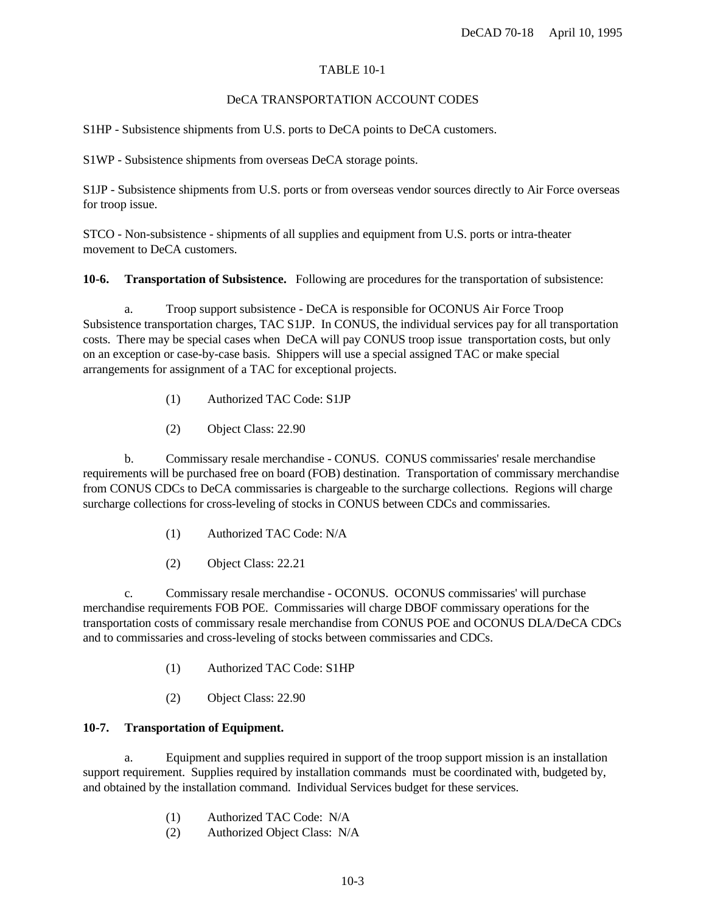## TABLE 10-1

#### DeCA TRANSPORTATION ACCOUNT CODES

<span id="page-63-0"></span>S1HP - Subsistence shipments from U.S. ports to DeCA points to DeCA customers.

S1WP - Subsistence shipments from overseas DeCA storage points.

S1JP - Subsistence shipments from U.S. ports or from overseas vendor sources directly to Air Force overseas for troop issue.

STCO - Non-subsistence - shipments of all supplies and equipment from U.S. ports or intra-theater movement to DeCA customers.

**10-6. Transportation of Subsistence.** Following are procedures for the transportation of subsistence:

a. Troop support subsistence - DeCA is responsible for OCONUS Air Force Troop Subsistence transportation charges, TAC S1JP. In CONUS, the individual services pay for all transportation costs. There may be special cases when DeCA will pay CONUS troop issue transportation costs, but only on an exception or case-by-case basis. Shippers will use a special assigned TAC or make special arrangements for assignment of a TAC for exceptional projects.

- (1) Authorized TAC Code: S1JP
- (2) Object Class: 22.90

b. Commissary resale merchandise - CONUS. CONUS commissaries' resale merchandise requirements will be purchased free on board (FOB) destination. Transportation of commissary merchandise from CONUS CDCs to DeCA commissaries is chargeable to the surcharge collections. Regions will charge surcharge collections for cross-leveling of stocks in CONUS between CDCs and commissaries.

- (1) Authorized TAC Code: N/A
- (2) Object Class: 22.21

c. Commissary resale merchandise - OCONUS. OCONUS commissaries' will purchase merchandise requirements FOB POE. Commissaries will charge DBOF commissary operations for the transportation costs of commissary resale merchandise from CONUS POE and OCONUS DLA/DeCA CDCs and to commissaries and cross-leveling of stocks between commissaries and CDCs.

- (1) Authorized TAC Code: S1HP
- (2) Object Class: 22.90

### **10-7. Transportation of Equipment.**

a. Equipment and supplies required in support of the troop support mission is an installation support requirement. Supplies required by installation commands must be coordinated with, budgeted by, and obtained by the installation command. Individual Services budget for these services.

- (1) Authorized TAC Code: N/A
- (2) Authorized Object Class: N/A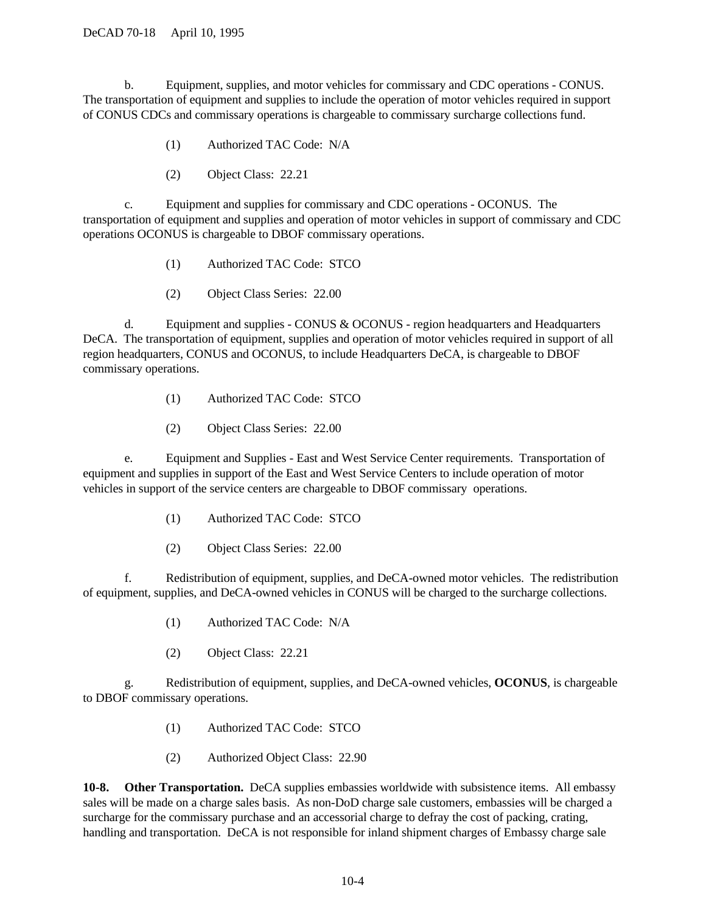b. Equipment, supplies, and motor vehicles for commissary and CDC operations - CONUS. The transportation of equipment and supplies to include the operation of motor vehicles required in support of CONUS CDCs and commissary operations is chargeable to commissary surcharge collections fund.

- (1) Authorized TAC Code: N/A
- (2) Object Class: 22.21

c. Equipment and supplies for commissary and CDC operations - OCONUS. The transportation of equipment and supplies and operation of motor vehicles in support of commissary and CDC operations OCONUS is chargeable to DBOF commissary operations.

- (1) Authorized TAC Code: STCO
- (2) Object Class Series: 22.00

d. Equipment and supplies - CONUS & OCONUS - region headquarters and Headquarters DeCA. The transportation of equipment, supplies and operation of motor vehicles required in support of all region headquarters, CONUS and OCONUS, to include Headquarters DeCA, is chargeable to DBOF commissary operations.

- (1) Authorized TAC Code: STCO
- (2) Object Class Series: 22.00

e. Equipment and Supplies - East and West Service Center requirements. Transportation of equipment and supplies in support of the East and West Service Centers to include operation of motor vehicles in support of the service centers are chargeable to DBOF commissary operations.

- (1) Authorized TAC Code: STCO
- (2) Object Class Series: 22.00

f. Redistribution of equipment, supplies, and DeCA-owned motor vehicles. The redistribution of equipment, supplies, and DeCA-owned vehicles in CONUS will be charged to the surcharge collections.

- (1) Authorized TAC Code: N/A
- (2) Object Class: 22.21

g. Redistribution of equipment, supplies, and DeCA-owned vehicles, **OCONUS**, is chargeable to DBOF commissary operations.

- (1) Authorized TAC Code: STCO
- (2) Authorized Object Class: 22.90

**10-8. Other Transportation.** DeCA supplies embassies worldwide with subsistence items. All embassy sales will be made on a charge sales basis. As non-DoD charge sale customers, embassies will be charged a surcharge for the commissary purchase and an accessorial charge to defray the cost of packing, crating, handling and transportation. DeCA is not responsible for inland shipment charges of Embassy charge sale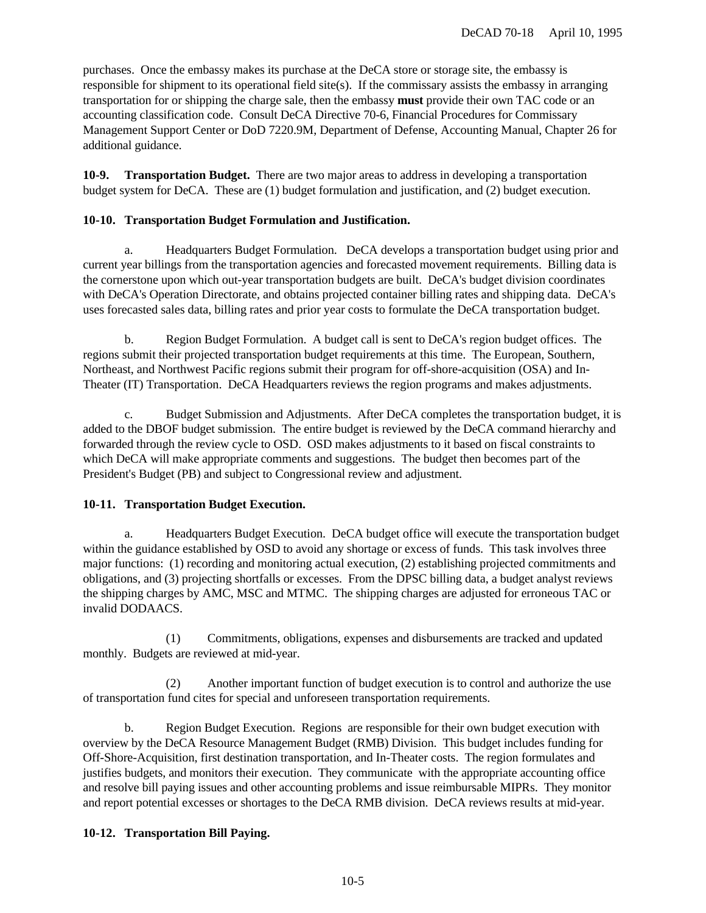purchases. Once the embassy makes its purchase at the DeCA store or storage site, the embassy is responsible for shipment to its operational field site(s). If the commissary assists the embassy in arranging transportation for or shipping the charge sale, then the embassy **must** provide their own TAC code or an accounting classification code. Consult DeCA Directive 70-6, Financial Procedures for Commissary Management Support Center or DoD 7220.9M, Department of Defense, Accounting Manual, Chapter 26 for additional guidance.

**10-9. Transportation Budget.** There are two major areas to address in developing a transportation budget system for DeCA. These are (1) budget formulation and justification, and (2) budget execution.

### **10-10. Transportation Budget Formulation and Justification.**

a. Headquarters Budget Formulation. DeCA develops a transportation budget using prior and current year billings from the transportation agencies and forecasted movement requirements. Billing data is the cornerstone upon which out-year transportation budgets are built. DeCA's budget division coordinates with DeCA's Operation Directorate, and obtains projected container billing rates and shipping data. DeCA's uses forecasted sales data, billing rates and prior year costs to formulate the DeCA transportation budget.

b. Region Budget Formulation. A budget call is sent to DeCA's region budget offices. The regions submit their projected transportation budget requirements at this time. The European, Southern, Northeast, and Northwest Pacific regions submit their program for off-shore-acquisition (OSA) and In-Theater (IT) Transportation. DeCA Headquarters reviews the region programs and makes adjustments.

c. Budget Submission and Adjustments. After DeCA completes the transportation budget, it is added to the DBOF budget submission. The entire budget is reviewed by the DeCA command hierarchy and forwarded through the review cycle to OSD. OSD makes adjustments to it based on fiscal constraints to which DeCA will make appropriate comments and suggestions. The budget then becomes part of the President's Budget (PB) and subject to Congressional review and adjustment.

### **10-11. Transportation Budget Execution.**

a. Headquarters Budget Execution. DeCA budget office will execute the transportation budget within the guidance established by OSD to avoid any shortage or excess of funds. This task involves three major functions: (1) recording and monitoring actual execution, (2) establishing projected commitments and obligations, and (3) projecting shortfalls or excesses. From the DPSC billing data, a budget analyst reviews the shipping charges by AMC, MSC and MTMC. The shipping charges are adjusted for erroneous TAC or invalid DODAACS.

(1) Commitments, obligations, expenses and disbursements are tracked and updated monthly. Budgets are reviewed at mid-year.

(2) Another important function of budget execution is to control and authorize the use of transportation fund cites for special and unforeseen transportation requirements.

b. Region Budget Execution. Regions are responsible for their own budget execution with overview by the DeCA Resource Management Budget (RMB) Division. This budget includes funding for Off-Shore-Acquisition, first destination transportation, and In-Theater costs. The region formulates and justifies budgets, and monitors their execution. They communicate with the appropriate accounting office and resolve bill paying issues and other accounting problems and issue reimbursable MIPRs. They monitor and report potential excesses or shortages to the DeCA RMB division. DeCA reviews results at mid-year.

### **10-12. Transportation Bill Paying.**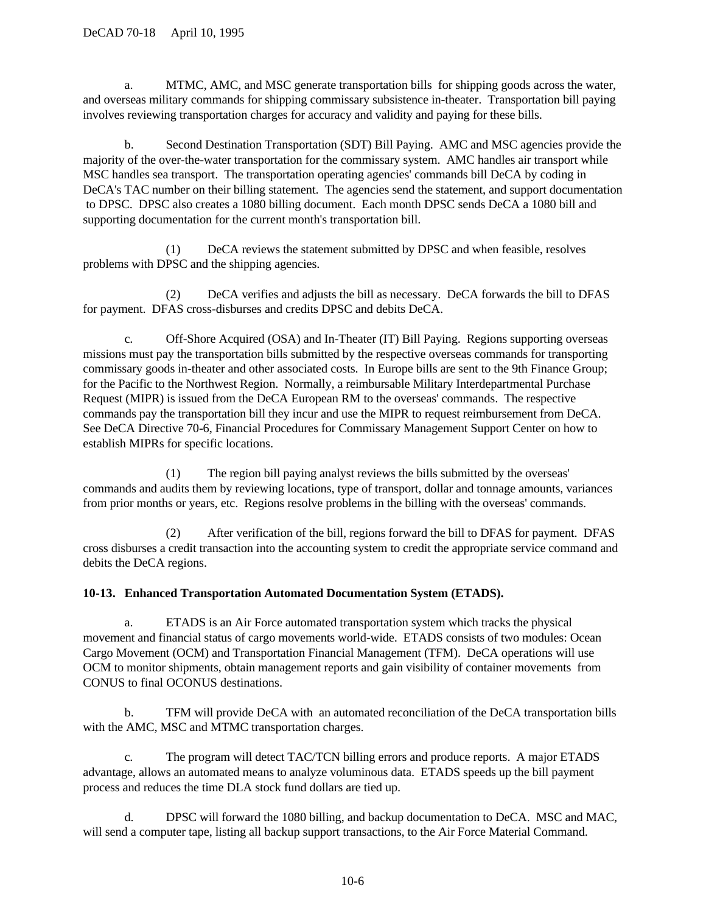a. MTMC, AMC, and MSC generate transportation bills for shipping goods across the water, and overseas military commands for shipping commissary subsistence in-theater. Transportation bill paying involves reviewing transportation charges for accuracy and validity and paying for these bills.

b. Second Destination Transportation (SDT) Bill Paying. AMC and MSC agencies provide the majority of the over-the-water transportation for the commissary system. AMC handles air transport while MSC handles sea transport. The transportation operating agencies' commands bill DeCA by coding in DeCA's TAC number on their billing statement. The agencies send the statement, and support documentation to DPSC. DPSC also creates a 1080 billing document. Each month DPSC sends DeCA a 1080 bill and supporting documentation for the current month's transportation bill.

(1) DeCA reviews the statement submitted by DPSC and when feasible, resolves problems with DPSC and the shipping agencies.

(2) DeCA verifies and adjusts the bill as necessary. DeCA forwards the bill to DFAS for payment. DFAS cross-disburses and credits DPSC and debits DeCA.

c. Off-Shore Acquired (OSA) and In-Theater (IT) Bill Paying. Regions supporting overseas missions must pay the transportation bills submitted by the respective overseas commands for transporting commissary goods in-theater and other associated costs. In Europe bills are sent to the 9th Finance Group; for the Pacific to the Northwest Region. Normally, a reimbursable Military Interdepartmental Purchase Request (MIPR) is issued from the DeCA European RM to the overseas' commands. The respective commands pay the transportation bill they incur and use the MIPR to request reimbursement from DeCA. See DeCA Directive 70-6, Financial Procedures for Commissary Management Support Center on how to establish MIPRs for specific locations.

(1) The region bill paying analyst reviews the bills submitted by the overseas' commands and audits them by reviewing locations, type of transport, dollar and tonnage amounts, variances from prior months or years, etc. Regions resolve problems in the billing with the overseas' commands.

(2) After verification of the bill, regions forward the bill to DFAS for payment. DFAS cross disburses a credit transaction into the accounting system to credit the appropriate service command and debits the DeCA regions.

# **10-13. Enhanced Transportation Automated Documentation System (ETADS).**

a. ETADS is an Air Force automated transportation system which tracks the physical movement and financial status of cargo movements world-wide. ETADS consists of two modules: Ocean Cargo Movement (OCM) and Transportation Financial Management (TFM). DeCA operations will use OCM to monitor shipments, obtain management reports and gain visibility of container movements from CONUS to final OCONUS destinations.

b. TFM will provide DeCA with an automated reconciliation of the DeCA transportation bills with the AMC, MSC and MTMC transportation charges.

c. The program will detect TAC/TCN billing errors and produce reports. A major ETADS advantage, allows an automated means to analyze voluminous data. ETADS speeds up the bill payment process and reduces the time DLA stock fund dollars are tied up.

d. DPSC will forward the 1080 billing, and backup documentation to DeCA. MSC and MAC, will send a computer tape, listing all backup support transactions, to the Air Force Material Command.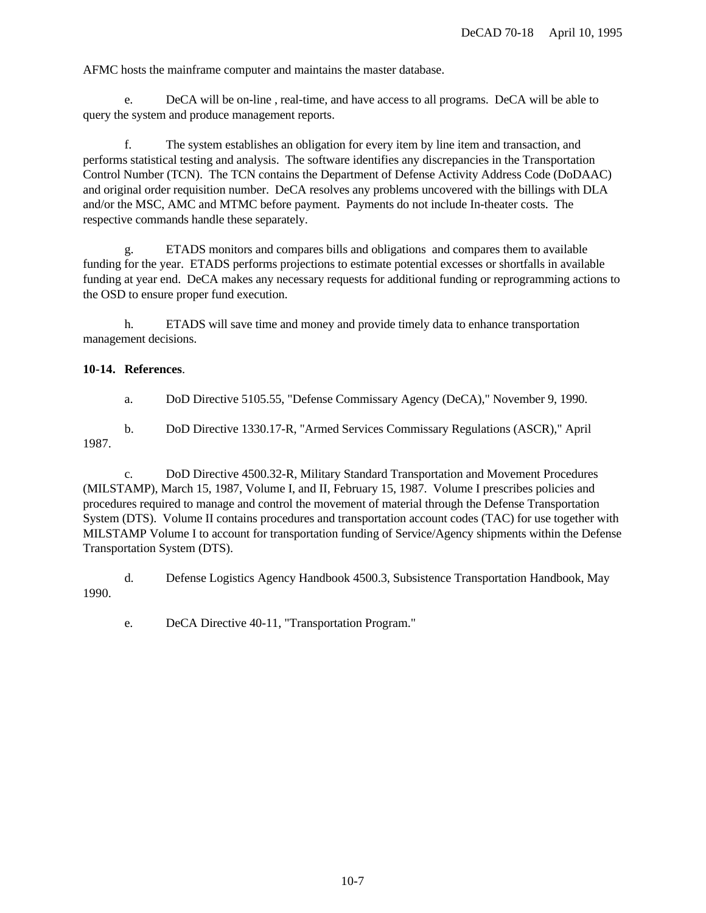AFMC hosts the mainframe computer and maintains the master database.

e. DeCA will be on-line , real-time, and have access to all programs. DeCA will be able to query the system and produce management reports.

f. The system establishes an obligation for every item by line item and transaction, and performs statistical testing and analysis. The software identifies any discrepancies in the Transportation Control Number (TCN). The TCN contains the Department of Defense Activity Address Code (DoDAAC) and original order requisition number. DeCA resolves any problems uncovered with the billings with DLA and/or the MSC, AMC and MTMC before payment. Payments do not include In-theater costs. The respective commands handle these separately.

g. ETADS monitors and compares bills and obligations and compares them to available funding for the year. ETADS performs projections to estimate potential excesses or shortfalls in available funding at year end. DeCA makes any necessary requests for additional funding or reprogramming actions to the OSD to ensure proper fund execution.

h. ETADS will save time and money and provide timely data to enhance transportation management decisions.

### **10-14. References**.

a. DoD Directive 5105.55, "Defense Commissary Agency (DeCA)," November 9, 1990.

b. DoD Directive 1330.17-R, "Armed Services Commissary Regulations (ASCR)," April 1987.

c. DoD Directive 4500.32-R, Military Standard Transportation and Movement Procedures (MILSTAMP), March 15, 1987, Volume I, and II, February 15, 1987. Volume I prescribes policies and procedures required to manage and control the movement of material through the Defense Transportation System (DTS). Volume II contains procedures and transportation account codes (TAC) for use together with MILSTAMP Volume I to account for transportation funding of Service/Agency shipments within the Defense Transportation System (DTS).

d. Defense Logistics Agency Handbook 4500.3, Subsistence Transportation Handbook, May 1990.

e. DeCA Directive 40-11, "Transportation Program."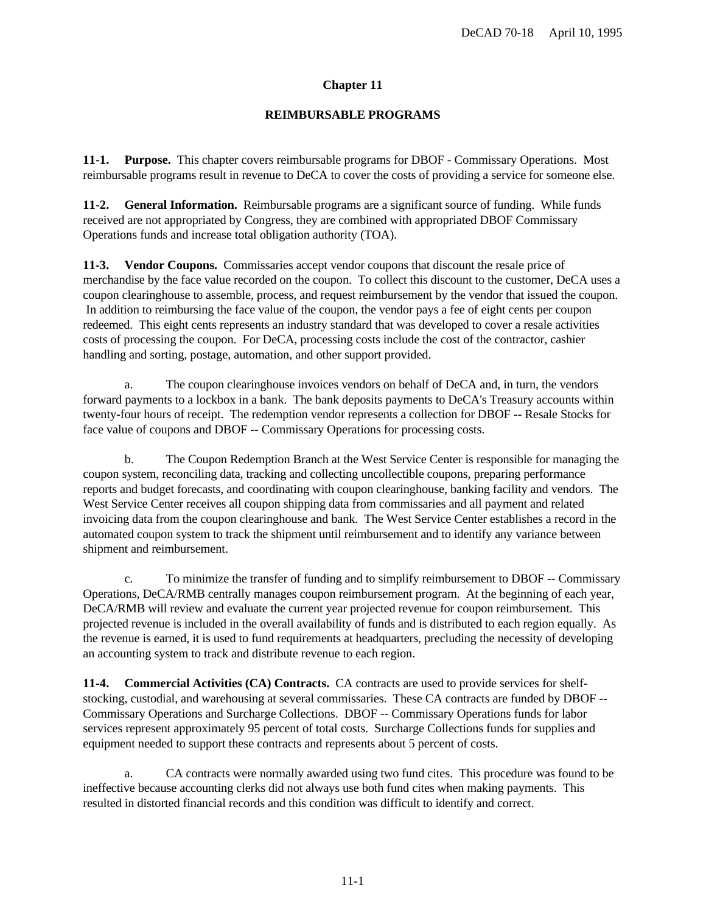## **Chapter 11**

## **REIMBURSABLE PROGRAMS**

**11-1. Purpose.** This chapter covers reimbursable programs for DBOF - Commissary Operations. Most reimbursable programs result in revenue to DeCA to cover the costs of providing a service for someone else.

**11-2. General Information.** Reimbursable programs are a significant source of funding. While funds received are not appropriated by Congress, they are combined with appropriated DBOF Commissary Operations funds and increase total obligation authority (TOA).

**11-3. Vendor Coupons.** Commissaries accept vendor coupons that discount the resale price of merchandise by the face value recorded on the coupon. To collect this discount to the customer, DeCA uses a coupon clearinghouse to assemble, process, and request reimbursement by the vendor that issued the coupon. In addition to reimbursing the face value of the coupon, the vendor pays a fee of eight cents per coupon redeemed. This eight cents represents an industry standard that was developed to cover a resale activities costs of processing the coupon. For DeCA, processing costs include the cost of the contractor, cashier handling and sorting, postage, automation, and other support provided.

a. The coupon clearinghouse invoices vendors on behalf of DeCA and, in turn, the vendors forward payments to a lockbox in a bank. The bank deposits payments to DeCA's Treasury accounts within twenty-four hours of receipt. The redemption vendor represents a collection for DBOF -- Resale Stocks for face value of coupons and DBOF -- Commissary Operations for processing costs.

b. The Coupon Redemption Branch at the West Service Center is responsible for managing the coupon system, reconciling data, tracking and collecting uncollectible coupons, preparing performance reports and budget forecasts, and coordinating with coupon clearinghouse, banking facility and vendors. The West Service Center receives all coupon shipping data from commissaries and all payment and related invoicing data from the coupon clearinghouse and bank. The West Service Center establishes a record in the automated coupon system to track the shipment until reimbursement and to identify any variance between shipment and reimbursement.

c. To minimize the transfer of funding and to simplify reimbursement to DBOF -- Commissary Operations, DeCA/RMB centrally manages coupon reimbursement program. At the beginning of each year, DeCA/RMB will review and evaluate the current year projected revenue for coupon reimbursement. This projected revenue is included in the overall availability of funds and is distributed to each region equally. As the revenue is earned, it is used to fund requirements at headquarters, precluding the necessity of developing an accounting system to track and distribute revenue to each region.

**11-4. Commercial Activities (CA) Contracts.** CA contracts are used to provide services for shelfstocking, custodial, and warehousing at several commissaries. These CA contracts are funded by DBOF -- Commissary Operations and Surcharge Collections. DBOF -- Commissary Operations funds for labor services represent approximately 95 percent of total costs. Surcharge Collections funds for supplies and equipment needed to support these contracts and represents about 5 percent of costs.

a. CA contracts were normally awarded using two fund cites. This procedure was found to be ineffective because accounting clerks did not always use both fund cites when making payments. This resulted in distorted financial records and this condition was difficult to identify and correct.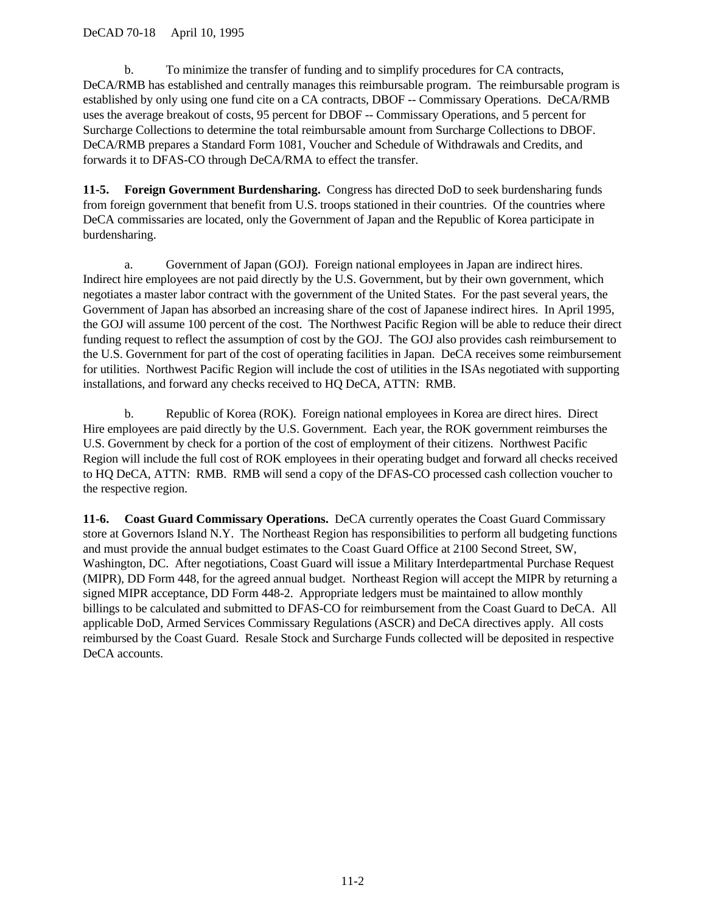b. To minimize the transfer of funding and to simplify procedures for CA contracts, DeCA/RMB has established and centrally manages this reimbursable program. The reimbursable program is established by only using one fund cite on a CA contracts, DBOF -- Commissary Operations. DeCA/RMB uses the average breakout of costs, 95 percent for DBOF -- Commissary Operations, and 5 percent for Surcharge Collections to determine the total reimbursable amount from Surcharge Collections to DBOF. DeCA/RMB prepares a Standard Form 1081, Voucher and Schedule of Withdrawals and Credits, and forwards it to DFAS-CO through DeCA/RMA to effect the transfer.

**11-5. Foreign Government Burdensharing.** Congress has directed DoD to seek burdensharing funds from foreign government that benefit from U.S. troops stationed in their countries. Of the countries where DeCA commissaries are located, only the Government of Japan and the Republic of Korea participate in burdensharing.

a. Government of Japan (GOJ). Foreign national employees in Japan are indirect hires. Indirect hire employees are not paid directly by the U.S. Government, but by their own government, which negotiates a master labor contract with the government of the United States. For the past several years, the Government of Japan has absorbed an increasing share of the cost of Japanese indirect hires. In April 1995, the GOJ will assume 100 percent of the cost. The Northwest Pacific Region will be able to reduce their direct funding request to reflect the assumption of cost by the GOJ. The GOJ also provides cash reimbursement to the U.S. Government for part of the cost of operating facilities in Japan. DeCA receives some reimbursement for utilities. Northwest Pacific Region will include the cost of utilities in the ISAs negotiated with supporting installations, and forward any checks received to HQ DeCA, ATTN: RMB.

b. Republic of Korea (ROK). Foreign national employees in Korea are direct hires. Direct Hire employees are paid directly by the U.S. Government. Each year, the ROK government reimburses the U.S. Government by check for a portion of the cost of employment of their citizens. Northwest Pacific Region will include the full cost of ROK employees in their operating budget and forward all checks received to HQ DeCA, ATTN: RMB. RMB will send a copy of the DFAS-CO processed cash collection voucher to the respective region.

**11-6. Coast Guard Commissary Operations.** DeCA currently operates the Coast Guard Commissary store at Governors Island N.Y. The Northeast Region has responsibilities to perform all budgeting functions and must provide the annual budget estimates to the Coast Guard Office at 2100 Second Street, SW, Washington, DC. After negotiations, Coast Guard will issue a Military Interdepartmental Purchase Request (MIPR), DD Form 448, for the agreed annual budget. Northeast Region will accept the MIPR by returning a signed MIPR acceptance, DD Form 448-2. Appropriate ledgers must be maintained to allow monthly billings to be calculated and submitted to DFAS-CO for reimbursement from the Coast Guard to DeCA. All applicable DoD, Armed Services Commissary Regulations (ASCR) and DeCA directives apply. All costs reimbursed by the Coast Guard. Resale Stock and Surcharge Funds collected will be deposited in respective DeCA accounts.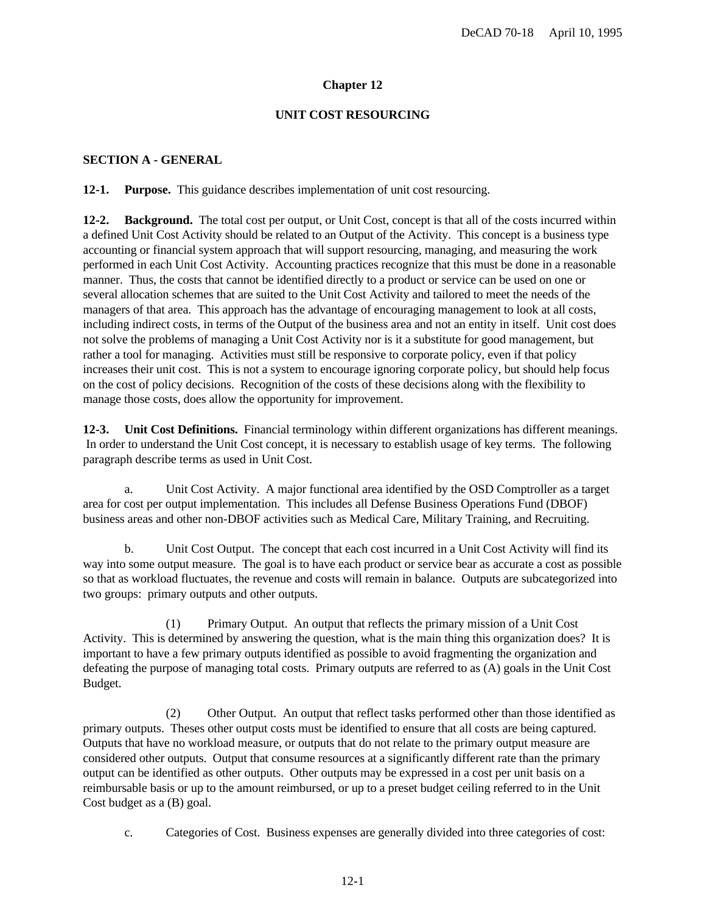## **Chapter 12**

## **UNIT COST RESOURCING**

#### **SECTION A - GENERAL**

**12-1. Purpose.** This guidance describes implementation of unit cost resourcing.

**12-2. Background.** The total cost per output, or Unit Cost, concept is that all of the costs incurred within a defined Unit Cost Activity should be related to an Output of the Activity. This concept is a business type accounting or financial system approach that will support resourcing, managing, and measuring the work performed in each Unit Cost Activity. Accounting practices recognize that this must be done in a reasonable manner. Thus, the costs that cannot be identified directly to a product or service can be used on one or several allocation schemes that are suited to the Unit Cost Activity and tailored to meet the needs of the managers of that area. This approach has the advantage of encouraging management to look at all costs, including indirect costs, in terms of the Output of the business area and not an entity in itself. Unit cost does not solve the problems of managing a Unit Cost Activity nor is it a substitute for good management, but rather a tool for managing. Activities must still be responsive to corporate policy, even if that policy increases their unit cost. This is not a system to encourage ignoring corporate policy, but should help focus on the cost of policy decisions. Recognition of the costs of these decisions along with the flexibility to manage those costs, does allow the opportunity for improvement.

**12-3. Unit Cost Definitions.** Financial terminology within different organizations has different meanings. In order to understand the Unit Cost concept, it is necessary to establish usage of key terms. The following paragraph describe terms as used in Unit Cost.

a. Unit Cost Activity. A major functional area identified by the OSD Comptroller as a target area for cost per output implementation. This includes all Defense Business Operations Fund (DBOF) business areas and other non-DBOF activities such as Medical Care, Military Training, and Recruiting.

b. Unit Cost Output. The concept that each cost incurred in a Unit Cost Activity will find its way into some output measure. The goal is to have each product or service bear as accurate a cost as possible so that as workload fluctuates, the revenue and costs will remain in balance. Outputs are subcategorized into two groups: primary outputs and other outputs.

(1) Primary Output. An output that reflects the primary mission of a Unit Cost Activity. This is determined by answering the question, what is the main thing this organization does? It is important to have a few primary outputs identified as possible to avoid fragmenting the organization and defeating the purpose of managing total costs. Primary outputs are referred to as (A) goals in the Unit Cost Budget.

(2) Other Output. An output that reflect tasks performed other than those identified as primary outputs. Theses other output costs must be identified to ensure that all costs are being captured. Outputs that have no workload measure, or outputs that do not relate to the primary output measure are considered other outputs. Output that consume resources at a significantly different rate than the primary output can be identified as other outputs. Other outputs may be expressed in a cost per unit basis on a reimbursable basis or up to the amount reimbursed, or up to a preset budget ceiling referred to in the Unit Cost budget as a (B) goal.

c. Categories of Cost. Business expenses are generally divided into three categories of cost: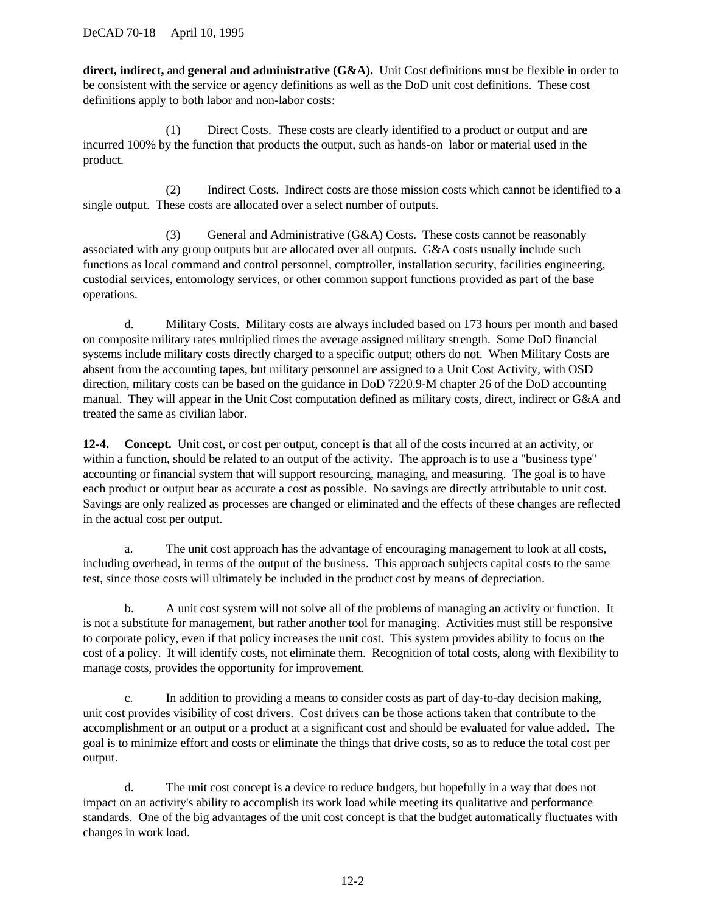**direct, indirect,** and **general and administrative (G&A).** Unit Cost definitions must be flexible in order to be consistent with the service or agency definitions as well as the DoD unit cost definitions. These cost definitions apply to both labor and non-labor costs:

(1) Direct Costs. These costs are clearly identified to a product or output and are incurred 100% by the function that products the output, such as hands-on labor or material used in the product.

(2) Indirect Costs. Indirect costs are those mission costs which cannot be identified to a single output. These costs are allocated over a select number of outputs.

(3) General and Administrative (G&A) Costs. These costs cannot be reasonably associated with any group outputs but are allocated over all outputs. G&A costs usually include such functions as local command and control personnel, comptroller, installation security, facilities engineering, custodial services, entomology services, or other common support functions provided as part of the base operations.

d. Military Costs. Military costs are always included based on 173 hours per month and based on composite military rates multiplied times the average assigned military strength. Some DoD financial systems include military costs directly charged to a specific output; others do not. When Military Costs are absent from the accounting tapes, but military personnel are assigned to a Unit Cost Activity, with OSD direction, military costs can be based on the guidance in DoD 7220.9-M chapter 26 of the DoD accounting manual. They will appear in the Unit Cost computation defined as military costs, direct, indirect or G&A and treated the same as civilian labor.

**12-4. Concept.** Unit cost, or cost per output, concept is that all of the costs incurred at an activity, or within a function, should be related to an output of the activity. The approach is to use a "business type" accounting or financial system that will support resourcing, managing, and measuring. The goal is to have each product or output bear as accurate a cost as possible. No savings are directly attributable to unit cost. Savings are only realized as processes are changed or eliminated and the effects of these changes are reflected in the actual cost per output.

a. The unit cost approach has the advantage of encouraging management to look at all costs, including overhead, in terms of the output of the business. This approach subjects capital costs to the same test, since those costs will ultimately be included in the product cost by means of depreciation.

b. A unit cost system will not solve all of the problems of managing an activity or function. It is not a substitute for management, but rather another tool for managing. Activities must still be responsive to corporate policy, even if that policy increases the unit cost. This system provides ability to focus on the cost of a policy. It will identify costs, not eliminate them. Recognition of total costs, along with flexibility to manage costs, provides the opportunity for improvement.

c. In addition to providing a means to consider costs as part of day-to-day decision making, unit cost provides visibility of cost drivers. Cost drivers can be those actions taken that contribute to the accomplishment or an output or a product at a significant cost and should be evaluated for value added. The goal is to minimize effort and costs or eliminate the things that drive costs, so as to reduce the total cost per output.

d. The unit cost concept is a device to reduce budgets, but hopefully in a way that does not impact on an activity's ability to accomplish its work load while meeting its qualitative and performance standards. One of the big advantages of the unit cost concept is that the budget automatically fluctuates with changes in work load.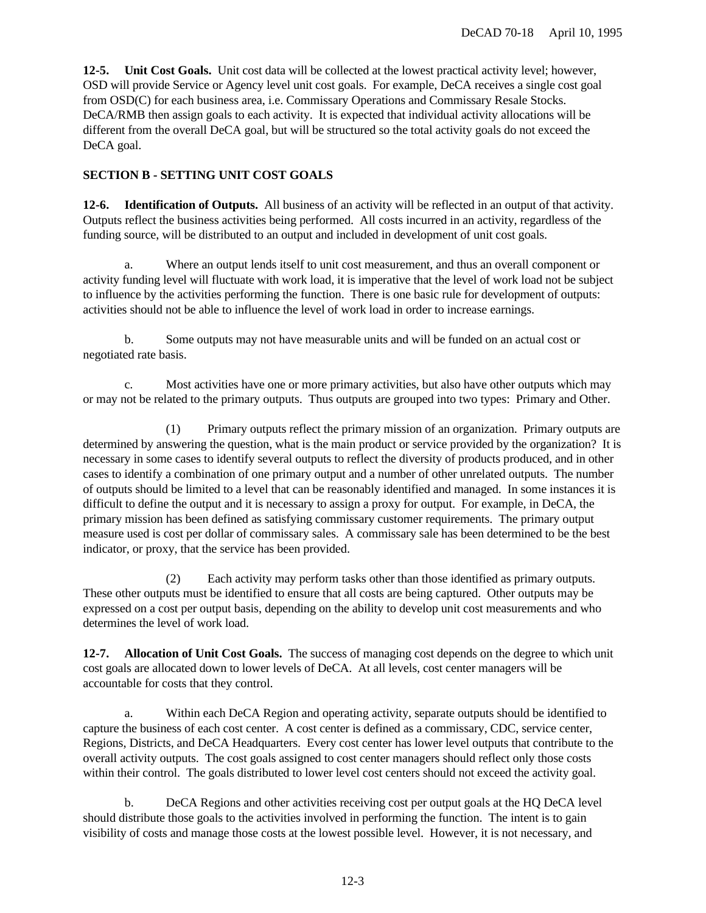**12-5. Unit Cost Goals.** Unit cost data will be collected at the lowest practical activity level; however, OSD will provide Service or Agency level unit cost goals. For example, DeCA receives a single cost goal from OSD(C) for each business area, i.e. Commissary Operations and Commissary Resale Stocks. DeCA/RMB then assign goals to each activity. It is expected that individual activity allocations will be different from the overall DeCA goal, but will be structured so the total activity goals do not exceed the DeCA goal.

# **SECTION B - SETTING UNIT COST GOALS**

**12-6. Identification of Outputs.** All business of an activity will be reflected in an output of that activity. Outputs reflect the business activities being performed. All costs incurred in an activity, regardless of the funding source, will be distributed to an output and included in development of unit cost goals.

a. Where an output lends itself to unit cost measurement, and thus an overall component or activity funding level will fluctuate with work load, it is imperative that the level of work load not be subject to influence by the activities performing the function. There is one basic rule for development of outputs: activities should not be able to influence the level of work load in order to increase earnings.

b. Some outputs may not have measurable units and will be funded on an actual cost or negotiated rate basis.

c. Most activities have one or more primary activities, but also have other outputs which may or may not be related to the primary outputs. Thus outputs are grouped into two types: Primary and Other.

(1) Primary outputs reflect the primary mission of an organization. Primary outputs are determined by answering the question, what is the main product or service provided by the organization? It is necessary in some cases to identify several outputs to reflect the diversity of products produced, and in other cases to identify a combination of one primary output and a number of other unrelated outputs. The number of outputs should be limited to a level that can be reasonably identified and managed. In some instances it is difficult to define the output and it is necessary to assign a proxy for output. For example, in DeCA, the primary mission has been defined as satisfying commissary customer requirements. The primary output measure used is cost per dollar of commissary sales. A commissary sale has been determined to be the best indicator, or proxy, that the service has been provided.

(2) Each activity may perform tasks other than those identified as primary outputs. These other outputs must be identified to ensure that all costs are being captured. Other outputs may be expressed on a cost per output basis, depending on the ability to develop unit cost measurements and who determines the level of work load.

**12-7. Allocation of Unit Cost Goals.** The success of managing cost depends on the degree to which unit cost goals are allocated down to lower levels of DeCA. At all levels, cost center managers will be accountable for costs that they control.

a. Within each DeCA Region and operating activity, separate outputs should be identified to capture the business of each cost center. A cost center is defined as a commissary, CDC, service center, Regions, Districts, and DeCA Headquarters. Every cost center has lower level outputs that contribute to the overall activity outputs. The cost goals assigned to cost center managers should reflect only those costs within their control. The goals distributed to lower level cost centers should not exceed the activity goal.

b. DeCA Regions and other activities receiving cost per output goals at the HQ DeCA level should distribute those goals to the activities involved in performing the function. The intent is to gain visibility of costs and manage those costs at the lowest possible level. However, it is not necessary, and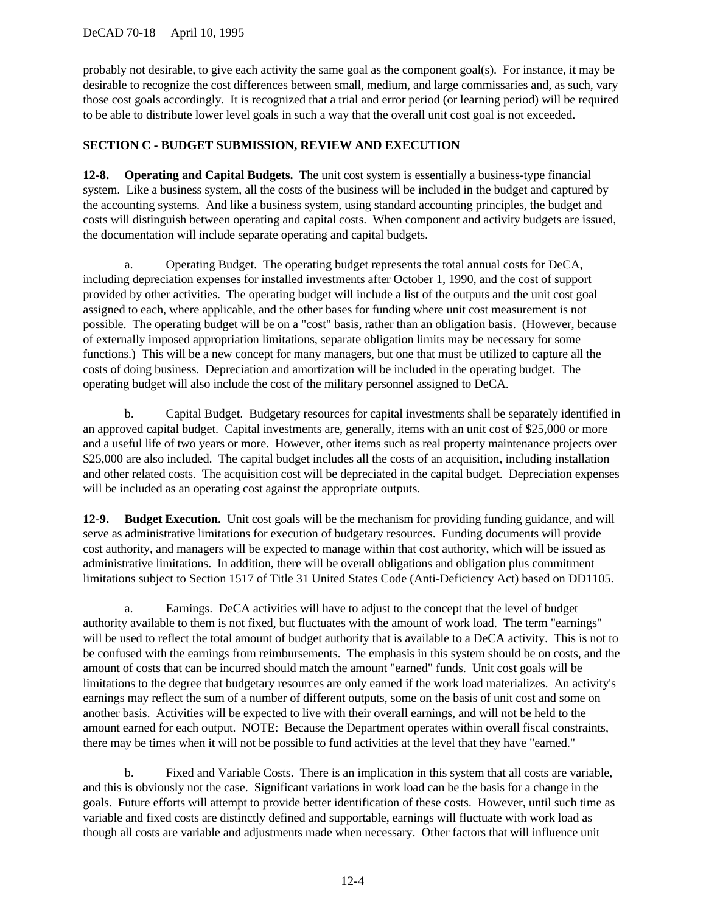### DeCAD 70-18 April 10, 1995

probably not desirable, to give each activity the same goal as the component goal(s). For instance, it may be desirable to recognize the cost differences between small, medium, and large commissaries and, as such, vary those cost goals accordingly. It is recognized that a trial and error period (or learning period) will be required to be able to distribute lower level goals in such a way that the overall unit cost goal is not exceeded.

#### **SECTION C - BUDGET SUBMISSION, REVIEW AND EXECUTION**

**12-8. Operating and Capital Budgets.** The unit cost system is essentially a business-type financial system. Like a business system, all the costs of the business will be included in the budget and captured by the accounting systems. And like a business system, using standard accounting principles, the budget and costs will distinguish between operating and capital costs. When component and activity budgets are issued, the documentation will include separate operating and capital budgets.

a. Operating Budget. The operating budget represents the total annual costs for DeCA, including depreciation expenses for installed investments after October 1, 1990, and the cost of support provided by other activities. The operating budget will include a list of the outputs and the unit cost goal assigned to each, where applicable, and the other bases for funding where unit cost measurement is not possible. The operating budget will be on a "cost" basis, rather than an obligation basis. (However, because of externally imposed appropriation limitations, separate obligation limits may be necessary for some functions.) This will be a new concept for many managers, but one that must be utilized to capture all the costs of doing business. Depreciation and amortization will be included in the operating budget. The operating budget will also include the cost of the military personnel assigned to DeCA.

b. Capital Budget. Budgetary resources for capital investments shall be separately identified in an approved capital budget. Capital investments are, generally, items with an unit cost of \$25,000 or more and a useful life of two years or more. However, other items such as real property maintenance projects over \$25,000 are also included. The capital budget includes all the costs of an acquisition, including installation and other related costs. The acquisition cost will be depreciated in the capital budget. Depreciation expenses will be included as an operating cost against the appropriate outputs.

**12-9. Budget Execution.** Unit cost goals will be the mechanism for providing funding guidance, and will serve as administrative limitations for execution of budgetary resources. Funding documents will provide cost authority, and managers will be expected to manage within that cost authority, which will be issued as administrative limitations. In addition, there will be overall obligations and obligation plus commitment limitations subject to Section 1517 of Title 31 United States Code (Anti-Deficiency Act) based on DD1105.

a. Earnings. DeCA activities will have to adjust to the concept that the level of budget authority available to them is not fixed, but fluctuates with the amount of work load. The term "earnings" will be used to reflect the total amount of budget authority that is available to a DeCA activity. This is not to be confused with the earnings from reimbursements. The emphasis in this system should be on costs, and the amount of costs that can be incurred should match the amount "earned" funds. Unit cost goals will be limitations to the degree that budgetary resources are only earned if the work load materializes. An activity's earnings may reflect the sum of a number of different outputs, some on the basis of unit cost and some on another basis. Activities will be expected to live with their overall earnings, and will not be held to the amount earned for each output. NOTE: Because the Department operates within overall fiscal constraints, there may be times when it will not be possible to fund activities at the level that they have "earned."

b. Fixed and Variable Costs. There is an implication in this system that all costs are variable, and this is obviously not the case. Significant variations in work load can be the basis for a change in the goals. Future efforts will attempt to provide better identification of these costs. However, until such time as variable and fixed costs are distinctly defined and supportable, earnings will fluctuate with work load as though all costs are variable and adjustments made when necessary. Other factors that will influence unit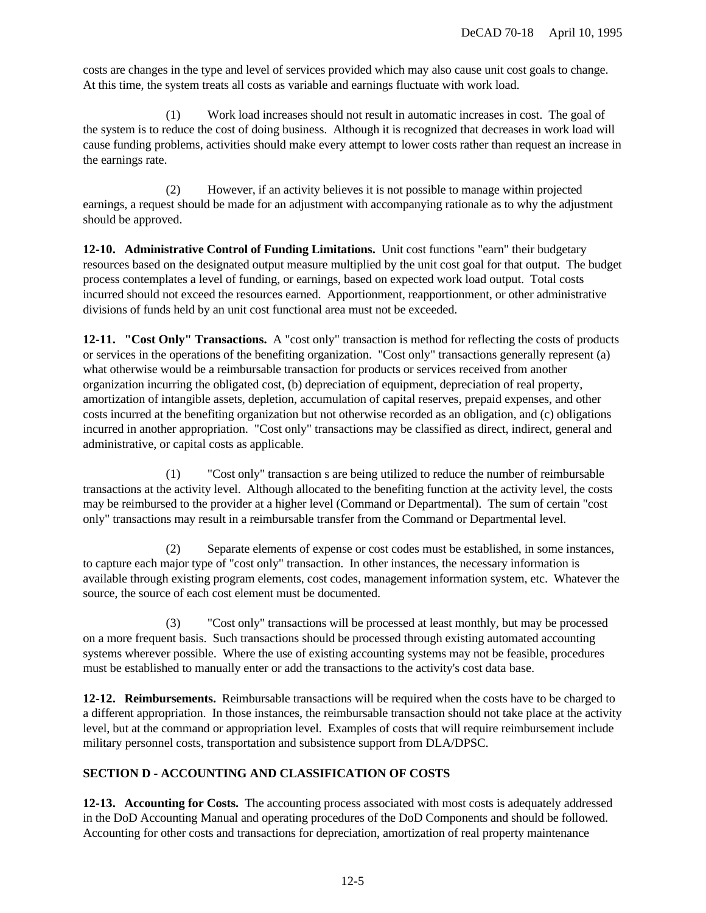costs are changes in the type and level of services provided which may also cause unit cost goals to change. At this time, the system treats all costs as variable and earnings fluctuate with work load.

(1) Work load increases should not result in automatic increases in cost. The goal of the system is to reduce the cost of doing business. Although it is recognized that decreases in work load will cause funding problems, activities should make every attempt to lower costs rather than request an increase in the earnings rate.

(2) However, if an activity believes it is not possible to manage within projected earnings, a request should be made for an adjustment with accompanying rationale as to why the adjustment should be approved.

**12-10. Administrative Control of Funding Limitations.** Unit cost functions "earn" their budgetary resources based on the designated output measure multiplied by the unit cost goal for that output. The budget process contemplates a level of funding, or earnings, based on expected work load output. Total costs incurred should not exceed the resources earned. Apportionment, reapportionment, or other administrative divisions of funds held by an unit cost functional area must not be exceeded.

**12-11. "Cost Only" Transactions.** A "cost only" transaction is method for reflecting the costs of products or services in the operations of the benefiting organization. "Cost only" transactions generally represent (a) what otherwise would be a reimbursable transaction for products or services received from another organization incurring the obligated cost, (b) depreciation of equipment, depreciation of real property, amortization of intangible assets, depletion, accumulation of capital reserves, prepaid expenses, and other costs incurred at the benefiting organization but not otherwise recorded as an obligation, and (c) obligations incurred in another appropriation. "Cost only" transactions may be classified as direct, indirect, general and administrative, or capital costs as applicable.

(1) "Cost only" transaction s are being utilized to reduce the number of reimbursable transactions at the activity level. Although allocated to the benefiting function at the activity level, the costs may be reimbursed to the provider at a higher level (Command or Departmental). The sum of certain "cost only" transactions may result in a reimbursable transfer from the Command or Departmental level.

(2) Separate elements of expense or cost codes must be established, in some instances, to capture each major type of "cost only" transaction. In other instances, the necessary information is available through existing program elements, cost codes, management information system, etc. Whatever the source, the source of each cost element must be documented.

(3) "Cost only" transactions will be processed at least monthly, but may be processed on a more frequent basis. Such transactions should be processed through existing automated accounting systems wherever possible. Where the use of existing accounting systems may not be feasible, procedures must be established to manually enter or add the transactions to the activity's cost data base.

**12-12. Reimbursements.** Reimbursable transactions will be required when the costs have to be charged to a different appropriation. In those instances, the reimbursable transaction should not take place at the activity level, but at the command or appropriation level. Examples of costs that will require reimbursement include military personnel costs, transportation and subsistence support from DLA/DPSC.

# **SECTION D - ACCOUNTING AND CLASSIFICATION OF COSTS**

**12-13. Accounting for Costs.** The accounting process associated with most costs is adequately addressed in the DoD Accounting Manual and operating procedures of the DoD Components and should be followed. Accounting for other costs and transactions for depreciation, amortization of real property maintenance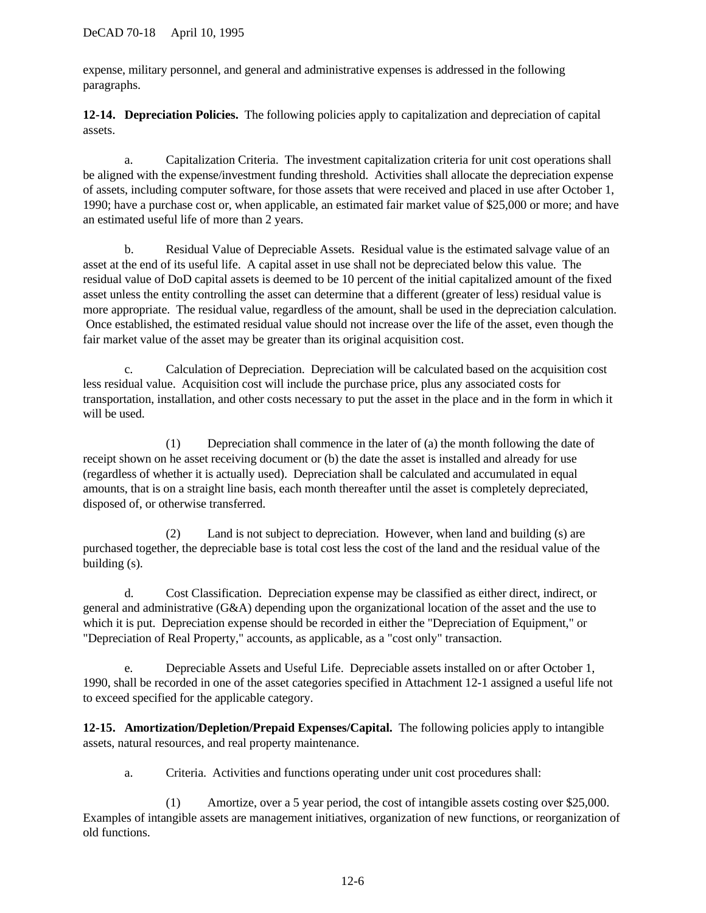### DeCAD 70-18 April 10, 1995

expense, military personnel, and general and administrative expenses is addressed in the following paragraphs.

**12-14. Depreciation Policies.** The following policies apply to capitalization and depreciation of capital assets.

a. Capitalization Criteria. The investment capitalization criteria for unit cost operations shall be aligned with the expense/investment funding threshold. Activities shall allocate the depreciation expense of assets, including computer software, for those assets that were received and placed in use after October 1, 1990; have a purchase cost or, when applicable, an estimated fair market value of \$25,000 or more; and have an estimated useful life of more than 2 years.

b. Residual Value of Depreciable Assets. Residual value is the estimated salvage value of an asset at the end of its useful life. A capital asset in use shall not be depreciated below this value. The residual value of DoD capital assets is deemed to be 10 percent of the initial capitalized amount of the fixed asset unless the entity controlling the asset can determine that a different (greater of less) residual value is more appropriate. The residual value, regardless of the amount, shall be used in the depreciation calculation. Once established, the estimated residual value should not increase over the life of the asset, even though the fair market value of the asset may be greater than its original acquisition cost.

c. Calculation of Depreciation. Depreciation will be calculated based on the acquisition cost less residual value. Acquisition cost will include the purchase price, plus any associated costs for transportation, installation, and other costs necessary to put the asset in the place and in the form in which it will be used.

(1) Depreciation shall commence in the later of (a) the month following the date of receipt shown on he asset receiving document or (b) the date the asset is installed and already for use (regardless of whether it is actually used). Depreciation shall be calculated and accumulated in equal amounts, that is on a straight line basis, each month thereafter until the asset is completely depreciated, disposed of, or otherwise transferred.

(2) Land is not subject to depreciation. However, when land and building (s) are purchased together, the depreciable base is total cost less the cost of the land and the residual value of the building (s).

d. Cost Classification. Depreciation expense may be classified as either direct, indirect, or general and administrative (G&A) depending upon the organizational location of the asset and the use to which it is put. Depreciation expense should be recorded in either the "Depreciation of Equipment," or "Depreciation of Real Property," accounts, as applicable, as a "cost only" transaction.

e. Depreciable Assets and Useful Life. Depreciable assets installed on or after October 1, 1990, shall be recorded in one of the asset categories specified in Attachment 12-1 assigned a useful life not to exceed specified for the applicable category.

**12-15. Amortization/Depletion/Prepaid Expenses/Capital.** The following policies apply to intangible assets, natural resources, and real property maintenance.

a. Criteria. Activities and functions operating under unit cost procedures shall:

(1) Amortize, over a 5 year period, the cost of intangible assets costing over \$25,000. Examples of intangible assets are management initiatives, organization of new functions, or reorganization of old functions.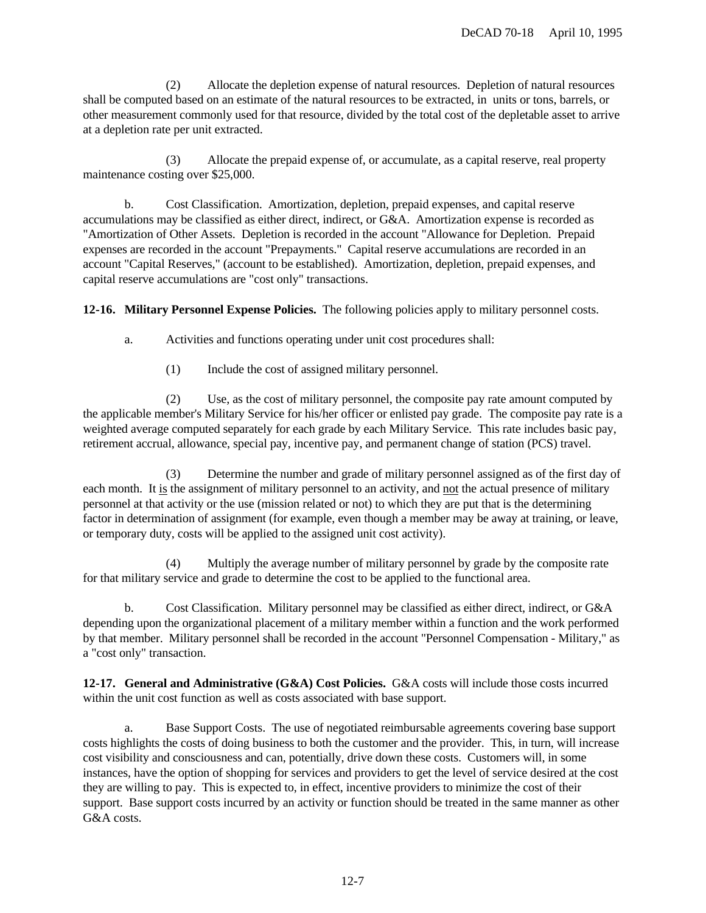(2) Allocate the depletion expense of natural resources. Depletion of natural resources shall be computed based on an estimate of the natural resources to be extracted, in units or tons, barrels, or other measurement commonly used for that resource, divided by the total cost of the depletable asset to arrive at a depletion rate per unit extracted.

(3) Allocate the prepaid expense of, or accumulate, as a capital reserve, real property maintenance costing over \$25,000.

b. Cost Classification. Amortization, depletion, prepaid expenses, and capital reserve accumulations may be classified as either direct, indirect, or G&A. Amortization expense is recorded as "Amortization of Other Assets. Depletion is recorded in the account "Allowance for Depletion. Prepaid expenses are recorded in the account "Prepayments." Capital reserve accumulations are recorded in an account "Capital Reserves," (account to be established). Amortization, depletion, prepaid expenses, and capital reserve accumulations are "cost only" transactions.

**12-16. Military Personnel Expense Policies.** The following policies apply to military personnel costs.

- a. Activities and functions operating under unit cost procedures shall:
	- (1) Include the cost of assigned military personnel.

(2) Use, as the cost of military personnel, the composite pay rate amount computed by the applicable member's Military Service for his/her officer or enlisted pay grade. The composite pay rate is a weighted average computed separately for each grade by each Military Service. This rate includes basic pay, retirement accrual, allowance, special pay, incentive pay, and permanent change of station (PCS) travel.

(3) Determine the number and grade of military personnel assigned as of the first day of each month. It is the assignment of military personnel to an activity, and not the actual presence of military personnel at that activity or the use (mission related or not) to which they are put that is the determining factor in determination of assignment (for example, even though a member may be away at training, or leave, or temporary duty, costs will be applied to the assigned unit cost activity).

(4) Multiply the average number of military personnel by grade by the composite rate for that military service and grade to determine the cost to be applied to the functional area.

b. Cost Classification. Military personnel may be classified as either direct, indirect, or G&A depending upon the organizational placement of a military member within a function and the work performed by that member. Military personnel shall be recorded in the account "Personnel Compensation - Military," as a "cost only" transaction.

**12-17. General and Administrative (G&A) Cost Policies.** G&A costs will include those costs incurred within the unit cost function as well as costs associated with base support.

a. Base Support Costs. The use of negotiated reimbursable agreements covering base support costs highlights the costs of doing business to both the customer and the provider. This, in turn, will increase cost visibility and consciousness and can, potentially, drive down these costs. Customers will, in some instances, have the option of shopping for services and providers to get the level of service desired at the cost they are willing to pay. This is expected to, in effect, incentive providers to minimize the cost of their support. Base support costs incurred by an activity or function should be treated in the same manner as other G&A costs.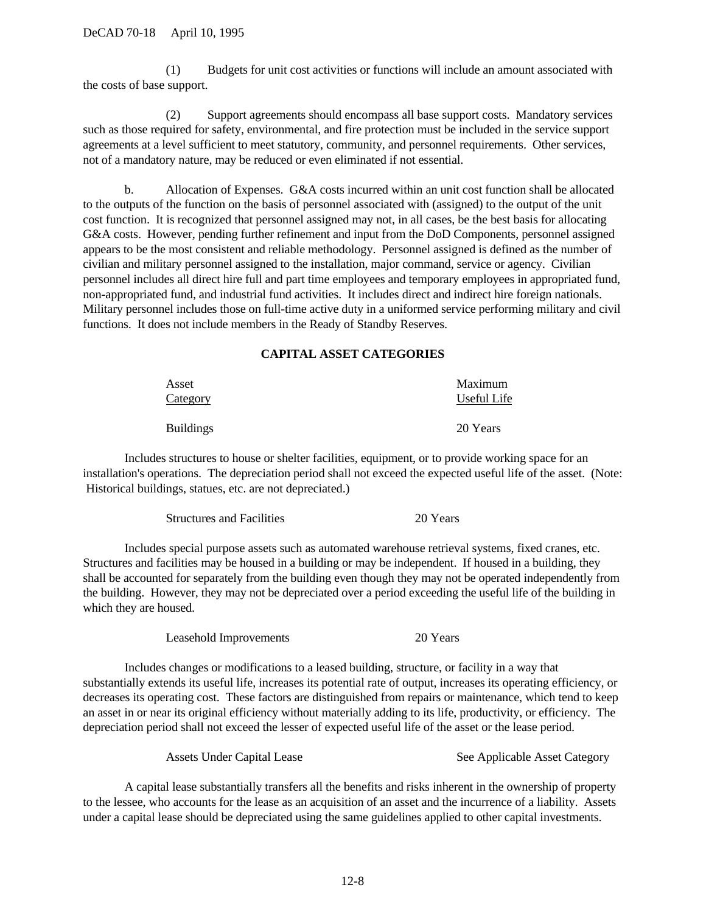(1) Budgets for unit cost activities or functions will include an amount associated with the costs of base support.

(2) Support agreements should encompass all base support costs. Mandatory services such as those required for safety, environmental, and fire protection must be included in the service support agreements at a level sufficient to meet statutory, community, and personnel requirements. Other services, not of a mandatory nature, may be reduced or even eliminated if not essential.

b. Allocation of Expenses. G&A costs incurred within an unit cost function shall be allocated to the outputs of the function on the basis of personnel associated with (assigned) to the output of the unit cost function. It is recognized that personnel assigned may not, in all cases, be the best basis for allocating G&A costs. However, pending further refinement and input from the DoD Components, personnel assigned appears to be the most consistent and reliable methodology. Personnel assigned is defined as the number of civilian and military personnel assigned to the installation, major command, service or agency. Civilian personnel includes all direct hire full and part time employees and temporary employees in appropriated fund, non-appropriated fund, and industrial fund activities. It includes direct and indirect hire foreign nationals. Military personnel includes those on full-time active duty in a uniformed service performing military and civil functions. It does not include members in the Ready of Standby Reserves.

#### **CAPITAL ASSET CATEGORIES**

| Asset            | Maximum     |
|------------------|-------------|
| Category         | Useful Life |
| <b>Buildings</b> | 20 Years    |

Includes structures to house or shelter facilities, equipment, or to provide working space for an installation's operations. The depreciation period shall not exceed the expected useful life of the asset. (Note: Historical buildings, statues, etc. are not depreciated.)

| <b>Structures and Facilities</b> | 20 Years |
|----------------------------------|----------|
|                                  |          |

Includes special purpose assets such as automated warehouse retrieval systems, fixed cranes, etc. Structures and facilities may be housed in a building or may be independent. If housed in a building, they shall be accounted for separately from the building even though they may not be operated independently from the building. However, they may not be depreciated over a period exceeding the useful life of the building in which they are housed.

Leasehold Improvements 20 Years

Includes changes or modifications to a leased building, structure, or facility in a way that substantially extends its useful life, increases its potential rate of output, increases its operating efficiency, or decreases its operating cost. These factors are distinguished from repairs or maintenance, which tend to keep an asset in or near its original efficiency without materially adding to its life, productivity, or efficiency. The depreciation period shall not exceed the lesser of expected useful life of the asset or the lease period.

Assets Under Capital Lease See Applicable Asset Category

A capital lease substantially transfers all the benefits and risks inherent in the ownership of property to the lessee, who accounts for the lease as an acquisition of an asset and the incurrence of a liability. Assets under a capital lease should be depreciated using the same guidelines applied to other capital investments.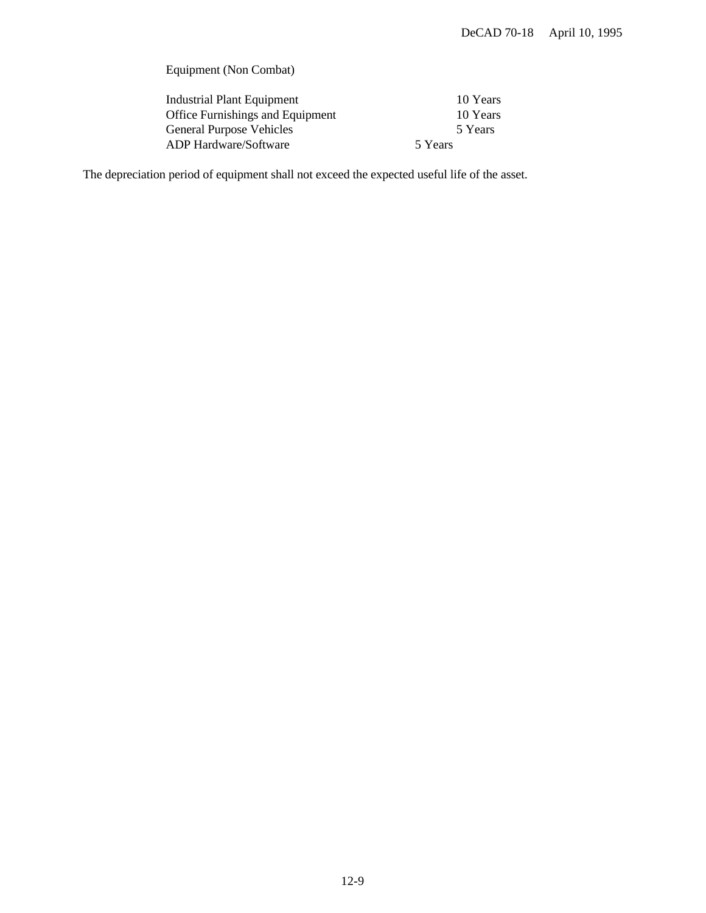## Equipment (Non Combat)

| <b>Industrial Plant Equipment</b>       | 10 Years |
|-----------------------------------------|----------|
| <b>Office Furnishings and Equipment</b> | 10 Years |
| <b>General Purpose Vehicles</b>         | 5 Years  |
| <b>ADP</b> Hardware/Software            | 5 Years  |

The depreciation period of equipment shall not exceed the expected useful life of the asset.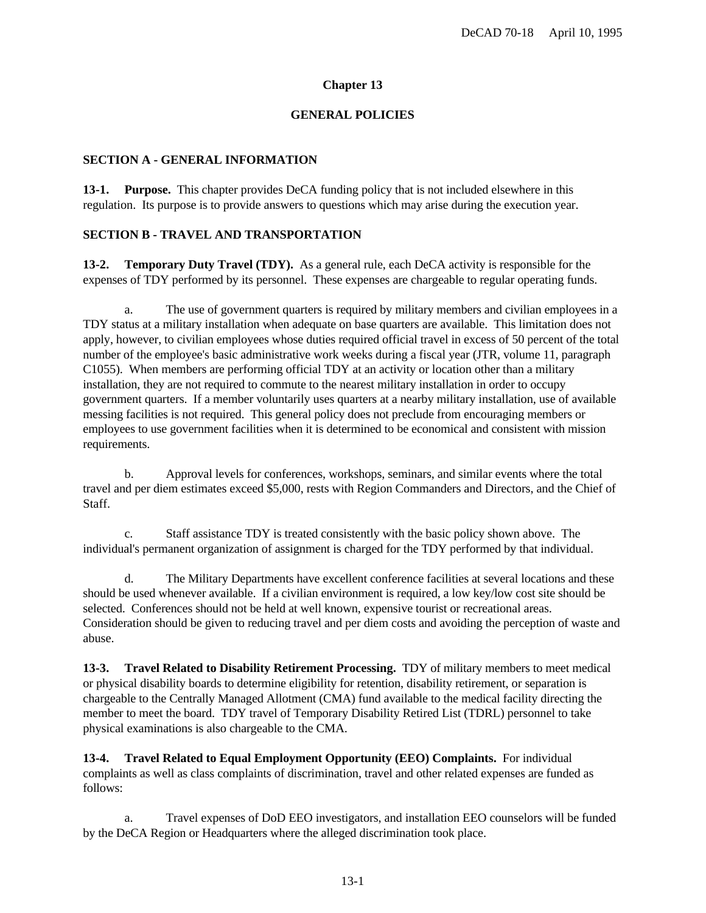### **Chapter 13**

#### **GENERAL POLICIES**

#### **SECTION A - GENERAL INFORMATION**

**13-1. Purpose.** This chapter provides DeCA funding policy that is not included elsewhere in this regulation. Its purpose is to provide answers to questions which may arise during the execution year.

#### **SECTION B - TRAVEL AND TRANSPORTATION**

**13-2. Temporary Duty Travel (TDY).** As a general rule, each DeCA activity is responsible for the expenses of TDY performed by its personnel. These expenses are chargeable to regular operating funds.

a. The use of government quarters is required by military members and civilian employees in a TDY status at a military installation when adequate on base quarters are available. This limitation does not apply, however, to civilian employees whose duties required official travel in excess of 50 percent of the total number of the employee's basic administrative work weeks during a fiscal year (JTR, volume 11, paragraph C1055). When members are performing official TDY at an activity or location other than a military installation, they are not required to commute to the nearest military installation in order to occupy government quarters. If a member voluntarily uses quarters at a nearby military installation, use of available messing facilities is not required. This general policy does not preclude from encouraging members or employees to use government facilities when it is determined to be economical and consistent with mission requirements.

b. Approval levels for conferences, workshops, seminars, and similar events where the total travel and per diem estimates exceed \$5,000, rests with Region Commanders and Directors, and the Chief of Staff.

c. Staff assistance TDY is treated consistently with the basic policy shown above. The individual's permanent organization of assignment is charged for the TDY performed by that individual.

d. The Military Departments have excellent conference facilities at several locations and these should be used whenever available. If a civilian environment is required, a low key/low cost site should be selected. Conferences should not be held at well known, expensive tourist or recreational areas. Consideration should be given to reducing travel and per diem costs and avoiding the perception of waste and abuse.

**13-3. Travel Related to Disability Retirement Processing.** TDY of military members to meet medical or physical disability boards to determine eligibility for retention, disability retirement, or separation is chargeable to the Centrally Managed Allotment (CMA) fund available to the medical facility directing the member to meet the board. TDY travel of Temporary Disability Retired List (TDRL) personnel to take physical examinations is also chargeable to the CMA.

**13-4. Travel Related to Equal Employment Opportunity (EEO) Complaints.** For individual complaints as well as class complaints of discrimination, travel and other related expenses are funded as follows:

a. Travel expenses of DoD EEO investigators, and installation EEO counselors will be funded by the DeCA Region or Headquarters where the alleged discrimination took place.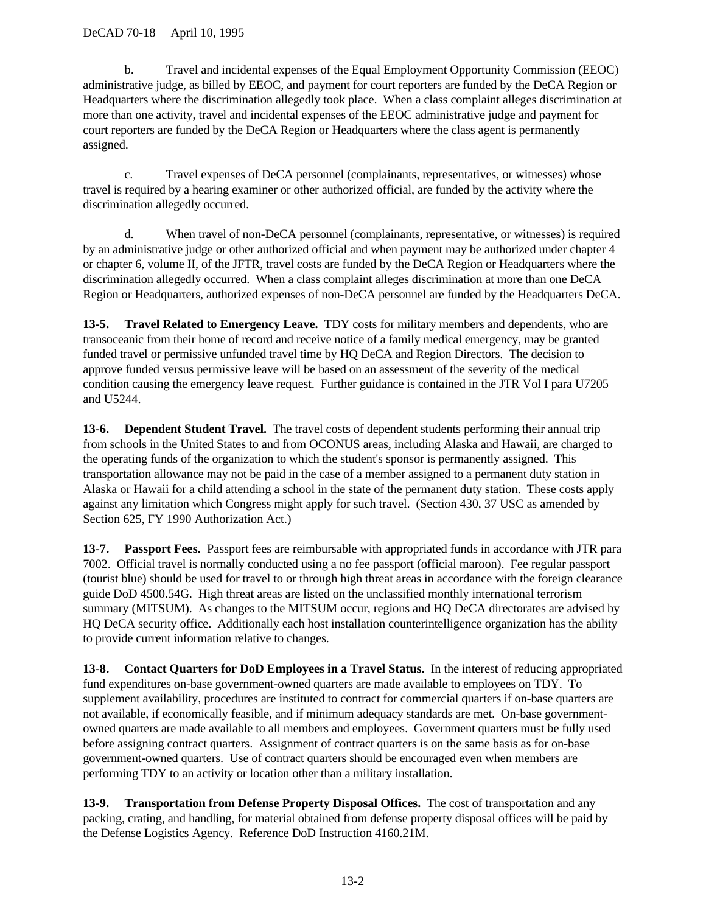b. Travel and incidental expenses of the Equal Employment Opportunity Commission (EEOC) administrative judge, as billed by EEOC, and payment for court reporters are funded by the DeCA Region or Headquarters where the discrimination allegedly took place. When a class complaint alleges discrimination at more than one activity, travel and incidental expenses of the EEOC administrative judge and payment for court reporters are funded by the DeCA Region or Headquarters where the class agent is permanently assigned.

c. Travel expenses of DeCA personnel (complainants, representatives, or witnesses) whose travel is required by a hearing examiner or other authorized official, are funded by the activity where the discrimination allegedly occurred.

d. When travel of non-DeCA personnel (complainants, representative, or witnesses) is required by an administrative judge or other authorized official and when payment may be authorized under chapter 4 or chapter 6, volume II, of the JFTR, travel costs are funded by the DeCA Region or Headquarters where the discrimination allegedly occurred. When a class complaint alleges discrimination at more than one DeCA Region or Headquarters, authorized expenses of non-DeCA personnel are funded by the Headquarters DeCA.

**13-5. Travel Related to Emergency Leave.** TDY costs for military members and dependents, who are transoceanic from their home of record and receive notice of a family medical emergency, may be granted funded travel or permissive unfunded travel time by HQ DeCA and Region Directors. The decision to approve funded versus permissive leave will be based on an assessment of the severity of the medical condition causing the emergency leave request. Further guidance is contained in the JTR Vol I para U7205 and U5244.

**13-6. Dependent Student Travel.** The travel costs of dependent students performing their annual trip from schools in the United States to and from OCONUS areas, including Alaska and Hawaii, are charged to the operating funds of the organization to which the student's sponsor is permanently assigned. This transportation allowance may not be paid in the case of a member assigned to a permanent duty station in Alaska or Hawaii for a child attending a school in the state of the permanent duty station. These costs apply against any limitation which Congress might apply for such travel. (Section 430, 37 USC as amended by Section 625, FY 1990 Authorization Act.)

**13-7. Passport Fees.** Passport fees are reimbursable with appropriated funds in accordance with JTR para 7002. Official travel is normally conducted using a no fee passport (official maroon). Fee regular passport (tourist blue) should be used for travel to or through high threat areas in accordance with the foreign clearance guide DoD 4500.54G. High threat areas are listed on the unclassified monthly international terrorism summary (MITSUM). As changes to the MITSUM occur, regions and HQ DeCA directorates are advised by HQ DeCA security office. Additionally each host installation counterintelligence organization has the ability to provide current information relative to changes.

**13-8. Contact Quarters for DoD Employees in a Travel Status.** In the interest of reducing appropriated fund expenditures on-base government-owned quarters are made available to employees on TDY. To supplement availability, procedures are instituted to contract for commercial quarters if on-base quarters are not available, if economically feasible, and if minimum adequacy standards are met. On-base governmentowned quarters are made available to all members and employees. Government quarters must be fully used before assigning contract quarters. Assignment of contract quarters is on the same basis as for on-base government-owned quarters. Use of contract quarters should be encouraged even when members are performing TDY to an activity or location other than a military installation.

**13-9. Transportation from Defense Property Disposal Offices.** The cost of transportation and any packing, crating, and handling, for material obtained from defense property disposal offices will be paid by the Defense Logistics Agency. Reference DoD Instruction 4160.21M.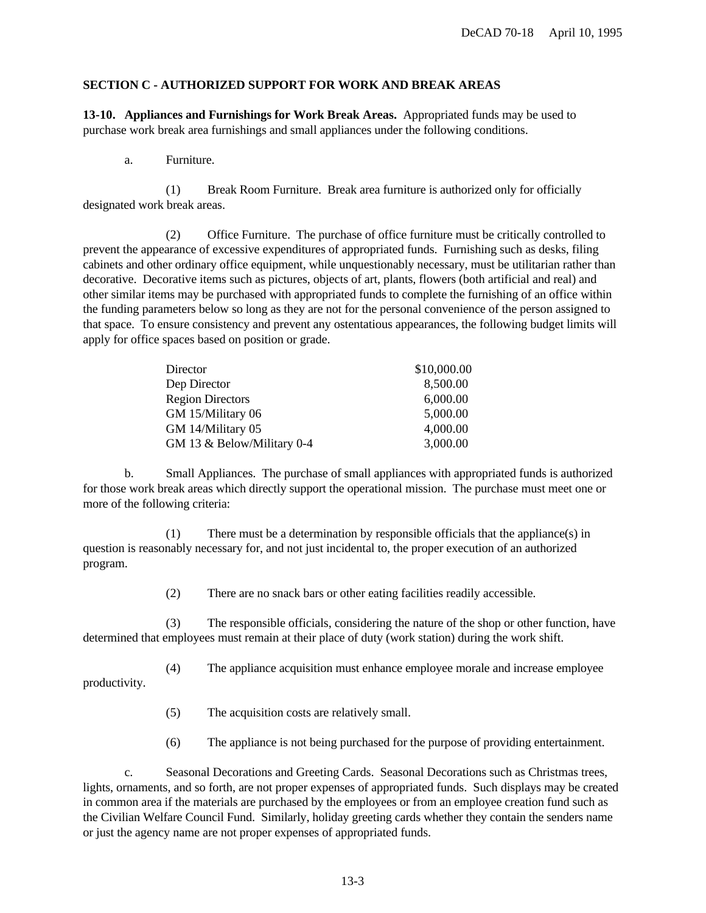### **SECTION C - AUTHORIZED SUPPORT FOR WORK AND BREAK AREAS**

**13-10. Appliances and Furnishings for Work Break Areas.** Appropriated funds may be used to purchase work break area furnishings and small appliances under the following conditions.

a. Furniture.

(1) Break Room Furniture. Break area furniture is authorized only for officially designated work break areas.

(2) Office Furniture. The purchase of office furniture must be critically controlled to prevent the appearance of excessive expenditures of appropriated funds. Furnishing such as desks, filing cabinets and other ordinary office equipment, while unquestionably necessary, must be utilitarian rather than decorative. Decorative items such as pictures, objects of art, plants, flowers (both artificial and real) and other similar items may be purchased with appropriated funds to complete the furnishing of an office within the funding parameters below so long as they are not for the personal convenience of the person assigned to that space. To ensure consistency and prevent any ostentatious appearances, the following budget limits will apply for office spaces based on position or grade.

| Director                   | \$10,000.00 |
|----------------------------|-------------|
| Dep Director               | 8,500.00    |
| <b>Region Directors</b>    | 6,000.00    |
| GM 15/Military 06          | 5,000.00    |
| GM 14/Military 05          | 4,000.00    |
| GM 13 & Below/Military 0-4 | 3,000.00    |

b. Small Appliances. The purchase of small appliances with appropriated funds is authorized for those work break areas which directly support the operational mission. The purchase must meet one or more of the following criteria:

(1) There must be a determination by responsible officials that the appliance(s) in question is reasonably necessary for, and not just incidental to, the proper execution of an authorized program.

(2) There are no snack bars or other eating facilities readily accessible.

(3) The responsible officials, considering the nature of the shop or other function, have determined that employees must remain at their place of duty (work station) during the work shift.

(4) The appliance acquisition must enhance employee morale and increase employee

productivity.

- (5) The acquisition costs are relatively small.
- (6) The appliance is not being purchased for the purpose of providing entertainment.

c. Seasonal Decorations and Greeting Cards. Seasonal Decorations such as Christmas trees, lights, ornaments, and so forth, are not proper expenses of appropriated funds. Such displays may be created in common area if the materials are purchased by the employees or from an employee creation fund such as the Civilian Welfare Council Fund. Similarly, holiday greeting cards whether they contain the senders name or just the agency name are not proper expenses of appropriated funds.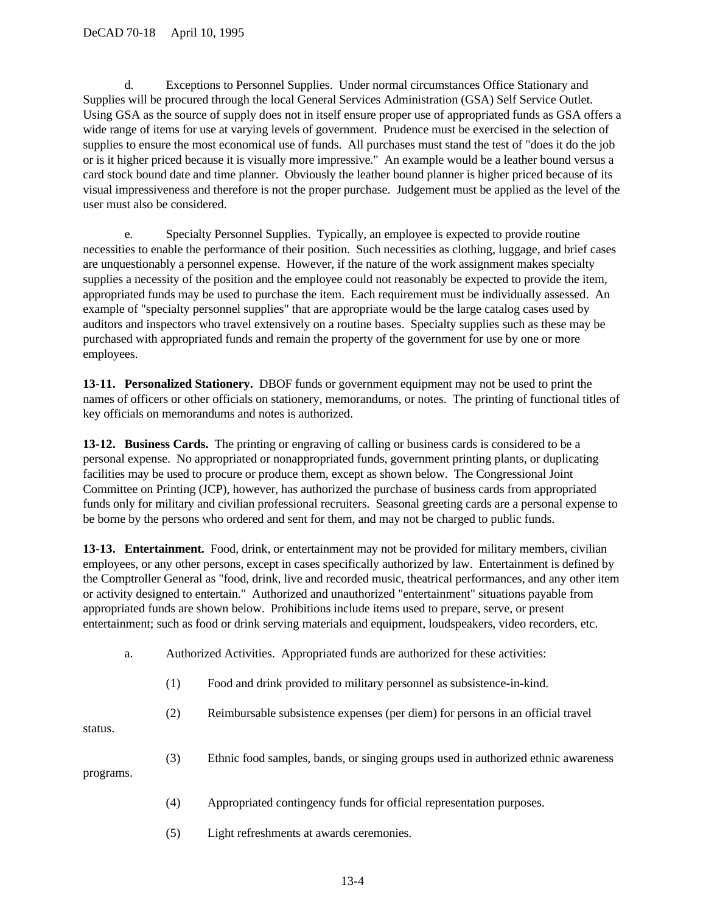#### DeCAD 70-18 April 10, 1995

d. Exceptions to Personnel Supplies. Under normal circumstances Office Stationary and Supplies will be procured through the local General Services Administration (GSA) Self Service Outlet. Using GSA as the source of supply does not in itself ensure proper use of appropriated funds as GSA offers a wide range of items for use at varying levels of government. Prudence must be exercised in the selection of supplies to ensure the most economical use of funds. All purchases must stand the test of "does it do the job or is it higher priced because it is visually more impressive." An example would be a leather bound versus a card stock bound date and time planner. Obviously the leather bound planner is higher priced because of its visual impressiveness and therefore is not the proper purchase. Judgement must be applied as the level of the user must also be considered.

e. Specialty Personnel Supplies. Typically, an employee is expected to provide routine necessities to enable the performance of their position. Such necessities as clothing, luggage, and brief cases are unquestionably a personnel expense. However, if the nature of the work assignment makes specialty supplies a necessity of the position and the employee could not reasonably be expected to provide the item, appropriated funds may be used to purchase the item. Each requirement must be individually assessed. An example of "specialty personnel supplies" that are appropriate would be the large catalog cases used by auditors and inspectors who travel extensively on a routine bases. Specialty supplies such as these may be purchased with appropriated funds and remain the property of the government for use by one or more employees.

**13-11. Personalized Stationery.** DBOF funds or government equipment may not be used to print the names of officers or other officials on stationery, memorandums, or notes. The printing of functional titles of key officials on memorandums and notes is authorized.

**13-12. Business Cards.** The printing or engraving of calling or business cards is considered to be a personal expense. No appropriated or nonappropriated funds, government printing plants, or duplicating facilities may be used to procure or produce them, except as shown below. The Congressional Joint Committee on Printing (JCP), however, has authorized the purchase of business cards from appropriated funds only for military and civilian professional recruiters. Seasonal greeting cards are a personal expense to be borne by the persons who ordered and sent for them, and may not be charged to public funds.

**13-13. Entertainment.** Food, drink, or entertainment may not be provided for military members, civilian employees, or any other persons, except in cases specifically authorized by law. Entertainment is defined by the Comptroller General as "food, drink, live and recorded music, theatrical performances, and any other item or activity designed to entertain." Authorized and unauthorized "entertainment" situations payable from appropriated funds are shown below. Prohibitions include items used to prepare, serve, or present entertainment; such as food or drink serving materials and equipment, loudspeakers, video recorders, etc.

- a. Authorized Activities. Appropriated funds are authorized for these activities:
	- (1) Food and drink provided to military personnel as subsistence-in-kind.
	- (2) Reimbursable subsistence expenses (per diem) for persons in an official travel

status.

(3) Ethnic food samples, bands, or singing groups used in authorized ethnic awareness

programs.

- (4) Appropriated contingency funds for official representation purposes.
- (5) Light refreshments at awards ceremonies.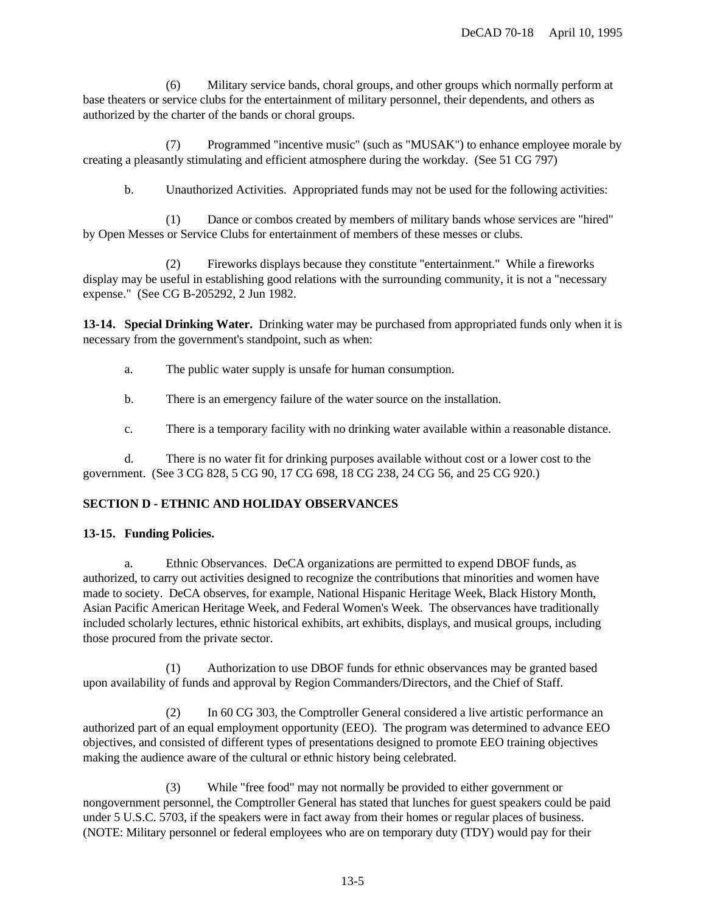(6) Military service bands, choral groups, and other groups which normally perform at base theaters or service clubs for the entertainment of military personnel, their dependents, and others as authorized by the charter of the bands or choral groups.

(7) Programmed "incentive music" (such as "MUSAK") to enhance employee morale by creating a pleasantly stimulating and efficient atmosphere during the workday. (See 51 CG 797)

b. Unauthorized Activities. Appropriated funds may not be used for the following activities:

(1) Dance or combos created by members of military bands whose services are "hired" by Open Messes or Service Clubs for entertainment of members of these messes or clubs.

(2) Fireworks displays because they constitute "entertainment." While a fireworks display may be useful in establishing good relations with the surrounding community, it is not a "necessary expense." (See CG B-205292, 2 Jun 1982.

**13-14. Special Drinking Water.** Drinking water may be purchased from appropriated funds only when it is necessary from the government's standpoint, such as when:

a. The public water supply is unsafe for human consumption.

b. There is an emergency failure of the water source on the installation.

c. There is a temporary facility with no drinking water available within a reasonable distance.

d. There is no water fit for drinking purposes available without cost or a lower cost to the government. (See 3 CG 828, 5 CG 90, 17 CG 698, 18 CG 238, 24 CG 56, and 25 CG 920.)

### **SECTION D - ETHNIC AND HOLIDAY OBSERVANCES**

#### **13-15. Funding Policies.**

a. Ethnic Observances. DeCA organizations are permitted to expend DBOF funds, as authorized, to carry out activities designed to recognize the contributions that minorities and women have made to society. DeCA observes, for example, National Hispanic Heritage Week, Black History Month, Asian Pacific American Heritage Week, and Federal Women's Week. The observances have traditionally included scholarly lectures, ethnic historical exhibits, art exhibits, displays, and musical groups, including those procured from the private sector.

(1) Authorization to use DBOF funds for ethnic observances may be granted based upon availability of funds and approval by Region Commanders/Directors, and the Chief of Staff.

(2) In 60 CG 303, the Comptroller General considered a live artistic performance an authorized part of an equal employment opportunity (EEO). The program was determined to advance EEO objectives, and consisted of different types of presentations designed to promote EEO training objectives making the audience aware of the cultural or ethnic history being celebrated.

(3) While "free food" may not normally be provided to either government or nongovernment personnel, the Comptroller General has stated that lunches for guest speakers could be paid under 5 U.S.C. 5703, if the speakers were in fact away from their homes or regular places of business. (NOTE: Military personnel or federal employees who are on temporary duty (TDY) would pay for their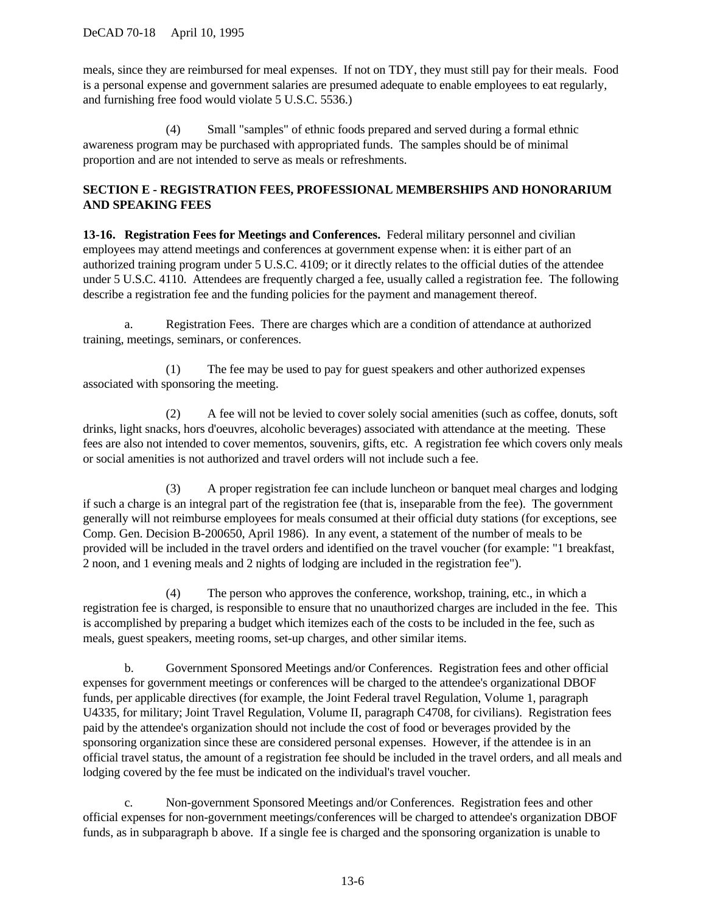meals, since they are reimbursed for meal expenses. If not on TDY, they must still pay for their meals. Food is a personal expense and government salaries are presumed adequate to enable employees to eat regularly, and furnishing free food would violate 5 U.S.C. 5536.)

(4) Small "samples" of ethnic foods prepared and served during a formal ethnic awareness program may be purchased with appropriated funds. The samples should be of minimal proportion and are not intended to serve as meals or refreshments.

## **SECTION E - REGISTRATION FEES, PROFESSIONAL MEMBERSHIPS AND HONORARIUM AND SPEAKING FEES**

**13-16. Registration Fees for Meetings and Conferences.** Federal military personnel and civilian employees may attend meetings and conferences at government expense when: it is either part of an authorized training program under 5 U.S.C. 4109; or it directly relates to the official duties of the attendee under 5 U.S.C. 4110. Attendees are frequently charged a fee, usually called a registration fee. The following describe a registration fee and the funding policies for the payment and management thereof.

a. Registration Fees. There are charges which are a condition of attendance at authorized training, meetings, seminars, or conferences.

(1) The fee may be used to pay for guest speakers and other authorized expenses associated with sponsoring the meeting.

(2) A fee will not be levied to cover solely social amenities (such as coffee, donuts, soft drinks, light snacks, hors d'oeuvres, alcoholic beverages) associated with attendance at the meeting. These fees are also not intended to cover mementos, souvenirs, gifts, etc. A registration fee which covers only meals or social amenities is not authorized and travel orders will not include such a fee.

(3) A proper registration fee can include luncheon or banquet meal charges and lodging if such a charge is an integral part of the registration fee (that is, inseparable from the fee). The government generally will not reimburse employees for meals consumed at their official duty stations (for exceptions, see Comp. Gen. Decision B-200650, April 1986). In any event, a statement of the number of meals to be provided will be included in the travel orders and identified on the travel voucher (for example: "1 breakfast, 2 noon, and 1 evening meals and 2 nights of lodging are included in the registration fee").

(4) The person who approves the conference, workshop, training, etc., in which a registration fee is charged, is responsible to ensure that no unauthorized charges are included in the fee. This is accomplished by preparing a budget which itemizes each of the costs to be included in the fee, such as meals, guest speakers, meeting rooms, set-up charges, and other similar items.

b. Government Sponsored Meetings and/or Conferences. Registration fees and other official expenses for government meetings or conferences will be charged to the attendee's organizational DBOF funds, per applicable directives (for example, the Joint Federal travel Regulation, Volume 1, paragraph U4335, for military; Joint Travel Regulation, Volume II, paragraph C4708, for civilians). Registration fees paid by the attendee's organization should not include the cost of food or beverages provided by the sponsoring organization since these are considered personal expenses. However, if the attendee is in an official travel status, the amount of a registration fee should be included in the travel orders, and all meals and lodging covered by the fee must be indicated on the individual's travel voucher.

c. Non-government Sponsored Meetings and/or Conferences.Registration fees and other official expenses for non-government meetings/conferences will be charged to attendee's organization DBOF funds, as in subparagraph b above. If a single fee is charged and the sponsoring organization is unable to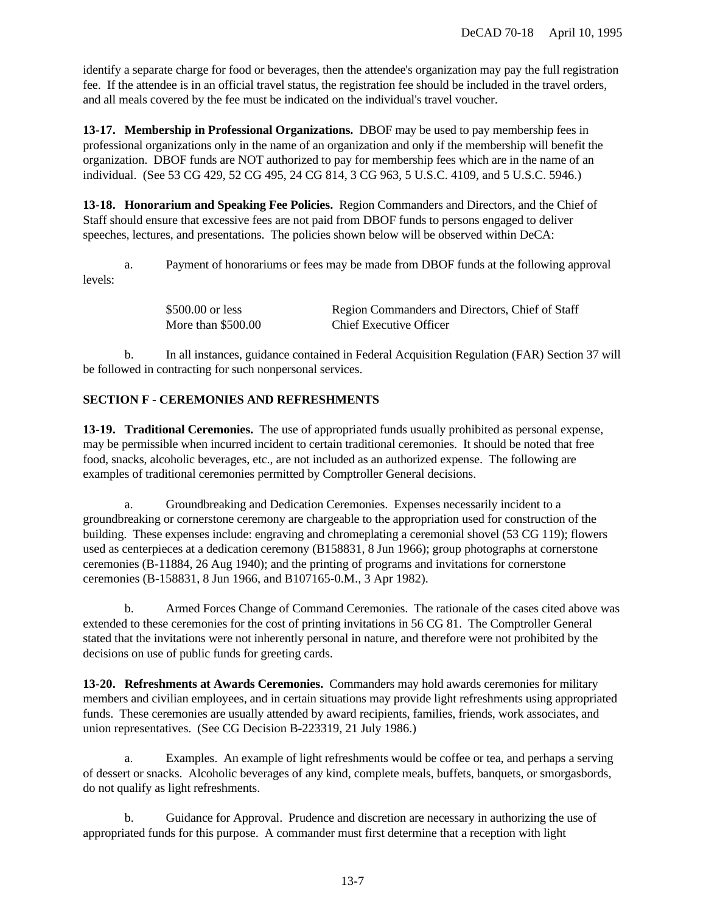identify a separate charge for food or beverages, then the attendee's organization may pay the full registration fee. If the attendee is in an official travel status, the registration fee should be included in the travel orders, and all meals covered by the fee must be indicated on the individual's travel voucher.

**13-17. Membership in Professional Organizations.** DBOF may be used to pay membership fees in professional organizations only in the name of an organization and only if the membership will benefit the organization. DBOF funds are NOT authorized to pay for membership fees which are in the name of an individual. (See 53 CG 429, 52 CG 495, 24 CG 814, 3 CG 963, 5 U.S.C. 4109, and 5 U.S.C. 5946.)

**13-18. Honorarium and Speaking Fee Policies.** Region Commanders and Directors, and the Chief of Staff should ensure that excessive fees are not paid from DBOF funds to persons engaged to deliver speeches, lectures, and presentations. The policies shown below will be observed within DeCA:

a. Payment of honorariums or fees may be made from DBOF funds at the following approval levels:

| \$500.00 or less   | Region Commanders and Directors, Chief of Staff |
|--------------------|-------------------------------------------------|
| More than \$500.00 | Chief Executive Officer                         |

b. In all instances, guidance contained in Federal Acquisition Regulation (FAR) Section 37 will be followed in contracting for such nonpersonal services.

## **SECTION F - CEREMONIES AND REFRESHMENTS**

**13-19. Traditional Ceremonies.** The use of appropriated funds usually prohibited as personal expense, may be permissible when incurred incident to certain traditional ceremonies. It should be noted that free food, snacks, alcoholic beverages, etc., are not included as an authorized expense. The following are examples of traditional ceremonies permitted by Comptroller General decisions.

a. Groundbreaking and Dedication Ceremonies.Expenses necessarily incident to a groundbreaking or cornerstone ceremony are chargeable to the appropriation used for construction of the building. These expenses include: engraving and chromeplating a ceremonial shovel (53 CG 119); flowers used as centerpieces at a dedication ceremony (B158831, 8 Jun 1966); group photographs at cornerstone ceremonies (B-11884, 26 Aug 1940); and the printing of programs and invitations for cornerstone ceremonies (B-158831, 8 Jun 1966, and B107165-0.M., 3 Apr 1982).

b. Armed Forces Change of Command Ceremonies. The rationale of the cases cited above was extended to these ceremonies for the cost of printing invitations in 56 CG 81. The Comptroller General stated that the invitations were not inherently personal in nature, and therefore were not prohibited by the decisions on use of public funds for greeting cards.

**13-20. Refreshments at Awards Ceremonies.** Commanders may hold awards ceremonies for military members and civilian employees, and in certain situations may provide light refreshments using appropriated funds. These ceremonies are usually attended by award recipients, families, friends, work associates, and union representatives. (See CG Decision B-223319, 21 July 1986.)

a. Examples. An example of light refreshments would be coffee or tea, and perhaps a serving of dessert or snacks. Alcoholic beverages of any kind, complete meals, buffets, banquets, or smorgasbords, do not qualify as light refreshments.

b. Guidance for Approval. Prudence and discretion are necessary in authorizing the use of appropriated funds for this purpose. A commander must first determine that a reception with light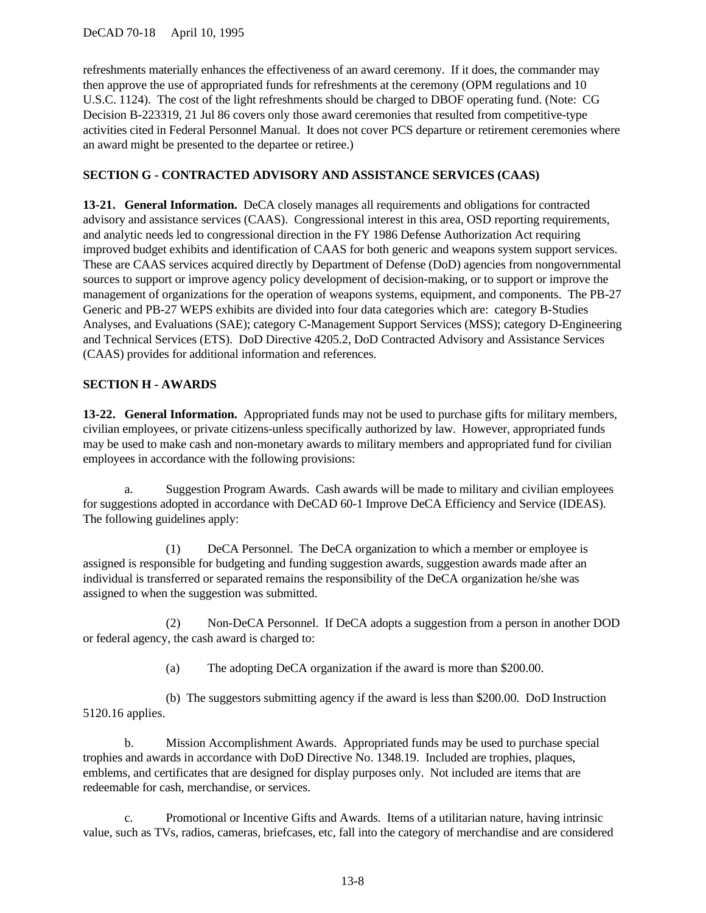DeCAD 70-18 April 10, 1995

refreshments materially enhances the effectiveness of an award ceremony. If it does, the commander may then approve the use of appropriated funds for refreshments at the ceremony (OPM regulations and 10 U.S.C. 1124). The cost of the light refreshments should be charged to DBOF operating fund. (Note: CG Decision B-223319, 21 Jul 86 covers only those award ceremonies that resulted from competitive-type activities cited in Federal Personnel Manual. It does not cover PCS departure or retirement ceremonies where an award might be presented to the departee or retiree.)

## **SECTION G - CONTRACTED ADVISORY AND ASSISTANCE SERVICES (CAAS)**

**13-21. General Information.** DeCA closely manages all requirements and obligations for contracted advisory and assistance services (CAAS). Congressional interest in this area, OSD reporting requirements, and analytic needs led to congressional direction in the FY 1986 Defense Authorization Act requiring improved budget exhibits and identification of CAAS for both generic and weapons system support services. These are CAAS services acquired directly by Department of Defense (DoD) agencies from nongovernmental sources to support or improve agency policy development of decision-making, or to support or improve the management of organizations for the operation of weapons systems, equipment, and components. The PB-27 Generic and PB-27 WEPS exhibits are divided into four data categories which are: category B-Studies Analyses, and Evaluations (SAE); category C-Management Support Services (MSS); category D-Engineering and Technical Services (ETS). DoD Directive 4205.2, DoD Contracted Advisory and Assistance Services (CAAS) provides for additional information and references.

## **SECTION H - AWARDS**

**13-22. General Information.** Appropriated funds may not be used to purchase gifts for military members, civilian employees, or private citizens-unless specifically authorized by law. However, appropriated funds may be used to make cash and non-monetary awards to military members and appropriated fund for civilian employees in accordance with the following provisions:

a. Suggestion Program Awards. Cash awards will be made to military and civilian employees for suggestions adopted in accordance with DeCAD 60-1 Improve DeCA Efficiency and Service (IDEAS). The following guidelines apply:

(1) DeCA Personnel. The DeCA organization to which a member or employee is assigned is responsible for budgeting and funding suggestion awards, suggestion awards made after an individual is transferred or separated remains the responsibility of the DeCA organization he/she was assigned to when the suggestion was submitted.

(2) Non-DeCA Personnel. If DeCA adopts a suggestion from a person in another DOD or federal agency, the cash award is charged to:

(a) The adopting DeCA organization if the award is more than \$200.00.

(b) The suggestors submitting agency if the award is less than \$200.00. DoD Instruction 5120.16 applies.

b. Mission Accomplishment Awards. Appropriated funds may be used to purchase special trophies and awards in accordance with DoD Directive No. 1348.19. Included are trophies, plaques, emblems, and certificates that are designed for display purposes only. Not included are items that are redeemable for cash, merchandise, or services.

c. Promotional or Incentive Gifts and Awards.Items of a utilitarian nature, having intrinsic value, such as TVs, radios, cameras, briefcases, etc, fall into the category of merchandise and are considered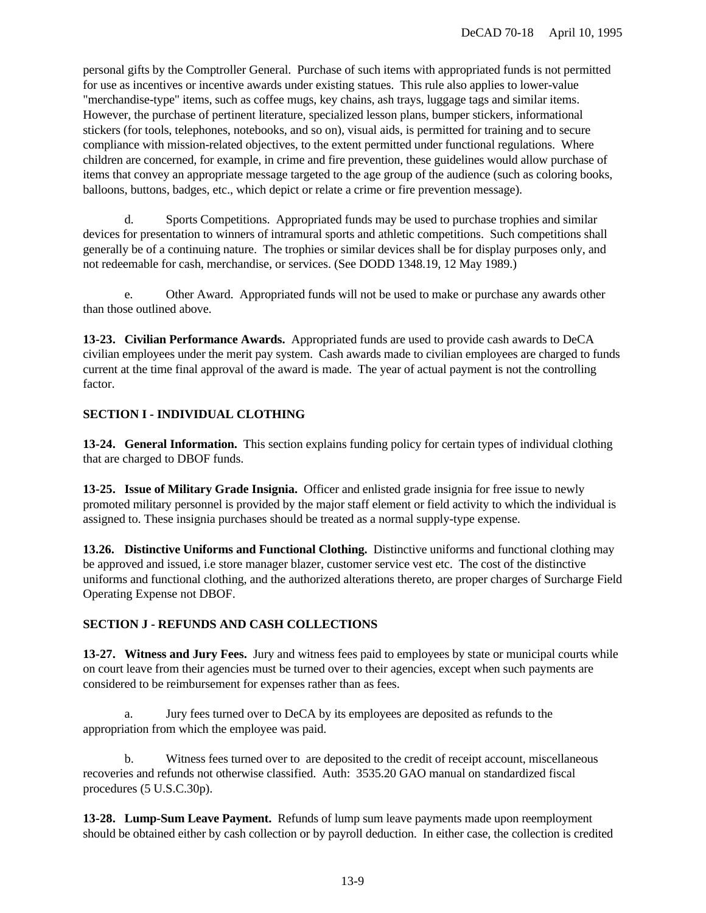personal gifts by the Comptroller General. Purchase of such items with appropriated funds is not permitted for use as incentives or incentive awards under existing statues. This rule also applies to lower-value "merchandise-type" items, such as coffee mugs, key chains, ash trays, luggage tags and similar items. However, the purchase of pertinent literature, specialized lesson plans, bumper stickers, informational stickers (for tools, telephones, notebooks, and so on), visual aids, is permitted for training and to secure compliance with mission-related objectives, to the extent permitted under functional regulations. Where children are concerned, for example, in crime and fire prevention, these guidelines would allow purchase of items that convey an appropriate message targeted to the age group of the audience (such as coloring books, balloons, buttons, badges, etc., which depict or relate a crime or fire prevention message).

d. Sports Competitions. Appropriated funds may be used to purchase trophies and similar devices for presentation to winners of intramural sports and athletic competitions. Such competitions shall generally be of a continuing nature. The trophies or similar devices shall be for display purposes only, and not redeemable for cash, merchandise, or services. (See DODD 1348.19, 12 May 1989.)

e. Other Award. Appropriated funds will not be used to make or purchase any awards other than those outlined above.

**13-23. Civilian Performance Awards.** Appropriated funds are used to provide cash awards to DeCA civilian employees under the merit pay system. Cash awards made to civilian employees are charged to funds current at the time final approval of the award is made. The year of actual payment is not the controlling factor.

# **SECTION I - INDIVIDUAL CLOTHING**

**13-24. General Information.** This section explains funding policy for certain types of individual clothing that are charged to DBOF funds.

**13-25. Issue of Military Grade Insignia.** Officer and enlisted grade insignia for free issue to newly promoted military personnel is provided by the major staff element or field activity to which the individual is assigned to. These insignia purchases should be treated as a normal supply-type expense.

**13.26. Distinctive Uniforms and Functional Clothing.** Distinctive uniforms and functional clothing may be approved and issued, i.e store manager blazer, customer service vest etc. The cost of the distinctive uniforms and functional clothing, and the authorized alterations thereto, are proper charges of Surcharge Field Operating Expense not DBOF.

# **SECTION J - REFUNDS AND CASH COLLECTIONS**

**13-27. Witness and Jury Fees.** Jury and witness fees paid to employees by state or municipal courts while on court leave from their agencies must be turned over to their agencies, except when such payments are considered to be reimbursement for expenses rather than as fees.

a. Jury fees turned over to DeCA by its employees are deposited as refunds to the appropriation from which the employee was paid.

b. Witness fees turned over to are deposited to the credit of receipt account, miscellaneous recoveries and refunds not otherwise classified. Auth: 3535.20 GAO manual on standardized fiscal procedures (5 U.S.C.30p).

**13-28. Lump-Sum Leave Payment.** Refunds of lump sum leave payments made upon reemployment should be obtained either by cash collection or by payroll deduction. In either case, the collection is credited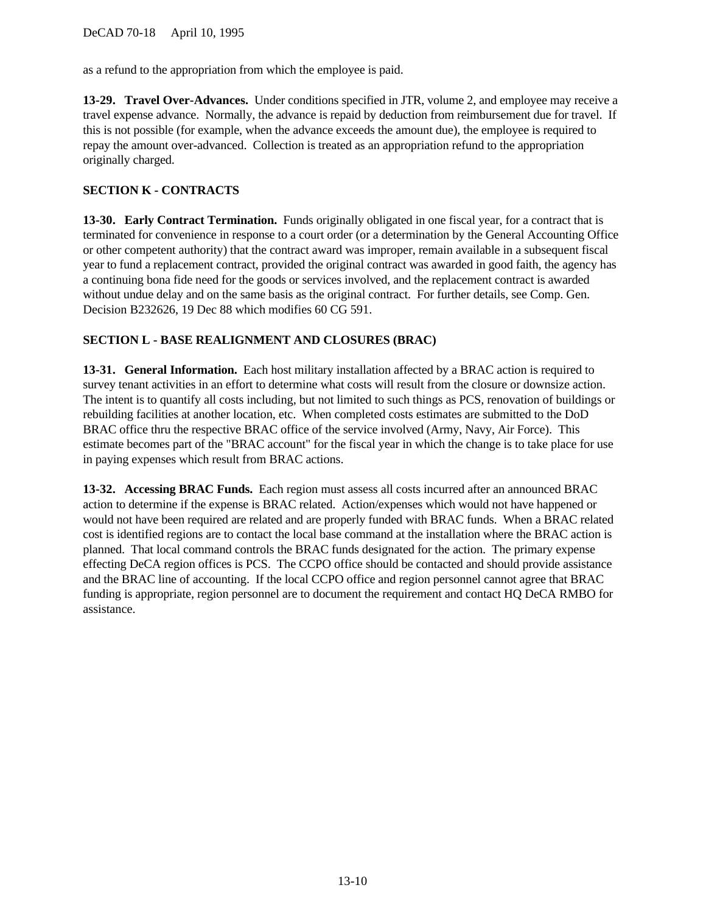as a refund to the appropriation from which the employee is paid.

**13-29. Travel Over-Advances.** Under conditions specified in JTR, volume 2, and employee may receive a travel expense advance. Normally, the advance is repaid by deduction from reimbursement due for travel. If this is not possible (for example, when the advance exceeds the amount due), the employee is required to repay the amount over-advanced. Collection is treated as an appropriation refund to the appropriation originally charged.

## **SECTION K - CONTRACTS**

**13-30. Early Contract Termination.** Funds originally obligated in one fiscal year, for a contract that is terminated for convenience in response to a court order (or a determination by the General Accounting Office or other competent authority) that the contract award was improper, remain available in a subsequent fiscal year to fund a replacement contract, provided the original contract was awarded in good faith, the agency has a continuing bona fide need for the goods or services involved, and the replacement contract is awarded without undue delay and on the same basis as the original contract. For further details, see Comp. Gen. Decision B232626, 19 Dec 88 which modifies 60 CG 591.

### **SECTION L - BASE REALIGNMENT AND CLOSURES (BRAC)**

**13-31. General Information.** Each host military installation affected by a BRAC action is required to survey tenant activities in an effort to determine what costs will result from the closure or downsize action. The intent is to quantify all costs including, but not limited to such things as PCS, renovation of buildings or rebuilding facilities at another location, etc. When completed costs estimates are submitted to the DoD BRAC office thru the respective BRAC office of the service involved (Army, Navy, Air Force). This estimate becomes part of the "BRAC account" for the fiscal year in which the change is to take place for use in paying expenses which result from BRAC actions.

**13-32. Accessing BRAC Funds.** Each region must assess all costs incurred after an announced BRAC action to determine if the expense is BRAC related. Action/expenses which would not have happened or would not have been required are related and are properly funded with BRAC funds. When a BRAC related cost is identified regions are to contact the local base command at the installation where the BRAC action is planned. That local command controls the BRAC funds designated for the action. The primary expense effecting DeCA region offices is PCS. The CCPO office should be contacted and should provide assistance and the BRAC line of accounting. If the local CCPO office and region personnel cannot agree that BRAC funding is appropriate, region personnel are to document the requirement and contact HQ DeCA RMBO for assistance.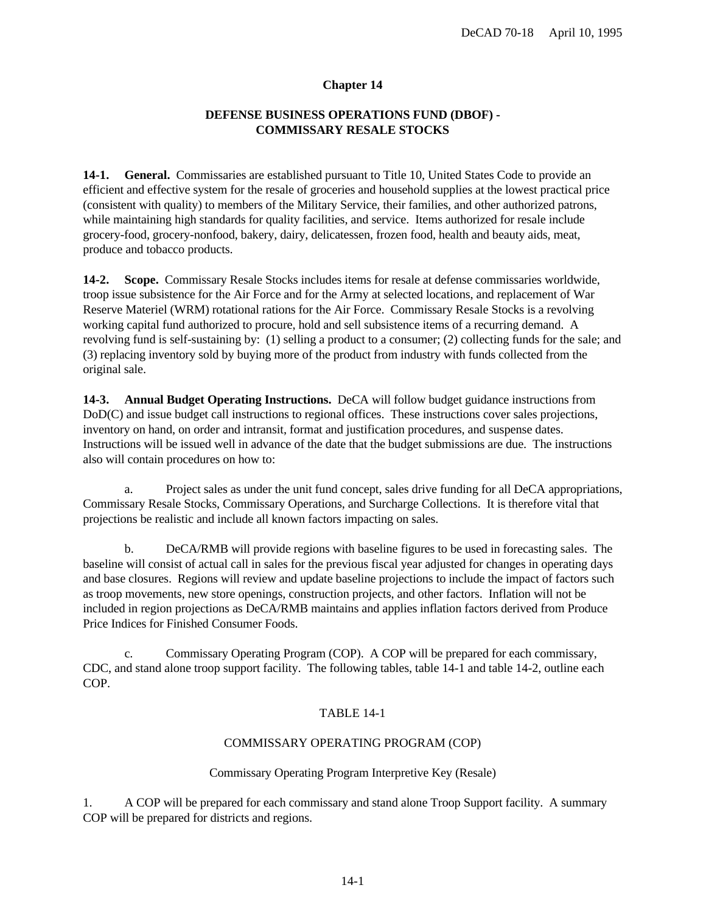### **Chapter 14**

## **DEFENSE BUSINESS OPERATIONS FUND (DBOF) - COMMISSARY RESALE STOCKS**

**14-1. General.** Commissaries are established pursuant to Title 10, United States Code to provide an efficient and effective system for the resale of groceries and household supplies at the lowest practical price (consistent with quality) to members of the Military Service, their families, and other authorized patrons, while maintaining high standards for quality facilities, and service. Items authorized for resale include grocery-food, grocery-nonfood, bakery, dairy, delicatessen, frozen food, health and beauty aids, meat, produce and tobacco products.

**14-2. Scope.** Commissary Resale Stocks includes items for resale at defense commissaries worldwide, troop issue subsistence for the Air Force and for the Army at selected locations, and replacement of War Reserve Materiel (WRM) rotational rations for the Air Force. Commissary Resale Stocks is a revolving working capital fund authorized to procure, hold and sell subsistence items of a recurring demand. A revolving fund is self-sustaining by: (1) selling a product to a consumer; (2) collecting funds for the sale; and (3) replacing inventory sold by buying more of the product from industry with funds collected from the original sale.

**14-3. Annual Budget Operating Instructions.** DeCA will follow budget guidance instructions from DoD(C) and issue budget call instructions to regional offices. These instructions cover sales projections, inventory on hand, on order and intransit, format and justification procedures, and suspense dates. Instructions will be issued well in advance of the date that the budget submissions are due. The instructions also will contain procedures on how to:

a. Project sales as under the unit fund concept, sales drive funding for all DeCA appropriations, Commissary Resale Stocks, Commissary Operations, and Surcharge Collections. It is therefore vital that projections be realistic and include all known factors impacting on sales.

b. DeCA/RMB will provide regions with baseline figures to be used in forecasting sales. The baseline will consist of actual call in sales for the previous fiscal year adjusted for changes in operating days and base closures. Regions will review and update baseline projections to include the impact of factors such as troop movements, new store openings, construction projects, and other factors. Inflation will not be included in region projections as DeCA/RMB maintains and applies inflation factors derived from Produce Price Indices for Finished Consumer Foods.

c. Commissary Operating Program (COP). A COP will be prepared for each commissary, CDC, and stand alone troop support facility. The following tables, table 14-1 an[d table 14-2,](#page-90-0) outline each COP.

## TABLE 14-1

### COMMISSARY OPERATING PROGRAM (COP)

### Commissary Operating Program Interpretive Key (Resale)

1. A COP will be prepared for each commissary and stand alone Troop Support facility. A summary COP will be prepared for districts and regions.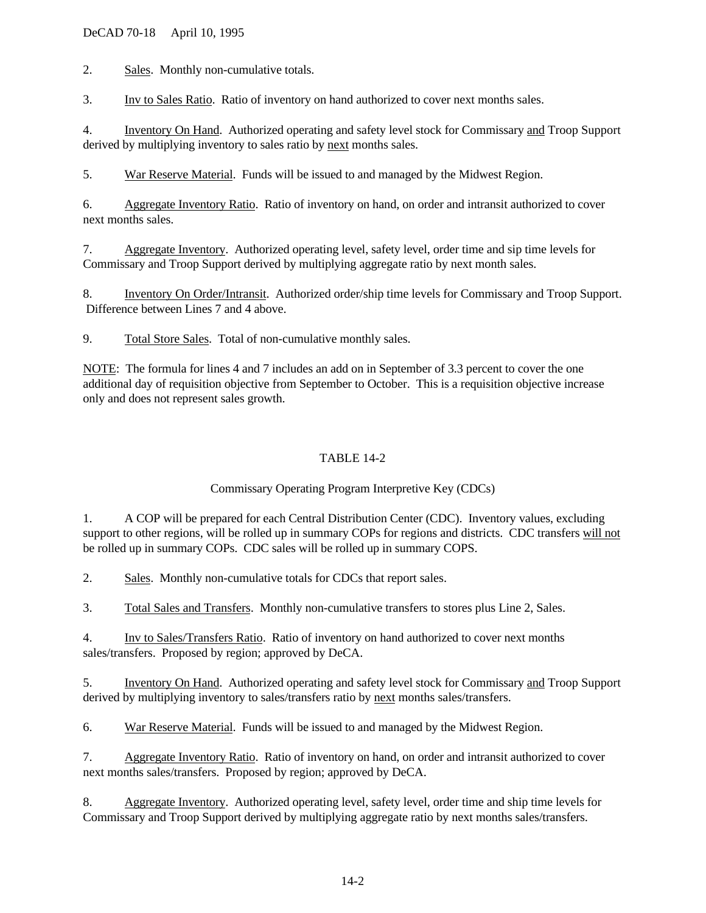<span id="page-90-0"></span>DeCAD 70-18 April 10, 1995

2. Sales. Monthly non-cumulative totals.

3. Inv to Sales Ratio. Ratio of inventory on hand authorized to cover next months sales.

4. Inventory On Hand. Authorized operating and safety level stock for Commissary and Troop Support derived by multiplying inventory to sales ratio by next months sales.

5. War Reserve Material. Funds will be issued to and managed by the Midwest Region.

6. Aggregate Inventory Ratio. Ratio of inventory on hand, on order and intransit authorized to cover next months sales.

7. Aggregate Inventory. Authorized operating level, safety level, order time and sip time levels for Commissary and Troop Support derived by multiplying aggregate ratio by next month sales.

8. Inventory On Order/Intransit. Authorized order/ship time levels for Commissary and Troop Support. Difference between Lines 7 and 4 above.

9. Total Store Sales. Total of non-cumulative monthly sales.

NOTE: The formula for lines 4 and 7 includes an add on in September of 3.3 percent to cover the one additional day of requisition objective from September to October. This is a requisition objective increase only and does not represent sales growth.

## TABLE 14-2

# Commissary Operating Program Interpretive Key (CDCs)

1. A COP will be prepared for each Central Distribution Center (CDC). Inventory values, excluding support to other regions, will be rolled up in summary COPs for regions and districts. CDC transfers will not be rolled up in summary COPs. CDC sales will be rolled up in summary COPS.

2. Sales. Monthly non-cumulative totals for CDCs that report sales.

3. Total Sales and Transfers. Monthly non-cumulative transfers to stores plus Line 2, Sales.

4. Inv to Sales/Transfers Ratio. Ratio of inventory on hand authorized to cover next months sales/transfers. Proposed by region; approved by DeCA.

5. Inventory On Hand. Authorized operating and safety level stock for Commissary and Troop Support derived by multiplying inventory to sales/transfers ratio by next months sales/transfers.

6. War Reserve Material. Funds will be issued to and managed by the Midwest Region.

7. Aggregate Inventory Ratio. Ratio of inventory on hand, on order and intransit authorized to cover next months sales/transfers. Proposed by region; approved by DeCA.

8. Aggregate Inventory. Authorized operating level, safety level, order time and ship time levels for Commissary and Troop Support derived by multiplying aggregate ratio by next months sales/transfers.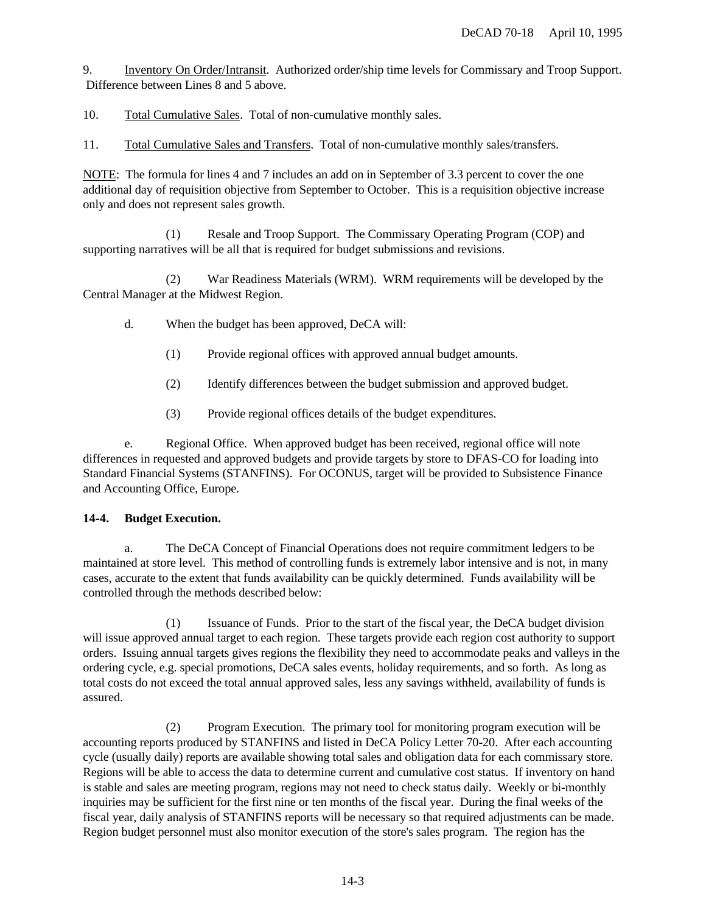9. Inventory On Order/Intransit. Authorized order/ship time levels for Commissary and Troop Support. Difference between Lines 8 and 5 above.

10. Total Cumulative Sales. Total of non-cumulative monthly sales.

11. Total Cumulative Sales and Transfers. Total of non-cumulative monthly sales/transfers.

NOTE: The formula for lines 4 and 7 includes an add on in September of 3.3 percent to cover the one additional day of requisition objective from September to October. This is a requisition objective increase only and does not represent sales growth.

(1) Resale and Troop Support. The Commissary Operating Program (COP) and supporting narratives will be all that is required for budget submissions and revisions.

(2) War Readiness Materials (WRM). WRM requirements will be developed by the Central Manager at the Midwest Region.

- d. When the budget has been approved, DeCA will:
	- (1) Provide regional offices with approved annual budget amounts.
	- (2) Identify differences between the budget submission and approved budget.
	- (3) Provide regional offices details of the budget expenditures.

e. Regional Office. When approved budget has been received, regional office will note differences in requested and approved budgets and provide targets by store to DFAS-CO for loading into Standard Financial Systems (STANFINS). For OCONUS, target will be provided to Subsistence Finance and Accounting Office, Europe.

### **14-4. Budget Execution.**

a. The DeCA Concept of Financial Operations does not require commitment ledgers to be maintained at store level. This method of controlling funds is extremely labor intensive and is not, in many cases, accurate to the extent that funds availability can be quickly determined. Funds availability will be controlled through the methods described below:

(1) Issuance of Funds. Prior to the start of the fiscal year, the DeCA budget division will issue approved annual target to each region. These targets provide each region cost authority to support orders. Issuing annual targets gives regions the flexibility they need to accommodate peaks and valleys in the ordering cycle, e.g. special promotions, DeCA sales events, holiday requirements, and so forth. As long as total costs do not exceed the total annual approved sales, less any savings withheld, availability of funds is assured.

(2) Program Execution. The primary tool for monitoring program execution will be accounting reports produced by STANFINS and listed in DeCA Policy Letter 70-20. After each accounting cycle (usually daily) reports are available showing total sales and obligation data for each commissary store. Regions will be able to access the data to determine current and cumulative cost status. If inventory on hand is stable and sales are meeting program, regions may not need to check status daily. Weekly or bi-monthly inquiries may be sufficient for the first nine or ten months of the fiscal year. During the final weeks of the fiscal year, daily analysis of STANFINS reports will be necessary so that required adjustments can be made. Region budget personnel must also monitor execution of the store's sales program. The region has the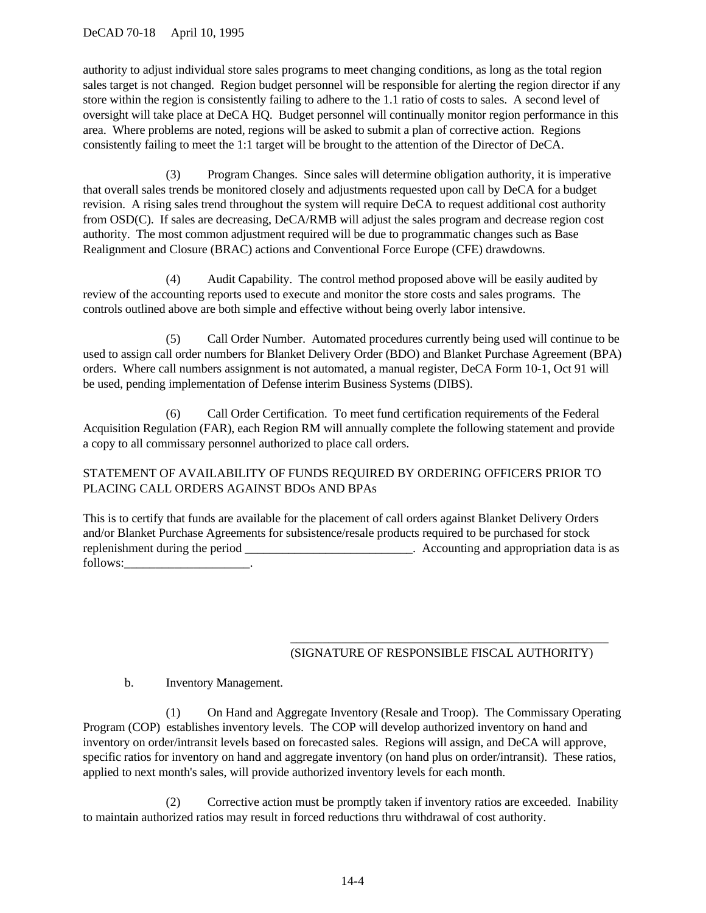### DeCAD 70-18 April 10, 1995

authority to adjust individual store sales programs to meet changing conditions, as long as the total region sales target is not changed. Region budget personnel will be responsible for alerting the region director if any store within the region is consistently failing to adhere to the 1.1 ratio of costs to sales. A second level of oversight will take place at DeCA HQ. Budget personnel will continually monitor region performance in this area. Where problems are noted, regions will be asked to submit a plan of corrective action. Regions consistently failing to meet the 1:1 target will be brought to the attention of the Director of DeCA.

(3) Program Changes. Since sales will determine obligation authority, it is imperative that overall sales trends be monitored closely and adjustments requested upon call by DeCA for a budget revision. A rising sales trend throughout the system will require DeCA to request additional cost authority from OSD(C). If sales are decreasing, DeCA/RMB will adjust the sales program and decrease region cost authority. The most common adjustment required will be due to programmatic changes such as Base Realignment and Closure (BRAC) actions and Conventional Force Europe (CFE) drawdowns.

(4) Audit Capability. The control method proposed above will be easily audited by review of the accounting reports used to execute and monitor the store costs and sales programs. The controls outlined above are both simple and effective without being overly labor intensive.

(5) Call Order Number. Automated procedures currently being used will continue to be used to assign call order numbers for Blanket Delivery Order (BDO) and Blanket Purchase Agreement (BPA) orders. Where call numbers assignment is not automated, a manual register, DeCA Form 10-1, Oct 91 will be used, pending implementation of Defense interim Business Systems (DIBS).

(6) Call Order Certification. To meet fund certification requirements of the Federal Acquisition Regulation (FAR), each Region RM will annually complete the following statement and provide a copy to all commissary personnel authorized to place call orders.

# STATEMENT OF AVAILABILITY OF FUNDS REQUIRED BY ORDERING OFFICERS PRIOR TO PLACING CALL ORDERS AGAINST BDOs AND BPAs

This is to certify that funds are available for the placement of call orders against Blanket Delivery Orders and/or Blanket Purchase Agreements for subsistence/resale products required to be purchased for stock replenishment during the period \_\_\_\_\_\_\_\_\_\_\_\_\_\_\_\_\_\_\_\_\_\_\_\_. Accounting and appropriation data is as follows:\_\_\_\_\_\_\_\_\_\_\_\_\_\_\_\_\_\_\_\_\_\_\_\_\_.

#### \_\_\_\_\_\_\_\_\_\_\_\_\_\_\_\_\_\_\_\_\_\_\_\_\_\_\_\_\_\_\_\_\_\_\_\_\_\_\_\_\_\_\_\_\_\_\_\_\_\_ (SIGNATURE OF RESPONSIBLE FISCAL AUTHORITY)

b. Inventory Management.

(1) On Hand and Aggregate Inventory (Resale and Troop). The Commissary Operating Program (COP) establishes inventory levels. The COP will develop authorized inventory on hand and inventory on order/intransit levels based on forecasted sales. Regions will assign, and DeCA will approve, specific ratios for inventory on hand and aggregate inventory (on hand plus on order/intransit). These ratios, applied to next month's sales, will provide authorized inventory levels for each month.

(2) Corrective action must be promptly taken if inventory ratios are exceeded. Inability to maintain authorized ratios may result in forced reductions thru withdrawal of cost authority.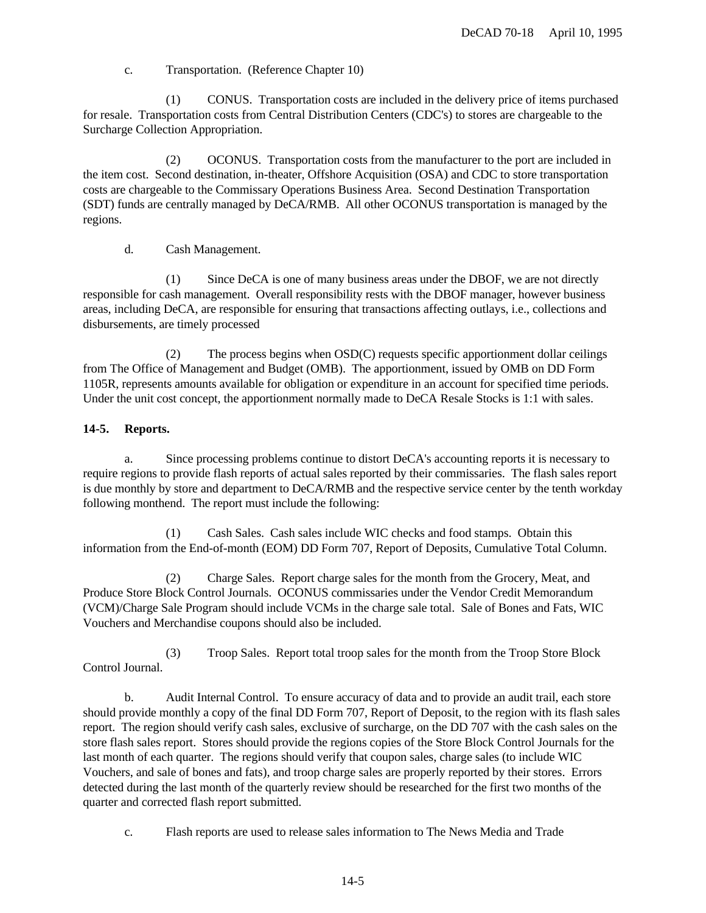c. Transportation. (Reference Chapter 10)

(1) CONUS. Transportation costs are included in the delivery price of items purchased for resale. Transportation costs from Central Distribution Centers (CDC's) to stores are chargeable to the Surcharge Collection Appropriation.

(2) OCONUS. Transportation costs from the manufacturer to the port are included in the item cost. Second destination, in-theater, Offshore Acquisition (OSA) and CDC to store transportation costs are chargeable to the Commissary Operations Business Area. Second Destination Transportation (SDT) funds are centrally managed by DeCA/RMB. All other OCONUS transportation is managed by the regions.

d. Cash Management.

(1) Since DeCA is one of many business areas under the DBOF, we are not directly responsible for cash management. Overall responsibility rests with the DBOF manager, however business areas, including DeCA, are responsible for ensuring that transactions affecting outlays, i.e., collections and disbursements, are timely processed

(2) The process begins when OSD(C) requests specific apportionment dollar ceilings from The Office of Management and Budget (OMB). The apportionment, issued by OMB on DD Form 1105R, represents amounts available for obligation or expenditure in an account for specified time periods. Under the unit cost concept, the apportionment normally made to DeCA Resale Stocks is 1:1 with sales.

# **14-5. Reports.**

a. Since processing problems continue to distort DeCA's accounting reports it is necessary to require regions to provide flash reports of actual sales reported by their commissaries. The flash sales report is due monthly by store and department to DeCA/RMB and the respective service center by the tenth workday following monthend. The report must include the following:

(1) Cash Sales. Cash sales include WIC checks and food stamps. Obtain this information from the End-of-month (EOM) DD Form 707, Report of Deposits, Cumulative Total Column.

(2) Charge Sales. Report charge sales for the month from the Grocery, Meat, and Produce Store Block Control Journals. OCONUS commissaries under the Vendor Credit Memorandum (VCM)/Charge Sale Program should include VCMs in the charge sale total. Sale of Bones and Fats, WIC Vouchers and Merchandise coupons should also be included.

(3) Troop Sales. Report total troop sales for the month from the Troop Store Block Control Journal.

b. Audit Internal Control. To ensure accuracy of data and to provide an audit trail, each store should provide monthly a copy of the final DD Form 707, Report of Deposit, to the region with its flash sales report. The region should verify cash sales, exclusive of surcharge, on the DD 707 with the cash sales on the store flash sales report. Stores should provide the regions copies of the Store Block Control Journals for the last month of each quarter. The regions should verify that coupon sales, charge sales (to include WIC Vouchers, and sale of bones and fats), and troop charge sales are properly reported by their stores. Errors detected during the last month of the quarterly review should be researched for the first two months of the quarter and corrected flash report submitted.

c. Flash reports are used to release sales information to The News Media and Trade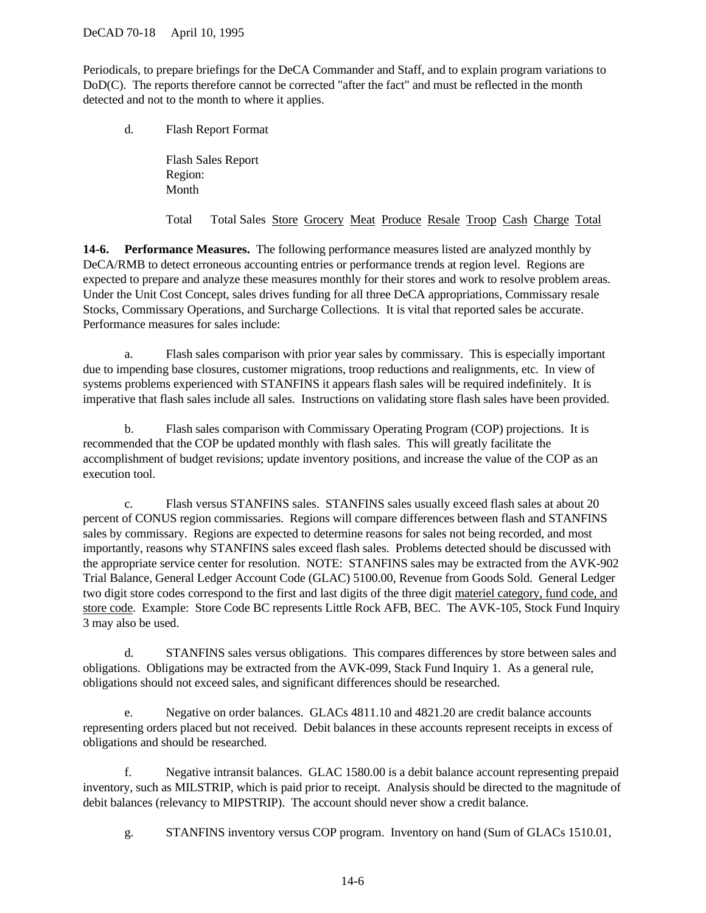Periodicals, to prepare briefings for the DeCA Commander and Staff, and to explain program variations to DoD(C). The reports therefore cannot be corrected "after the fact" and must be reflected in the month detected and not to the month to where it applies.

d. Flash Report Format

Flash Sales Report Region: Month

Total Total Sales Store Grocery Meat Produce Resale Troop Cash Charge Total

**14-6. Performance Measures.** The following performance measures listed are analyzed monthly by DeCA/RMB to detect erroneous accounting entries or performance trends at region level. Regions are expected to prepare and analyze these measures monthly for their stores and work to resolve problem areas. Under the Unit Cost Concept, sales drives funding for all three DeCA appropriations, Commissary resale Stocks, Commissary Operations, and Surcharge Collections. It is vital that reported sales be accurate. Performance measures for sales include:

a. Flash sales comparison with prior year sales by commissary. This is especially important due to impending base closures, customer migrations, troop reductions and realignments, etc. In view of systems problems experienced with STANFINS it appears flash sales will be required indefinitely. It is imperative that flash sales include all sales. Instructions on validating store flash sales have been provided.

b. Flash sales comparison with Commissary Operating Program (COP) projections. It is recommended that the COP be updated monthly with flash sales. This will greatly facilitate the accomplishment of budget revisions; update inventory positions, and increase the value of the COP as an execution tool.

c. Flash versus STANFINS sales. STANFINS sales usually exceed flash sales at about 20 percent of CONUS region commissaries. Regions will compare differences between flash and STANFINS sales by commissary. Regions are expected to determine reasons for sales not being recorded, and most importantly, reasons why STANFINS sales exceed flash sales. Problems detected should be discussed with the appropriate service center for resolution. NOTE: STANFINS sales may be extracted from the AVK-902 Trial Balance, General Ledger Account Code (GLAC) 5100.00, Revenue from Goods Sold. General Ledger two digit store codes correspond to the first and last digits of the three digit materiel category, fund code, and store code. Example: Store Code BC represents Little Rock AFB, BEC. The AVK-105, Stock Fund Inquiry 3 may also be used.

d. STANFINS sales versus obligations. This compares differences by store between sales and obligations. Obligations may be extracted from the AVK-099, Stack Fund Inquiry 1. As a general rule, obligations should not exceed sales, and significant differences should be researched.

e. Negative on order balances. GLACs 4811.10 and 4821.20 are credit balance accounts representing orders placed but not received. Debit balances in these accounts represent receipts in excess of obligations and should be researched.

f. Negative intransit balances. GLAC 1580.00 is a debit balance account representing prepaid inventory, such as MILSTRIP, which is paid prior to receipt. Analysis should be directed to the magnitude of debit balances (relevancy to MIPSTRIP). The account should never show a credit balance.

g. STANFINS inventory versus COP program. Inventory on hand (Sum of GLACs 1510.01,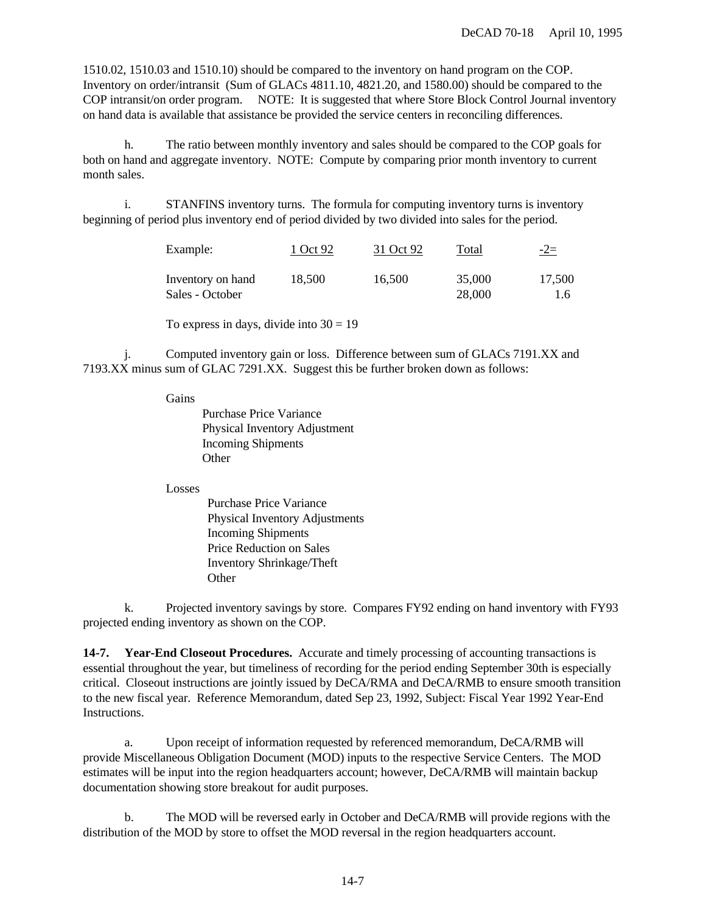1510.02, 1510.03 and 1510.10) should be compared to the inventory on hand program on the COP. Inventory on order/intransit (Sum of GLACs 4811.10, 4821.20, and 1580.00) should be compared to the COP intransit/on order program. NOTE: It is suggested that where Store Block Control Journal inventory on hand data is available that assistance be provided the service centers in reconciling differences.

h. The ratio between monthly inventory and sales should be compared to the COP goals for both on hand and aggregate inventory. NOTE: Compute by comparing prior month inventory to current month sales.

i. STANFINS inventory turns. The formula for computing inventory turns is inventory beginning of period plus inventory end of period divided by two divided into sales for the period.

| Example:          | 1 Oct 92 | 31 Oct 92 | Total  | $-2=$         |
|-------------------|----------|-----------|--------|---------------|
| Inventory on hand | 18.500   | 16.500    | 35,000 | 17.500        |
| Sales - October   |          |           | 28,000 | $1.6^{\circ}$ |

To express in days, divide into  $30 = 19$ 

j. Computed inventory gain or loss. Difference between sum of GLACs 7191.XX and 7193.XX minus sum of GLAC 7291.XX. Suggest this be further broken down as follows:

**Gains** 

Purchase Price Variance Physical Inventory Adjustment Incoming Shipments **Other** 

Losses

Purchase Price Variance Physical Inventory Adjustments Incoming Shipments Price Reduction on Sales Inventory Shrinkage/Theft **Other** 

k. Projected inventory savings by store. Compares FY92 ending on hand inventory with FY93 projected ending inventory as shown on the COP.

**14-7. Year-End Closeout Procedures.** Accurate and timely processing of accounting transactions is essential throughout the year, but timeliness of recording for the period ending September 30th is especially critical. Closeout instructions are jointly issued by DeCA/RMA and DeCA/RMB to ensure smooth transition to the new fiscal year. Reference Memorandum, dated Sep 23, 1992, Subject: Fiscal Year 1992 Year-End Instructions.

a. Upon receipt of information requested by referenced memorandum, DeCA/RMB will provide Miscellaneous Obligation Document (MOD) inputs to the respective Service Centers. The MOD estimates will be input into the region headquarters account; however, DeCA/RMB will maintain backup documentation showing store breakout for audit purposes.

b. The MOD will be reversed early in October and DeCA/RMB will provide regions with the distribution of the MOD by store to offset the MOD reversal in the region headquarters account.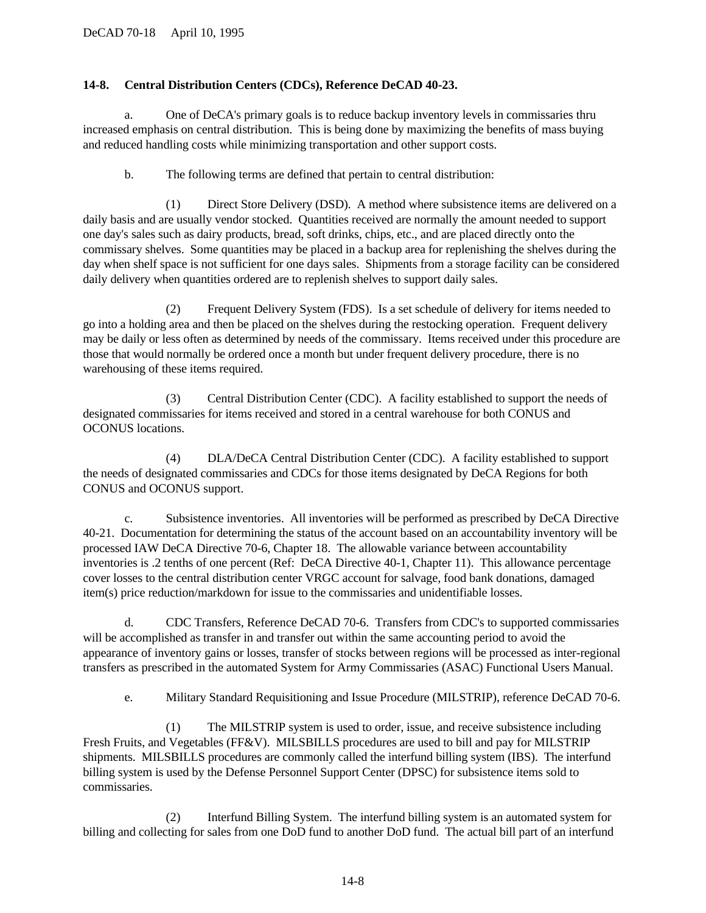## **14-8. Central Distribution Centers (CDCs), Reference DeCAD 40-23.**

a. One of DeCA's primary goals is to reduce backup inventory levels in commissaries thru increased emphasis on central distribution. This is being done by maximizing the benefits of mass buying and reduced handling costs while minimizing transportation and other support costs.

b. The following terms are defined that pertain to central distribution:

(1) Direct Store Delivery (DSD). A method where subsistence items are delivered on a daily basis and are usually vendor stocked. Quantities received are normally the amount needed to support one day's sales such as dairy products, bread, soft drinks, chips, etc., and are placed directly onto the commissary shelves. Some quantities may be placed in a backup area for replenishing the shelves during the day when shelf space is not sufficient for one days sales. Shipments from a storage facility can be considered daily delivery when quantities ordered are to replenish shelves to support daily sales.

(2) Frequent Delivery System (FDS). Is a set schedule of delivery for items needed to go into a holding area and then be placed on the shelves during the restocking operation. Frequent delivery may be daily or less often as determined by needs of the commissary. Items received under this procedure are those that would normally be ordered once a month but under frequent delivery procedure, there is no warehousing of these items required.

(3) Central Distribution Center (CDC). A facility established to support the needs of designated commissaries for items received and stored in a central warehouse for both CONUS and OCONUS locations.

(4) DLA/DeCA Central Distribution Center (CDC). A facility established to support the needs of designated commissaries and CDCs for those items designated by DeCA Regions for both CONUS and OCONUS support.

c. Subsistence inventories. All inventories will be performed as prescribed by DeCA Directive 40-21. Documentation for determining the status of the account based on an accountability inventory will be processed IAW DeCA Directive 70-6, Chapter 18. The allowable variance between accountability inventories is .2 tenths of one percent (Ref: DeCA Directive 40-1, Chapter 11). This allowance percentage cover losses to the central distribution center VRGC account for salvage, food bank donations, damaged item(s) price reduction/markdown for issue to the commissaries and unidentifiable losses.

d. CDC Transfers, Reference DeCAD 70-6. Transfers from CDC's to supported commissaries will be accomplished as transfer in and transfer out within the same accounting period to avoid the appearance of inventory gains or losses, transfer of stocks between regions will be processed as inter-regional transfers as prescribed in the automated System for Army Commissaries (ASAC) Functional Users Manual.

e. Military Standard Requisitioning and Issue Procedure (MILSTRIP), reference DeCAD 70-6.

(1) The MILSTRIP system is used to order, issue, and receive subsistence including Fresh Fruits, and Vegetables (FF&V). MILSBILLS procedures are used to bill and pay for MILSTRIP shipments. MILSBILLS procedures are commonly called the interfund billing system (IBS). The interfund billing system is used by the Defense Personnel Support Center (DPSC) for subsistence items sold to commissaries.

(2) Interfund Billing System. The interfund billing system is an automated system for billing and collecting for sales from one DoD fund to another DoD fund. The actual bill part of an interfund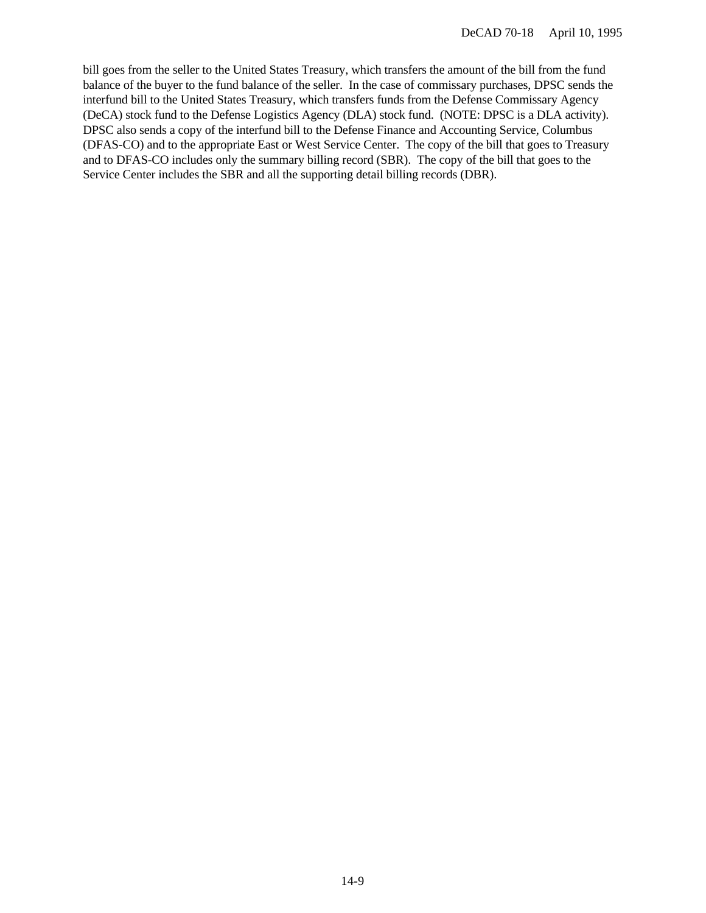bill goes from the seller to the United States Treasury, which transfers the amount of the bill from the fund balance of the buyer to the fund balance of the seller. In the case of commissary purchases, DPSC sends the interfund bill to the United States Treasury, which transfers funds from the Defense Commissary Agency (DeCA) stock fund to the Defense Logistics Agency (DLA) stock fund. (NOTE: DPSC is a DLA activity). DPSC also sends a copy of the interfund bill to the Defense Finance and Accounting Service, Columbus (DFAS-CO) and to the appropriate East or West Service Center. The copy of the bill that goes to Treasury and to DFAS-CO includes only the summary billing record (SBR). The copy of the bill that goes to the Service Center includes the SBR and all the supporting detail billing records (DBR).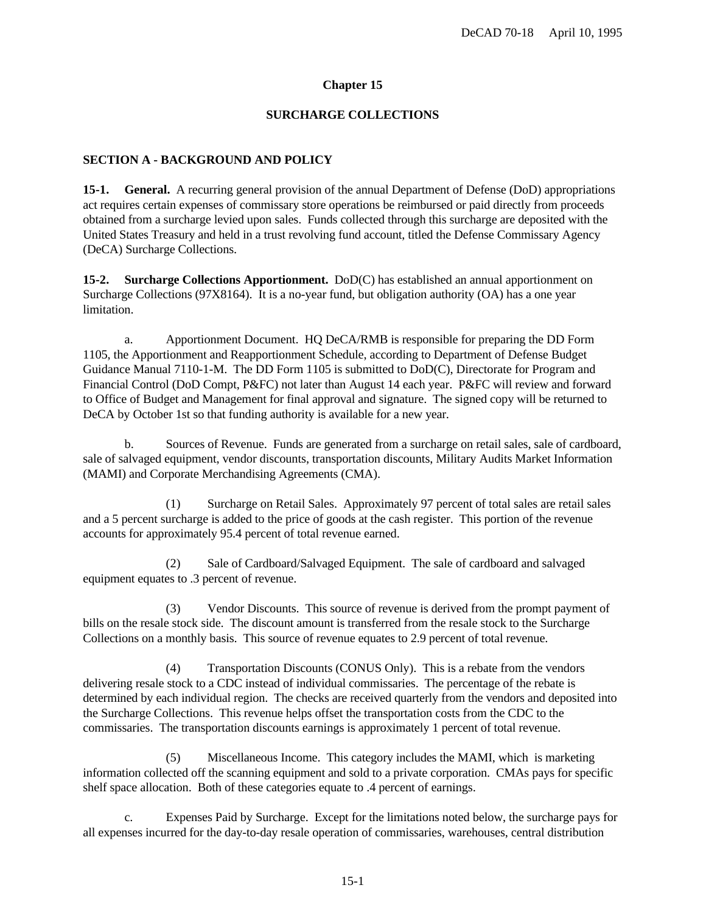### **Chapter 15**

#### **SURCHARGE COLLECTIONS**

#### **SECTION A - BACKGROUND AND POLICY**

**15-1. General.** A recurring general provision of the annual Department of Defense (DoD) appropriations act requires certain expenses of commissary store operations be reimbursed or paid directly from proceeds obtained from a surcharge levied upon sales. Funds collected through this surcharge are deposited with the United States Treasury and held in a trust revolving fund account, titled the Defense Commissary Agency (DeCA) Surcharge Collections.

**15-2. Surcharge Collections Apportionment.** DoD(C) has established an annual apportionment on Surcharge Collections (97X8164). It is a no-year fund, but obligation authority (OA) has a one year limitation.

a. Apportionment Document. HQ DeCA/RMB is responsible for preparing the DD Form 1105, the Apportionment and Reapportionment Schedule, according to Department of Defense Budget Guidance Manual 7110-1-M. The DD Form 1105 is submitted to DoD(C), Directorate for Program and Financial Control (DoD Compt, P&FC) not later than August 14 each year. P&FC will review and forward to Office of Budget and Management for final approval and signature. The signed copy will be returned to DeCA by October 1st so that funding authority is available for a new year.

b. Sources of Revenue. Funds are generated from a surcharge on retail sales, sale of cardboard, sale of salvaged equipment, vendor discounts, transportation discounts, Military Audits Market Information (MAMI) and Corporate Merchandising Agreements (CMA).

(1) Surcharge on Retail Sales. Approximately 97 percent of total sales are retail sales and a 5 percent surcharge is added to the price of goods at the cash register. This portion of the revenue accounts for approximately 95.4 percent of total revenue earned.

(2) Sale of Cardboard/Salvaged Equipment. The sale of cardboard and salvaged equipment equates to .3 percent of revenue.

(3) Vendor Discounts. This source of revenue is derived from the prompt payment of bills on the resale stock side. The discount amount is transferred from the resale stock to the Surcharge Collections on a monthly basis. This source of revenue equates to 2.9 percent of total revenue.

(4) Transportation Discounts (CONUS Only). This is a rebate from the vendors delivering resale stock to a CDC instead of individual commissaries. The percentage of the rebate is determined by each individual region. The checks are received quarterly from the vendors and deposited into the Surcharge Collections. This revenue helps offset the transportation costs from the CDC to the commissaries. The transportation discounts earnings is approximately 1 percent of total revenue.

(5) Miscellaneous Income. This category includes the MAMI, which is marketing information collected off the scanning equipment and sold to a private corporation. CMAs pays for specific shelf space allocation. Both of these categories equate to .4 percent of earnings.

c. Expenses Paid by Surcharge. Except for the limitations noted below, the surcharge pays for all expenses incurred for the day-to-day resale operation of commissaries, warehouses, central distribution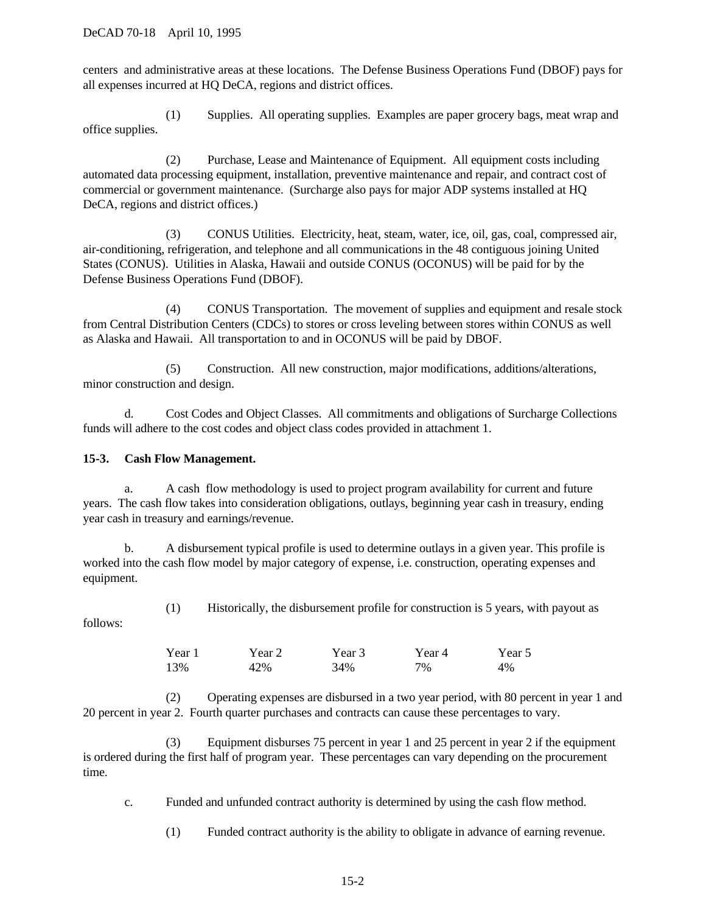centers and administrative areas at these locations. The Defense Business Operations Fund (DBOF) pays for all expenses incurred at HQ DeCA, regions and district offices.

(1) Supplies. All operating supplies. Examples are paper grocery bags, meat wrap and office supplies.

(2) Purchase, Lease and Maintenance of Equipment. All equipment costs including automated data processing equipment, installation, preventive maintenance and repair, and contract cost of commercial or government maintenance. (Surcharge also pays for major ADP systems installed at HQ DeCA, regions and district offices.)

(3) CONUS Utilities. Electricity, heat, steam, water, ice, oil, gas, coal, compressed air, air-conditioning, refrigeration, and telephone and all communications in the 48 contiguous joining United States (CONUS). Utilities in Alaska, Hawaii and outside CONUS (OCONUS) will be paid for by the Defense Business Operations Fund (DBOF).

(4) CONUS Transportation. The movement of supplies and equipment and resale stock from Central Distribution Centers (CDCs) to stores or cross leveling between stores within CONUS as well as Alaska and Hawaii. All transportation to and in OCONUS will be paid by DBOF.

(5) Construction. All new construction, major modifications, additions/alterations, minor construction and design.

d. Cost Codes and Object Classes. All commitments and obligations of Surcharge Collections funds will adhere to the cost codes and object class codes provided in attachment 1.

### **15-3. Cash Flow Management.**

a. A cash flow methodology is used to project program availability for current and future years. The cash flow takes into consideration obligations, outlays, beginning year cash in treasury, ending year cash in treasury and earnings/revenue.

b. A disbursement typical profile is used to determine outlays in a given year. This profile is worked into the cash flow model by major category of expense, i.e. construction, operating expenses and equipment.

(1) Historically, the disbursement profile for construction is 5 years, with payout as

follows:

| Year 1 | Year 2 | Year 3 | Year 4 | Year 5 |
|--------|--------|--------|--------|--------|
| 13%    | 42%    | 34%    | 7%     | 4%     |

(2) Operating expenses are disbursed in a two year period, with 80 percent in year 1 and 20 percent in year 2. Fourth quarter purchases and contracts can cause these percentages to vary.

(3) Equipment disburses 75 percent in year 1 and 25 percent in year 2 if the equipment is ordered during the first half of program year. These percentages can vary depending on the procurement time.

c. Funded and unfunded contract authority is determined by using the cash flow method.

(1) Funded contract authority is the ability to obligate in advance of earning revenue.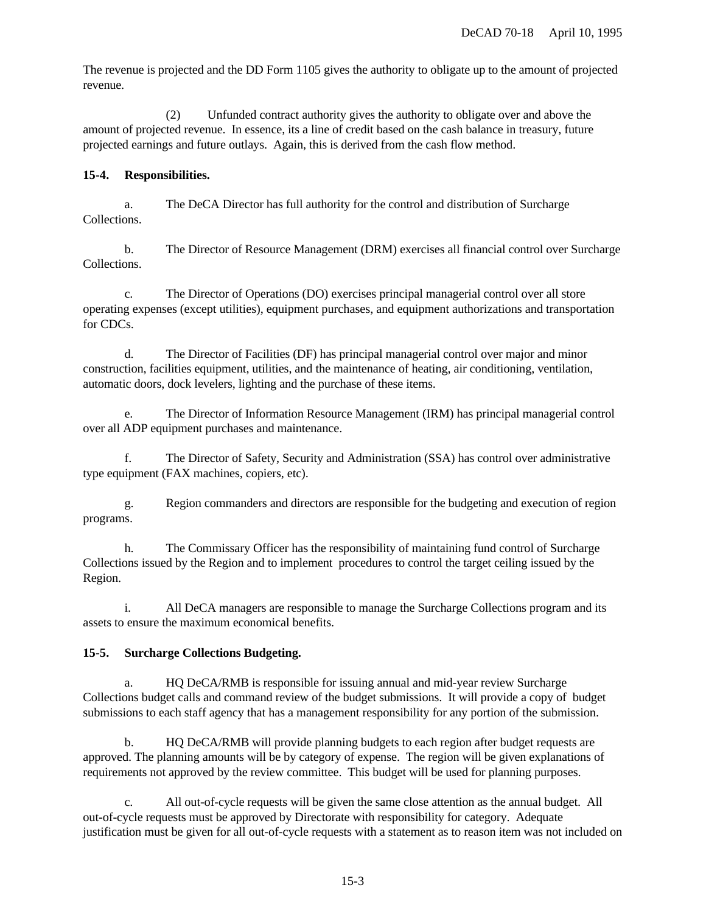The revenue is projected and the DD Form 1105 gives the authority to obligate up to the amount of projected revenue.

(2) Unfunded contract authority gives the authority to obligate over and above the amount of projected revenue. In essence, its a line of credit based on the cash balance in treasury, future projected earnings and future outlays. Again, this is derived from the cash flow method.

## **15-4. Responsibilities.**

a. The DeCA Director has full authority for the control and distribution of Surcharge Collections.

b. The Director of Resource Management (DRM) exercises all financial control over Surcharge Collections.

c. The Director of Operations (DO) exercises principal managerial control over all store operating expenses (except utilities), equipment purchases, and equipment authorizations and transportation for CDCs.

d. The Director of Facilities (DF) has principal managerial control over major and minor construction, facilities equipment, utilities, and the maintenance of heating, air conditioning, ventilation, automatic doors, dock levelers, lighting and the purchase of these items.

e. The Director of Information Resource Management (IRM) has principal managerial control over all ADP equipment purchases and maintenance.

f. The Director of Safety, Security and Administration (SSA) has control over administrative type equipment (FAX machines, copiers, etc).

g. Region commanders and directors are responsible for the budgeting and execution of region programs.

h. The Commissary Officer has the responsibility of maintaining fund control of Surcharge Collections issued by the Region and to implement procedures to control the target ceiling issued by the Region.

i. All DeCA managers are responsible to manage the Surcharge Collections program and its assets to ensure the maximum economical benefits.

### **15-5. Surcharge Collections Budgeting.**

a. HQ DeCA/RMB is responsible for issuing annual and mid-year review Surcharge Collections budget calls and command review of the budget submissions. It will provide a copy of budget submissions to each staff agency that has a management responsibility for any portion of the submission.

b. HQ DeCA/RMB will provide planning budgets to each region after budget requests are approved. The planning amounts will be by category of expense. The region will be given explanations of requirements not approved by the review committee. This budget will be used for planning purposes.

c. All out-of-cycle requests will be given the same close attention as the annual budget. All out-of-cycle requests must be approved by Directorate with responsibility for category. Adequate justification must be given for all out-of-cycle requests with a statement as to reason item was not included on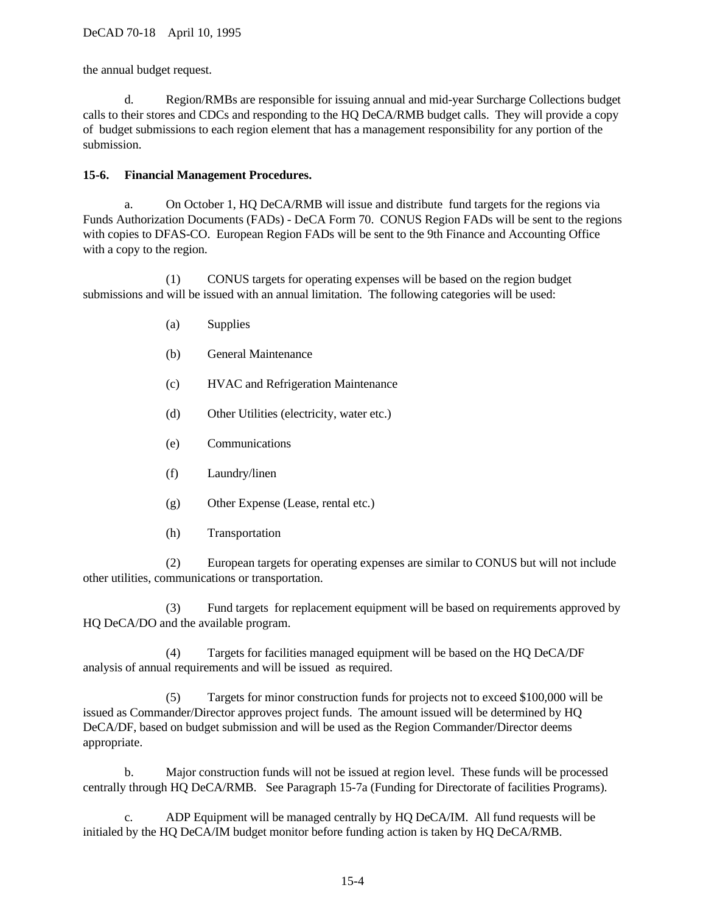the annual budget request.

d. Region/RMBs are responsible for issuing annual and mid-year Surcharge Collections budget calls to their stores and CDCs and responding to the HQ DeCA/RMB budget calls. They will provide a copy of budget submissions to each region element that has a management responsibility for any portion of the submission.

### **15-6. Financial Management Procedures.**

a. On October 1, HQ DeCA/RMB will issue and distribute fund targets for the regions via Funds Authorization Documents (FADs) - DeCA Form 70. CONUS Region FADs will be sent to the regions with copies to DFAS-CO. European Region FADs will be sent to the 9th Finance and Accounting Office with a copy to the region.

(1) CONUS targets for operating expenses will be based on the region budget submissions and will be issued with an annual limitation. The following categories will be used:

- (a) Supplies
- (b) General Maintenance
- (c) HVAC and Refrigeration Maintenance
- (d) Other Utilities (electricity, water etc.)
- (e) Communications
- (f) Laundry/linen
- (g) Other Expense (Lease, rental etc.)
- (h) Transportation

(2) European targets for operating expenses are similar to CONUS but will not include other utilities, communications or transportation.

(3) Fund targets for replacement equipment will be based on requirements approved by HQ DeCA/DO and the available program.

(4) Targets for facilities managed equipment will be based on the HQ DeCA/DF analysis of annual requirements and will be issued as required.

(5) Targets for minor construction funds for projects not to exceed \$100,000 will be issued as Commander/Director approves project funds. The amount issued will be determined by HQ DeCA/DF, based on budget submission and will be used as the Region Commander/Director deems appropriate.

b. Major construction funds will not be issued at region level. These funds will be processed centrally through HQ DeCA/RMB. See Paragraph 15-7a (Funding for Directorate of facilities Programs).

c. ADP Equipment will be managed centrally by HQ DeCA/IM. All fund requests will be initialed by the HQ DeCA/IM budget monitor before funding action is taken by HQ DeCA/RMB.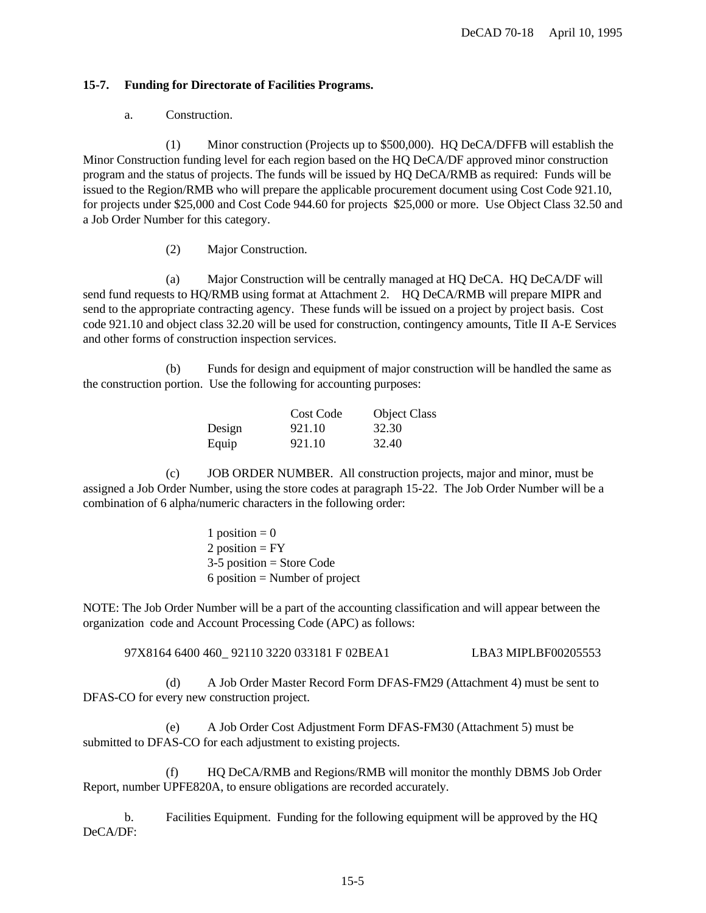#### **15-7. Funding for Directorate of Facilities Programs.**

a. Construction.

(1) Minor construction (Projects up to \$500,000). HQ DeCA/DFFB will establish the Minor Construction funding level for each region based on the HQ DeCA/DF approved minor construction program and the status of projects. The funds will be issued by HQ DeCA/RMB as required: Funds will be issued to the Region/RMB who will prepare the applicable procurement document using Cost Code 921.10, for projects under \$25,000 and Cost Code 944.60 for projects \$25,000 or more. Use Object Class 32.50 and a Job Order Number for this category.

(2) Major Construction.

(a) Major Construction will be centrally managed at HQ DeCA. HQ DeCA/DF will send fund requests to HQ/RMB using format at Attachment 2. HQ DeCA/RMB will prepare MIPR and send to the appropriate contracting agency. These funds will be issued on a project by project basis. Cost code 921.10 and object class 32.20 will be used for construction, contingency amounts, Title II A-E Services and other forms of construction inspection services.

(b) Funds for design and equipment of major construction will be handled the same as the construction portion. Use the following for accounting purposes:

|        | Cost Code | <b>Object Class</b> |
|--------|-----------|---------------------|
| Design | 921.10    | 32.30               |
| Equip  | 921.10    | 32.40               |

(c) JOB ORDER NUMBER. All construction projects, major and minor, must be assigned a Job Order Number, using the store codes at paragraph 15-22. The Job Order Number will be a combination of 6 alpha/numeric characters in the following order:

> 1 position  $= 0$ 2 position  $=$   $FY$ 3-5 position = Store Code  $6$  position = Number of project

NOTE: The Job Order Number will be a part of the accounting classification and will appear between the organization code and Account Processing Code (APC) as follows:

97X8164 6400 460\_ 92110 3220 033181 F 02BEA1 LBA3 MIPLBF00205553

(d) A Job Order Master Record Form DFAS-FM29 (Attachment 4) must be sent to DFAS-CO for every new construction project.

(e) A Job Order Cost Adjustment Form DFAS-FM30 (Attachment 5) must be submitted to DFAS-CO for each adjustment to existing projects.

(f) HQ DeCA/RMB and Regions/RMB will monitor the monthly DBMS Job Order Report, number UPFE820A, to ensure obligations are recorded accurately.

b. Facilities Equipment. Funding for the following equipment will be approved by the HQ DeCA/DF: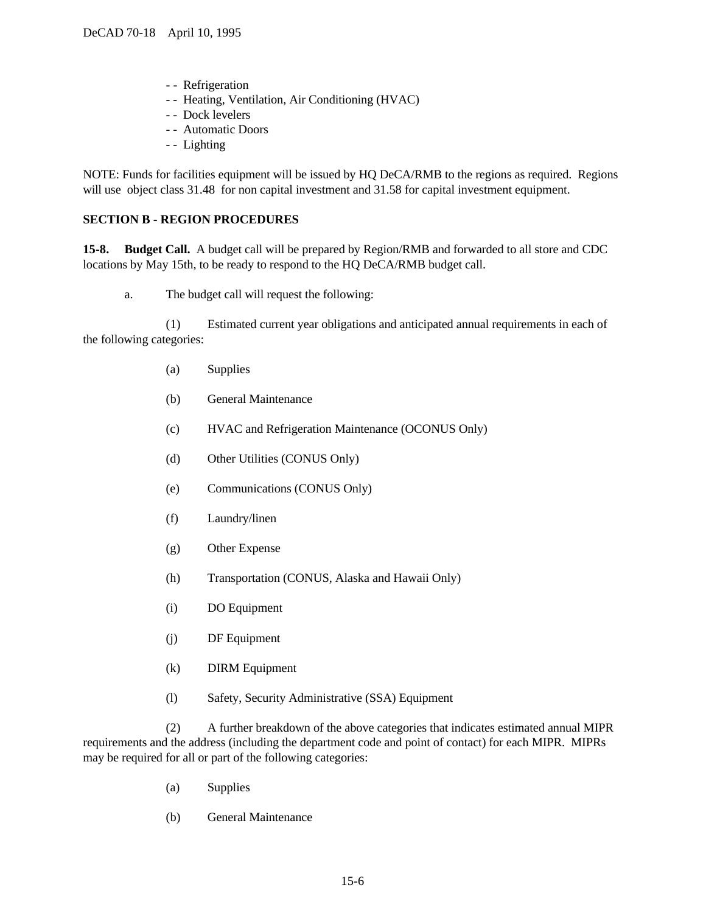- -- Refrigeration
- - Heating, Ventilation, Air Conditioning (HVAC)
- - Dock levelers
- - Automatic Doors
- -- Lighting

NOTE: Funds for facilities equipment will be issued by HQ DeCA/RMB to the regions as required. Regions will use object class 31.48 for non capital investment and 31.58 for capital investment equipment.

#### **SECTION B - REGION PROCEDURES**

**15-8. Budget Call.** A budget call will be prepared by Region/RMB and forwarded to all store and CDC locations by May 15th, to be ready to respond to the HQ DeCA/RMB budget call.

a. The budget call will request the following:

(1) Estimated current year obligations and anticipated annual requirements in each of the following categories:

- (a) Supplies
- (b) General Maintenance
- (c) HVAC and Refrigeration Maintenance (OCONUS Only)
- (d) Other Utilities (CONUS Only)
- (e) Communications (CONUS Only)
- (f) Laundry/linen
- (g) Other Expense
- (h) Transportation (CONUS, Alaska and Hawaii Only)
- (i) DO Equipment
- (j) DF Equipment
- (k) DIRM Equipment
- (l) Safety, Security Administrative (SSA) Equipment

(2) A further breakdown of the above categories that indicates estimated annual MIPR requirements and the address (including the department code and point of contact) for each MIPR. MIPRs may be required for all or part of the following categories:

- (a) Supplies
- (b) General Maintenance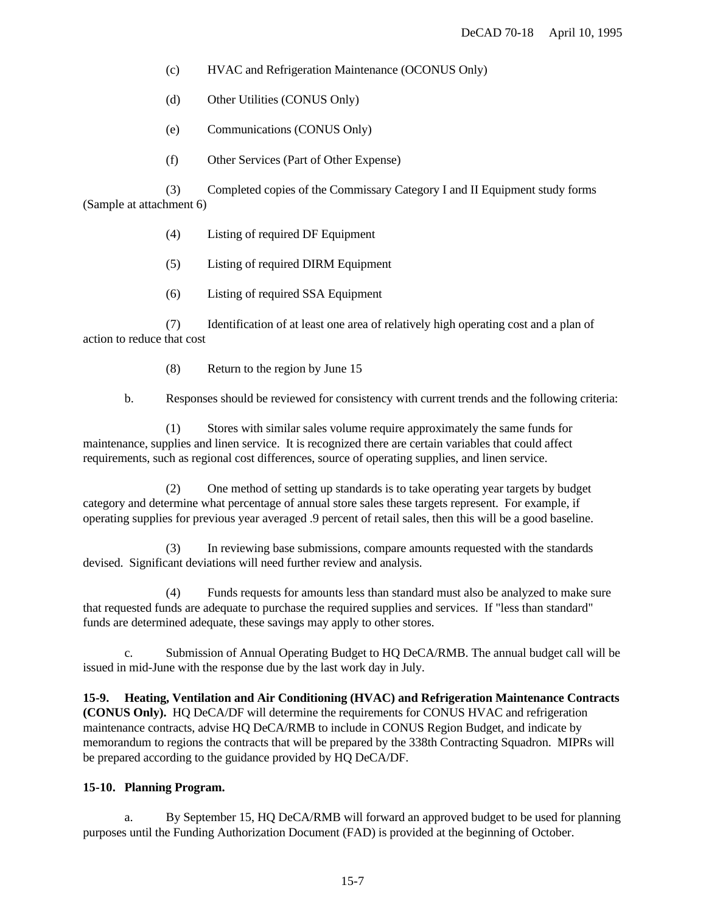- (c) HVAC and Refrigeration Maintenance (OCONUS Only)
- (d) Other Utilities (CONUS Only)
- (e) Communications (CONUS Only)
- (f) Other Services (Part of Other Expense)

(3) Completed copies of the Commissary Category I and II Equipment study forms (Sample at attachment 6)

- (4) Listing of required DF Equipment
- (5) Listing of required DIRM Equipment
- (6) Listing of required SSA Equipment

(7) Identification of at least one area of relatively high operating cost and a plan of action to reduce that cost

(8) Return to the region by June 15

b. Responses should be reviewed for consistency with current trends and the following criteria:

(1) Stores with similar sales volume require approximately the same funds for maintenance, supplies and linen service. It is recognized there are certain variables that could affect requirements, such as regional cost differences, source of operating supplies, and linen service.

(2) One method of setting up standards is to take operating year targets by budget category and determine what percentage of annual store sales these targets represent. For example, if operating supplies for previous year averaged .9 percent of retail sales, then this will be a good baseline.

(3) In reviewing base submissions, compare amounts requested with the standards devised. Significant deviations will need further review and analysis.

(4) Funds requests for amounts less than standard must also be analyzed to make sure that requested funds are adequate to purchase the required supplies and services. If "less than standard" funds are determined adequate, these savings may apply to other stores.

Submission of Annual Operating Budget to HQ DeCA/RMB. The annual budget call will be issued in mid-June with the response due by the last work day in July.

**15-9. Heating, Ventilation and Air Conditioning (HVAC) and Refrigeration Maintenance Contracts (CONUS Only).** HQ DeCA/DF will determine the requirements for CONUS HVAC and refrigeration maintenance contracts, advise HQ DeCA/RMB to include in CONUS Region Budget, and indicate by memorandum to regions the contracts that will be prepared by the 338th Contracting Squadron. MIPRs will be prepared according to the guidance provided by HQ DeCA/DF.

#### **15-10. Planning Program.**

a. By September 15, HQ DeCA/RMB will forward an approved budget to be used for planning purposes until the Funding Authorization Document (FAD) is provided at the beginning of October.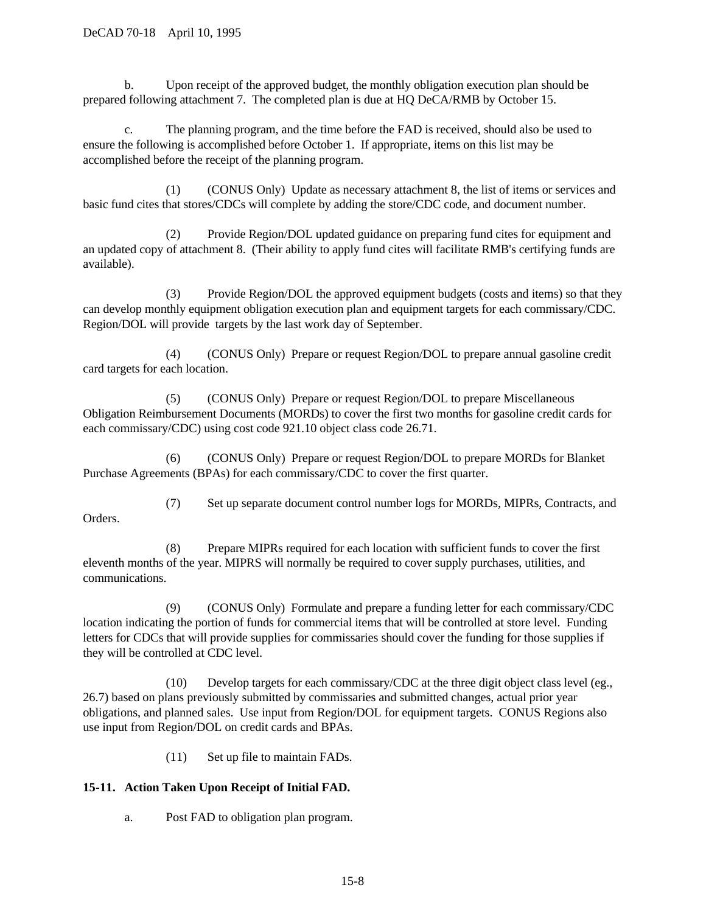b. Upon receipt of the approved budget, the monthly obligation execution plan should be prepared following attachment 7. The completed plan is due at HQ DeCA/RMB by October 15.

c. The planning program, and the time before the FAD is received, should also be used to ensure the following is accomplished before October 1. If appropriate, items on this list may be accomplished before the receipt of the planning program.

(1) (CONUS Only) Update as necessary attachment 8, the list of items or services and basic fund cites that stores/CDCs will complete by adding the store/CDC code, and document number.

(2) Provide Region/DOL updated guidance on preparing fund cites for equipment and an updated copy of attachment 8. (Their ability to apply fund cites will facilitate RMB's certifying funds are available).

(3) Provide Region/DOL the approved equipment budgets (costs and items) so that they can develop monthly equipment obligation execution plan and equipment targets for each commissary/CDC. Region/DOL will provide targets by the last work day of September.

(4) (CONUS Only) Prepare or request Region/DOL to prepare annual gasoline credit card targets for each location.

(5) (CONUS Only) Prepare or request Region/DOL to prepare Miscellaneous Obligation Reimbursement Documents (MORDs) to cover the first two months for gasoline credit cards for each commissary/CDC) using cost code 921.10 object class code 26.71.

(6) (CONUS Only) Prepare or request Region/DOL to prepare MORDs for Blanket Purchase Agreements (BPAs) for each commissary/CDC to cover the first quarter.

Orders.

(7) Set up separate document control number logs for MORDs, MIPRs, Contracts, and

(8) Prepare MIPRs required for each location with sufficient funds to cover the first eleventh months of the year. MIPRS will normally be required to cover supply purchases, utilities, and communications.

(9) (CONUS Only) Formulate and prepare a funding letter for each commissary/CDC location indicating the portion of funds for commercial items that will be controlled at store level. Funding letters for CDCs that will provide supplies for commissaries should cover the funding for those supplies if they will be controlled at CDC level.

(10) Develop targets for each commissary/CDC at the three digit object class level (eg., 26.7) based on plans previously submitted by commissaries and submitted changes, actual prior year obligations, and planned sales. Use input from Region/DOL for equipment targets. CONUS Regions also use input from Region/DOL on credit cards and BPAs.

(11) Set up file to maintain FADs.

### **15-11. Action Taken Upon Receipt of Initial FAD.**

a. Post FAD to obligation plan program.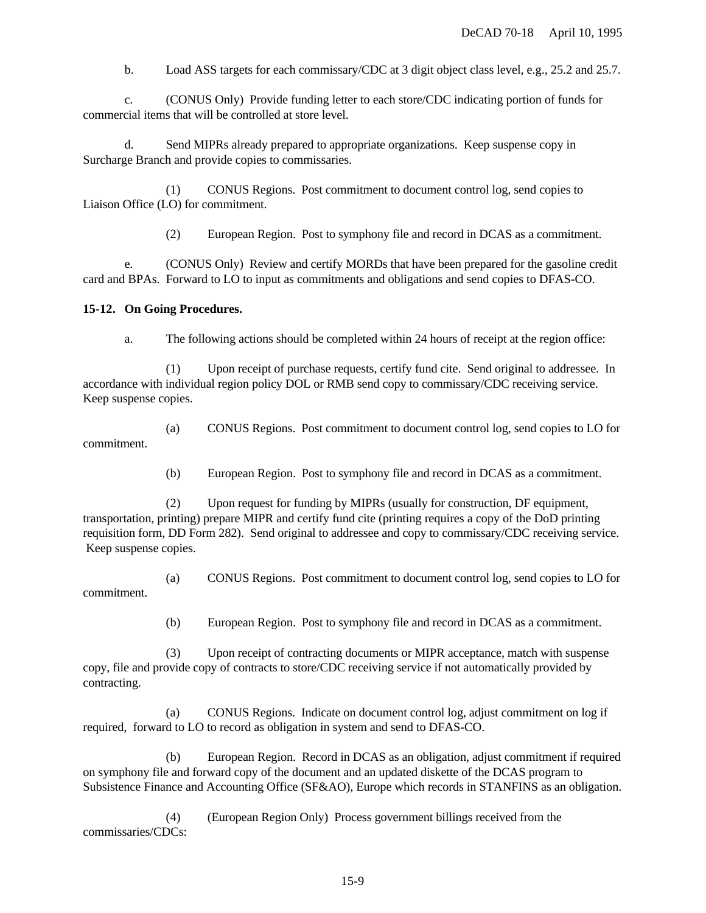b. Load ASS targets for each commissary/CDC at 3 digit object class level, e.g., 25.2 and 25.7.

c. (CONUS Only) Provide funding letter to each store/CDC indicating portion of funds for commercial items that will be controlled at store level.

d. Send MIPRs already prepared to appropriate organizations. Keep suspense copy in Surcharge Branch and provide copies to commissaries.

(1) CONUS Regions. Post commitment to document control log, send copies to Liaison Office (LO) for commitment.

(2) European Region. Post to symphony file and record in DCAS as a commitment.

e. (CONUS Only) Review and certify MORDs that have been prepared for the gasoline credit card and BPAs. Forward to LO to input as commitments and obligations and send copies to DFAS-CO.

#### **15-12. On Going Procedures.**

a. The following actions should be completed within 24 hours of receipt at the region office:

(1) Upon receipt of purchase requests, certify fund cite. Send original to addressee. In accordance with individual region policy DOL or RMB send copy to commissary/CDC receiving service. Keep suspense copies.

(a) CONUS Regions. Post commitment to document control log, send copies to LO for commitment.

(b) European Region. Post to symphony file and record in DCAS as a commitment.

(2) Upon request for funding by MIPRs (usually for construction, DF equipment, transportation, printing) prepare MIPR and certify fund cite (printing requires a copy of the DoD printing requisition form, DD Form 282). Send original to addressee and copy to commissary/CDC receiving service. Keep suspense copies.

(a) CONUS Regions. Post commitment to document control log, send copies to LO for commitment.

(b) European Region. Post to symphony file and record in DCAS as a commitment.

(3) Upon receipt of contracting documents or MIPR acceptance, match with suspense copy, file and provide copy of contracts to store/CDC receiving service if not automatically provided by contracting.

(a) CONUS Regions. Indicate on document control log, adjust commitment on log if required, forward to LO to record as obligation in system and send to DFAS-CO.

(b) European Region. Record in DCAS as an obligation, adjust commitment if required on symphony file and forward copy of the document and an updated diskette of the DCAS program to Subsistence Finance and Accounting Office (SF&AO), Europe which records in STANFINS as an obligation.

(4) (European Region Only) Process government billings received from the commissaries/CDCs: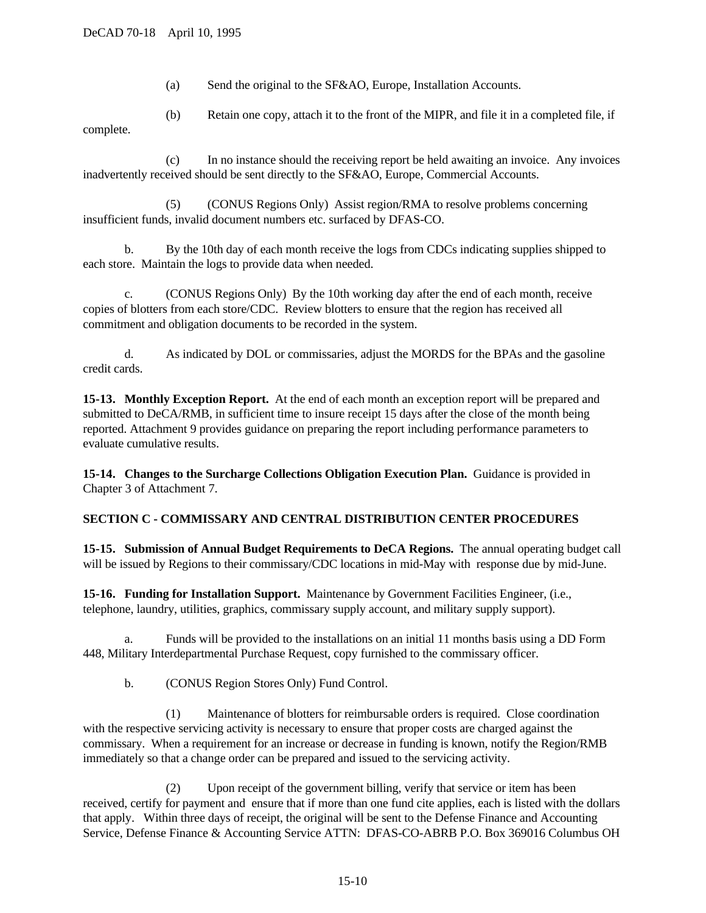(a) Send the original to the SF&AO, Europe, Installation Accounts.

(b) Retain one copy, attach it to the front of the MIPR, and file it in a completed file, if complete.

(c) In no instance should the receiving report be held awaiting an invoice. Any invoices inadvertently received should be sent directly to the SF&AO, Europe, Commercial Accounts.

(5) (CONUS Regions Only) Assist region/RMA to resolve problems concerning insufficient funds, invalid document numbers etc. surfaced by DFAS-CO.

b. By the 10th day of each month receive the logs from CDCs indicating supplies shipped to each store. Maintain the logs to provide data when needed.

c. (CONUS Regions Only) By the 10th working day after the end of each month, receive copies of blotters from each store/CDC. Review blotters to ensure that the region has received all commitment and obligation documents to be recorded in the system.

d. As indicated by DOL or commissaries, adjust the MORDS for the BPAs and the gasoline credit cards.

**15-13. Monthly Exception Report.** At the end of each month an exception report will be prepared and submitted to DeCA/RMB, in sufficient time to insure receipt 15 days after the close of the month being reported. Attachment 9 provides guidance on preparing the report including performance parameters to evaluate cumulative results.

**15-14. Changes to the Surcharge Collections Obligation Execution Plan.** Guidance is provided in Chapter 3 of Attachment 7.

### **SECTION C - COMMISSARY AND CENTRAL DISTRIBUTION CENTER PROCEDURES**

**15-15. Submission of Annual Budget Requirements to DeCA Regions.** The annual operating budget call will be issued by Regions to their commissary/CDC locations in mid-May with response due by mid-June.

**15-16. Funding for Installation Support.** Maintenance by Government Facilities Engineer, (i.e., telephone, laundry, utilities, graphics, commissary supply account, and military supply support).

a. Funds will be provided to the installations on an initial 11 months basis using a DD Form 448, Military Interdepartmental Purchase Request, copy furnished to the commissary officer.

b. (CONUS Region Stores Only) Fund Control.

(1) Maintenance of blotters for reimbursable orders is required. Close coordination with the respective servicing activity is necessary to ensure that proper costs are charged against the commissary. When a requirement for an increase or decrease in funding is known, notify the Region/RMB immediately so that a change order can be prepared and issued to the servicing activity.

(2) Upon receipt of the government billing, verify that service or item has been received, certify for payment and ensure that if more than one fund cite applies, each is listed with the dollars that apply. Within three days of receipt, the original will be sent to the Defense Finance and Accounting Service, Defense Finance & Accounting Service ATTN: DFAS-CO-ABRB P.O. Box 369016 Columbus OH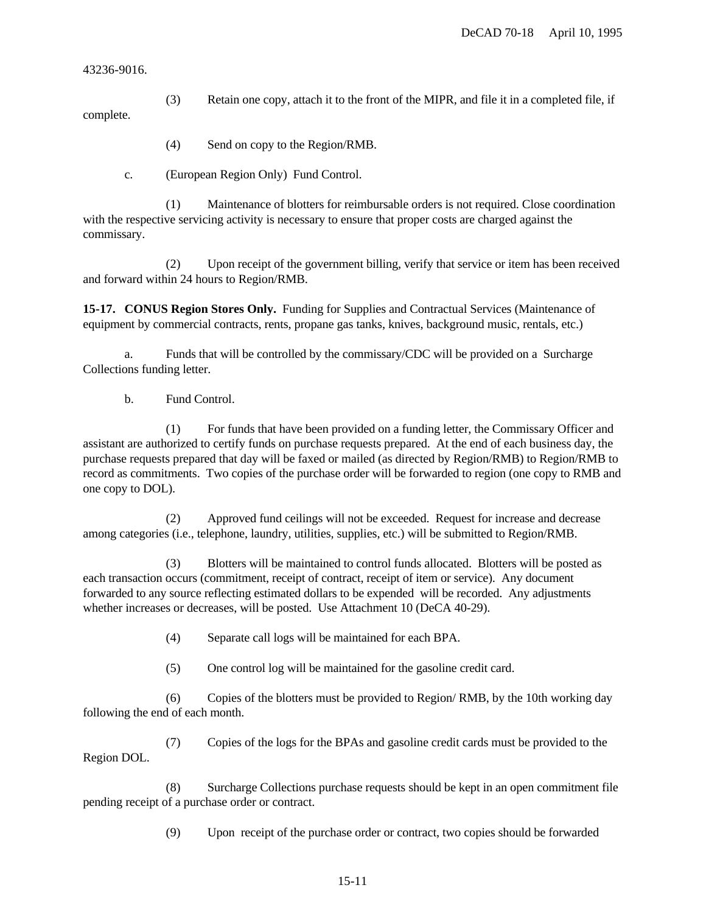43236-9016.

(3) Retain one copy, attach it to the front of the MIPR, and file it in a completed file, if complete.

- (4) Send on copy to the Region/RMB.
- c. (European Region Only) Fund Control.

(1) Maintenance of blotters for reimbursable orders is not required. Close coordination with the respective servicing activity is necessary to ensure that proper costs are charged against the commissary.

(2) Upon receipt of the government billing, verify that service or item has been received and forward within 24 hours to Region/RMB.

**15-17. CONUS Region Stores Only.** Funding for Supplies and Contractual Services (Maintenance of equipment by commercial contracts, rents, propane gas tanks, knives, background music, rentals, etc.)

a. Funds that will be controlled by the commissary/CDC will be provided on a Surcharge Collections funding letter.

b. Fund Control.

(1) For funds that have been provided on a funding letter, the Commissary Officer and assistant are authorized to certify funds on purchase requests prepared. At the end of each business day, the purchase requests prepared that day will be faxed or mailed (as directed by Region/RMB) to Region/RMB to record as commitments. Two copies of the purchase order will be forwarded to region (one copy to RMB and one copy to DOL).

(2) Approved fund ceilings will not be exceeded. Request for increase and decrease among categories (i.e., telephone, laundry, utilities, supplies, etc.) will be submitted to Region/RMB.

(3) Blotters will be maintained to control funds allocated. Blotters will be posted as each transaction occurs (commitment, receipt of contract, receipt of item or service). Any document forwarded to any source reflecting estimated dollars to be expended will be recorded. Any adjustments whether increases or decreases, will be posted. Use Attachment 10 (DeCA 40-29).

- (4) Separate call logs will be maintained for each BPA.
- (5) One control log will be maintained for the gasoline credit card.

(6) Copies of the blotters must be provided to Region/ RMB, by the 10th working day following the end of each month.

(7) Copies of the logs for the BPAs and gasoline credit cards must be provided to the Region DOL.

(8) Surcharge Collections purchase requests should be kept in an open commitment file pending receipt of a purchase order or contract.

(9) Upon receipt of the purchase order or contract, two copies should be forwarded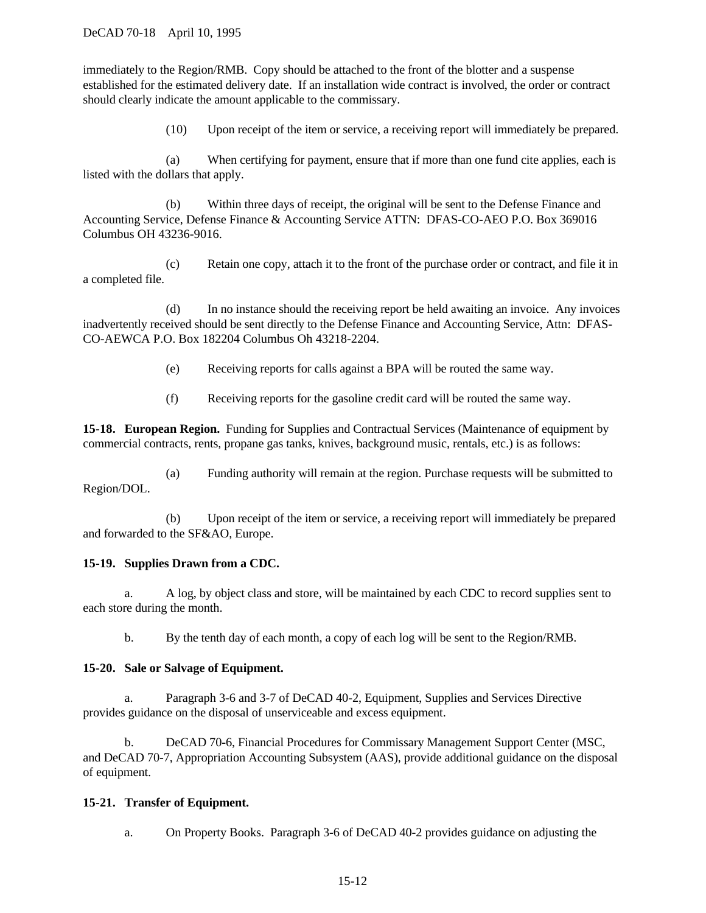immediately to the Region/RMB. Copy should be attached to the front of the blotter and a suspense established for the estimated delivery date. If an installation wide contract is involved, the order or contract should clearly indicate the amount applicable to the commissary.

(10) Upon receipt of the item or service, a receiving report will immediately be prepared.

(a) When certifying for payment, ensure that if more than one fund cite applies, each is listed with the dollars that apply.

(b) Within three days of receipt, the original will be sent to the Defense Finance and Accounting Service, Defense Finance & Accounting Service ATTN: DFAS-CO-AEO P.O. Box 369016 Columbus OH 43236-9016.

(c) Retain one copy, attach it to the front of the purchase order or contract, and file it in a completed file.

(d) In no instance should the receiving report be held awaiting an invoice. Any invoices inadvertently received should be sent directly to the Defense Finance and Accounting Service, Attn: DFAS-CO-AEWCA P.O. Box 182204 Columbus Oh 43218-2204.

(e) Receiving reports for calls against a BPA will be routed the same way.

(f) Receiving reports for the gasoline credit card will be routed the same way.

**15-18. European Region.** Funding for Supplies and Contractual Services (Maintenance of equipment by commercial contracts, rents, propane gas tanks, knives, background music, rentals, etc.) is as follows:

(a) Funding authority will remain at the region. Purchase requests will be submitted to Region/DOL.

(b) Upon receipt of the item or service, a receiving report will immediately be prepared and forwarded to the SF&AO, Europe.

### **15-19. Supplies Drawn from a CDC.**

a. A log, by object class and store, will be maintained by each CDC to record supplies sent to each store during the month.

b. By the tenth day of each month, a copy of each log will be sent to the Region/RMB.

#### **15-20. Sale or Salvage of Equipment.**

a. Paragraph 3-6 and 3-7 of DeCAD 40-2, Equipment, Supplies and Services Directive provides guidance on the disposal of unserviceable and excess equipment.

b. DeCAD 70-6, Financial Procedures for Commissary Management Support Center (MSC, and DeCAD 70-7, Appropriation Accounting Subsystem (AAS), provide additional guidance on the disposal of equipment.

### **15-21. Transfer of Equipment.**

a. On Property Books. Paragraph 3-6 of DeCAD 40-2 provides guidance on adjusting the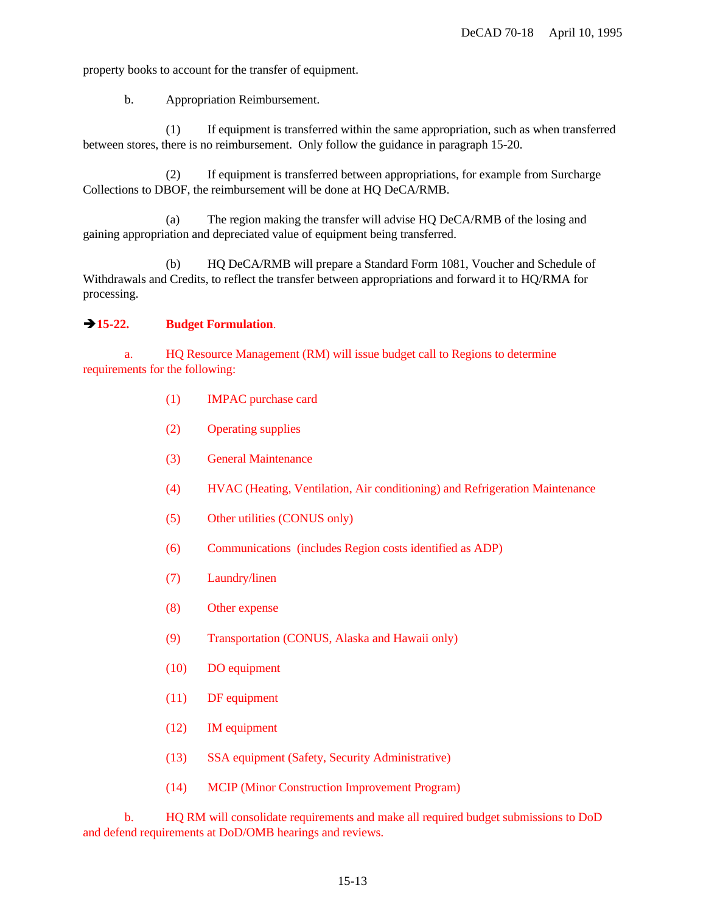property books to account for the transfer of equipment.

b. Appropriation Reimbursement.

(1) If equipment is transferred within the same appropriation, such as when transferred between stores, there is no reimbursement. Only follow the guidance in paragraph 15-20.

(2) If equipment is transferred between appropriations, for example from Surcharge Collections to DBOF, the reimbursement will be done at HQ DeCA/RMB.

(a) The region making the transfer will advise HQ DeCA/RMB of the losing and gaining appropriation and depreciated value of equipment being transferred.

(b) HQ DeCA/RMB will prepare a Standard Form 1081, Voucher and Schedule of Withdrawals and Credits, to reflect the transfer between appropriations and forward it to HQ/RMA for processing.

# Ë**15-22. Budget Formulation**.

a. HQ Resource Management (RM) will issue budget call to Regions to determine requirements for the following:

- (1) IMPAC purchase card
- (2) Operating supplies
- (3) General Maintenance
- (4) HVAC (Heating, Ventilation, Air conditioning) and Refrigeration Maintenance
- (5) Other utilities (CONUS only)
- (6) Communications (includes Region costs identified as ADP)
- (7) Laundry/linen
- (8) Other expense
- (9) Transportation (CONUS, Alaska and Hawaii only)
- (10) DO equipment
- (11) DF equipment
- (12) IM equipment
- (13) SSA equipment (Safety, Security Administrative)
- (14) MCIP (Minor Construction Improvement Program)

b. HQ RM will consolidate requirements and make all required budget submissions to DoD and defend requirements at DoD/OMB hearings and reviews.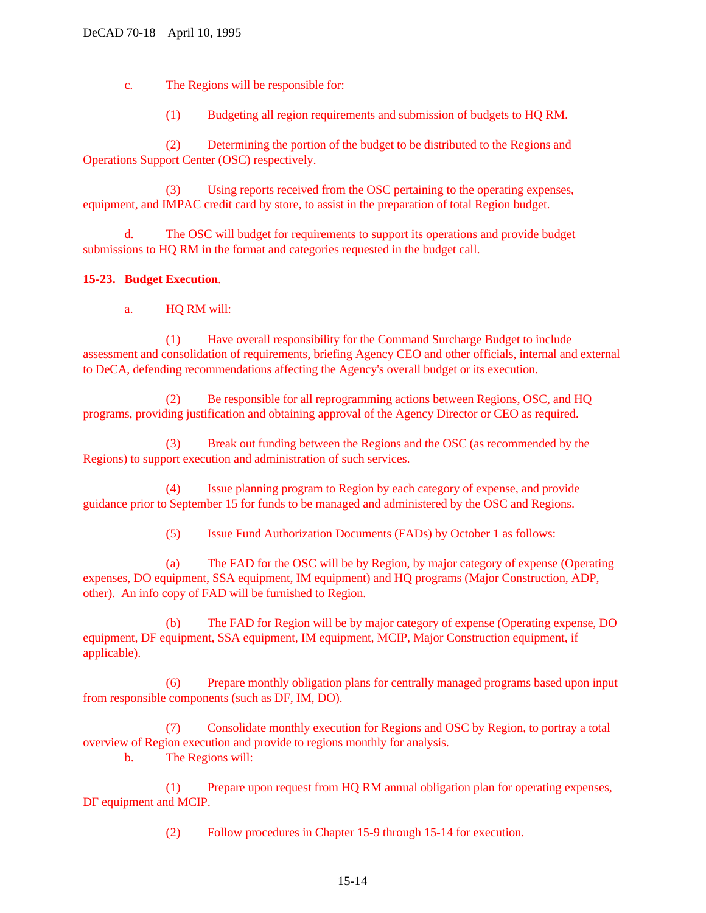c. The Regions will be responsible for:

(1) Budgeting all region requirements and submission of budgets to HQ RM.

(2) Determining the portion of the budget to be distributed to the Regions and Operations Support Center (OSC) respectively.

(3) Using reports received from the OSC pertaining to the operating expenses, equipment, and IMPAC credit card by store, to assist in the preparation of total Region budget.

d. The OSC will budget for requirements to support its operations and provide budget submissions to HQ RM in the format and categories requested in the budget call.

#### **15-23. Budget Execution**.

a. HQ RM will:

(1) Have overall responsibility for the Command Surcharge Budget to include assessment and consolidation of requirements, briefing Agency CEO and other officials, internal and external to DeCA, defending recommendations affecting the Agency's overall budget or its execution.

(2) Be responsible for all reprogramming actions between Regions, OSC, and HQ programs, providing justification and obtaining approval of the Agency Director or CEO as required.

(3) Break out funding between the Regions and the OSC (as recommended by the Regions) to support execution and administration of such services.

(4) Issue planning program to Region by each category of expense, and provide guidance prior to September 15 for funds to be managed and administered by the OSC and Regions.

(5) Issue Fund Authorization Documents (FADs) by October 1 as follows:

(a) The FAD for the OSC will be by Region, by major category of expense (Operating expenses, DO equipment, SSA equipment, IM equipment) and HQ programs (Major Construction, ADP, other). An info copy of FAD will be furnished to Region.

(b) The FAD for Region will be by major category of expense (Operating expense, DO equipment, DF equipment, SSA equipment, IM equipment, MCIP, Major Construction equipment, if applicable).

(6) Prepare monthly obligation plans for centrally managed programs based upon input from responsible components (such as DF, IM, DO).

(7) Consolidate monthly execution for Regions and OSC by Region, to portray a total overview of Region execution and provide to regions monthly for analysis.

b. The Regions will:

(1) Prepare upon request from HQ RM annual obligation plan for operating expenses, DF equipment and MCIP.

(2) Follow procedures in Chapter 15-9 through 15-14 for execution.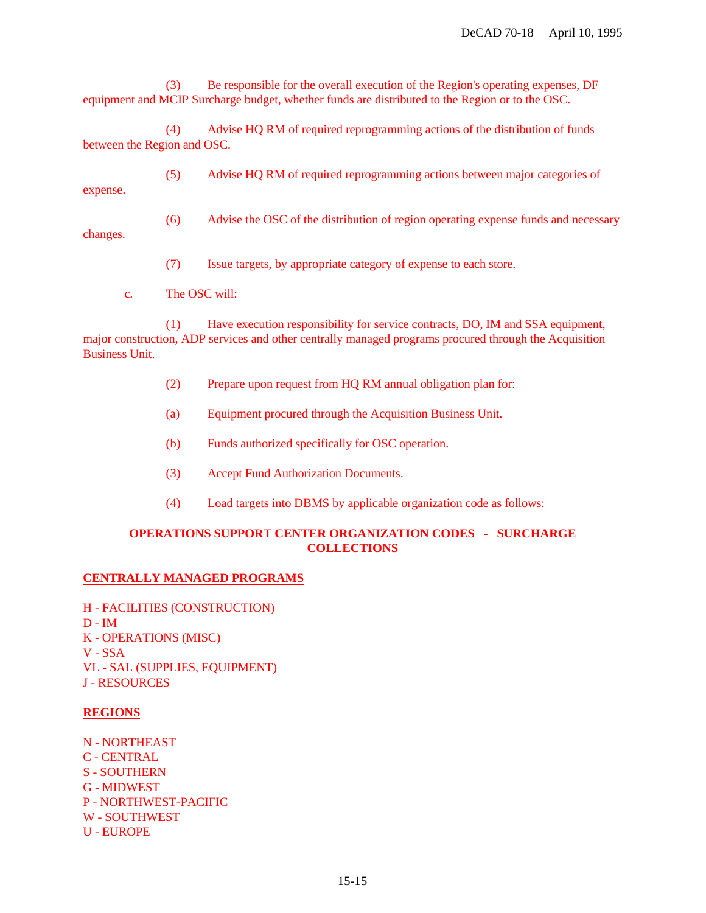(3) Be responsible for the overall execution of the Region's operating expenses, DF equipment and MCIP Surcharge budget, whether funds are distributed to the Region or to the OSC.

(4) Advise HQ RM of required reprogramming actions of the distribution of funds between the Region and OSC.

(5) Advise HQ RM of required reprogramming actions between major categories of

expense.

(6) Advise the OSC of the distribution of region operating expense funds and necessary

changes.

(7) Issue targets, by appropriate category of expense to each store.

c. The OSC will:

(1) Have execution responsibility for service contracts, DO, IM and SSA equipment, major construction, ADP services and other centrally managed programs procured through the Acquisition Business Unit.

- (2) Prepare upon request from HQ RM annual obligation plan for:
- (a) Equipment procured through the Acquisition Business Unit.
- (b) Funds authorized specifically for OSC operation.
- (3) Accept Fund Authorization Documents.
- (4) Load targets into DBMS by applicable organization code as follows:

# **OPERATIONS SUPPORT CENTER ORGANIZATION CODES - SURCHARGE COLLECTIONS**

### **CENTRALLY MANAGED PROGRAMS**

H - FACILITIES (CONSTRUCTION)  $D - IM$ K - OPERATIONS (MISC) V - SSA VL - SAL (SUPPLIES, EQUIPMENT) J - RESOURCES

# **REGIONS**

N - NORTHEAST C - CENTRAL S - SOUTHERN G - MIDWEST P - NORTHWEST-PACIFIC W - SOUTHWEST U - EUROPE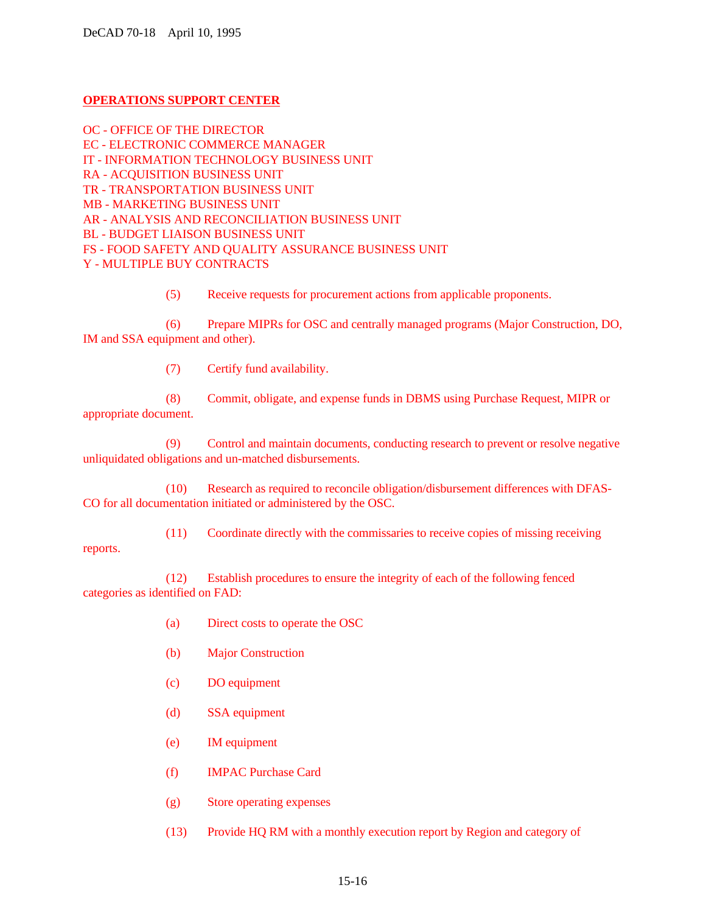### **OPERATIONS SUPPORT CENTER**

OC - OFFICE OF THE DIRECTOR EC - ELECTRONIC COMMERCE MANAGER IT - INFORMATION TECHNOLOGY BUSINESS UNIT RA - ACQUISITION BUSINESS UNIT TR - TRANSPORTATION BUSINESS UNIT MB - MARKETING BUSINESS UNIT AR - ANALYSIS AND RECONCILIATION BUSINESS UNIT BL - BUDGET LIAISON BUSINESS UNIT FS - FOOD SAFETY AND QUALITY ASSURANCE BUSINESS UNIT Y - MULTIPLE BUY CONTRACTS

(5) Receive requests for procurement actions from applicable proponents.

(6) Prepare MIPRs for OSC and centrally managed programs (Major Construction, DO, IM and SSA equipment and other).

(7) Certify fund availability.

(8) Commit, obligate, and expense funds in DBMS using Purchase Request, MIPR or appropriate document.

(9) Control and maintain documents, conducting research to prevent or resolve negative unliquidated obligations and un-matched disbursements.

(10) Research as required to reconcile obligation/disbursement differences with DFAS-CO for all documentation initiated or administered by the OSC.

(11) Coordinate directly with the commissaries to receive copies of missing receiving reports.

(12) Establish procedures to ensure the integrity of each of the following fenced categories as identified on FAD:

- (a) Direct costs to operate the OSC
- (b) Major Construction
- (c) DO equipment
- (d) SSA equipment
- (e) IM equipment
- (f) IMPAC Purchase Card
- (g) Store operating expenses
- (13) Provide HQ RM with a monthly execution report by Region and category of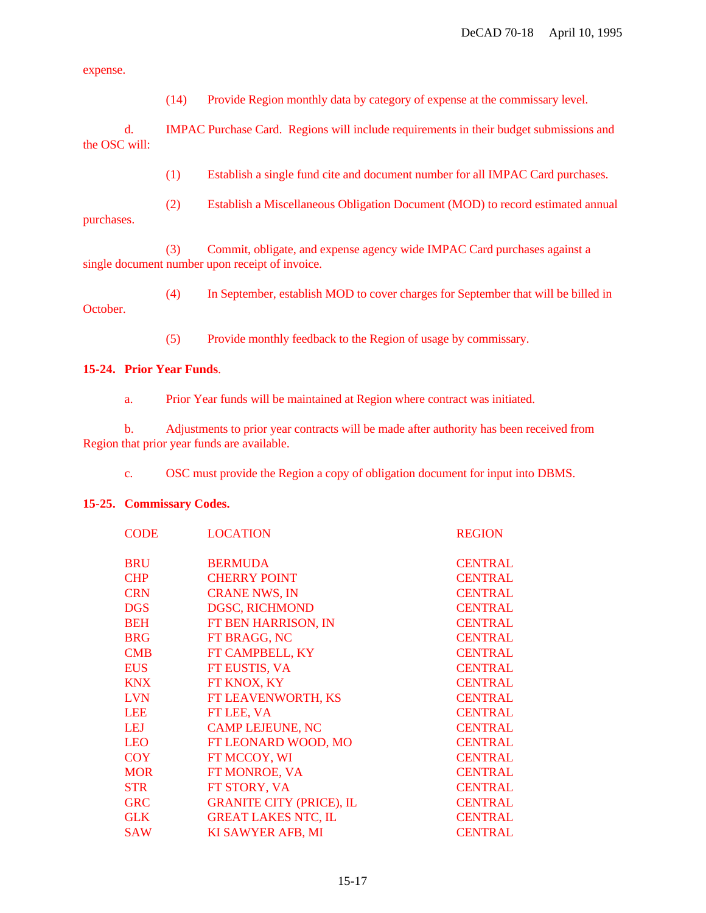expense.

(14) Provide Region monthly data by category of expense at the commissary level.

d. IMPAC Purchase Card. Regions will include requirements in their budget submissions and the OSC will:

(1) Establish a single fund cite and document number for all IMPAC Card purchases.

(2) Establish a Miscellaneous Obligation Document (MOD) to record estimated annual purchases.

(3) Commit, obligate, and expense agency wide IMPAC Card purchases against a single document number upon receipt of invoice.

(4) In September, establish MOD to cover charges for September that will be billed in October.

(5) Provide monthly feedback to the Region of usage by commissary.

### **15-24. Prior Year Funds**.

a. Prior Year funds will be maintained at Region where contract was initiated.

b. Adjustments to prior year contracts will be made after authority has been received from Region that prior year funds are available.

c. OSC must provide the Region a copy of obligation document for input into DBMS.

#### **15-25. Commissary Codes.**

| <b>CODE</b> | <b>LOCATION</b>                 | <b>REGION</b>  |
|-------------|---------------------------------|----------------|
| <b>BRU</b>  | <b>BERMUDA</b>                  | <b>CENTRAL</b> |
| <b>CHP</b>  | <b>CHERRY POINT</b>             | <b>CENTRAL</b> |
| <b>CRN</b>  | <b>CRANE NWS, IN</b>            | <b>CENTRAL</b> |
| <b>DGS</b>  | <b>DGSC, RICHMOND</b>           | <b>CENTRAL</b> |
| <b>BEH</b>  | FT BEN HARRISON, IN             | <b>CENTRAL</b> |
| <b>BRG</b>  | FT BRAGG, NC                    | <b>CENTRAL</b> |
| <b>CMB</b>  | FT CAMPBELL, KY                 | <b>CENTRAL</b> |
| <b>EUS</b>  | FT EUSTIS, VA                   | <b>CENTRAL</b> |
| <b>KNX</b>  | FT KNOX, KY                     | <b>CENTRAL</b> |
| <b>LVN</b>  | FT LEAVENWORTH, KS              | <b>CENTRAL</b> |
| <b>LEE</b>  | FT LEE, VA                      | <b>CENTRAL</b> |
| <b>LEJ</b>  | <b>CAMP LEJEUNE, NC</b>         | <b>CENTRAL</b> |
| <b>LEO</b>  | FT LEONARD WOOD, MO             | <b>CENTRAL</b> |
| <b>COY</b>  | FT MCCOY, WI                    | <b>CENTRAL</b> |
| <b>MOR</b>  | FT MONROE, VA                   | <b>CENTRAL</b> |
| <b>STR</b>  | FT STORY, VA                    | <b>CENTRAL</b> |
| <b>GRC</b>  | <b>GRANITE CITY (PRICE), IL</b> | <b>CENTRAL</b> |
| <b>GLK</b>  | <b>GREAT LAKES NTC, IL</b>      | <b>CENTRAL</b> |
| <b>SAW</b>  | KI SAWYER AFB, MI               | <b>CENTRAL</b> |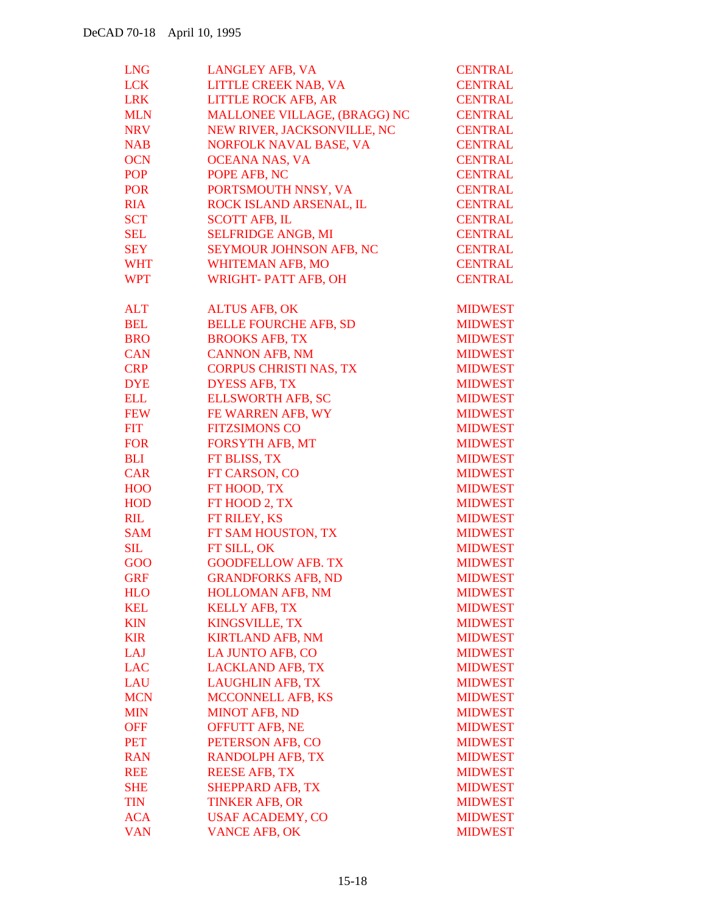| <b>LNG</b> | <b>LANGLEY AFB, VA</b>        | <b>CENTRAL</b> |
|------------|-------------------------------|----------------|
| <b>LCK</b> | LITTLE CREEK NAB, VA          | <b>CENTRAL</b> |
| <b>LRK</b> | <b>LITTLE ROCK AFB, AR</b>    | <b>CENTRAL</b> |
| <b>MLN</b> | MALLONEE VILLAGE, (BRAGG) NC  | <b>CENTRAL</b> |
| <b>NRV</b> | NEW RIVER, JACKSONVILLE, NC   | <b>CENTRAL</b> |
| <b>NAB</b> | NORFOLK NAVAL BASE, VA        | <b>CENTRAL</b> |
| <b>OCN</b> | OCEANA NAS, VA                | <b>CENTRAL</b> |
| POP        | POPE AFB, NC                  | <b>CENTRAL</b> |
| <b>POR</b> | PORTSMOUTH NNSY, VA           | <b>CENTRAL</b> |
| <b>RIA</b> | ROCK ISLAND ARSENAL, IL       | <b>CENTRAL</b> |
| <b>SCT</b> | <b>SCOTT AFB, IL</b>          | <b>CENTRAL</b> |
| <b>SEL</b> | <b>SELFRIDGE ANGB, MI</b>     | <b>CENTRAL</b> |
| <b>SEY</b> | SEYMOUR JOHNSON AFB, NC       | <b>CENTRAL</b> |
| <b>WHT</b> | WHITEMAN AFB, MO              | <b>CENTRAL</b> |
| <b>WPT</b> | <b>WRIGHT-PATT AFB, OH</b>    | <b>CENTRAL</b> |
| <b>ALT</b> | <b>ALTUS AFB, OK</b>          | <b>MIDWEST</b> |
| <b>BEL</b> | <b>BELLE FOURCHE AFB, SD</b>  | <b>MIDWEST</b> |
| <b>BRO</b> | <b>BROOKS AFB, TX</b>         | <b>MIDWEST</b> |
| <b>CAN</b> | <b>CANNON AFB, NM</b>         | <b>MIDWEST</b> |
| <b>CRP</b> | <b>CORPUS CHRISTI NAS, TX</b> | <b>MIDWEST</b> |
| <b>DYE</b> | <b>DYESS AFB, TX</b>          | <b>MIDWEST</b> |
| <b>ELL</b> | <b>ELLSWORTH AFB, SC</b>      | <b>MIDWEST</b> |
| <b>FEW</b> | FE WARREN AFB, WY             | <b>MIDWEST</b> |
| <b>FIT</b> | <b>FITZSIMONS CO</b>          | <b>MIDWEST</b> |
| <b>FOR</b> | <b>FORSYTH AFB, MT</b>        | <b>MIDWEST</b> |
| <b>BLI</b> | FT BLISS, TX                  | <b>MIDWEST</b> |
| <b>CAR</b> | FT CARSON, CO                 | <b>MIDWEST</b> |
| <b>HOO</b> | FT HOOD, TX                   | <b>MIDWEST</b> |
| <b>HOD</b> | FT HOOD 2, TX                 | <b>MIDWEST</b> |
| <b>RIL</b> | FT RILEY, KS                  | <b>MIDWEST</b> |
| <b>SAM</b> | FT SAM HOUSTON, TX            | <b>MIDWEST</b> |
| <b>SIL</b> | FT SILL, OK                   | <b>MIDWEST</b> |
| GOO        | <b>GOODFELLOW AFB. TX</b>     | <b>MIDWEST</b> |
| <b>GRF</b> | <b>GRANDFORKS AFB, ND</b>     | <b>MIDWEST</b> |
| <b>HLO</b> | <b>HOLLOMAN AFB, NM</b>       | <b>MIDWEST</b> |
| <b>KEL</b> | <b>KELLY AFB, TX</b>          | <b>MIDWEST</b> |
| <b>KIN</b> | <b>KINGSVILLE, TX</b>         | <b>MIDWEST</b> |
| <b>KIR</b> | <b>KIRTLAND AFB, NM</b>       | <b>MIDWEST</b> |
| LAJ        | <b>LA JUNTO AFB, CO</b>       | <b>MIDWEST</b> |
| <b>LAC</b> | <b>LACKLAND AFB, TX</b>       | <b>MIDWEST</b> |
| <b>LAU</b> | <b>LAUGHLIN AFB, TX</b>       | <b>MIDWEST</b> |
| <b>MCN</b> | <b>MCCONNELL AFB, KS</b>      | <b>MIDWEST</b> |
| <b>MIN</b> | <b>MINOT AFB, ND</b>          | <b>MIDWEST</b> |
| <b>OFF</b> | <b>OFFUTT AFB, NE</b>         | <b>MIDWEST</b> |
| <b>PET</b> | PETERSON AFB, CO              | <b>MIDWEST</b> |
| <b>RAN</b> | <b>RANDOLPH AFB, TX</b>       | <b>MIDWEST</b> |
| <b>REE</b> | <b>REESE AFB, TX</b>          | <b>MIDWEST</b> |
| <b>SHE</b> | <b>SHEPPARD AFB, TX</b>       | <b>MIDWEST</b> |
| <b>TIN</b> | <b>TINKER AFB, OR</b>         | <b>MIDWEST</b> |
| <b>ACA</b> | <b>USAF ACADEMY, CO</b>       | <b>MIDWEST</b> |
| <b>VAN</b> | <b>VANCE AFB, OK</b>          | <b>MIDWEST</b> |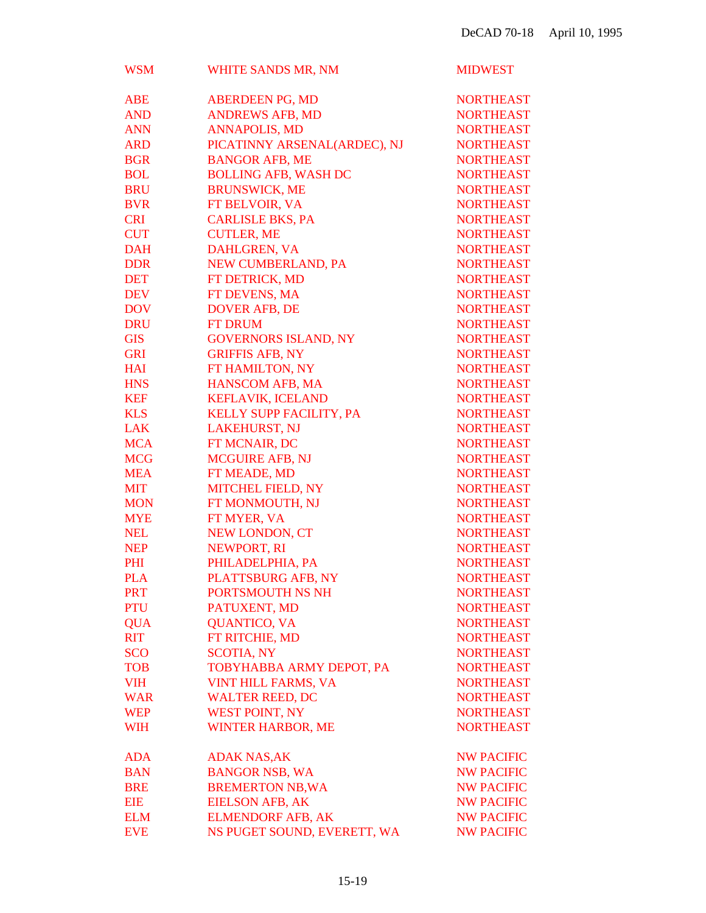| <b>WSM</b> | WHITE SANDS MR, NM           | <b>MIDWEST</b>    |
|------------|------------------------------|-------------------|
| <b>ABE</b> | <b>ABERDEEN PG, MD</b>       | <b>NORTHEAST</b>  |
| <b>AND</b> | <b>ANDREWS AFB, MD</b>       | <b>NORTHEAST</b>  |
| <b>ANN</b> | <b>ANNAPOLIS, MD</b>         | <b>NORTHEAST</b>  |
| <b>ARD</b> | PICATINNY ARSENAL(ARDEC), NJ | <b>NORTHEAST</b>  |
| <b>BGR</b> | <b>BANGOR AFB, ME</b>        | <b>NORTHEAST</b>  |
| <b>BOL</b> | <b>BOLLING AFB, WASH DC</b>  | <b>NORTHEAST</b>  |
| <b>BRU</b> | <b>BRUNSWICK, ME</b>         | <b>NORTHEAST</b>  |
| <b>BVR</b> | FT BELVOIR, VA               | <b>NORTHEAST</b>  |
| <b>CRI</b> | <b>CARLISLE BKS, PA</b>      | <b>NORTHEAST</b>  |
| <b>CUT</b> | <b>CUTLER, ME</b>            | <b>NORTHEAST</b>  |
| <b>DAH</b> | <b>DAHLGREN, VA</b>          | <b>NORTHEAST</b>  |
| <b>DDR</b> | NEW CUMBERLAND, PA           | <b>NORTHEAST</b>  |
| <b>DET</b> | FT DETRICK, MD               | <b>NORTHEAST</b>  |
| <b>DEV</b> | FT DEVENS, MA                | <b>NORTHEAST</b>  |
| <b>DOV</b> | <b>DOVER AFB, DE</b>         | <b>NORTHEAST</b>  |
| <b>DRU</b> | <b>FT DRUM</b>               | <b>NORTHEAST</b>  |
| <b>GIS</b> | <b>GOVERNORS ISLAND, NY</b>  | <b>NORTHEAST</b>  |
| <b>GRI</b> | <b>GRIFFIS AFB, NY</b>       | <b>NORTHEAST</b>  |
| <b>HAI</b> | FT HAMILTON, NY              | <b>NORTHEAST</b>  |
| <b>HNS</b> | <b>HANSCOM AFB, MA</b>       | <b>NORTHEAST</b>  |
| <b>KEF</b> | <b>KEFLAVIK, ICELAND</b>     | <b>NORTHEAST</b>  |
| <b>KLS</b> | KELLY SUPP FACILITY, PA      | <b>NORTHEAST</b>  |
| <b>LAK</b> | <b>LAKEHURST, NJ</b>         | <b>NORTHEAST</b>  |
| <b>MCA</b> | FT MCNAIR, DC                | <b>NORTHEAST</b>  |
| <b>MCG</b> | <b>MCGUIRE AFB, NJ</b>       | <b>NORTHEAST</b>  |
| <b>MEA</b> | FT MEADE, MD                 | <b>NORTHEAST</b>  |
| <b>MIT</b> | <b>MITCHEL FIELD, NY</b>     | <b>NORTHEAST</b>  |
| <b>MON</b> | FT MONMOUTH, NJ              | <b>NORTHEAST</b>  |
| <b>MYE</b> | FT MYER, VA                  | <b>NORTHEAST</b>  |
| <b>NEL</b> | NEW LONDON, CT               | <b>NORTHEAST</b>  |
| <b>NEP</b> | NEWPORT, RI                  | <b>NORTHEAST</b>  |
| PHI        | PHILADELPHIA, PA             | <b>NORTHEAST</b>  |
| <b>PLA</b> | PLATTSBURG AFB, NY           | <b>NORTHEAST</b>  |
| <b>PRT</b> | PORTSMOUTH NS NH             | <b>NORTHEAST</b>  |
| <b>PTU</b> | PATUXENT, MD                 | <b>NORTHEAST</b>  |
| <b>QUA</b> | <b>QUANTICO, VA</b>          | <b>NORTHEAST</b>  |
| <b>RIT</b> | FT RITCHIE, MD               | <b>NORTHEAST</b>  |
| <b>SCO</b> | <b>SCOTIA, NY</b>            | <b>NORTHEAST</b>  |
| <b>TOB</b> | TOBYHABBA ARMY DEPOT, PA     | <b>NORTHEAST</b>  |
| <b>VIH</b> | <b>VINT HILL FARMS, VA</b>   | <b>NORTHEAST</b>  |
| <b>WAR</b> | <b>WALTER REED, DC</b>       | <b>NORTHEAST</b>  |
| <b>WEP</b> | <b>WEST POINT, NY</b>        | <b>NORTHEAST</b>  |
| <b>WIH</b> | <b>WINTER HARBOR, ME</b>     | <b>NORTHEAST</b>  |
| <b>ADA</b> | <b>ADAK NAS, AK</b>          | <b>NW PACIFIC</b> |
| <b>BAN</b> | <b>BANGOR NSB, WA</b>        | <b>NW PACIFIC</b> |
| <b>BRE</b> | <b>BREMERTON NB, WA</b>      | <b>NW PACIFIC</b> |
| <b>EIE</b> | <b>EIELSON AFB, AK</b>       | <b>NW PACIFIC</b> |
| <b>ELM</b> | <b>ELMENDORF AFB, AK</b>     | <b>NW PACIFIC</b> |
| <b>EVE</b> | NS PUGET SOUND, EVERETT, WA  | <b>NW PACIFIC</b> |
|            |                              |                   |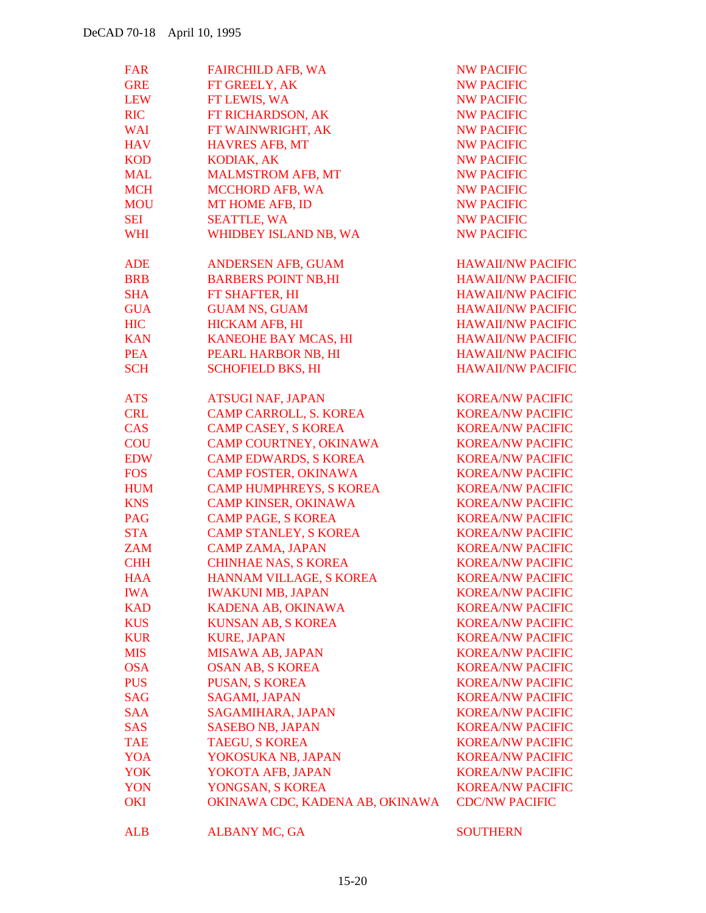| <b>FAR</b> | <b>FAIRCHILD AFB, WA</b>        | <b>NW PACIFIC</b>        |
|------------|---------------------------------|--------------------------|
| <b>GRE</b> | FT GREELY, AK                   | <b>NW PACIFIC</b>        |
| <b>LEW</b> | FT LEWIS, WA                    | <b>NW PACIFIC</b>        |
| <b>RIC</b> | FT RICHARDSON, AK               | <b>NW PACIFIC</b>        |
| <b>WAI</b> | FT WAINWRIGHT, AK               | <b>NW PACIFIC</b>        |
| <b>HAV</b> | <b>HAVRES AFB, MT</b>           | <b>NW PACIFIC</b>        |
| <b>KOD</b> | <b>KODIAK, AK</b>               | <b>NW PACIFIC</b>        |
| <b>MAL</b> | <b>MALMSTROM AFB, MT</b>        | <b>NW PACIFIC</b>        |
| <b>MCH</b> | <b>MCCHORD AFB, WA</b>          | <b>NW PACIFIC</b>        |
| <b>MOU</b> | MT HOME AFB, ID                 | <b>NW PACIFIC</b>        |
| <b>SEI</b> | <b>SEATTLE, WA</b>              | <b>NW PACIFIC</b>        |
| <b>WHI</b> | WHIDBEY ISLAND NB, WA           | <b>NW PACIFIC</b>        |
| <b>ADE</b> | ANDERSEN AFB, GUAM              | <b>HAWAII/NW PACIFIC</b> |
| <b>BRB</b> | <b>BARBERS POINT NB,HI</b>      | <b>HAWAII/NW PACIFIC</b> |
| <b>SHA</b> | FT SHAFTER, HI                  | <b>HAWAII/NW PACIFIC</b> |
| <b>GUA</b> | <b>GUAM NS, GUAM</b>            | <b>HAWAII/NW PACIFIC</b> |
| <b>HIC</b> | HICKAM AFB, HI                  | <b>HAWAII/NW PACIFIC</b> |
| <b>KAN</b> | KANEOHE BAY MCAS, HI            | <b>HAWAII/NW PACIFIC</b> |
| <b>PEA</b> | PEARL HARBOR NB, HI             | <b>HAWAII/NW PACIFIC</b> |
| <b>SCH</b> | <b>SCHOFIELD BKS, HI</b>        | <b>HAWAII/NW PACIFIC</b> |
| <b>ATS</b> | <b>ATSUGI NAF, JAPAN</b>        | <b>KOREA/NW PACIFIC</b>  |
| <b>CRL</b> | <b>CAMP CARROLL, S. KOREA</b>   | <b>KOREA/NW PACIFIC</b>  |
| <b>CAS</b> | <b>CAMP CASEY, S KOREA</b>      | <b>KOREA/NW PACIFIC</b>  |
| <b>COU</b> | CAMP COURTNEY, OKINAWA          | <b>KOREA/NW PACIFIC</b>  |
| <b>EDW</b> | <b>CAMP EDWARDS, S KOREA</b>    | <b>KOREA/NW PACIFIC</b>  |
| <b>FOS</b> | <b>CAMP FOSTER, OKINAWA</b>     | <b>KOREA/NW PACIFIC</b>  |
| <b>HUM</b> | <b>CAMP HUMPHREYS, S KOREA</b>  | <b>KOREA/NW PACIFIC</b>  |
| <b>KNS</b> | <b>CAMP KINSER, OKINAWA</b>     | <b>KOREA/NW PACIFIC</b>  |
| <b>PAG</b> | <b>CAMP PAGE, S KOREA</b>       | <b>KOREA/NW PACIFIC</b>  |
| <b>STA</b> | <b>CAMP STANLEY, S KOREA</b>    | <b>KOREA/NW PACIFIC</b>  |
| <b>ZAM</b> | <b>CAMP ZAMA, JAPAN</b>         | <b>KOREA/NW PACIFIC</b>  |
| <b>CHH</b> | <b>CHINHAE NAS, S KOREA</b>     | <b>KOREA/NW PACIFIC</b>  |
| <b>HAA</b> | HANNAM VILLAGE, S KOREA         | <b>KOREA/NW PACIFIC</b>  |
| <b>IWA</b> | <b>IWAKUNI MB, JAPAN</b>        | <b>KOREA/NW PACIFIC</b>  |
| <b>KAD</b> | KADENA AB, OKINAWA              | <b>KOREA/NW PACIFIC</b>  |
| <b>KUS</b> | KUNSAN AB, S KOREA              | <b>KOREA/NW PACIFIC</b>  |
| <b>KUR</b> | <b>KURE, JAPAN</b>              | <b>KOREA/NW PACIFIC</b>  |
| <b>MIS</b> | MISAWA AB, JAPAN                | <b>KOREA/NW PACIFIC</b>  |
| <b>OSA</b> | <b>OSAN AB, S KOREA</b>         | <b>KOREA/NW PACIFIC</b>  |
| <b>PUS</b> | <b>PUSAN, S KOREA</b>           | <b>KOREA/NW PACIFIC</b>  |
| <b>SAG</b> | <b>SAGAMI, JAPAN</b>            | <b>KOREA/NW PACIFIC</b>  |
| <b>SAA</b> | SAGAMIHARA, JAPAN               | <b>KOREA/NW PACIFIC</b>  |
| <b>SAS</b> | <b>SASEBO NB, JAPAN</b>         | <b>KOREA/NW PACIFIC</b>  |
| <b>TAE</b> | <b>TAEGU, S KOREA</b>           | <b>KOREA/NW PACIFIC</b>  |
| <b>YOA</b> | YOKOSUKA NB, JAPAN              | <b>KOREA/NW PACIFIC</b>  |
| <b>YOK</b> | YOKOTA AFB, JAPAN               | <b>KOREA/NW PACIFIC</b>  |
| <b>YON</b> | YONGSAN, S KOREA                | <b>KOREA/NW PACIFIC</b>  |
| <b>OKI</b> | OKINAWA CDC, KADENA AB, OKINAWA | <b>CDC/NW PACIFIC</b>    |

ALB ALBANY MC, GA SOUTHERN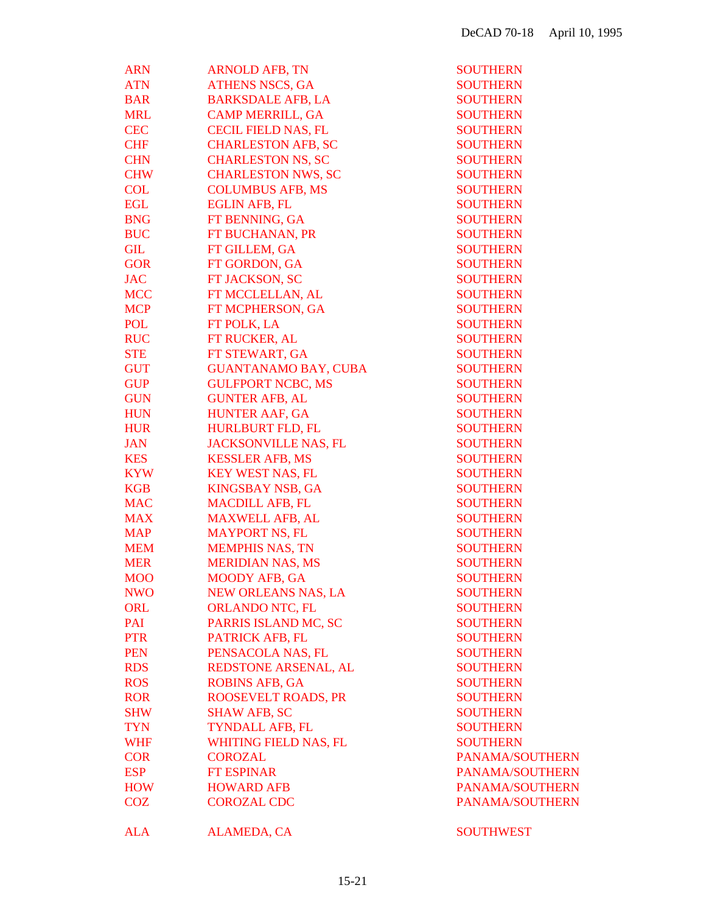| <b>ARN</b> | <b>ARNOLD AFB, TN</b>        | <b>SOUTHERN</b>  |
|------------|------------------------------|------------------|
| <b>ATN</b> | <b>ATHENS NSCS, GA</b>       | <b>SOUTHERN</b>  |
| <b>BAR</b> | <b>BARKSDALE AFB, LA</b>     | <b>SOUTHERN</b>  |
| <b>MRL</b> | <b>CAMP MERRILL, GA</b>      | <b>SOUTHERN</b>  |
| <b>CEC</b> | <b>CECIL FIELD NAS, FL</b>   | <b>SOUTHERN</b>  |
| <b>CHF</b> | <b>CHARLESTON AFB, SC</b>    | <b>SOUTHERN</b>  |
| <b>CHN</b> | <b>CHARLESTON NS, SC</b>     | <b>SOUTHERN</b>  |
| <b>CHW</b> | <b>CHARLESTON NWS, SC</b>    | <b>SOUTHERN</b>  |
| <b>COL</b> | <b>COLUMBUS AFB, MS</b>      | <b>SOUTHERN</b>  |
| EGL        | <b>EGLIN AFB, FL</b>         | <b>SOUTHERN</b>  |
| <b>BNG</b> | FT BENNING, GA               | <b>SOUTHERN</b>  |
| <b>BUC</b> | FT BUCHANAN, PR              | <b>SOUTHERN</b>  |
| <b>GIL</b> | FT GILLEM, GA                | <b>SOUTHERN</b>  |
| <b>GOR</b> | FT GORDON, GA                | <b>SOUTHERN</b>  |
| <b>JAC</b> | FT JACKSON, SC               | <b>SOUTHERN</b>  |
| <b>MCC</b> |                              |                  |
|            | FT MCCLELLAN, AL             | <b>SOUTHERN</b>  |
| <b>MCP</b> | FT MCPHERSON, GA             | <b>SOUTHERN</b>  |
| POL        | FT POLK, LA                  | <b>SOUTHERN</b>  |
| <b>RUC</b> | FT RUCKER, AL                | <b>SOUTHERN</b>  |
| <b>STE</b> | FT STEWART, GA               | <b>SOUTHERN</b>  |
| <b>GUT</b> | <b>GUANTANAMO BAY, CUBA</b>  | <b>SOUTHERN</b>  |
| <b>GUP</b> | <b>GULFPORT NCBC, MS</b>     | <b>SOUTHERN</b>  |
| <b>GUN</b> | <b>GUNTER AFB, AL</b>        | <b>SOUTHERN</b>  |
| <b>HUN</b> | <b>HUNTER AAF, GA</b>        | <b>SOUTHERN</b>  |
| <b>HUR</b> | <b>HURLBURT FLD, FL</b>      | <b>SOUTHERN</b>  |
| <b>JAN</b> | <b>JACKSONVILLE NAS, FL</b>  | <b>SOUTHERN</b>  |
| <b>KES</b> | <b>KESSLER AFB, MS</b>       | <b>SOUTHERN</b>  |
| <b>KYW</b> | <b>KEY WEST NAS, FL</b>      | <b>SOUTHERN</b>  |
| <b>KGB</b> | KINGSBAY NSB, GA             | <b>SOUTHERN</b>  |
| <b>MAC</b> | <b>MACDILL AFB, FL</b>       | <b>SOUTHERN</b>  |
| <b>MAX</b> | <b>MAXWELL AFB, AL</b>       | <b>SOUTHERN</b>  |
| <b>MAP</b> | <b>MAYPORT NS, FL</b>        | <b>SOUTHERN</b>  |
| <b>MEM</b> | <b>MEMPHIS NAS, TN</b>       | <b>SOUTHERN</b>  |
| <b>MER</b> | <b>MERIDIAN NAS, MS</b>      | <b>SOUTHERN</b>  |
| <b>MOO</b> | MOODY AFB, GA                | <b>SOUTHERN</b>  |
| <b>NWO</b> | <b>NEW ORLEANS NAS, LA</b>   | <b>SOUTHERN</b>  |
| ORL        | <b>ORLANDO NTC, FL</b>       | <b>SOUTHERN</b>  |
| PAI        | PARRIS ISLAND MC, SC         | <b>SOUTHERN</b>  |
| <b>PTR</b> | PATRICK AFB, FL              | <b>SOUTHERN</b>  |
| <b>PEN</b> | PENSACOLA NAS, FL            | <b>SOUTHERN</b>  |
| <b>RDS</b> | REDSTONE ARSENAL, AL         | <b>SOUTHERN</b>  |
| <b>ROS</b> | <b>ROBINS AFB, GA</b>        | <b>SOUTHERN</b>  |
| <b>ROR</b> | <b>ROOSEVELT ROADS, PR</b>   | <b>SOUTHERN</b>  |
| <b>SHW</b> | <b>SHAW AFB, SC</b>          | <b>SOUTHERN</b>  |
| <b>TYN</b> | TYNDALL AFB, FL              | <b>SOUTHERN</b>  |
|            | <b>WHITING FIELD NAS, FL</b> | <b>SOUTHERN</b>  |
| <b>WHF</b> |                              |                  |
| <b>COR</b> | <b>COROZAL</b>               | PANAMA/SOUTHERN  |
| <b>ESP</b> | <b>FT ESPINAR</b>            | PANAMA/SOUTHERN  |
| <b>HOW</b> | <b>HOWARD AFB</b>            | PANAMA/SOUTHERN  |
| <b>COZ</b> | <b>COROZAL CDC</b>           | PANAMA/SOUTHERN  |
| <b>ALA</b> | <b>ALAMEDA, CA</b>           | <b>SOUTHWEST</b> |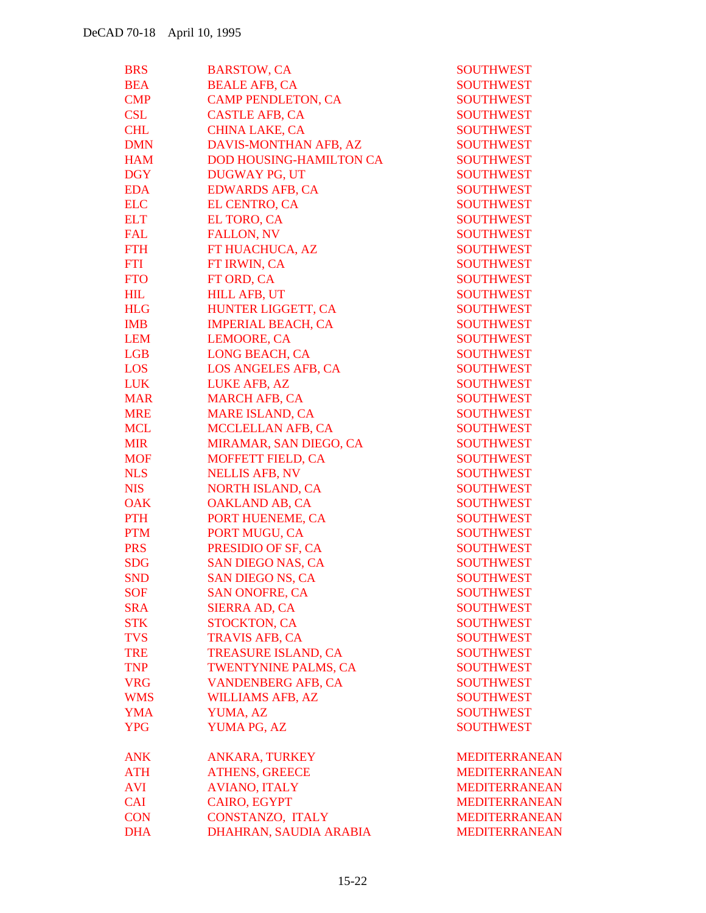| <b>BRS</b> | <b>BARSTOW, CA</b>             | <b>SOUTHWEST</b>     |
|------------|--------------------------------|----------------------|
| <b>BEA</b> | <b>BEALE AFB, CA</b>           | <b>SOUTHWEST</b>     |
| <b>CMP</b> | <b>CAMP PENDLETON, CA</b>      | <b>SOUTHWEST</b>     |
| <b>CSL</b> | <b>CASTLE AFB, CA</b>          | <b>SOUTHWEST</b>     |
| <b>CHL</b> | <b>CHINA LAKE, CA</b>          | <b>SOUTHWEST</b>     |
| <b>DMN</b> | DAVIS-MONTHAN AFB, AZ          | <b>SOUTHWEST</b>     |
| <b>HAM</b> | <b>DOD HOUSING-HAMILTON CA</b> | <b>SOUTHWEST</b>     |
| <b>DGY</b> | DUGWAY PG, UT                  | <b>SOUTHWEST</b>     |
| <b>EDA</b> | <b>EDWARDS AFB, CA</b>         | <b>SOUTHWEST</b>     |
| <b>ELC</b> | <b>EL CENTRO, CA</b>           | <b>SOUTHWEST</b>     |
| <b>ELT</b> | EL TORO, CA                    | <b>SOUTHWEST</b>     |
| <b>FAL</b> | <b>FALLON, NV</b>              | <b>SOUTHWEST</b>     |
| <b>FTH</b> | FT HUACHUCA, AZ                | <b>SOUTHWEST</b>     |
| <b>FTI</b> | FT IRWIN, CA                   | <b>SOUTHWEST</b>     |
| <b>FTO</b> | FT ORD, CA                     | <b>SOUTHWEST</b>     |
| <b>HIL</b> | <b>HILL AFB, UT</b>            | <b>SOUTHWEST</b>     |
| <b>HLG</b> | HUNTER LIGGETT, CA             | <b>SOUTHWEST</b>     |
| <b>IMB</b> | <b>IMPERIAL BEACH, CA</b>      | <b>SOUTHWEST</b>     |
| <b>LEM</b> | <b>LEMOORE, CA</b>             | <b>SOUTHWEST</b>     |
| <b>LGB</b> | <b>LONG BEACH, CA</b>          | <b>SOUTHWEST</b>     |
| LOS        | <b>LOS ANGELES AFB, CA</b>     | <b>SOUTHWEST</b>     |
| <b>LUK</b> | LUKE AFB, AZ                   | <b>SOUTHWEST</b>     |
| <b>MAR</b> | <b>MARCH AFB, CA</b>           | <b>SOUTHWEST</b>     |
| <b>MRE</b> | <b>MARE ISLAND, CA</b>         | <b>SOUTHWEST</b>     |
| <b>MCL</b> | MCCLELLAN AFB, CA              | <b>SOUTHWEST</b>     |
| <b>MIR</b> | MIRAMAR, SAN DIEGO, CA         | <b>SOUTHWEST</b>     |
| <b>MOF</b> | <b>MOFFETT FIELD, CA</b>       | <b>SOUTHWEST</b>     |
| <b>NLS</b> | <b>NELLIS AFB, NV</b>          | <b>SOUTHWEST</b>     |
| <b>NIS</b> | <b>NORTH ISLAND, CA</b>        | <b>SOUTHWEST</b>     |
| <b>OAK</b> | <b>OAKLAND AB, CA</b>          | <b>SOUTHWEST</b>     |
| <b>PTH</b> | PORT HUENEME, CA               | <b>SOUTHWEST</b>     |
| <b>PTM</b> | PORT MUGU, CA                  | <b>SOUTHWEST</b>     |
| <b>PRS</b> | PRESIDIO OF SF, CA             | <b>SOUTHWEST</b>     |
| <b>SDG</b> | <b>SAN DIEGO NAS, CA</b>       | <b>SOUTHWEST</b>     |
| <b>SND</b> | <b>SAN DIEGO NS, CA</b>        | <b>SOUTHWEST</b>     |
| <b>SOF</b> | <b>SAN ONOFRE, CA</b>          | <b>SOUTHWEST</b>     |
| <b>SRA</b> | <b>SIERRA AD, CA</b>           | <b>SOUTHWEST</b>     |
| <b>STK</b> | <b>STOCKTON, CA</b>            | <b>SOUTHWEST</b>     |
| <b>TVS</b> | <b>TRAVIS AFB, CA</b>          | <b>SOUTHWEST</b>     |
| <b>TRE</b> | <b>TREASURE ISLAND, CA</b>     | <b>SOUTHWEST</b>     |
| <b>TNP</b> | <b>TWENTYNINE PALMS, CA</b>    | <b>SOUTHWEST</b>     |
| <b>VRG</b> | <b>VANDENBERG AFB, CA</b>      | <b>SOUTHWEST</b>     |
| <b>WMS</b> | <b>WILLIAMS AFB, AZ</b>        | <b>SOUTHWEST</b>     |
| <b>YMA</b> | YUMA, AZ                       | <b>SOUTHWEST</b>     |
| <b>YPG</b> | YUMA PG, AZ                    | <b>SOUTHWEST</b>     |
|            |                                |                      |
| <b>ANK</b> | <b>ANKARA, TURKEY</b>          | <b>MEDITERRANEAN</b> |
| <b>ATH</b> | <b>ATHENS, GREECE</b>          | <b>MEDITERRANEAN</b> |
| <b>AVI</b> | <b>AVIANO, ITALY</b>           | <b>MEDITERRANEAN</b> |
| <b>CAI</b> | CAIRO, EGYPT                   | <b>MEDITERRANEAN</b> |
| <b>CON</b> | CONSTANZO, ITALY               | <b>MEDITERRANEAN</b> |
| <b>DHA</b> | DHAHRAN, SAUDIA ARABIA         | <b>MEDITERRANEAN</b> |
|            |                                |                      |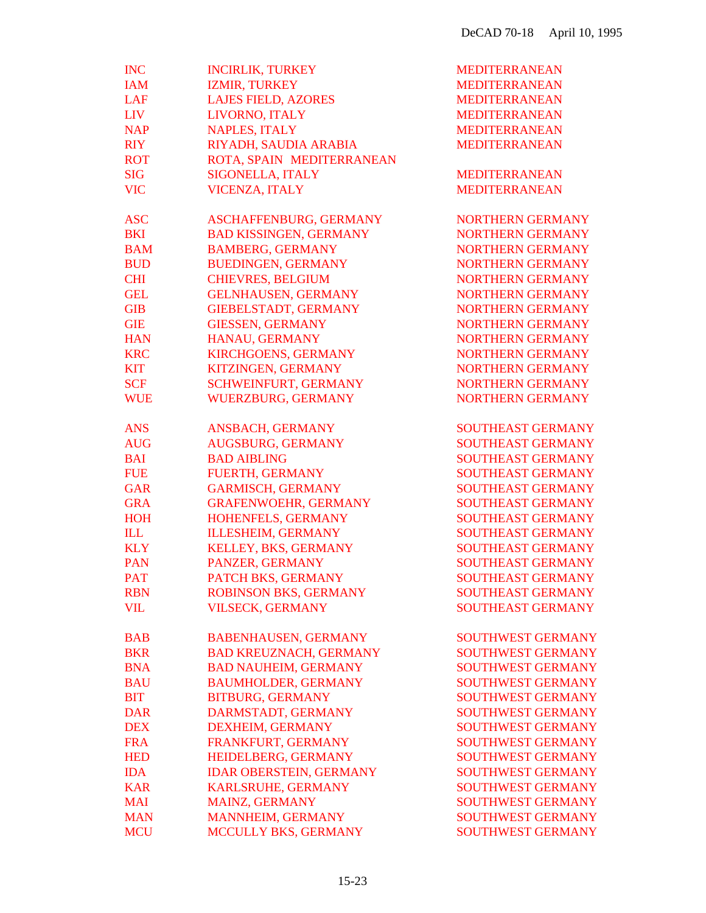| <b>INC</b> | <b>INCIRLIK, TURKEY</b>        | <b>MEDITERRANEAN</b>                               |
|------------|--------------------------------|----------------------------------------------------|
| <b>IAM</b> | IZMIR, TURKEY                  | <b>MEDITERRANEAN</b>                               |
| <b>LAF</b> | <b>LAJES FIELD, AZORES</b>     | <b>MEDITERRANEAN</b>                               |
| <b>LIV</b> | LIVORNO, ITALY                 | <b>MEDITERRANEAN</b>                               |
| <b>NAP</b> | <b>NAPLES, ITALY</b>           | <b>MEDITERRANEAN</b>                               |
| <b>RIY</b> | RIYADH, SAUDIA ARABIA          | <b>MEDITERRANEAN</b>                               |
| <b>ROT</b> | ROTA, SPAIN MEDITERRANEAN      |                                                    |
| <b>SIG</b> | SIGONELLA, ITALY               | <b>MEDITERRANEAN</b>                               |
| <b>VIC</b> | VICENZA, ITALY                 | <b>MEDITERRANEAN</b>                               |
|            |                                |                                                    |
| <b>ASC</b> | ASCHAFFENBURG, GERMANY         | <b>NORTHERN GERMANY</b>                            |
| <b>BKI</b> | <b>BAD KISSINGEN, GERMANY</b>  | <b>NORTHERN GERMANY</b>                            |
| <b>BAM</b> | <b>BAMBERG, GERMANY</b>        | <b>NORTHERN GERMANY</b>                            |
| <b>BUD</b> | <b>BUEDINGEN, GERMANY</b>      | <b>NORTHERN GERMANY</b>                            |
| <b>CHI</b> | <b>CHIEVRES, BELGIUM</b>       | <b>NORTHERN GERMANY</b>                            |
| <b>GEL</b> | <b>GELNHAUSEN, GERMANY</b>     | <b>NORTHERN GERMANY</b>                            |
| <b>GIB</b> | <b>GIEBELSTADT, GERMANY</b>    | <b>NORTHERN GERMANY</b>                            |
| <b>GIE</b> | <b>GIESSEN, GERMANY</b>        | <b>NORTHERN GERMANY</b>                            |
| <b>HAN</b> | HANAU, GERMANY                 | <b>NORTHERN GERMANY</b>                            |
| <b>KRC</b> | KIRCHGOENS, GERMANY            | <b>NORTHERN GERMANY</b>                            |
|            |                                |                                                    |
| <b>KIT</b> | KITZINGEN, GERMANY             | <b>NORTHERN GERMANY</b><br><b>NORTHERN GERMANY</b> |
| <b>SCF</b> | SCHWEINFURT, GERMANY           |                                                    |
| <b>WUE</b> | WUERZBURG, GERMANY             | <b>NORTHERN GERMANY</b>                            |
| <b>ANS</b> | ANSBACH, GERMANY               | <b>SOUTHEAST GERMANY</b>                           |
| <b>AUG</b> | <b>AUGSBURG, GERMANY</b>       | <b>SOUTHEAST GERMANY</b>                           |
| <b>BAI</b> | <b>BAD AIBLING</b>             | <b>SOUTHEAST GERMANY</b>                           |
| <b>FUE</b> | <b>FUERTH, GERMANY</b>         | <b>SOUTHEAST GERMANY</b>                           |
| <b>GAR</b> | <b>GARMISCH, GERMANY</b>       | <b>SOUTHEAST GERMANY</b>                           |
| <b>GRA</b> | <b>GRAFENWOEHR, GERMANY</b>    | <b>SOUTHEAST GERMANY</b>                           |
| <b>HOH</b> | HOHENFELS, GERMANY             | <b>SOUTHEAST GERMANY</b>                           |
| <b>ILL</b> | <b>ILLESHEIM, GERMANY</b>      | <b>SOUTHEAST GERMANY</b>                           |
| <b>KLY</b> | KELLEY, BKS, GERMANY           | <b>SOUTHEAST GERMANY</b>                           |
| <b>PAN</b> | PANZER, GERMANY                | <b>SOUTHEAST GERMANY</b>                           |
| <b>PAT</b> | PATCH BKS, GERMANY             | <b>SOUTHEAST GERMANY</b>                           |
| <b>RBN</b> | <b>ROBINSON BKS, GERMANY</b>   | <b>SOUTHEAST GERMANY</b>                           |
| <b>VIL</b> | <b>VILSECK, GERMANY</b>        | <b>SOUTHEAST GERMANY</b>                           |
| <b>BAB</b> | <b>BABENHAUSEN, GERMANY</b>    | <b>SOUTHWEST GERMANY</b>                           |
| <b>BKR</b> | <b>BAD KREUZNACH, GERMANY</b>  | <b>SOUTHWEST GERMANY</b>                           |
| <b>BNA</b> | <b>BAD NAUHEIM, GERMANY</b>    | <b>SOUTHWEST GERMANY</b>                           |
| <b>BAU</b> | <b>BAUMHOLDER, GERMANY</b>     | <b>SOUTHWEST GERMANY</b>                           |
| <b>BIT</b> | <b>BITBURG, GERMANY</b>        | <b>SOUTHWEST GERMANY</b>                           |
|            | DARMSTADT, GERMANY             | <b>SOUTHWEST GERMANY</b>                           |
| <b>DAR</b> | <b>DEXHEIM, GERMANY</b>        | <b>SOUTHWEST GERMANY</b>                           |
| <b>DEX</b> |                                |                                                    |
| <b>FRA</b> | FRANKFURT, GERMANY             | <b>SOUTHWEST GERMANY</b>                           |
| <b>HED</b> | HEIDELBERG, GERMANY            | <b>SOUTHWEST GERMANY</b>                           |
| <b>IDA</b> | <b>IDAR OBERSTEIN, GERMANY</b> | <b>SOUTHWEST GERMANY</b>                           |
| <b>KAR</b> | KARLSRUHE, GERMANY             | <b>SOUTHWEST GERMANY</b>                           |
| <b>MAI</b> | MAINZ, GERMANY                 | <b>SOUTHWEST GERMANY</b>                           |
| <b>MAN</b> | <b>MANNHEIM, GERMANY</b>       | <b>SOUTHWEST GERMANY</b>                           |
| <b>MCU</b> | MCCULLY BKS, GERMANY           | <b>SOUTHWEST GERMANY</b>                           |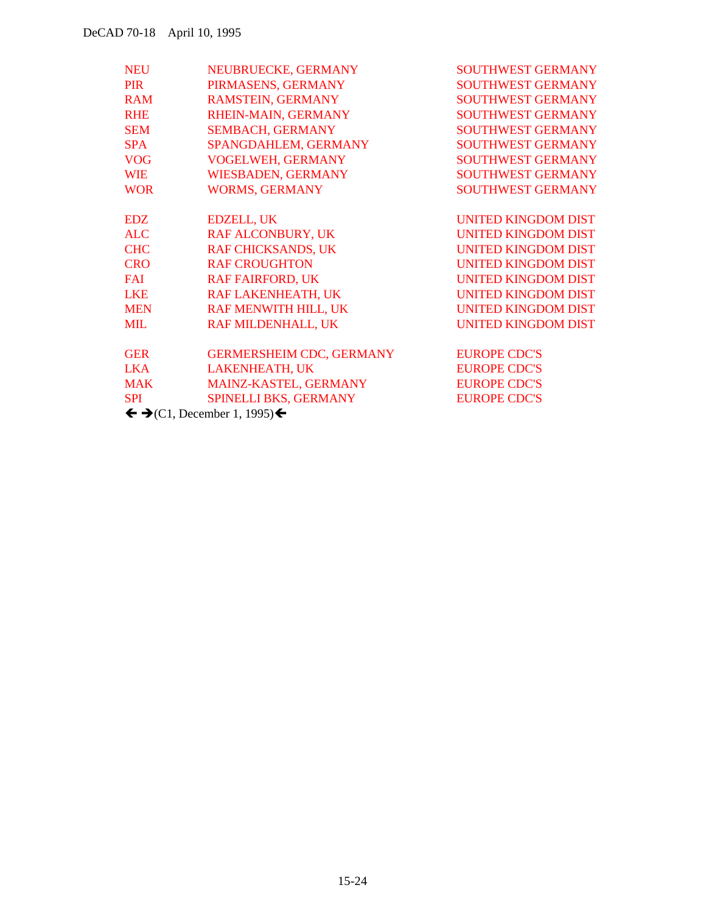| <b>NEU</b> | NEUBRUECKE, GERMANY                                       | <b>SOUTHWEST GERMANY</b>   |
|------------|-----------------------------------------------------------|----------------------------|
| <b>PIR</b> | PIRMASENS, GERMANY                                        | <b>SOUTHWEST GERMANY</b>   |
| <b>RAM</b> | <b>RAMSTEIN, GERMANY</b>                                  | <b>SOUTHWEST GERMANY</b>   |
| <b>RHE</b> | RHEIN-MAIN, GERMANY                                       | <b>SOUTHWEST GERMANY</b>   |
| <b>SEM</b> | <b>SEMBACH, GERMANY</b>                                   | <b>SOUTHWEST GERMANY</b>   |
| <b>SPA</b> | SPANGDAHLEM, GERMANY                                      | <b>SOUTHWEST GERMANY</b>   |
| <b>VOG</b> | <b>VOGELWEH, GERMANY</b>                                  | <b>SOUTHWEST GERMANY</b>   |
| <b>WIE</b> | <b>WIESBADEN, GERMANY</b>                                 | <b>SOUTHWEST GERMANY</b>   |
| <b>WOR</b> | <b>WORMS, GERMANY</b>                                     | <b>SOUTHWEST GERMANY</b>   |
|            |                                                           |                            |
| <b>EDZ</b> | <b>EDZELL, UK</b>                                         | <b>UNITED KINGDOM DIST</b> |
| <b>ALC</b> | <b>RAF ALCONBURY, UK</b>                                  | <b>UNITED KINGDOM DIST</b> |
| <b>CHC</b> | <b>RAF CHICKSANDS, UK</b>                                 | <b>UNITED KINGDOM DIST</b> |
| <b>CRO</b> | <b>RAF CROUGHTON</b>                                      | <b>UNITED KINGDOM DIST</b> |
| <b>FAI</b> | <b>RAF FAIRFORD, UK</b>                                   | <b>UNITED KINGDOM DIST</b> |
| <b>LKE</b> | <b>RAF LAKENHEATH, UK</b>                                 | <b>UNITED KINGDOM DIST</b> |
| <b>MEN</b> | RAF MENWITH HILL, UK                                      | <b>UNITED KINGDOM DIST</b> |
| <b>MIL</b> | RAF MILDENHALL, UK                                        | <b>UNITED KINGDOM DIST</b> |
|            |                                                           |                            |
| <b>GER</b> | <b>GERMERSHEIM CDC, GERMANY</b>                           | <b>EUROPE CDC'S</b>        |
| <b>LKA</b> | <b>LAKENHEATH, UK</b>                                     | <b>EUROPE CDC'S</b>        |
| <b>MAK</b> | MAINZ-KASTEL, GERMANY                                     | <b>EUROPE CDC'S</b>        |
| <b>SPI</b> | SPINELLI BKS, GERMANY                                     | <b>EUROPE CDC'S</b>        |
|            | $\leftarrow \bigstar$ (C1, December 1, 1995) $\leftarrow$ |                            |
|            |                                                           |                            |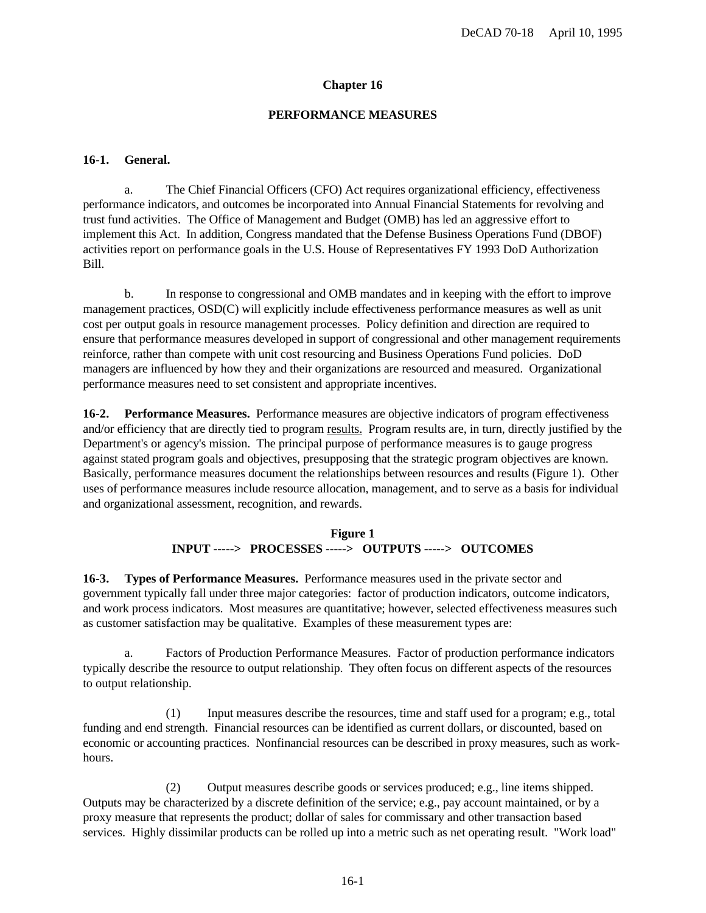### **Chapter 16**

### **PERFORMANCE MEASURES**

### **16-1. General.**

a. The Chief Financial Officers (CFO) Act requires organizational efficiency, effectiveness performance indicators, and outcomes be incorporated into Annual Financial Statements for revolving and trust fund activities. The Office of Management and Budget (OMB) has led an aggressive effort to implement this Act. In addition, Congress mandated that the Defense Business Operations Fund (DBOF) activities report on performance goals in the U.S. House of Representatives FY 1993 DoD Authorization Bill.

b. In response to congressional and OMB mandates and in keeping with the effort to improve management practices, OSD(C) will explicitly include effectiveness performance measures as well as unit cost per output goals in resource management processes. Policy definition and direction are required to ensure that performance measures developed in support of congressional and other management requirements reinforce, rather than compete with unit cost resourcing and Business Operations Fund policies. DoD managers are influenced by how they and their organizations are resourced and measured. Organizational performance measures need to set consistent and appropriate incentives.

**16-2. Performance Measures.** Performance measures are objective indicators of program effectiveness and/or efficiency that are directly tied to program results. Program results are, in turn, directly justified by the Department's or agency's mission. The principal purpose of performance measures is to gauge progress against stated program goals and objectives, presupposing that the strategic program objectives are known. Basically, performance measures document the relationships between resources and results (Figure 1). Other uses of performance measures include resource allocation, management, and to serve as a basis for individual and organizational assessment, recognition, and rewards.

# **Figure 1 INPUT -----> PROCESSES -----> OUTPUTS -----> OUTCOMES**

**16-3. Types of Performance Measures.** Performance measures used in the private sector and government typically fall under three major categories: factor of production indicators, outcome indicators, and work process indicators. Most measures are quantitative; however, selected effectiveness measures such as customer satisfaction may be qualitative. Examples of these measurement types are:

a. Factors of Production Performance Measures. Factor of production performance indicators typically describe the resource to output relationship. They often focus on different aspects of the resources to output relationship.

(1) Input measures describe the resources, time and staff used for a program; e.g., total funding and end strength. Financial resources can be identified as current dollars, or discounted, based on economic or accounting practices. Nonfinancial resources can be described in proxy measures, such as workhours.

(2) Output measures describe goods or services produced; e.g., line items shipped. Outputs may be characterized by a discrete definition of the service; e.g., pay account maintained, or by a proxy measure that represents the product; dollar of sales for commissary and other transaction based services. Highly dissimilar products can be rolled up into a metric such as net operating result. "Work load"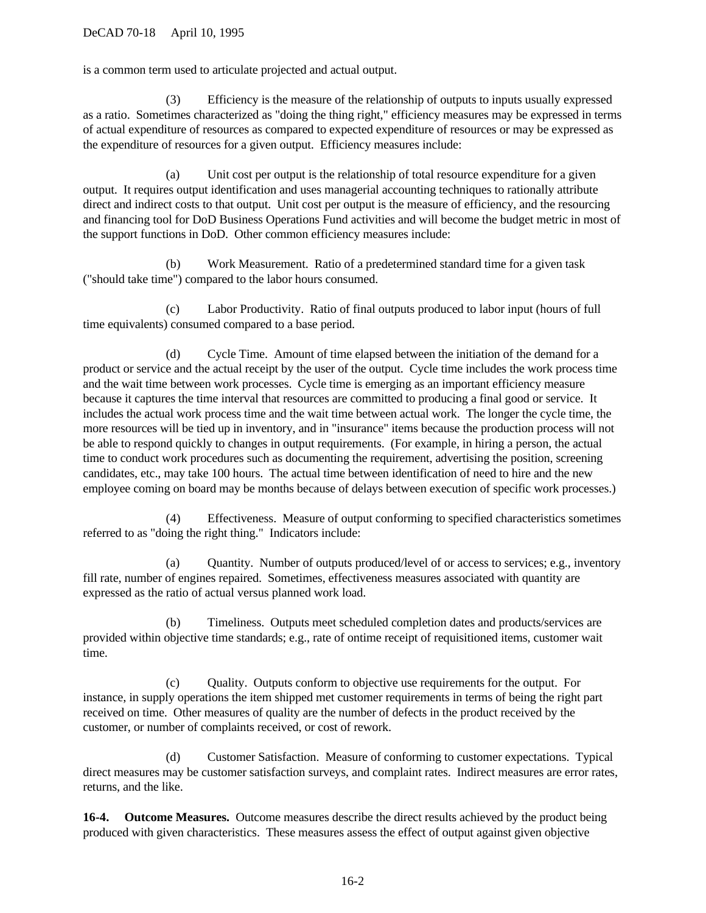is a common term used to articulate projected and actual output.

(3) Efficiency is the measure of the relationship of outputs to inputs usually expressed as a ratio. Sometimes characterized as "doing the thing right," efficiency measures may be expressed in terms of actual expenditure of resources as compared to expected expenditure of resources or may be expressed as the expenditure of resources for a given output. Efficiency measures include:

(a) Unit cost per output is the relationship of total resource expenditure for a given output. It requires output identification and uses managerial accounting techniques to rationally attribute direct and indirect costs to that output. Unit cost per output is the measure of efficiency, and the resourcing and financing tool for DoD Business Operations Fund activities and will become the budget metric in most of the support functions in DoD. Other common efficiency measures include:

(b) Work Measurement. Ratio of a predetermined standard time for a given task ("should take time") compared to the labor hours consumed.

(c) Labor Productivity. Ratio of final outputs produced to labor input (hours of full time equivalents) consumed compared to a base period.

(d) Cycle Time. Amount of time elapsed between the initiation of the demand for a product or service and the actual receipt by the user of the output. Cycle time includes the work process time and the wait time between work processes. Cycle time is emerging as an important efficiency measure because it captures the time interval that resources are committed to producing a final good or service. It includes the actual work process time and the wait time between actual work. The longer the cycle time, the more resources will be tied up in inventory, and in "insurance" items because the production process will not be able to respond quickly to changes in output requirements. (For example, in hiring a person, the actual time to conduct work procedures such as documenting the requirement, advertising the position, screening candidates, etc., may take 100 hours. The actual time between identification of need to hire and the new employee coming on board may be months because of delays between execution of specific work processes.)

(4) Effectiveness. Measure of output conforming to specified characteristics sometimes referred to as "doing the right thing." Indicators include:

(a) Quantity. Number of outputs produced/level of or access to services; e.g., inventory fill rate, number of engines repaired. Sometimes, effectiveness measures associated with quantity are expressed as the ratio of actual versus planned work load.

(b) Timeliness. Outputs meet scheduled completion dates and products/services are provided within objective time standards; e.g., rate of ontime receipt of requisitioned items, customer wait time.

(c) Quality. Outputs conform to objective use requirements for the output. For instance, in supply operations the item shipped met customer requirements in terms of being the right part received on time. Other measures of quality are the number of defects in the product received by the customer, or number of complaints received, or cost of rework.

(d) Customer Satisfaction. Measure of conforming to customer expectations. Typical direct measures may be customer satisfaction surveys, and complaint rates. Indirect measures are error rates, returns, and the like.

**16-4. Outcome Measures.** Outcome measures describe the direct results achieved by the product being produced with given characteristics. These measures assess the effect of output against given objective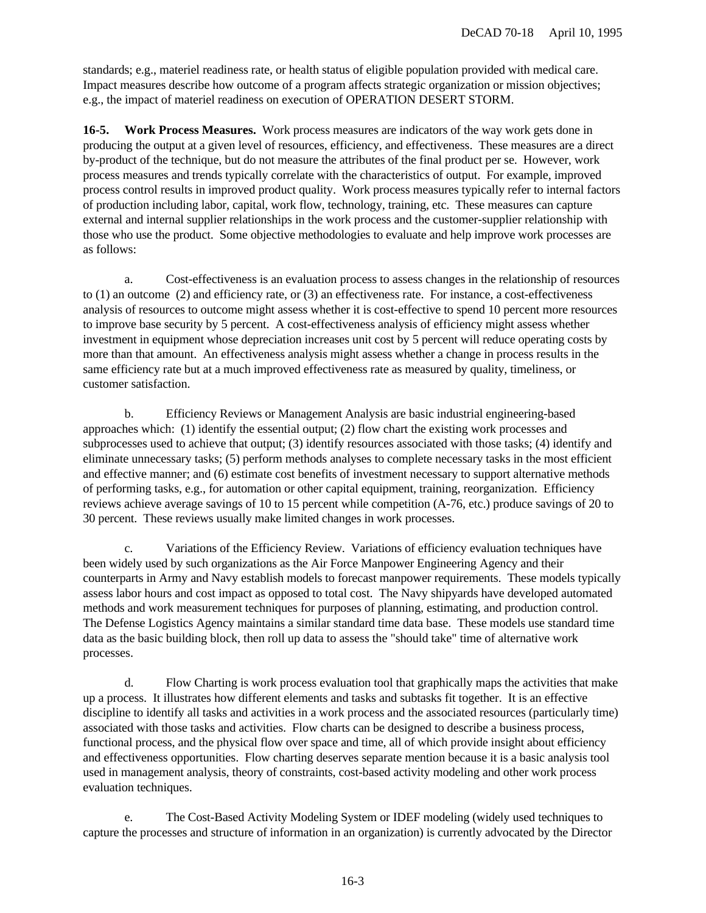standards; e.g., materiel readiness rate, or health status of eligible population provided with medical care. Impact measures describe how outcome of a program affects strategic organization or mission objectives; e.g., the impact of materiel readiness on execution of OPERATION DESERT STORM.

**16-5. Work Process Measures.** Work process measures are indicators of the way work gets done in producing the output at a given level of resources, efficiency, and effectiveness. These measures are a direct by-product of the technique, but do not measure the attributes of the final product per se. However, work process measures and trends typically correlate with the characteristics of output. For example, improved process control results in improved product quality. Work process measures typically refer to internal factors of production including labor, capital, work flow, technology, training, etc. These measures can capture external and internal supplier relationships in the work process and the customer-supplier relationship with those who use the product. Some objective methodologies to evaluate and help improve work processes are as follows:

a. Cost-effectiveness is an evaluation process to assess changes in the relationship of resources to (1) an outcome (2) and efficiency rate, or (3) an effectiveness rate. For instance, a cost-effectiveness analysis of resources to outcome might assess whether it is cost-effective to spend 10 percent more resources to improve base security by 5 percent. A cost-effectiveness analysis of efficiency might assess whether investment in equipment whose depreciation increases unit cost by 5 percent will reduce operating costs by more than that amount. An effectiveness analysis might assess whether a change in process results in the same efficiency rate but at a much improved effectiveness rate as measured by quality, timeliness, or customer satisfaction.

b. Efficiency Reviews or Management Analysis are basic industrial engineering-based approaches which: (1) identify the essential output; (2) flow chart the existing work processes and subprocesses used to achieve that output; (3) identify resources associated with those tasks; (4) identify and eliminate unnecessary tasks; (5) perform methods analyses to complete necessary tasks in the most efficient and effective manner; and (6) estimate cost benefits of investment necessary to support alternative methods of performing tasks, e.g., for automation or other capital equipment, training, reorganization. Efficiency reviews achieve average savings of 10 to 15 percent while competition (A-76, etc.) produce savings of 20 to 30 percent. These reviews usually make limited changes in work processes.

c. Variations of the Efficiency Review. Variations of efficiency evaluation techniques have been widely used by such organizations as the Air Force Manpower Engineering Agency and their counterparts in Army and Navy establish models to forecast manpower requirements. These models typically assess labor hours and cost impact as opposed to total cost. The Navy shipyards have developed automated methods and work measurement techniques for purposes of planning, estimating, and production control. The Defense Logistics Agency maintains a similar standard time data base. These models use standard time data as the basic building block, then roll up data to assess the "should take" time of alternative work processes.

d. Flow Charting is work process evaluation tool that graphically maps the activities that make up a process. It illustrates how different elements and tasks and subtasks fit together. It is an effective discipline to identify all tasks and activities in a work process and the associated resources (particularly time) associated with those tasks and activities. Flow charts can be designed to describe a business process, functional process, and the physical flow over space and time, all of which provide insight about efficiency and effectiveness opportunities. Flow charting deserves separate mention because it is a basic analysis tool used in management analysis, theory of constraints, cost-based activity modeling and other work process evaluation techniques.

e. The Cost-Based Activity Modeling System or IDEF modeling (widely used techniques to capture the processes and structure of information in an organization) is currently advocated by the Director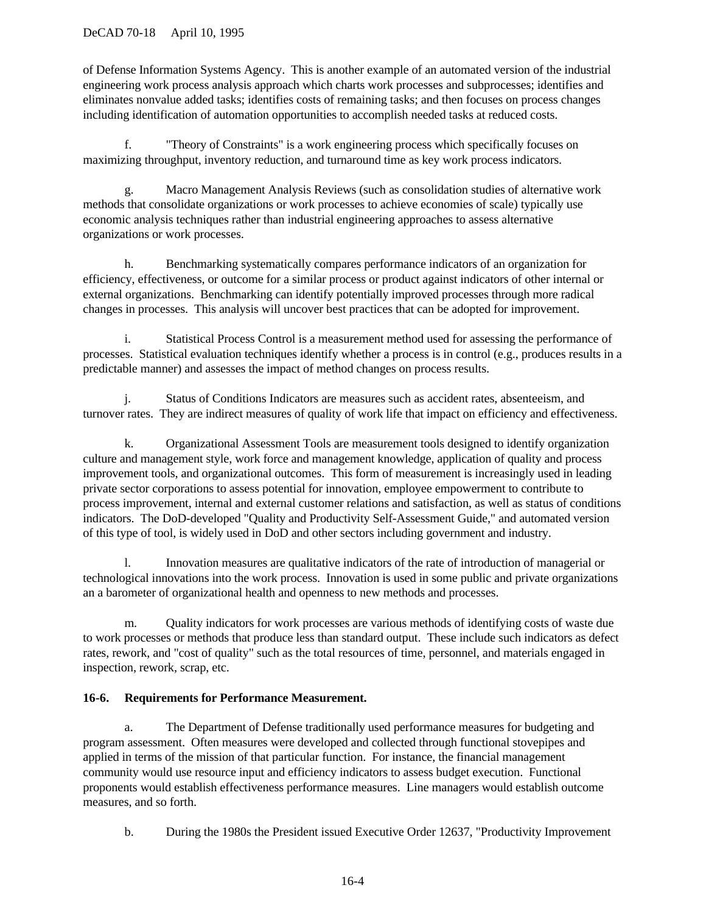of Defense Information Systems Agency. This is another example of an automated version of the industrial engineering work process analysis approach which charts work processes and subprocesses; identifies and eliminates nonvalue added tasks; identifies costs of remaining tasks; and then focuses on process changes including identification of automation opportunities to accomplish needed tasks at reduced costs.

f. "Theory of Constraints" is a work engineering process which specifically focuses on maximizing throughput, inventory reduction, and turnaround time as key work process indicators.

g. Macro Management Analysis Reviews (such as consolidation studies of alternative work methods that consolidate organizations or work processes to achieve economies of scale) typically use economic analysis techniques rather than industrial engineering approaches to assess alternative organizations or work processes.

h. Benchmarking systematically compares performance indicators of an organization for efficiency, effectiveness, or outcome for a similar process or product against indicators of other internal or external organizations. Benchmarking can identify potentially improved processes through more radical changes in processes. This analysis will uncover best practices that can be adopted for improvement.

i. Statistical Process Control is a measurement method used for assessing the performance of processes. Statistical evaluation techniques identify whether a process is in control (e.g., produces results in a predictable manner) and assesses the impact of method changes on process results.

j. Status of Conditions Indicators are measures such as accident rates, absenteeism, and turnover rates. They are indirect measures of quality of work life that impact on efficiency and effectiveness.

k. Organizational Assessment Tools are measurement tools designed to identify organization culture and management style, work force and management knowledge, application of quality and process improvement tools, and organizational outcomes. This form of measurement is increasingly used in leading private sector corporations to assess potential for innovation, employee empowerment to contribute to process improvement, internal and external customer relations and satisfaction, as well as status of conditions indicators. The DoD-developed "Quality and Productivity Self-Assessment Guide," and automated version of this type of tool, is widely used in DoD and other sectors including government and industry.

l. Innovation measures are qualitative indicators of the rate of introduction of managerial or technological innovations into the work process. Innovation is used in some public and private organizations an a barometer of organizational health and openness to new methods and processes.

m. Quality indicators for work processes are various methods of identifying costs of waste due to work processes or methods that produce less than standard output. These include such indicators as defect rates, rework, and "cost of quality" such as the total resources of time, personnel, and materials engaged in inspection, rework, scrap, etc.

# **16-6. Requirements for Performance Measurement.**

a. The Department of Defense traditionally used performance measures for budgeting and program assessment. Often measures were developed and collected through functional stovepipes and applied in terms of the mission of that particular function. For instance, the financial management community would use resource input and efficiency indicators to assess budget execution. Functional proponents would establish effectiveness performance measures. Line managers would establish outcome measures, and so forth.

b. During the 1980s the President issued Executive Order 12637, "Productivity Improvement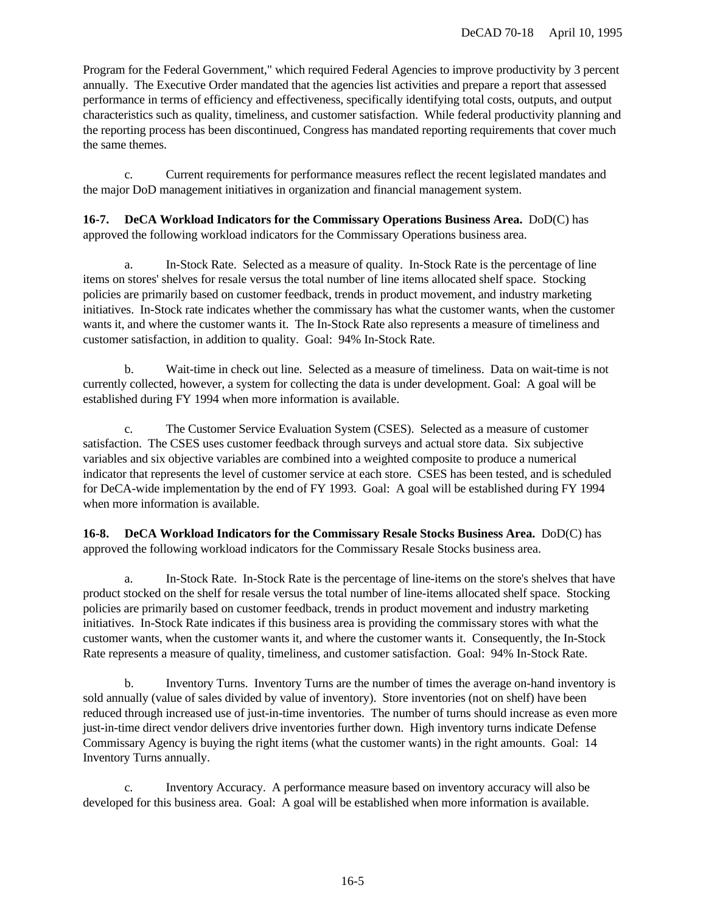Program for the Federal Government," which required Federal Agencies to improve productivity by 3 percent annually. The Executive Order mandated that the agencies list activities and prepare a report that assessed performance in terms of efficiency and effectiveness, specifically identifying total costs, outputs, and output characteristics such as quality, timeliness, and customer satisfaction. While federal productivity planning and the reporting process has been discontinued, Congress has mandated reporting requirements that cover much the same themes.

c. Current requirements for performance measures reflect the recent legislated mandates and the major DoD management initiatives in organization and financial management system.

**16-7. DeCA Workload Indicators for the Commissary Operations Business Area.** DoD(C) has approved the following workload indicators for the Commissary Operations business area.

a. In-Stock Rate. Selected as a measure of quality. In-Stock Rate is the percentage of line items on stores' shelves for resale versus the total number of line items allocated shelf space. Stocking policies are primarily based on customer feedback, trends in product movement, and industry marketing initiatives. In-Stock rate indicates whether the commissary has what the customer wants, when the customer wants it, and where the customer wants it. The In-Stock Rate also represents a measure of timeliness and customer satisfaction, in addition to quality. Goal: 94% In-Stock Rate.

b. Wait-time in check out line. Selected as a measure of timeliness. Data on wait-time is not currently collected, however, a system for collecting the data is under development. Goal: A goal will be established during FY 1994 when more information is available.

c. The Customer Service Evaluation System (CSES). Selected as a measure of customer satisfaction. The CSES uses customer feedback through surveys and actual store data. Six subjective variables and six objective variables are combined into a weighted composite to produce a numerical indicator that represents the level of customer service at each store. CSES has been tested, and is scheduled for DeCA-wide implementation by the end of FY 1993. Goal: A goal will be established during FY 1994 when more information is available.

**16-8. DeCA Workload Indicators for the Commissary Resale Stocks Business Area.** DoD(C) has approved the following workload indicators for the Commissary Resale Stocks business area.

a. In-Stock Rate. In-Stock Rate is the percentage of line-items on the store's shelves that have product stocked on the shelf for resale versus the total number of line-items allocated shelf space. Stocking policies are primarily based on customer feedback, trends in product movement and industry marketing initiatives. In-Stock Rate indicates if this business area is providing the commissary stores with what the customer wants, when the customer wants it, and where the customer wants it. Consequently, the In-Stock Rate represents a measure of quality, timeliness, and customer satisfaction. Goal: 94% In-Stock Rate.

b. Inventory Turns. Inventory Turns are the number of times the average on-hand inventory is sold annually (value of sales divided by value of inventory). Store inventories (not on shelf) have been reduced through increased use of just-in-time inventories. The number of turns should increase as even more just-in-time direct vendor delivers drive inventories further down. High inventory turns indicate Defense Commissary Agency is buying the right items (what the customer wants) in the right amounts. Goal: 14 Inventory Turns annually.

c. Inventory Accuracy. A performance measure based on inventory accuracy will also be developed for this business area. Goal: A goal will be established when more information is available.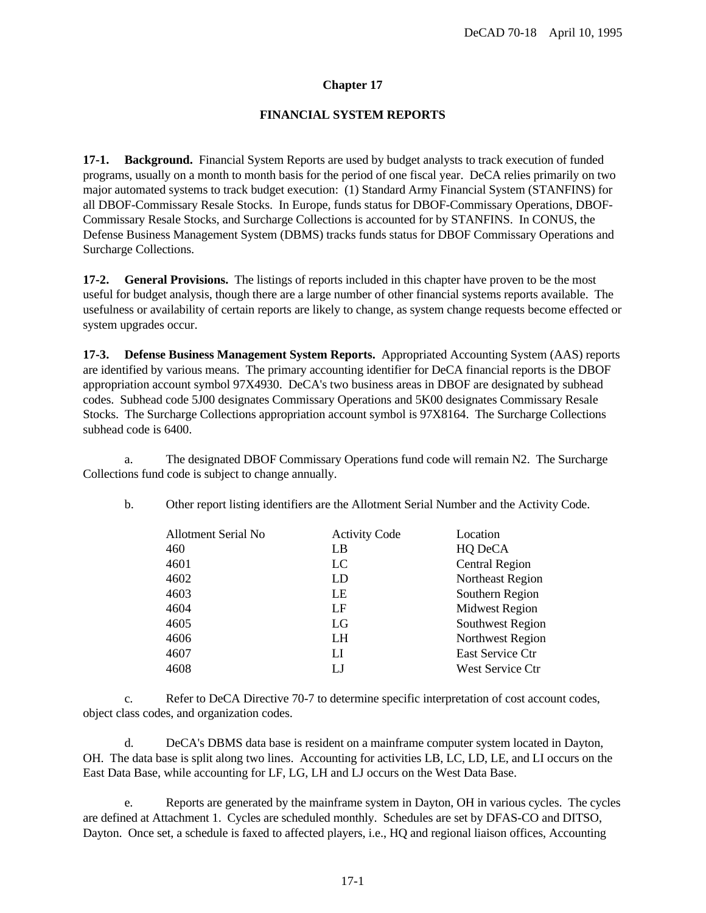# **Chapter 17**

# **FINANCIAL SYSTEM REPORTS**

**17-1. Background.** Financial System Reports are used by budget analysts to track execution of funded programs, usually on a month to month basis for the period of one fiscal year. DeCA relies primarily on two major automated systems to track budget execution: (1) Standard Army Financial System (STANFINS) for all DBOF-Commissary Resale Stocks. In Europe, funds status for DBOF-Commissary Operations, DBOF-Commissary Resale Stocks, and Surcharge Collections is accounted for by STANFINS. In CONUS, the Defense Business Management System (DBMS) tracks funds status for DBOF Commissary Operations and Surcharge Collections.

**17-2. General Provisions.** The listings of reports included in this chapter have proven to be the most useful for budget analysis, though there are a large number of other financial systems reports available. The usefulness or availability of certain reports are likely to change, as system change requests become effected or system upgrades occur.

**17-3. Defense Business Management System Reports.** Appropriated Accounting System (AAS) reports are identified by various means. The primary accounting identifier for DeCA financial reports is the DBOF appropriation account symbol 97X4930. DeCA's two business areas in DBOF are designated by subhead codes. Subhead code 5J00 designates Commissary Operations and 5K00 designates Commissary Resale Stocks. The Surcharge Collections appropriation account symbol is 97X8164. The Surcharge Collections subhead code is 6400.

a. The designated DBOF Commissary Operations fund code will remain N2. The Surcharge Collections fund code is subject to change annually.

| Other report listing identifiers are the Allotment Serial Number and the Activity Code. |  |
|-----------------------------------------------------------------------------------------|--|
|                                                                                         |  |

| <b>Allotment Serial No</b> | <b>Activity Code</b> | Location              |
|----------------------------|----------------------|-----------------------|
| 460                        | LB                   | HQ DeCA               |
| 4601                       | LC                   | <b>Central Region</b> |
| 4602                       | LD                   | Northeast Region      |
| 4603                       | LE                   | Southern Region       |
| 4604                       | LF                   | <b>Midwest Region</b> |
| 4605                       | LG                   | Southwest Region      |
| 4606                       | LH                   | Northwest Region      |
| 4607                       | LI                   | East Service Ctr      |
| 4608                       | LJ                   | West Service Ctr      |

c. Refer to DeCA Directive 70-7 to determine specific interpretation of cost account codes, object class codes, and organization codes.

d. DeCA's DBMS data base is resident on a mainframe computer system located in Dayton, OH. The data base is split along two lines. Accounting for activities LB, LC, LD, LE, and LI occurs on the East Data Base, while accounting for LF, LG, LH and LJ occurs on the West Data Base.

e. Reports are generated by the mainframe system in Dayton, OH in various cycles. The cycles are defined at Attachment 1. Cycles are scheduled monthly. Schedules are set by DFAS-CO and DITSO, Dayton. Once set, a schedule is faxed to affected players, i.e., HQ and regional liaison offices, Accounting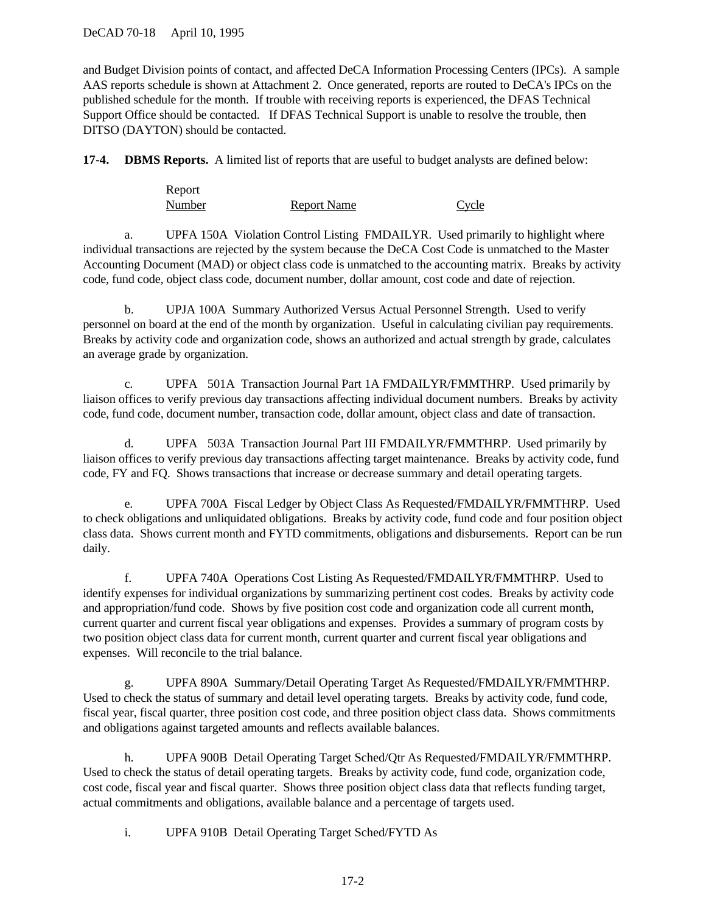### DeCAD 70-18 April 10, 1995

and Budget Division points of contact, and affected DeCA Information Processing Centers (IPCs). A sample AAS reports schedule is shown at Attachment 2. Once generated, reports are routed to DeCA's IPCs on the published schedule for the month. If trouble with receiving reports is experienced, the DFAS Technical Support Office should be contacted. If DFAS Technical Support is unable to resolve the trouble, then DITSO (DAYTON) should be contacted.

**17-4. DBMS Reports.** A limited list of reports that are useful to budget analysts are defined below:

| Report |                    |       |
|--------|--------------------|-------|
| Number | <b>Report Name</b> | Cycle |

a. UPFA 150A Violation Control Listing FMDAILYR. Used primarily to highlight where individual transactions are rejected by the system because the DeCA Cost Code is unmatched to the Master Accounting Document (MAD) or object class code is unmatched to the accounting matrix. Breaks by activity code, fund code, object class code, document number, dollar amount, cost code and date of rejection.

b. UPJA 100A Summary Authorized Versus Actual Personnel Strength. Used to verify personnel on board at the end of the month by organization. Useful in calculating civilian pay requirements. Breaks by activity code and organization code, shows an authorized and actual strength by grade, calculates an average grade by organization.

c. UPFA 501A Transaction Journal Part 1A FMDAILYR/FMMTHRP. Used primarily by liaison offices to verify previous day transactions affecting individual document numbers. Breaks by activity code, fund code, document number, transaction code, dollar amount, object class and date of transaction.

d. UPFA 503A Transaction Journal Part III FMDAILYR/FMMTHRP. Used primarily by liaison offices to verify previous day transactions affecting target maintenance. Breaks by activity code, fund code, FY and FQ. Shows transactions that increase or decrease summary and detail operating targets.

e. UPFA 700A Fiscal Ledger by Object Class As Requested/FMDAILYR/FMMTHRP. Used to check obligations and unliquidated obligations. Breaks by activity code, fund code and four position object class data. Shows current month and FYTD commitments, obligations and disbursements. Report can be run daily.

f. UPFA 740A Operations Cost Listing As Requested/FMDAILYR/FMMTHRP. Used to identify expenses for individual organizations by summarizing pertinent cost codes. Breaks by activity code and appropriation/fund code. Shows by five position cost code and organization code all current month, current quarter and current fiscal year obligations and expenses. Provides a summary of program costs by two position object class data for current month, current quarter and current fiscal year obligations and expenses. Will reconcile to the trial balance.

g. UPFA 890A Summary/Detail Operating Target As Requested/FMDAILYR/FMMTHRP. Used to check the status of summary and detail level operating targets. Breaks by activity code, fund code, fiscal year, fiscal quarter, three position cost code, and three position object class data. Shows commitments and obligations against targeted amounts and reflects available balances.

h. UPFA 900B Detail Operating Target Sched/Qtr As Requested/FMDAILYR/FMMTHRP. Used to check the status of detail operating targets. Breaks by activity code, fund code, organization code, cost code, fiscal year and fiscal quarter. Shows three position object class data that reflects funding target, actual commitments and obligations, available balance and a percentage of targets used.

i. UPFA 910B Detail Operating Target Sched/FYTD As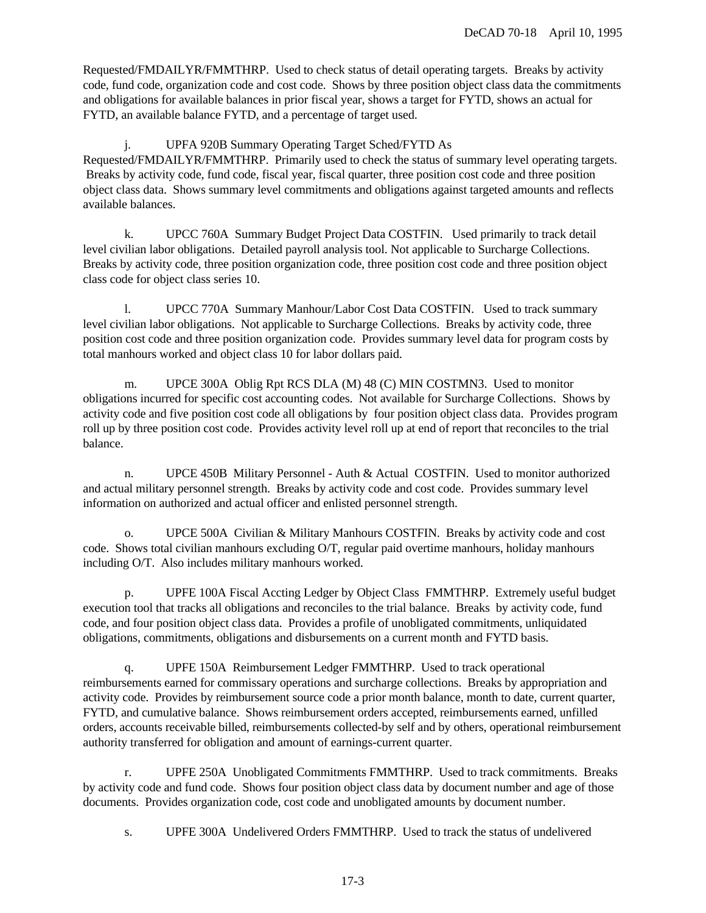Requested/FMDAILYR/FMMTHRP. Used to check status of detail operating targets. Breaks by activity code, fund code, organization code and cost code. Shows by three position object class data the commitments and obligations for available balances in prior fiscal year, shows a target for FYTD, shows an actual for FYTD, an available balance FYTD, and a percentage of target used.

j. UPFA 920B Summary Operating Target Sched/FYTD As Requested/FMDAILYR/FMMTHRP. Primarily used to check the status of summary level operating targets. Breaks by activity code, fund code, fiscal year, fiscal quarter, three position cost code and three position object class data. Shows summary level commitments and obligations against targeted amounts and reflects available balances.

k. UPCC 760A Summary Budget Project Data COSTFIN. Used primarily to track detail level civilian labor obligations. Detailed payroll analysis tool. Not applicable to Surcharge Collections. Breaks by activity code, three position organization code, three position cost code and three position object class code for object class series 10.

l. UPCC 770A Summary Manhour/Labor Cost Data COSTFIN. Used to track summary level civilian labor obligations. Not applicable to Surcharge Collections. Breaks by activity code, three position cost code and three position organization code. Provides summary level data for program costs by total manhours worked and object class 10 for labor dollars paid.

m. UPCE 300A Oblig Rpt RCS DLA (M) 48 (C) MIN COSTMN3. Used to monitor obligations incurred for specific cost accounting codes. Not available for Surcharge Collections. Shows by activity code and five position cost code all obligations by four position object class data. Provides program roll up by three position cost code. Provides activity level roll up at end of report that reconciles to the trial balance.

n. UPCE 450B Military Personnel - Auth & Actual COSTFIN. Used to monitor authorized and actual military personnel strength. Breaks by activity code and cost code. Provides summary level information on authorized and actual officer and enlisted personnel strength.

o. UPCE 500A Civilian & Military Manhours COSTFIN. Breaks by activity code and cost code. Shows total civilian manhours excluding O/T, regular paid overtime manhours, holiday manhours including O/T. Also includes military manhours worked.

p. UPFE 100A Fiscal Accting Ledger by Object Class FMMTHRP. Extremely useful budget execution tool that tracks all obligations and reconciles to the trial balance. Breaks by activity code, fund code, and four position object class data. Provides a profile of unobligated commitments, unliquidated obligations, commitments, obligations and disbursements on a current month and FYTD basis.

q. UPFE 150A Reimbursement Ledger FMMTHRP. Used to track operational reimbursements earned for commissary operations and surcharge collections. Breaks by appropriation and activity code. Provides by reimbursement source code a prior month balance, month to date, current quarter, FYTD, and cumulative balance. Shows reimbursement orders accepted, reimbursements earned, unfilled orders, accounts receivable billed, reimbursements collected-by self and by others, operational reimbursement authority transferred for obligation and amount of earnings-current quarter.

r. UPFE 250A Unobligated Commitments FMMTHRP. Used to track commitments. Breaks by activity code and fund code. Shows four position object class data by document number and age of those documents. Provides organization code, cost code and unobligated amounts by document number.

s. UPFE 300A Undelivered Orders FMMTHRP. Used to track the status of undelivered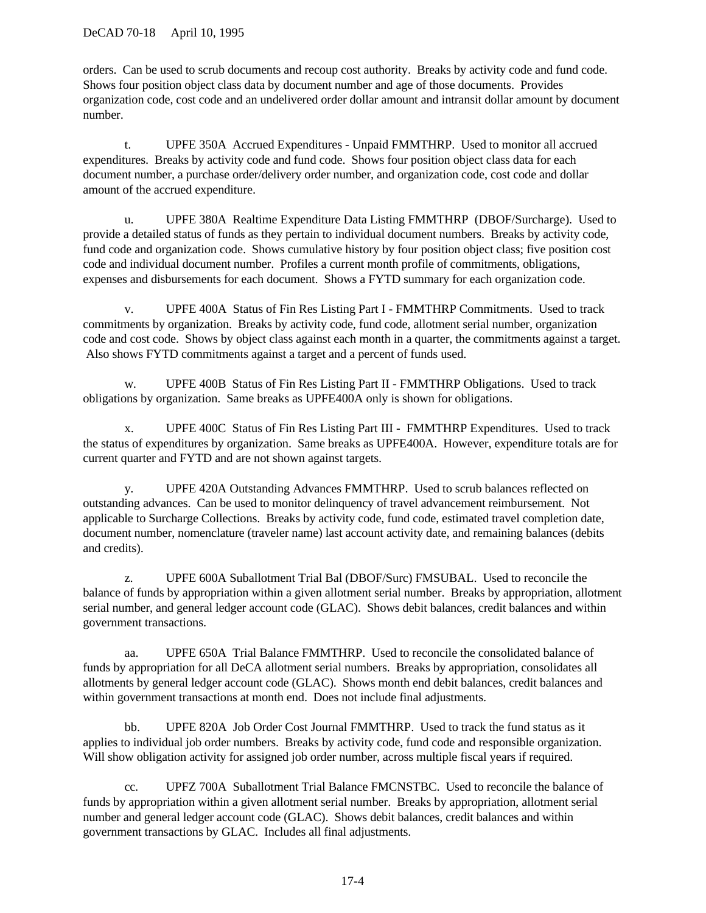orders. Can be used to scrub documents and recoup cost authority. Breaks by activity code and fund code. Shows four position object class data by document number and age of those documents. Provides organization code, cost code and an undelivered order dollar amount and intransit dollar amount by document number.

t. UPFE 350A Accrued Expenditures - Unpaid FMMTHRP. Used to monitor all accrued expenditures. Breaks by activity code and fund code. Shows four position object class data for each document number, a purchase order/delivery order number, and organization code, cost code and dollar amount of the accrued expenditure.

u. UPFE 380A Realtime Expenditure Data Listing FMMTHRP (DBOF/Surcharge). Used to provide a detailed status of funds as they pertain to individual document numbers. Breaks by activity code, fund code and organization code. Shows cumulative history by four position object class; five position cost code and individual document number. Profiles a current month profile of commitments, obligations, expenses and disbursements for each document. Shows a FYTD summary for each organization code.

v. UPFE 400A Status of Fin Res Listing Part I - FMMTHRP Commitments. Used to track commitments by organization. Breaks by activity code, fund code, allotment serial number, organization code and cost code. Shows by object class against each month in a quarter, the commitments against a target. Also shows FYTD commitments against a target and a percent of funds used.

w. UPFE 400B Status of Fin Res Listing Part II - FMMTHRP Obligations. Used to track obligations by organization. Same breaks as UPFE400A only is shown for obligations.

x. UPFE 400C Status of Fin Res Listing Part III - FMMTHRP Expenditures. Used to track the status of expenditures by organization. Same breaks as UPFE400A. However, expenditure totals are for current quarter and FYTD and are not shown against targets.

y. UPFE 420A Outstanding Advances FMMTHRP. Used to scrub balances reflected on outstanding advances. Can be used to monitor delinquency of travel advancement reimbursement. Not applicable to Surcharge Collections. Breaks by activity code, fund code, estimated travel completion date, document number, nomenclature (traveler name) last account activity date, and remaining balances (debits and credits).

z. UPFE 600A Suballotment Trial Bal (DBOF/Surc) FMSUBAL. Used to reconcile the balance of funds by appropriation within a given allotment serial number. Breaks by appropriation, allotment serial number, and general ledger account code (GLAC). Shows debit balances, credit balances and within government transactions.

aa. UPFE 650A Trial Balance FMMTHRP. Used to reconcile the consolidated balance of funds by appropriation for all DeCA allotment serial numbers. Breaks by appropriation, consolidates all allotments by general ledger account code (GLAC). Shows month end debit balances, credit balances and within government transactions at month end. Does not include final adjustments.

bb. UPFE 820A Job Order Cost Journal FMMTHRP. Used to track the fund status as it applies to individual job order numbers. Breaks by activity code, fund code and responsible organization. Will show obligation activity for assigned job order number, across multiple fiscal years if required.

cc. UPFZ 700A Suballotment Trial Balance FMCNSTBC. Used to reconcile the balance of funds by appropriation within a given allotment serial number. Breaks by appropriation, allotment serial number and general ledger account code (GLAC). Shows debit balances, credit balances and within government transactions by GLAC. Includes all final adjustments.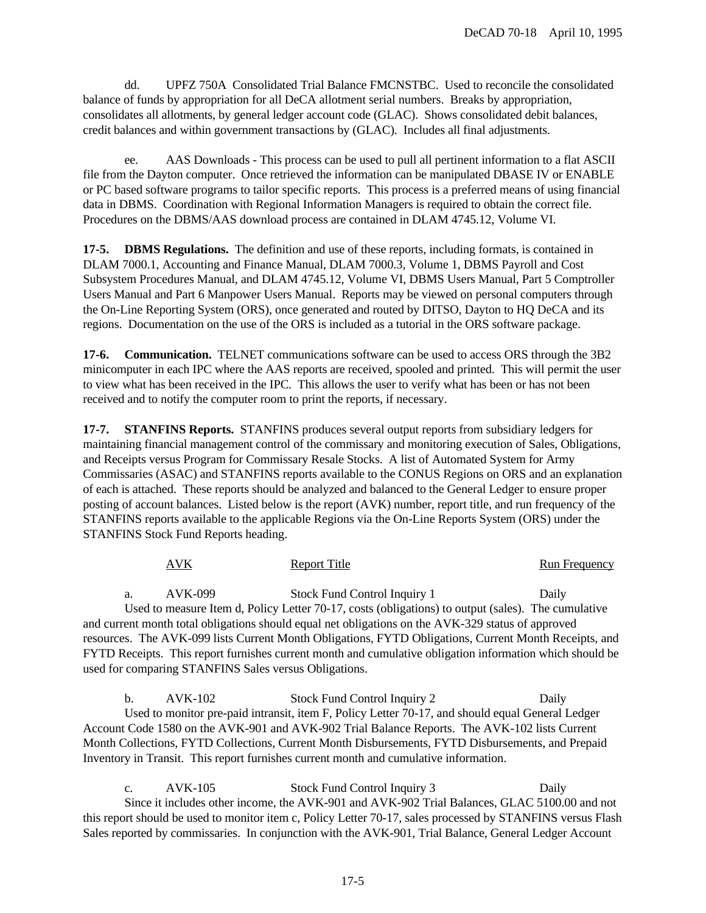dd. UPFZ 750A Consolidated Trial Balance FMCNSTBC. Used to reconcile the consolidated balance of funds by appropriation for all DeCA allotment serial numbers. Breaks by appropriation, consolidates all allotments, by general ledger account code (GLAC). Shows consolidated debit balances, credit balances and within government transactions by (GLAC). Includes all final adjustments.

ee. AAS Downloads - This process can be used to pull all pertinent information to a flat ASCII file from the Dayton computer. Once retrieved the information can be manipulated DBASE IV or ENABLE or PC based software programs to tailor specific reports. This process is a preferred means of using financial data in DBMS. Coordination with Regional Information Managers is required to obtain the correct file. Procedures on the DBMS/AAS download process are contained in DLAM 4745.12, Volume VI.

**17-5. DBMS Regulations.** The definition and use of these reports, including formats, is contained in DLAM 7000.1, Accounting and Finance Manual, DLAM 7000.3, Volume 1, DBMS Payroll and Cost Subsystem Procedures Manual, and DLAM 4745.12, Volume VI, DBMS Users Manual, Part 5 Comptroller Users Manual and Part 6 Manpower Users Manual. Reports may be viewed on personal computers through the On-Line Reporting System (ORS), once generated and routed by DITSO, Dayton to HQ DeCA and its regions. Documentation on the use of the ORS is included as a tutorial in the ORS software package.

**17-6. Communication.** TELNET communications software can be used to access ORS through the 3B2 minicomputer in each IPC where the AAS reports are received, spooled and printed. This will permit the user to view what has been received in the IPC. This allows the user to verify what has been or has not been received and to notify the computer room to print the reports, if necessary.

**17-7. STANFINS Reports.** STANFINS produces several output reports from subsidiary ledgers for maintaining financial management control of the commissary and monitoring execution of Sales, Obligations, and Receipts versus Program for Commissary Resale Stocks. A list of Automated System for Army Commissaries (ASAC) and STANFINS reports available to the CONUS Regions on ORS and an explanation of each is attached. These reports should be analyzed and balanced to the General Ledger to ensure proper posting of account balances. Listed below is the report (AVK) number, report title, and run frequency of the STANFINS reports available to the applicable Regions via the On-Line Reports System (ORS) under the STANFINS Stock Fund Reports heading.

|    | <b>AVK</b>                                            | <b>Report Title</b>                                                                                      | <b>Run Frequency</b> |
|----|-------------------------------------------------------|----------------------------------------------------------------------------------------------------------|----------------------|
| a. | AVK-099                                               | Stock Fund Control Inquiry 1                                                                             | Daily                |
|    |                                                       | Used to measure Item d, Policy Letter 70-17, costs (obligations) to output (sales). The cumulative       |                      |
|    |                                                       | and current month total obligations should equal net obligations on the AVK-329 status of approved       |                      |
|    |                                                       | resources. The AVK-099 lists Current Month Obligations, FYTD Obligations, Current Month Receipts, and    |                      |
|    |                                                       | FYTD Receipts. This report furnishes current month and cumulative obligation information which should be |                      |
|    | used for comparing STANFINS Sales versus Obligations. |                                                                                                          |                      |
| b. | $AVK-102$                                             | Stock Fund Control Inquiry 2                                                                             | Daily                |
|    |                                                       | Used to monitor pre-paid intransit, item F, Policy Letter 70-17, and should equal General Ledger         |                      |
|    |                                                       | Account Code 1580 on the AVK-901 and AVK-902 Trial Balance Reports. The AVK-102 lists Current            |                      |
|    |                                                       | Month Collections, FYTD Collections, Current Month Disbursements, FYTD Disbursements, and Prepaid        |                      |

c. AVK-105 Stock Fund Control Inquiry 3 Daily Since it includes other income, the AVK-901 and AVK-902 Trial Balances, GLAC 5100.00 and not this report should be used to monitor item c, Policy Letter 70-17, sales processed by STANFINS versus Flash Sales reported by commissaries. In conjunction with the AVK-901, Trial Balance, General Ledger Account

Inventory in Transit. This report furnishes current month and cumulative information.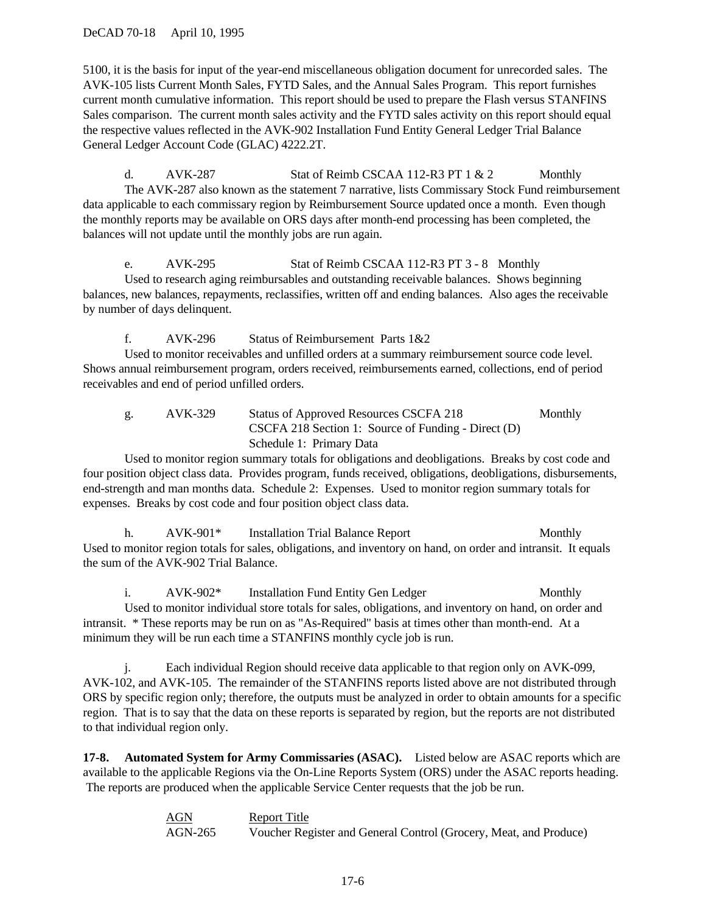### DeCAD 70-18 April 10, 1995

5100, it is the basis for input of the year-end miscellaneous obligation document for unrecorded sales. The AVK-105 lists Current Month Sales, FYTD Sales, and the Annual Sales Program. This report furnishes current month cumulative information. This report should be used to prepare the Flash versus STANFINS Sales comparison. The current month sales activity and the FYTD sales activity on this report should equal the respective values reflected in the AVK-902 Installation Fund Entity General Ledger Trial Balance General Ledger Account Code (GLAC) 4222.2T.

d. AVK-287 Stat of Reimb CSCAA 112-R3 PT 1 & 2 Monthly The AVK-287 also known as the statement 7 narrative, lists Commissary Stock Fund reimbursement data applicable to each commissary region by Reimbursement Source updated once a month. Even though the monthly reports may be available on ORS days after month-end processing has been completed, the balances will not update until the monthly jobs are run again.

e. AVK-295 Stat of Reimb CSCAA 112-R3 PT 3 - 8 Monthly Used to research aging reimbursables and outstanding receivable balances. Shows beginning balances, new balances, repayments, reclassifies, written off and ending balances. Also ages the receivable by number of days delinquent.

f. AVK-296 Status of Reimbursement Parts 1&2

Used to monitor receivables and unfilled orders at a summary reimbursement source code level. Shows annual reimbursement program, orders received, reimbursements earned, collections, end of period receivables and end of period unfilled orders.

|  | AVK-329 | Status of Approved Resources CSCFA 218              | Monthly |
|--|---------|-----------------------------------------------------|---------|
|  |         | CSCFA 218 Section 1: Source of Funding - Direct (D) |         |
|  |         | Schedule 1: Primary Data                            |         |

Used to monitor region summary totals for obligations and deobligations. Breaks by cost code and four position object class data. Provides program, funds received, obligations, deobligations, disbursements, end-strength and man months data. Schedule 2: Expenses. Used to monitor region summary totals for expenses. Breaks by cost code and four position object class data.

h. AVK-901<sup>\*</sup> Installation Trial Balance Report Monthly Used to monitor region totals for sales, obligations, and inventory on hand, on order and intransit. It equals the sum of the AVK-902 Trial Balance.

i. AVK-902\* Installation Fund Entity Gen Ledger Monthly Used to monitor individual store totals for sales, obligations, and inventory on hand, on order and intransit. \* These reports may be run on as "As-Required" basis at times other than month-end. At a minimum they will be run each time a STANFINS monthly cycle job is run.

j. Each individual Region should receive data applicable to that region only on AVK-099, AVK-102, and AVK-105. The remainder of the STANFINS reports listed above are not distributed through ORS by specific region only; therefore, the outputs must be analyzed in order to obtain amounts for a specific region. That is to say that the data on these reports is separated by region, but the reports are not distributed to that individual region only.

**17-8. Automated System for Army Commissaries (ASAC).** Listed below are ASAC reports which are available to the applicable Regions via the On-Line Reports System (ORS) under the ASAC reports heading. The reports are produced when the applicable Service Center requests that the job be run.

> AGN Report Title AGN-265 Voucher Register and General Control (Grocery, Meat, and Produce)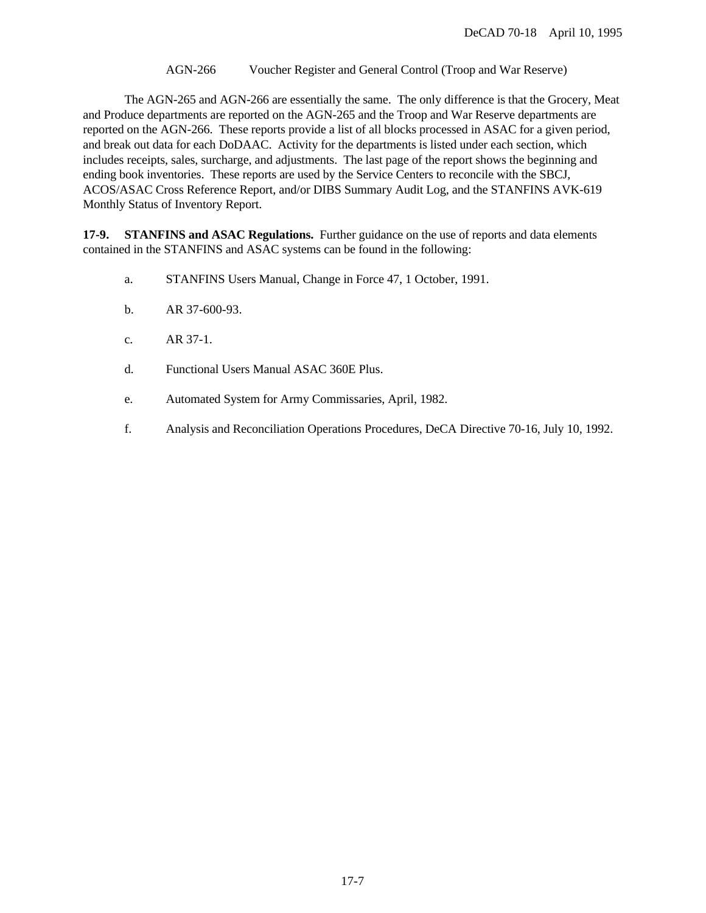AGN-266 Voucher Register and General Control (Troop and War Reserve)

The AGN-265 and AGN-266 are essentially the same. The only difference is that the Grocery, Meat and Produce departments are reported on the AGN-265 and the Troop and War Reserve departments are reported on the AGN-266. These reports provide a list of all blocks processed in ASAC for a given period, and break out data for each DoDAAC. Activity for the departments is listed under each section, which includes receipts, sales, surcharge, and adjustments. The last page of the report shows the beginning and ending book inventories. These reports are used by the Service Centers to reconcile with the SBCJ, ACOS/ASAC Cross Reference Report, and/or DIBS Summary Audit Log, and the STANFINS AVK-619 Monthly Status of Inventory Report.

**17-9. STANFINS and ASAC Regulations.** Further guidance on the use of reports and data elements contained in the STANFINS and ASAC systems can be found in the following:

- a. STANFINS Users Manual, Change in Force 47, 1 October, 1991.
- b. AR 37-600-93.
- c. AR 37-1.
- d. Functional Users Manual ASAC 360E Plus.
- e. Automated System for Army Commissaries, April, 1982.
- f. Analysis and Reconciliation Operations Procedures, DeCA Directive 70-16, July 10, 1992.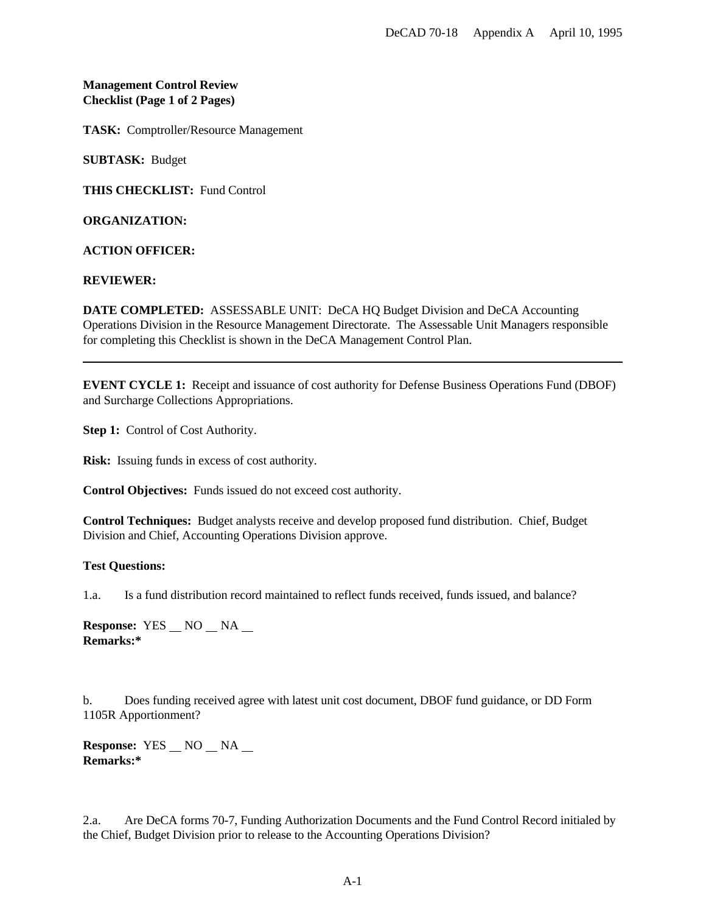# **Management Control Review Checklist (Page 1 of 2 Pages)**

**TASK:** Comptroller/Resource Management

**SUBTASK:** Budget

**THIS CHECKLIST:** Fund Control

**ORGANIZATION:** 

**ACTION OFFICER:**

#### **REVIEWER:**

**DATE COMPLETED:** ASSESSABLE UNIT: DeCA HQ Budget Division and DeCA Accounting Operations Division in the Resource Management Directorate. The Assessable Unit Managers responsible for completing this Checklist is shown in the DeCA Management Control Plan.

**EVENT CYCLE 1:** Receipt and issuance of cost authority for Defense Business Operations Fund (DBOF) and Surcharge Collections Appropriations.

**Step 1:** Control of Cost Authority.

**Risk:** Issuing funds in excess of cost authority.

**Control Objectives:** Funds issued do not exceed cost authority.

**Control Techniques:** Budget analysts receive and develop proposed fund distribution. Chief, Budget Division and Chief, Accounting Operations Division approve.

#### **Test Questions:**

1.a. Is a fund distribution record maintained to reflect funds received, funds issued, and balance?

**Response:** YES NO NA **Remarks:\***

b. Does funding received agree with latest unit cost document, DBOF fund guidance, or DD Form 1105R Apportionment?

**Response:** YES NO NA **Remarks:\***

2.a. Are DeCA forms 70-7, Funding Authorization Documents and the Fund Control Record initialed by the Chief, Budget Division prior to release to the Accounting Operations Division?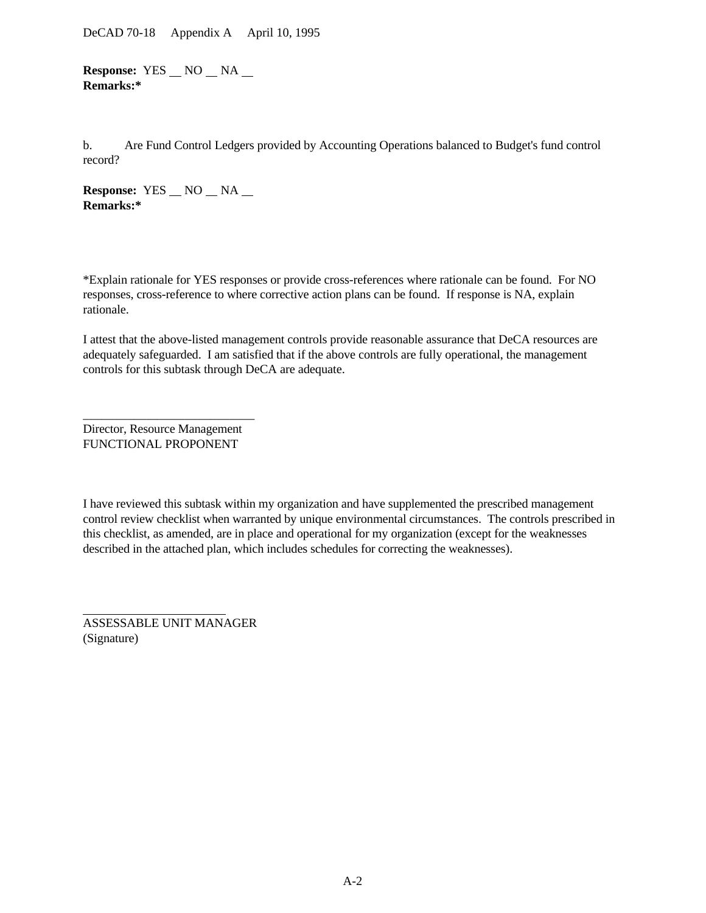DeCAD 70-18 Appendix A April 10, 1995

**Response:** YES NO NA **Remarks:\***

b. Are Fund Control Ledgers provided by Accounting Operations balanced to Budget's fund control record?

**Response:** YES \_ NO \_ NA \_ **Remarks:\***

\*Explain rationale for YES responses or provide cross-references where rationale can be found. For NO responses, cross-reference to where corrective action plans can be found. If response is NA, explain rationale.

I attest that the above-listed management controls provide reasonable assurance that DeCA resources are adequately safeguarded. I am satisfied that if the above controls are fully operational, the management controls for this subtask through DeCA are adequate.

\_\_\_\_\_\_\_\_\_\_\_\_\_\_\_\_\_\_\_\_\_\_\_\_\_\_\_ Director, Resource Management FUNCTIONAL PROPONENT

I have reviewed this subtask within my organization and have supplemented the prescribed management control review checklist when warranted by unique environmental circumstances. The controls prescribed in this checklist, as amended, are in place and operational for my organization (except for the weaknesses described in the attached plan, which includes schedules for correcting the weaknesses).

ASSESSABLE UNIT MANAGER (Signature)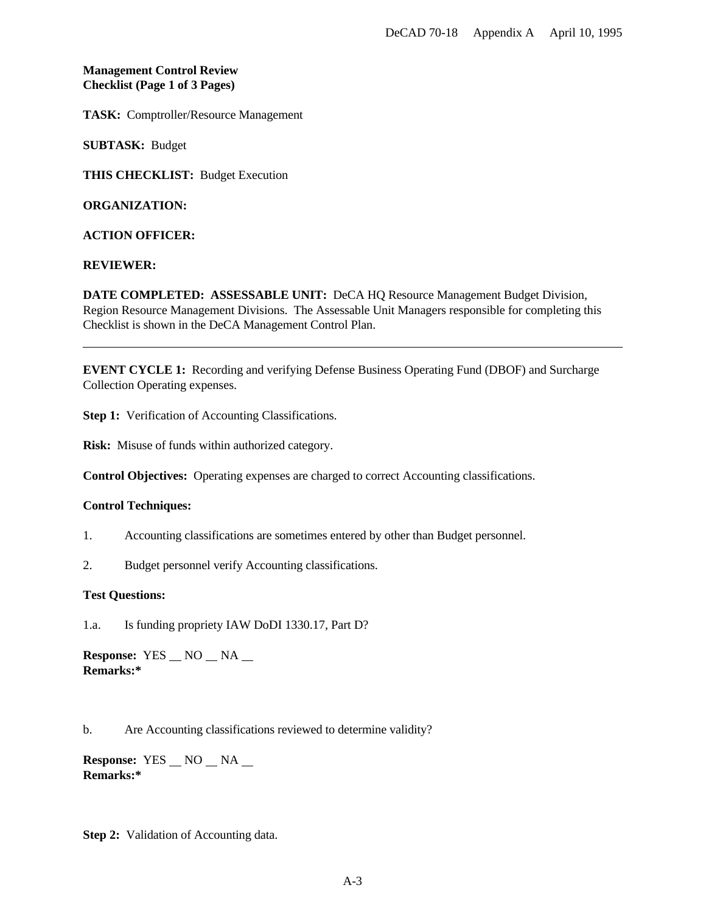### **Management Control Review Checklist (Page 1 of 3 Pages)**

**TASK:** Comptroller/Resource Management

**SUBTASK:** Budget

**THIS CHECKLIST:** Budget Execution

**ORGANIZATION:** 

**ACTION OFFICER:**

### **REVIEWER:**

**DATE COMPLETED: ASSESSABLE UNIT:** DeCA HQ Resource Management Budget Division, Region Resource Management Divisions. The Assessable Unit Managers responsible for completing this Checklist is shown in the DeCA Management Control Plan.

**EVENT CYCLE 1:** Recording and verifying Defense Business Operating Fund (DBOF) and Surcharge Collection Operating expenses.

**Step 1:** Verification of Accounting Classifications.

**Risk:** Misuse of funds within authorized category.

**Control Objectives:** Operating expenses are charged to correct Accounting classifications.

#### **Control Techniques:**

- 1. Accounting classifications are sometimes entered by other than Budget personnel.
- 2. Budget personnel verify Accounting classifications.

#### **Test Questions:**

1.a. Is funding propriety IAW DoDI 1330.17, Part D?

**Response:** YES \_ NO \_ NA \_ **Remarks:\***

b. Are Accounting classifications reviewed to determine validity?

**Response:** YES \_ NO \_ NA \_ **Remarks:\***

**Step 2:** Validation of Accounting data.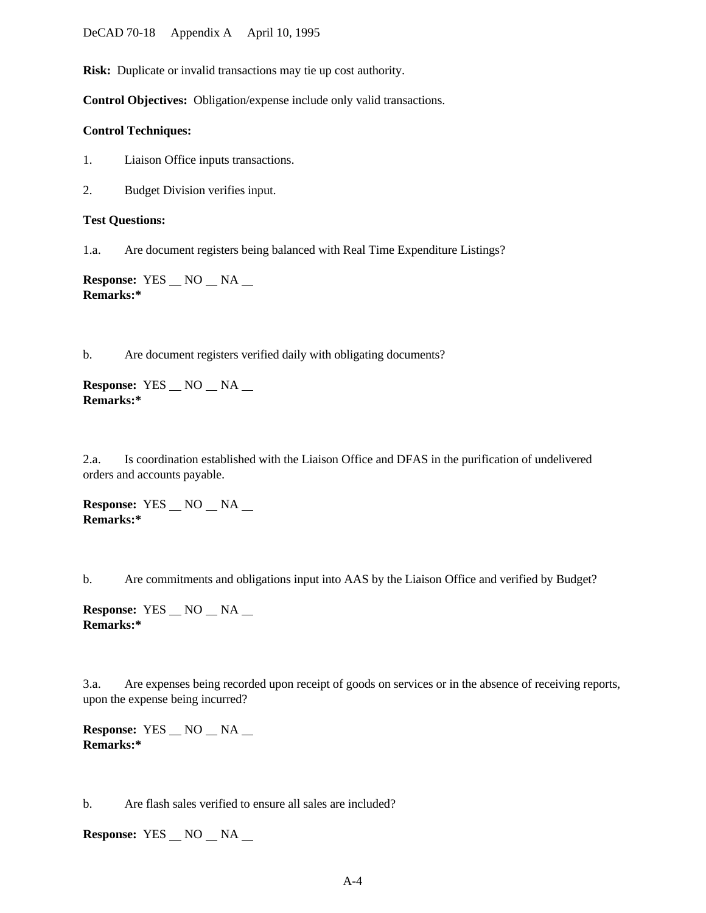DeCAD 70-18 Appendix A April 10, 1995

**Risk:** Duplicate or invalid transactions may tie up cost authority.

**Control Objectives:** Obligation/expense include only valid transactions.

#### **Control Techniques:**

- 1. Liaison Office inputs transactions.
- 2. Budget Division verifies input.

#### **Test Questions:**

1.a. Are document registers being balanced with Real Time Expenditure Listings?

**Response:** YES \_ NO \_ NA \_ **Remarks:\***

b. Are document registers verified daily with obligating documents?

**Response:** YES NO NA **Remarks:\***

2.a. Is coordination established with the Liaison Office and DFAS in the purification of undelivered orders and accounts payable.

**Response:** YES \_ NO \_ NA \_ **Remarks:\***

b. Are commitments and obligations input into AAS by the Liaison Office and verified by Budget?

**Response:** YES \_ NO \_ NA \_ **Remarks:\***

3.a. Are expenses being recorded upon receipt of goods on services or in the absence of receiving reports, upon the expense being incurred?

**Response:** YES NO NA **Remarks:\***

b. Are flash sales verified to ensure all sales are included?

**Response:** YES \_ NO \_ NA \_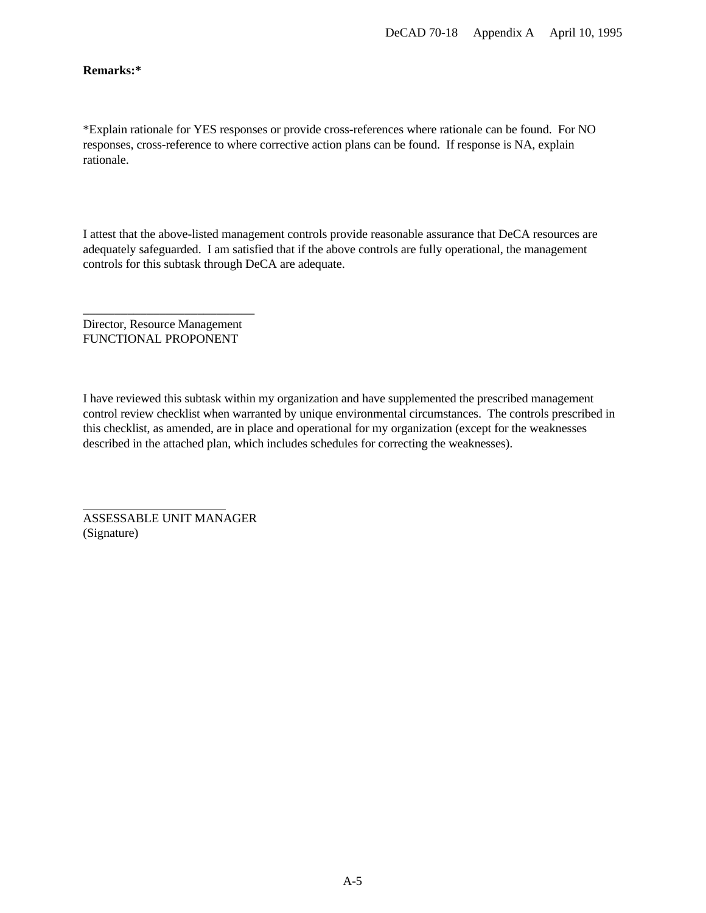# **Remarks:\***

\*Explain rationale for YES responses or provide cross-references where rationale can be found. For NO responses, cross-reference to where corrective action plans can be found. If response is NA, explain rationale.

I attest that the above-listed management controls provide reasonable assurance that DeCA resources are adequately safeguarded. I am satisfied that if the above controls are fully operational, the management controls for this subtask through DeCA are adequate.

Director, Resource Management FUNCTIONAL PROPONENT

\_\_\_\_\_\_\_\_\_\_\_\_\_\_\_\_\_\_\_\_\_\_\_\_\_\_\_

I have reviewed this subtask within my organization and have supplemented the prescribed management control review checklist when warranted by unique environmental circumstances. The controls prescribed in this checklist, as amended, are in place and operational for my organization (except for the weaknesses described in the attached plan, which includes schedules for correcting the weaknesses).

 $\overline{a}$ ASSESSABLE UNIT MANAGER (Signature)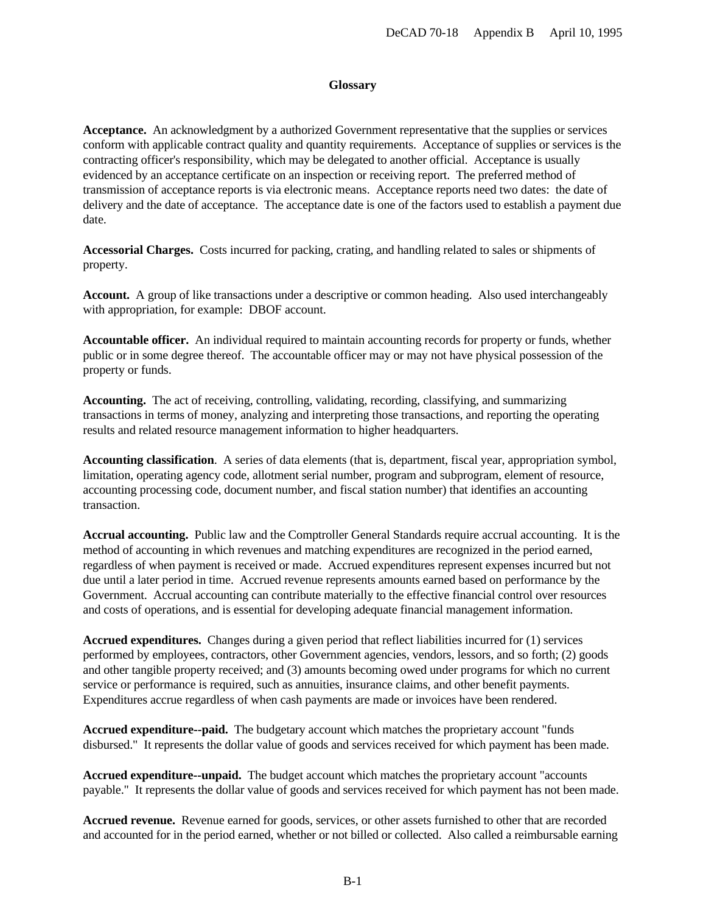#### **Glossary**

**Acceptance.** An acknowledgment by a authorized Government representative that the supplies or services conform with applicable contract quality and quantity requirements. Acceptance of supplies or services is the contracting officer's responsibility, which may be delegated to another official. Acceptance is usually evidenced by an acceptance certificate on an inspection or receiving report. The preferred method of transmission of acceptance reports is via electronic means. Acceptance reports need two dates: the date of delivery and the date of acceptance. The acceptance date is one of the factors used to establish a payment due date.

**Accessorial Charges.** Costs incurred for packing, crating, and handling related to sales or shipments of property.

**Account.** A group of like transactions under a descriptive or common heading. Also used interchangeably with appropriation, for example: DBOF account.

**Accountable officer.** An individual required to maintain accounting records for property or funds, whether public or in some degree thereof. The accountable officer may or may not have physical possession of the property or funds.

**Accounting.** The act of receiving, controlling, validating, recording, classifying, and summarizing transactions in terms of money, analyzing and interpreting those transactions, and reporting the operating results and related resource management information to higher headquarters.

**Accounting classification**. A series of data elements (that is, department, fiscal year, appropriation symbol, limitation, operating agency code, allotment serial number, program and subprogram, element of resource, accounting processing code, document number, and fiscal station number) that identifies an accounting transaction.

**Accrual accounting.** Public law and the Comptroller General Standards require accrual accounting. It is the method of accounting in which revenues and matching expenditures are recognized in the period earned, regardless of when payment is received or made. Accrued expenditures represent expenses incurred but not due until a later period in time. Accrued revenue represents amounts earned based on performance by the Government. Accrual accounting can contribute materially to the effective financial control over resources and costs of operations, and is essential for developing adequate financial management information.

**Accrued expenditures.** Changes during a given period that reflect liabilities incurred for (1) services performed by employees, contractors, other Government agencies, vendors, lessors, and so forth; (2) goods and other tangible property received; and (3) amounts becoming owed under programs for which no current service or performance is required, such as annuities, insurance claims, and other benefit payments. Expenditures accrue regardless of when cash payments are made or invoices have been rendered.

**Accrued expenditure--paid.** The budgetary account which matches the proprietary account "funds disbursed." It represents the dollar value of goods and services received for which payment has been made.

**Accrued expenditure--unpaid.** The budget account which matches the proprietary account "accounts payable." It represents the dollar value of goods and services received for which payment has not been made.

**Accrued revenue.** Revenue earned for goods, services, or other assets furnished to other that are recorded and accounted for in the period earned, whether or not billed or collected. Also called a reimbursable earning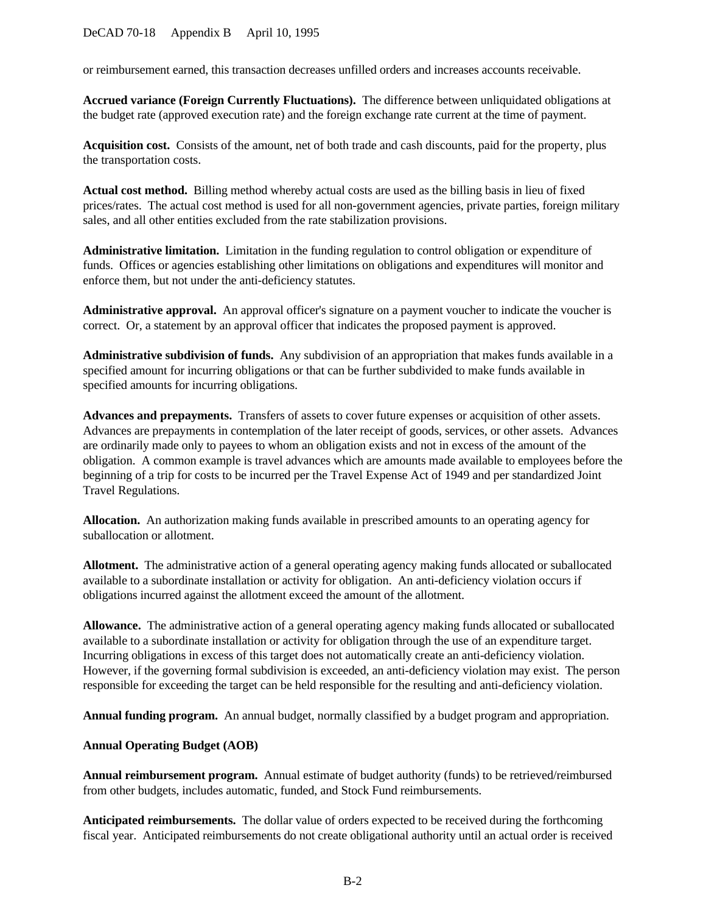### DeCAD 70-18 Appendix B April 10, 1995

or reimbursement earned, this transaction decreases unfilled orders and increases accounts receivable.

**Accrued variance (Foreign Currently Fluctuations).** The difference between unliquidated obligations at the budget rate (approved execution rate) and the foreign exchange rate current at the time of payment.

**Acquisition cost.** Consists of the amount, net of both trade and cash discounts, paid for the property, plus the transportation costs.

**Actual cost method.** Billing method whereby actual costs are used as the billing basis in lieu of fixed prices/rates. The actual cost method is used for all non-government agencies, private parties, foreign military sales, and all other entities excluded from the rate stabilization provisions.

**Administrative limitation.** Limitation in the funding regulation to control obligation or expenditure of funds. Offices or agencies establishing other limitations on obligations and expenditures will monitor and enforce them, but not under the anti-deficiency statutes.

**Administrative approval.** An approval officer's signature on a payment voucher to indicate the voucher is correct. Or, a statement by an approval officer that indicates the proposed payment is approved.

**Administrative subdivision of funds.** Any subdivision of an appropriation that makes funds available in a specified amount for incurring obligations or that can be further subdivided to make funds available in specified amounts for incurring obligations.

**Advances and prepayments.** Transfers of assets to cover future expenses or acquisition of other assets. Advances are prepayments in contemplation of the later receipt of goods, services, or other assets. Advances are ordinarily made only to payees to whom an obligation exists and not in excess of the amount of the obligation. A common example is travel advances which are amounts made available to employees before the beginning of a trip for costs to be incurred per the Travel Expense Act of 1949 and per standardized Joint Travel Regulations.

**Allocation.** An authorization making funds available in prescribed amounts to an operating agency for suballocation or allotment.

**Allotment.** The administrative action of a general operating agency making funds allocated or suballocated available to a subordinate installation or activity for obligation. An anti-deficiency violation occurs if obligations incurred against the allotment exceed the amount of the allotment.

**Allowance.** The administrative action of a general operating agency making funds allocated or suballocated available to a subordinate installation or activity for obligation through the use of an expenditure target. Incurring obligations in excess of this target does not automatically create an anti-deficiency violation. However, if the governing formal subdivision is exceeded, an anti-deficiency violation may exist. The person responsible for exceeding the target can be held responsible for the resulting and anti-deficiency violation.

**Annual funding program.** An annual budget, normally classified by a budget program and appropriation.

#### **Annual Operating Budget (AOB)**

**Annual reimbursement program.** Annual estimate of budget authority (funds) to be retrieved/reimbursed from other budgets, includes automatic, funded, and Stock Fund reimbursements.

**Anticipated reimbursements.** The dollar value of orders expected to be received during the forthcoming fiscal year. Anticipated reimbursements do not create obligational authority until an actual order is received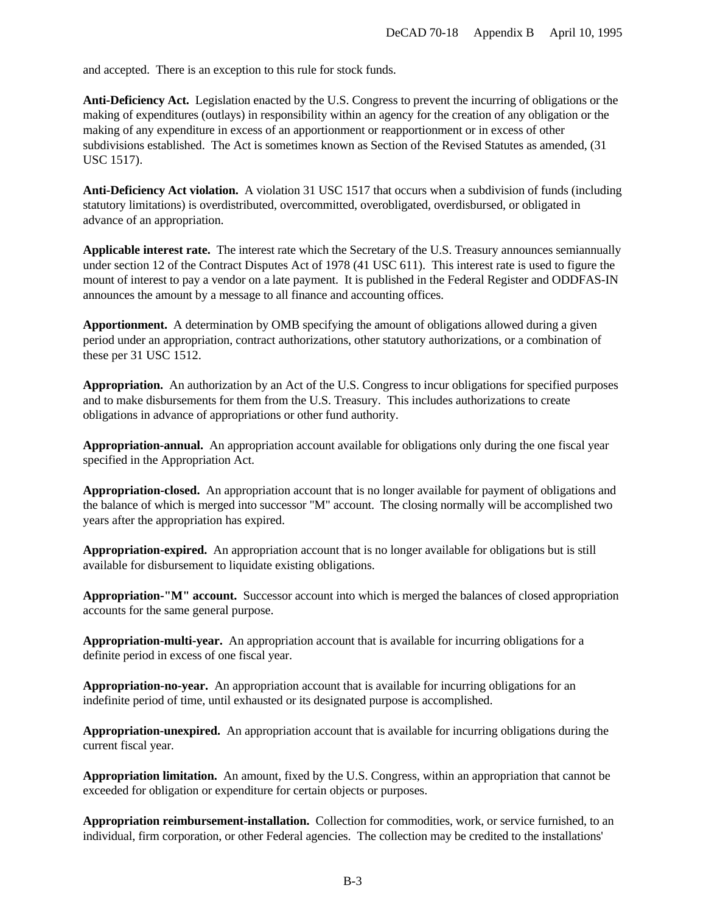and accepted. There is an exception to this rule for stock funds.

**Anti-Deficiency Act.** Legislation enacted by the U.S. Congress to prevent the incurring of obligations or the making of expenditures (outlays) in responsibility within an agency for the creation of any obligation or the making of any expenditure in excess of an apportionment or reapportionment or in excess of other subdivisions established. The Act is sometimes known as Section of the Revised Statutes as amended, (31 USC 1517).

**Anti-Deficiency Act violation.** A violation 31 USC 1517 that occurs when a subdivision of funds (including statutory limitations) is overdistributed, overcommitted, overobligated, overdisbursed, or obligated in advance of an appropriation.

**Applicable interest rate.** The interest rate which the Secretary of the U.S. Treasury announces semiannually under section 12 of the Contract Disputes Act of 1978 (41 USC 611). This interest rate is used to figure the mount of interest to pay a vendor on a late payment. It is published in the Federal Register and ODDFAS-IN announces the amount by a message to all finance and accounting offices.

**Apportionment.** A determination by OMB specifying the amount of obligations allowed during a given period under an appropriation, contract authorizations, other statutory authorizations, or a combination of these per 31 USC 1512.

**Appropriation.** An authorization by an Act of the U.S. Congress to incur obligations for specified purposes and to make disbursements for them from the U.S. Treasury. This includes authorizations to create obligations in advance of appropriations or other fund authority.

**Appropriation-annual.** An appropriation account available for obligations only during the one fiscal year specified in the Appropriation Act.

**Appropriation-closed.** An appropriation account that is no longer available for payment of obligations and the balance of which is merged into successor "M" account. The closing normally will be accomplished two years after the appropriation has expired.

**Appropriation-expired.** An appropriation account that is no longer available for obligations but is still available for disbursement to liquidate existing obligations.

**Appropriation-"M" account.** Successor account into which is merged the balances of closed appropriation accounts for the same general purpose.

**Appropriation-multi-year.** An appropriation account that is available for incurring obligations for a definite period in excess of one fiscal year.

**Appropriation-no-year.** An appropriation account that is available for incurring obligations for an indefinite period of time, until exhausted or its designated purpose is accomplished.

**Appropriation-unexpired.** An appropriation account that is available for incurring obligations during the current fiscal year.

**Appropriation limitation.** An amount, fixed by the U.S. Congress, within an appropriation that cannot be exceeded for obligation or expenditure for certain objects or purposes.

**Appropriation reimbursement-installation.** Collection for commodities, work, or service furnished, to an individual, firm corporation, or other Federal agencies. The collection may be credited to the installations'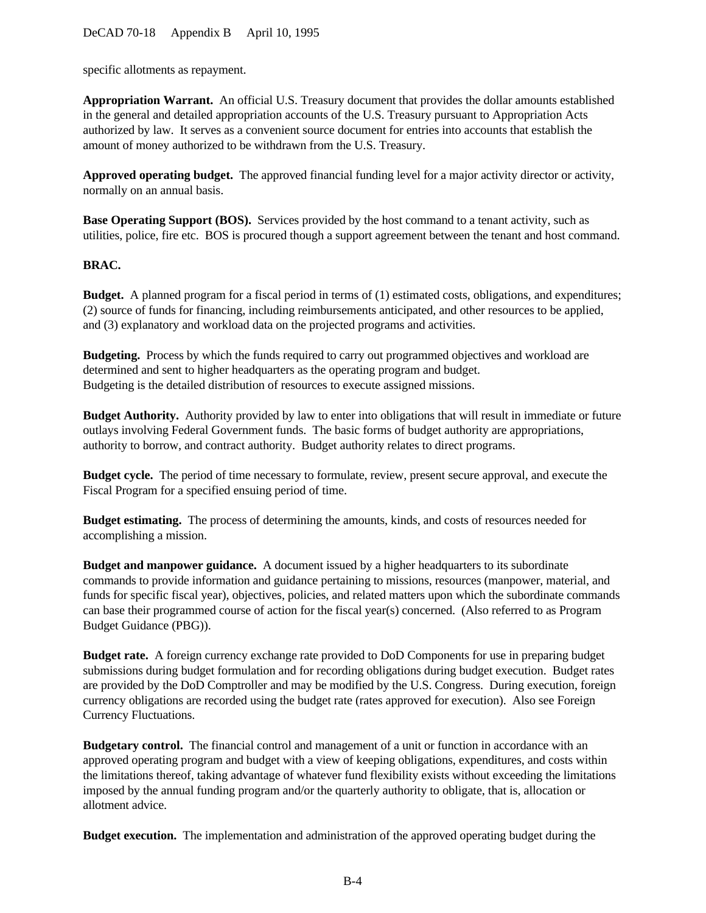specific allotments as repayment.

**Appropriation Warrant.** An official U.S. Treasury document that provides the dollar amounts established in the general and detailed appropriation accounts of the U.S. Treasury pursuant to Appropriation Acts authorized by law. It serves as a convenient source document for entries into accounts that establish the amount of money authorized to be withdrawn from the U.S. Treasury.

**Approved operating budget.** The approved financial funding level for a major activity director or activity, normally on an annual basis.

**Base Operating Support (BOS).** Services provided by the host command to a tenant activity, such as utilities, police, fire etc. BOS is procured though a support agreement between the tenant and host command.

### **BRAC.**

**Budget.** A planned program for a fiscal period in terms of (1) estimated costs, obligations, and expenditures; (2) source of funds for financing, including reimbursements anticipated, and other resources to be applied, and (3) explanatory and workload data on the projected programs and activities.

**Budgeting.** Process by which the funds required to carry out programmed objectives and workload are determined and sent to higher headquarters as the operating program and budget. Budgeting is the detailed distribution of resources to execute assigned missions.

**Budget Authority.** Authority provided by law to enter into obligations that will result in immediate or future outlays involving Federal Government funds. The basic forms of budget authority are appropriations, authority to borrow, and contract authority. Budget authority relates to direct programs.

**Budget cycle.** The period of time necessary to formulate, review, present secure approval, and execute the Fiscal Program for a specified ensuing period of time.

**Budget estimating.** The process of determining the amounts, kinds, and costs of resources needed for accomplishing a mission.

**Budget and manpower guidance.** A document issued by a higher headquarters to its subordinate commands to provide information and guidance pertaining to missions, resources (manpower, material, and funds for specific fiscal year), objectives, policies, and related matters upon which the subordinate commands can base their programmed course of action for the fiscal year(s) concerned. (Also referred to as Program Budget Guidance (PBG)).

**Budget rate.** A foreign currency exchange rate provided to DoD Components for use in preparing budget submissions during budget formulation and for recording obligations during budget execution. Budget rates are provided by the DoD Comptroller and may be modified by the U.S. Congress. During execution, foreign currency obligations are recorded using the budget rate (rates approved for execution). Also see Foreign Currency Fluctuations.

**Budgetary control.** The financial control and management of a unit or function in accordance with an approved operating program and budget with a view of keeping obligations, expenditures, and costs within the limitations thereof, taking advantage of whatever fund flexibility exists without exceeding the limitations imposed by the annual funding program and/or the quarterly authority to obligate, that is, allocation or allotment advice.

**Budget execution.** The implementation and administration of the approved operating budget during the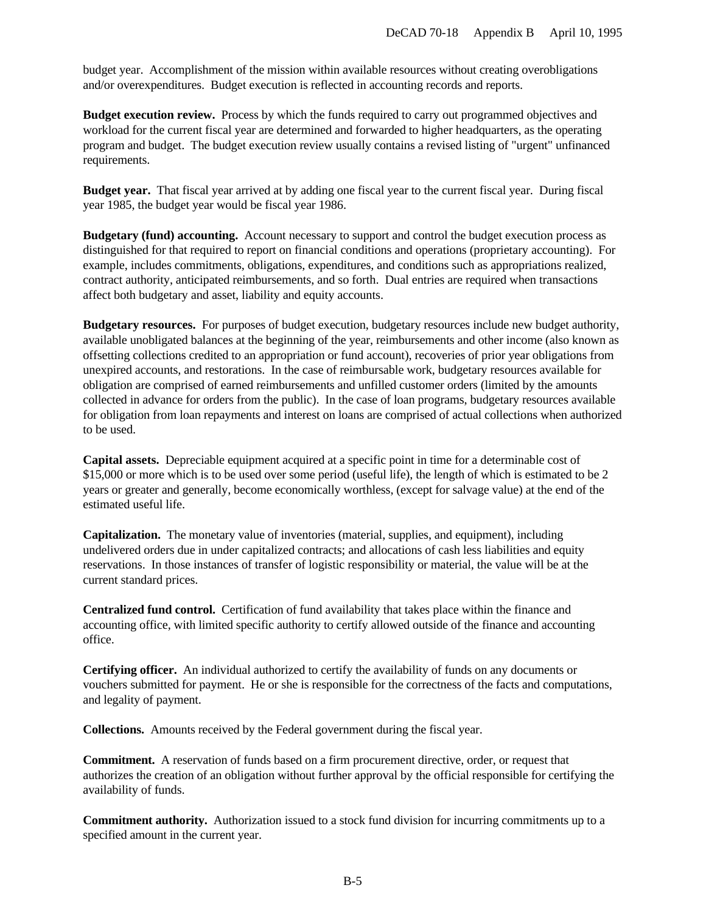budget year. Accomplishment of the mission within available resources without creating overobligations and/or overexpenditures. Budget execution is reflected in accounting records and reports.

**Budget execution review.** Process by which the funds required to carry out programmed objectives and workload for the current fiscal year are determined and forwarded to higher headquarters, as the operating program and budget. The budget execution review usually contains a revised listing of "urgent" unfinanced requirements.

**Budget year.** That fiscal year arrived at by adding one fiscal year to the current fiscal year. During fiscal year 1985, the budget year would be fiscal year 1986.

**Budgetary (fund) accounting.** Account necessary to support and control the budget execution process as distinguished for that required to report on financial conditions and operations (proprietary accounting). For example, includes commitments, obligations, expenditures, and conditions such as appropriations realized, contract authority, anticipated reimbursements, and so forth. Dual entries are required when transactions affect both budgetary and asset, liability and equity accounts.

**Budgetary resources.** For purposes of budget execution, budgetary resources include new budget authority, available unobligated balances at the beginning of the year, reimbursements and other income (also known as offsetting collections credited to an appropriation or fund account), recoveries of prior year obligations from unexpired accounts, and restorations. In the case of reimbursable work, budgetary resources available for obligation are comprised of earned reimbursements and unfilled customer orders (limited by the amounts collected in advance for orders from the public). In the case of loan programs, budgetary resources available for obligation from loan repayments and interest on loans are comprised of actual collections when authorized to be used.

**Capital assets.** Depreciable equipment acquired at a specific point in time for a determinable cost of \$15,000 or more which is to be used over some period (useful life), the length of which is estimated to be 2 years or greater and generally, become economically worthless, (except for salvage value) at the end of the estimated useful life.

**Capitalization.** The monetary value of inventories (material, supplies, and equipment), including undelivered orders due in under capitalized contracts; and allocations of cash less liabilities and equity reservations. In those instances of transfer of logistic responsibility or material, the value will be at the current standard prices.

**Centralized fund control.** Certification of fund availability that takes place within the finance and accounting office, with limited specific authority to certify allowed outside of the finance and accounting office.

**Certifying officer.** An individual authorized to certify the availability of funds on any documents or vouchers submitted for payment. He or she is responsible for the correctness of the facts and computations, and legality of payment.

**Collections.** Amounts received by the Federal government during the fiscal year.

**Commitment.** A reservation of funds based on a firm procurement directive, order, or request that authorizes the creation of an obligation without further approval by the official responsible for certifying the availability of funds.

**Commitment authority.** Authorization issued to a stock fund division for incurring commitments up to a specified amount in the current year.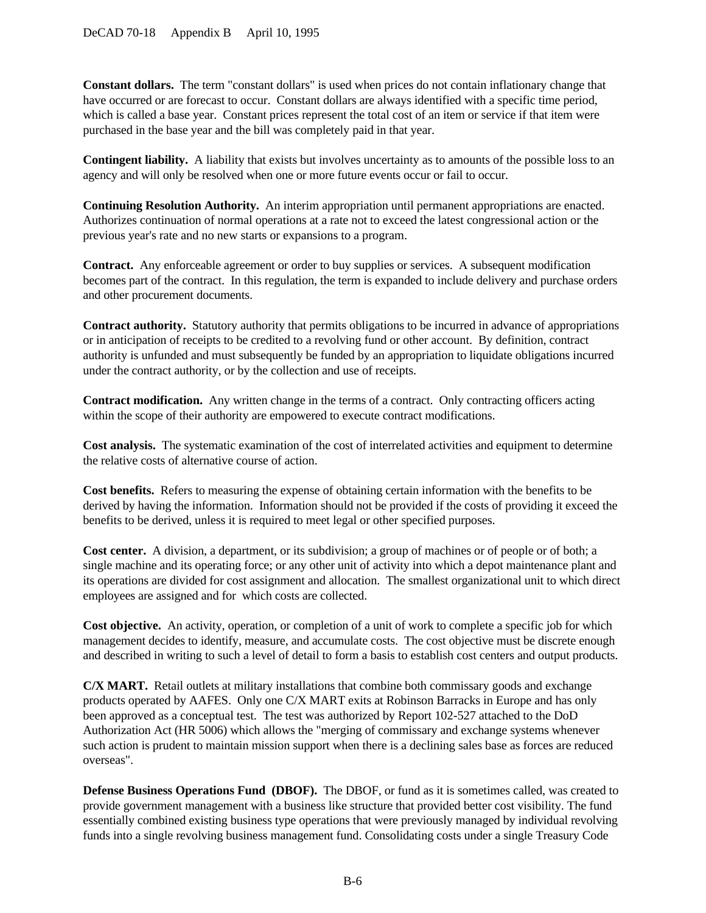**Constant dollars.** The term "constant dollars" is used when prices do not contain inflationary change that have occurred or are forecast to occur. Constant dollars are always identified with a specific time period, which is called a base year. Constant prices represent the total cost of an item or service if that item were purchased in the base year and the bill was completely paid in that year.

**Contingent liability.** A liability that exists but involves uncertainty as to amounts of the possible loss to an agency and will only be resolved when one or more future events occur or fail to occur.

**Continuing Resolution Authority.** An interim appropriation until permanent appropriations are enacted. Authorizes continuation of normal operations at a rate not to exceed the latest congressional action or the previous year's rate and no new starts or expansions to a program.

**Contract.** Any enforceable agreement or order to buy supplies or services. A subsequent modification becomes part of the contract. In this regulation, the term is expanded to include delivery and purchase orders and other procurement documents.

**Contract authority.** Statutory authority that permits obligations to be incurred in advance of appropriations or in anticipation of receipts to be credited to a revolving fund or other account. By definition, contract authority is unfunded and must subsequently be funded by an appropriation to liquidate obligations incurred under the contract authority, or by the collection and use of receipts.

**Contract modification.** Any written change in the terms of a contract. Only contracting officers acting within the scope of their authority are empowered to execute contract modifications.

**Cost analysis.** The systematic examination of the cost of interrelated activities and equipment to determine the relative costs of alternative course of action.

**Cost benefits.** Refers to measuring the expense of obtaining certain information with the benefits to be derived by having the information. Information should not be provided if the costs of providing it exceed the benefits to be derived, unless it is required to meet legal or other specified purposes.

**Cost center.** A division, a department, or its subdivision; a group of machines or of people or of both; a single machine and its operating force; or any other unit of activity into which a depot maintenance plant and its operations are divided for cost assignment and allocation. The smallest organizational unit to which direct employees are assigned and for which costs are collected.

**Cost objective.** An activity, operation, or completion of a unit of work to complete a specific job for which management decides to identify, measure, and accumulate costs. The cost objective must be discrete enough and described in writing to such a level of detail to form a basis to establish cost centers and output products.

**C/X MART.** Retail outlets at military installations that combine both commissary goods and exchange products operated by AAFES. Only one C/X MART exits at Robinson Barracks in Europe and has only been approved as a conceptual test. The test was authorized by Report 102-527 attached to the DoD Authorization Act (HR 5006) which allows the "merging of commissary and exchange systems whenever such action is prudent to maintain mission support when there is a declining sales base as forces are reduced overseas".

**Defense Business Operations Fund (DBOF).** The DBOF, or fund as it is sometimes called, was created to provide government management with a business like structure that provided better cost visibility. The fund essentially combined existing business type operations that were previously managed by individual revolving funds into a single revolving business management fund. Consolidating costs under a single Treasury Code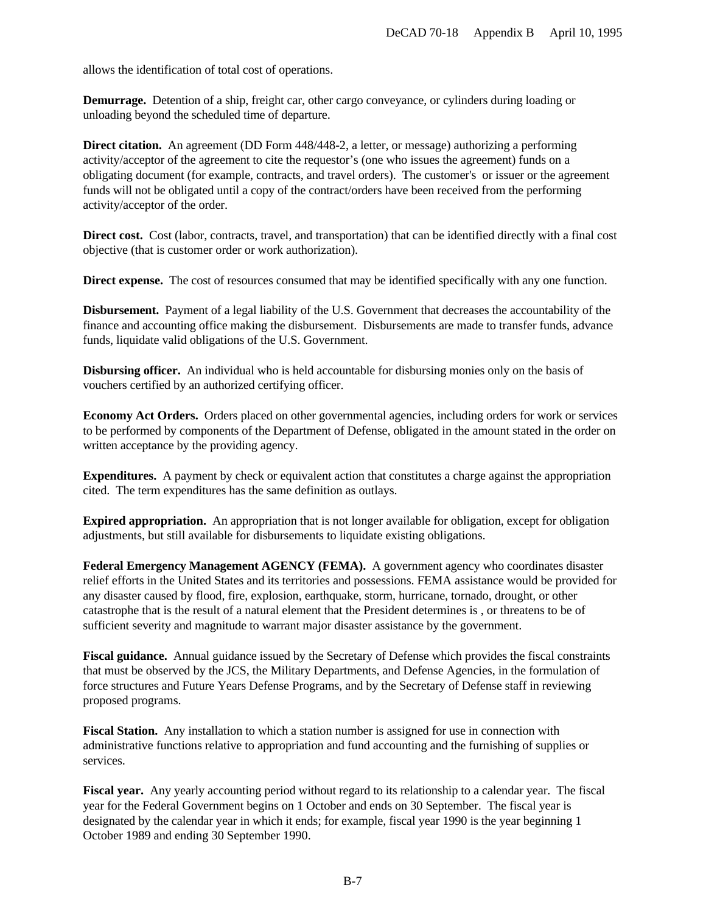allows the identification of total cost of operations.

**Demurrage.** Detention of a ship, freight car, other cargo conveyance, or cylinders during loading or unloading beyond the scheduled time of departure.

**Direct citation.** An agreement (DD Form 448/448-2, a letter, or message) authorizing a performing activity/acceptor of the agreement to cite the requestor's (one who issues the agreement) funds on a obligating document (for example, contracts, and travel orders). The customer's or issuer or the agreement funds will not be obligated until a copy of the contract/orders have been received from the performing activity/acceptor of the order.

**Direct cost.** Cost (labor, contracts, travel, and transportation) that can be identified directly with a final cost objective (that is customer order or work authorization).

**Direct expense.** The cost of resources consumed that may be identified specifically with any one function.

**Disbursement.** Payment of a legal liability of the U.S. Government that decreases the accountability of the finance and accounting office making the disbursement. Disbursements are made to transfer funds, advance funds, liquidate valid obligations of the U.S. Government.

**Disbursing officer.** An individual who is held accountable for disbursing monies only on the basis of vouchers certified by an authorized certifying officer.

**Economy Act Orders.** Orders placed on other governmental agencies, including orders for work or services to be performed by components of the Department of Defense, obligated in the amount stated in the order on written acceptance by the providing agency.

**Expenditures.** A payment by check or equivalent action that constitutes a charge against the appropriation cited. The term expenditures has the same definition as outlays.

**Expired appropriation.** An appropriation that is not longer available for obligation, except for obligation adjustments, but still available for disbursements to liquidate existing obligations.

**Federal Emergency Management AGENCY (FEMA).** A government agency who coordinates disaster relief efforts in the United States and its territories and possessions. FEMA assistance would be provided for any disaster caused by flood, fire, explosion, earthquake, storm, hurricane, tornado, drought, or other catastrophe that is the result of a natural element that the President determines is , or threatens to be of sufficient severity and magnitude to warrant major disaster assistance by the government.

**Fiscal guidance.** Annual guidance issued by the Secretary of Defense which provides the fiscal constraints that must be observed by the JCS, the Military Departments, and Defense Agencies, in the formulation of force structures and Future Years Defense Programs, and by the Secretary of Defense staff in reviewing proposed programs.

**Fiscal Station.** Any installation to which a station number is assigned for use in connection with administrative functions relative to appropriation and fund accounting and the furnishing of supplies or services.

**Fiscal year.** Any yearly accounting period without regard to its relationship to a calendar year. The fiscal year for the Federal Government begins on 1 October and ends on 30 September. The fiscal year is designated by the calendar year in which it ends; for example, fiscal year 1990 is the year beginning 1 October 1989 and ending 30 September 1990.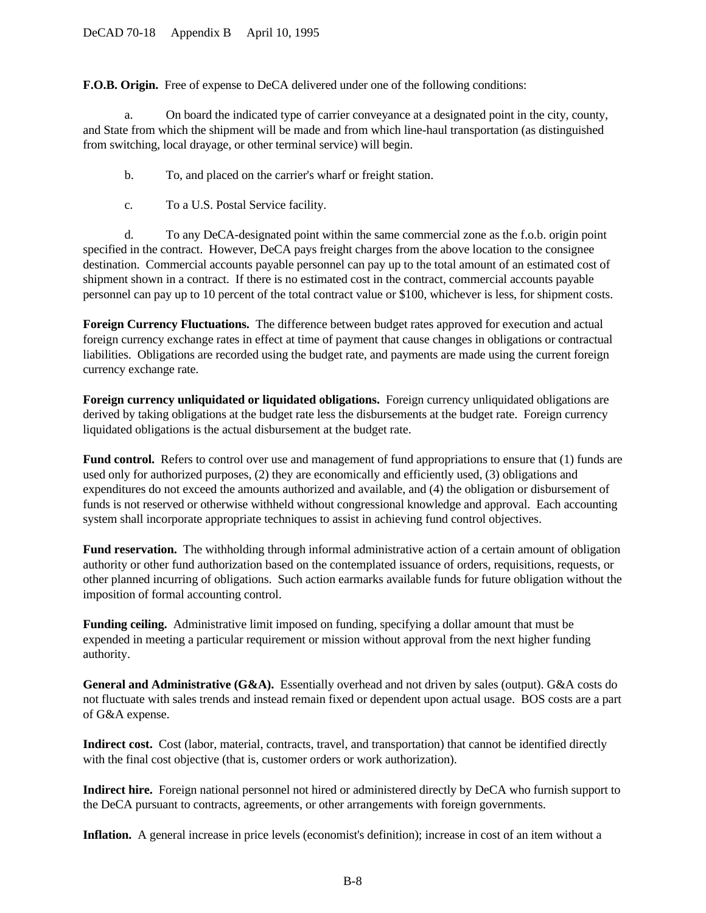**F.O.B. Origin.** Free of expense to DeCA delivered under one of the following conditions:

a. On board the indicated type of carrier conveyance at a designated point in the city, county, and State from which the shipment will be made and from which line-haul transportation (as distinguished from switching, local drayage, or other terminal service) will begin.

b. To, and placed on the carrier's wharf or freight station.

c. To a U.S. Postal Service facility.

d. To any DeCA-designated point within the same commercial zone as the f.o.b. origin point specified in the contract. However, DeCA pays freight charges from the above location to the consignee destination. Commercial accounts payable personnel can pay up to the total amount of an estimated cost of shipment shown in a contract. If there is no estimated cost in the contract, commercial accounts payable personnel can pay up to 10 percent of the total contract value or \$100, whichever is less, for shipment costs.

**Foreign Currency Fluctuations.** The difference between budget rates approved for execution and actual foreign currency exchange rates in effect at time of payment that cause changes in obligations or contractual liabilities. Obligations are recorded using the budget rate, and payments are made using the current foreign currency exchange rate.

**Foreign currency unliquidated or liquidated obligations.** Foreign currency unliquidated obligations are derived by taking obligations at the budget rate less the disbursements at the budget rate. Foreign currency liquidated obligations is the actual disbursement at the budget rate.

Fund control. Refers to control over use and management of fund appropriations to ensure that (1) funds are used only for authorized purposes, (2) they are economically and efficiently used, (3) obligations and expenditures do not exceed the amounts authorized and available, and (4) the obligation or disbursement of funds is not reserved or otherwise withheld without congressional knowledge and approval. Each accounting system shall incorporate appropriate techniques to assist in achieving fund control objectives.

**Fund reservation.** The withholding through informal administrative action of a certain amount of obligation authority or other fund authorization based on the contemplated issuance of orders, requisitions, requests, or other planned incurring of obligations. Such action earmarks available funds for future obligation without the imposition of formal accounting control.

**Funding ceiling.** Administrative limit imposed on funding, specifying a dollar amount that must be expended in meeting a particular requirement or mission without approval from the next higher funding authority.

**General and Administrative (G&A).** Essentially overhead and not driven by sales (output). G&A costs do not fluctuate with sales trends and instead remain fixed or dependent upon actual usage. BOS costs are a part of G&A expense.

**Indirect cost.** Cost (labor, material, contracts, travel, and transportation) that cannot be identified directly with the final cost objective (that is, customer orders or work authorization).

**Indirect hire.** Foreign national personnel not hired or administered directly by DeCA who furnish support to the DeCA pursuant to contracts, agreements, or other arrangements with foreign governments.

**Inflation.** A general increase in price levels (economist's definition); increase in cost of an item without a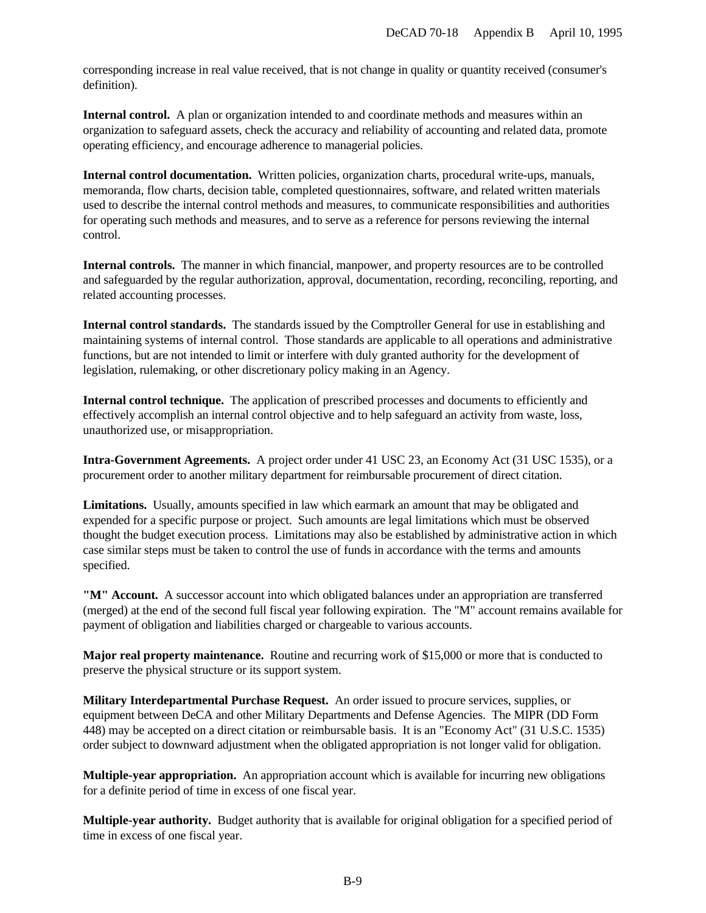corresponding increase in real value received, that is not change in quality or quantity received (consumer's definition).

**Internal control.** A plan or organization intended to and coordinate methods and measures within an organization to safeguard assets, check the accuracy and reliability of accounting and related data, promote operating efficiency, and encourage adherence to managerial policies.

**Internal control documentation.** Written policies, organization charts, procedural write-ups, manuals, memoranda, flow charts, decision table, completed questionnaires, software, and related written materials used to describe the internal control methods and measures, to communicate responsibilities and authorities for operating such methods and measures, and to serve as a reference for persons reviewing the internal control.

**Internal controls.** The manner in which financial, manpower, and property resources are to be controlled and safeguarded by the regular authorization, approval, documentation, recording, reconciling, reporting, and related accounting processes.

**Internal control standards.** The standards issued by the Comptroller General for use in establishing and maintaining systems of internal control. Those standards are applicable to all operations and administrative functions, but are not intended to limit or interfere with duly granted authority for the development of legislation, rulemaking, or other discretionary policy making in an Agency.

**Internal control technique.** The application of prescribed processes and documents to efficiently and effectively accomplish an internal control objective and to help safeguard an activity from waste, loss, unauthorized use, or misappropriation.

**Intra-Government Agreements.** A project order under 41 USC 23, an Economy Act (31 USC 1535), or a procurement order to another military department for reimbursable procurement of direct citation.

**Limitations.** Usually, amounts specified in law which earmark an amount that may be obligated and expended for a specific purpose or project. Such amounts are legal limitations which must be observed thought the budget execution process. Limitations may also be established by administrative action in which case similar steps must be taken to control the use of funds in accordance with the terms and amounts specified.

**"M" Account.** A successor account into which obligated balances under an appropriation are transferred (merged) at the end of the second full fiscal year following expiration. The "M" account remains available for payment of obligation and liabilities charged or chargeable to various accounts.

**Major real property maintenance.** Routine and recurring work of \$15,000 or more that is conducted to preserve the physical structure or its support system.

**Military Interdepartmental Purchase Request.** An order issued to procure services, supplies, or equipment between DeCA and other Military Departments and Defense Agencies. The MIPR (DD Form 448) may be accepted on a direct citation or reimbursable basis. It is an "Economy Act" (31 U.S.C. 1535) order subject to downward adjustment when the obligated appropriation is not longer valid for obligation.

**Multiple-year appropriation.** An appropriation account which is available for incurring new obligations for a definite period of time in excess of one fiscal year.

**Multiple-year authority.** Budget authority that is available for original obligation for a specified period of time in excess of one fiscal year.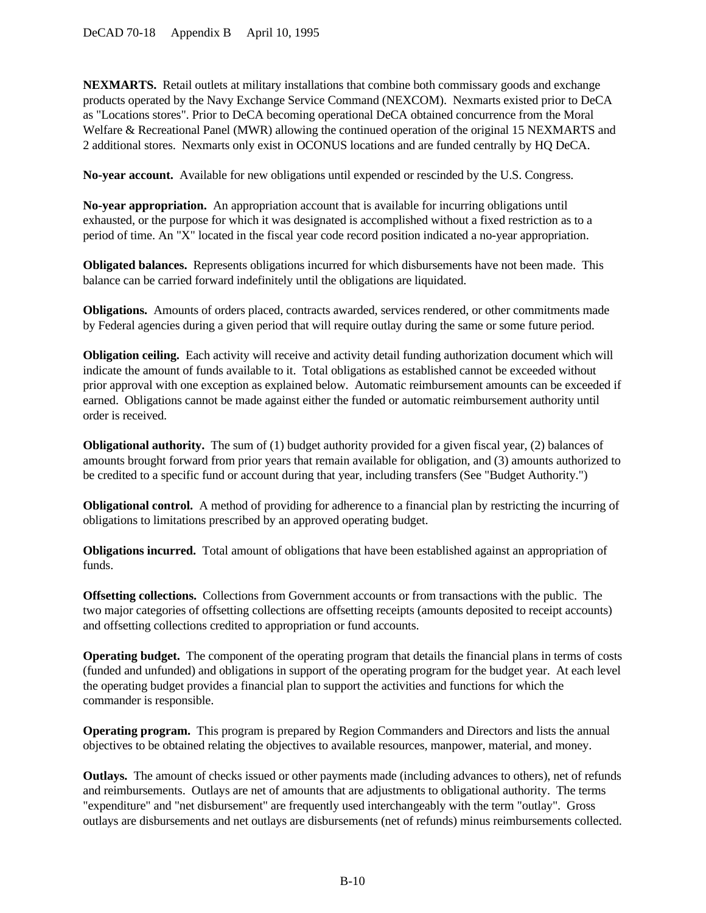**NEXMARTS.** Retail outlets at military installations that combine both commissary goods and exchange products operated by the Navy Exchange Service Command (NEXCOM). Nexmarts existed prior to DeCA as "Locations stores". Prior to DeCA becoming operational DeCA obtained concurrence from the Moral Welfare & Recreational Panel (MWR) allowing the continued operation of the original 15 NEXMARTS and 2 additional stores. Nexmarts only exist in OCONUS locations and are funded centrally by HQ DeCA.

**No-year account.** Available for new obligations until expended or rescinded by the U.S. Congress.

**No-year appropriation.** An appropriation account that is available for incurring obligations until exhausted, or the purpose for which it was designated is accomplished without a fixed restriction as to a period of time. An "X" located in the fiscal year code record position indicated a no-year appropriation.

**Obligated balances.** Represents obligations incurred for which disbursements have not been made. This balance can be carried forward indefinitely until the obligations are liquidated.

**Obligations.** Amounts of orders placed, contracts awarded, services rendered, or other commitments made by Federal agencies during a given period that will require outlay during the same or some future period.

**Obligation ceiling.** Each activity will receive and activity detail funding authorization document which will indicate the amount of funds available to it. Total obligations as established cannot be exceeded without prior approval with one exception as explained below. Automatic reimbursement amounts can be exceeded if earned. Obligations cannot be made against either the funded or automatic reimbursement authority until order is received.

**Obligational authority.** The sum of (1) budget authority provided for a given fiscal year, (2) balances of amounts brought forward from prior years that remain available for obligation, and (3) amounts authorized to be credited to a specific fund or account during that year, including transfers (See "Budget Authority.")

**Obligational control.** A method of providing for adherence to a financial plan by restricting the incurring of obligations to limitations prescribed by an approved operating budget.

**Obligations incurred.** Total amount of obligations that have been established against an appropriation of funds.

**Offsetting collections.** Collections from Government accounts or from transactions with the public. The two major categories of offsetting collections are offsetting receipts (amounts deposited to receipt accounts) and offsetting collections credited to appropriation or fund accounts.

**Operating budget.** The component of the operating program that details the financial plans in terms of costs (funded and unfunded) and obligations in support of the operating program for the budget year. At each level the operating budget provides a financial plan to support the activities and functions for which the commander is responsible.

**Operating program.** This program is prepared by Region Commanders and Directors and lists the annual objectives to be obtained relating the objectives to available resources, manpower, material, and money.

**Outlays.** The amount of checks issued or other payments made (including advances to others), net of refunds and reimbursements. Outlays are net of amounts that are adjustments to obligational authority. The terms "expenditure" and "net disbursement" are frequently used interchangeably with the term "outlay". Gross outlays are disbursements and net outlays are disbursements (net of refunds) minus reimbursements collected.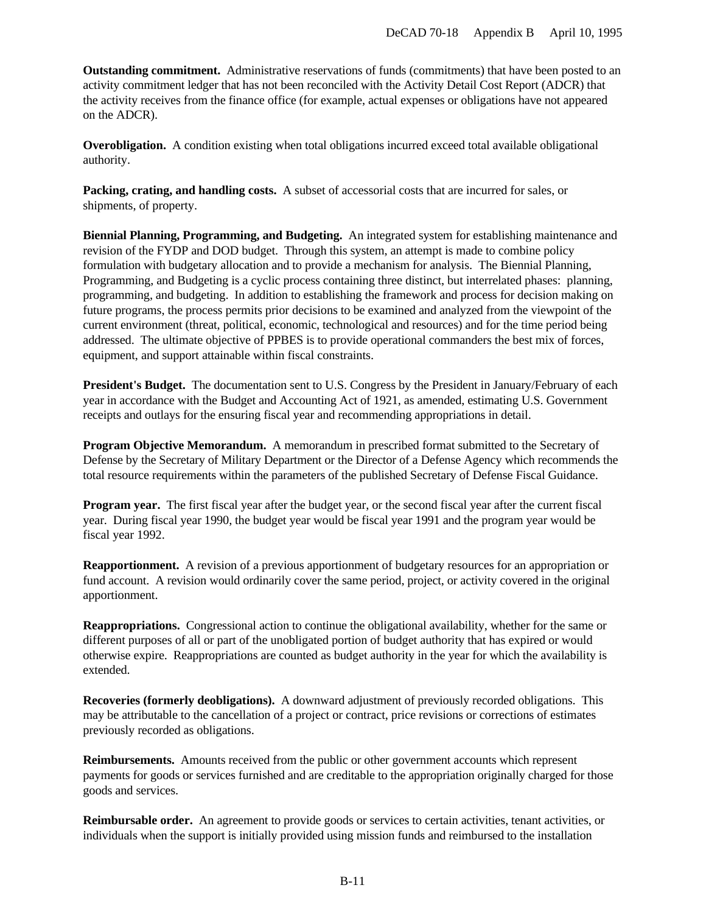**Outstanding commitment.** Administrative reservations of funds (commitments) that have been posted to an activity commitment ledger that has not been reconciled with the Activity Detail Cost Report (ADCR) that the activity receives from the finance office (for example, actual expenses or obligations have not appeared on the ADCR).

**Overobligation.** A condition existing when total obligations incurred exceed total available obligational authority.

**Packing, crating, and handling costs.** A subset of accessorial costs that are incurred for sales, or shipments, of property.

**Biennial Planning, Programming, and Budgeting.** An integrated system for establishing maintenance and revision of the FYDP and DOD budget. Through this system, an attempt is made to combine policy formulation with budgetary allocation and to provide a mechanism for analysis. The Biennial Planning, Programming, and Budgeting is a cyclic process containing three distinct, but interrelated phases: planning, programming, and budgeting. In addition to establishing the framework and process for decision making on future programs, the process permits prior decisions to be examined and analyzed from the viewpoint of the current environment (threat, political, economic, technological and resources) and for the time period being addressed. The ultimate objective of PPBES is to provide operational commanders the best mix of forces, equipment, and support attainable within fiscal constraints.

**President's Budget.** The documentation sent to U.S. Congress by the President in January/February of each year in accordance with the Budget and Accounting Act of 1921, as amended, estimating U.S. Government receipts and outlays for the ensuring fiscal year and recommending appropriations in detail.

**Program Objective Memorandum.** A memorandum in prescribed format submitted to the Secretary of Defense by the Secretary of Military Department or the Director of a Defense Agency which recommends the total resource requirements within the parameters of the published Secretary of Defense Fiscal Guidance.

**Program year.** The first fiscal year after the budget year, or the second fiscal year after the current fiscal year. During fiscal year 1990, the budget year would be fiscal year 1991 and the program year would be fiscal year 1992.

**Reapportionment.** A revision of a previous apportionment of budgetary resources for an appropriation or fund account. A revision would ordinarily cover the same period, project, or activity covered in the original apportionment.

**Reappropriations.** Congressional action to continue the obligational availability, whether for the same or different purposes of all or part of the unobligated portion of budget authority that has expired or would otherwise expire. Reappropriations are counted as budget authority in the year for which the availability is extended.

**Recoveries (formerly deobligations).** A downward adjustment of previously recorded obligations. This may be attributable to the cancellation of a project or contract, price revisions or corrections of estimates previously recorded as obligations.

**Reimbursements.** Amounts received from the public or other government accounts which represent payments for goods or services furnished and are creditable to the appropriation originally charged for those goods and services.

**Reimbursable order.** An agreement to provide goods or services to certain activities, tenant activities, or individuals when the support is initially provided using mission funds and reimbursed to the installation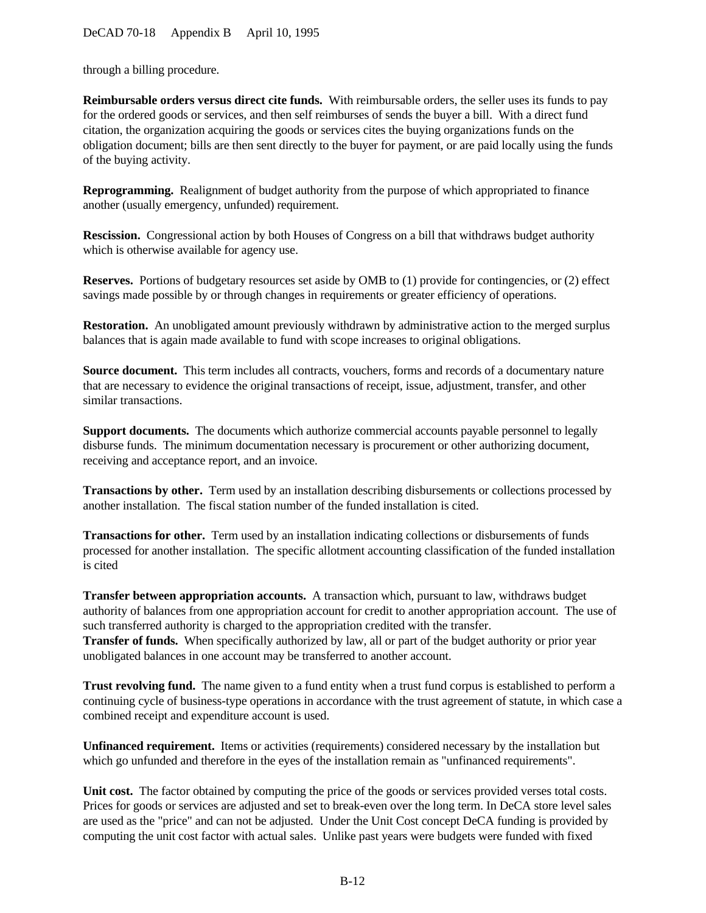through a billing procedure.

**Reimbursable orders versus direct cite funds.** With reimbursable orders, the seller uses its funds to pay for the ordered goods or services, and then self reimburses of sends the buyer a bill. With a direct fund citation, the organization acquiring the goods or services cites the buying organizations funds on the obligation document; bills are then sent directly to the buyer for payment, or are paid locally using the funds of the buying activity.

**Reprogramming.** Realignment of budget authority from the purpose of which appropriated to finance another (usually emergency, unfunded) requirement.

**Rescission.** Congressional action by both Houses of Congress on a bill that withdraws budget authority which is otherwise available for agency use.

**Reserves.** Portions of budgetary resources set aside by OMB to (1) provide for contingencies, or (2) effect savings made possible by or through changes in requirements or greater efficiency of operations.

**Restoration.** An unobligated amount previously withdrawn by administrative action to the merged surplus balances that is again made available to fund with scope increases to original obligations.

**Source document.** This term includes all contracts, vouchers, forms and records of a documentary nature that are necessary to evidence the original transactions of receipt, issue, adjustment, transfer, and other similar transactions.

**Support documents.** The documents which authorize commercial accounts payable personnel to legally disburse funds. The minimum documentation necessary is procurement or other authorizing document, receiving and acceptance report, and an invoice.

**Transactions by other.** Term used by an installation describing disbursements or collections processed by another installation. The fiscal station number of the funded installation is cited.

**Transactions for other.** Term used by an installation indicating collections or disbursements of funds processed for another installation. The specific allotment accounting classification of the funded installation is cited

**Transfer between appropriation accounts.** A transaction which, pursuant to law, withdraws budget authority of balances from one appropriation account for credit to another appropriation account. The use of such transferred authority is charged to the appropriation credited with the transfer. **Transfer of funds.** When specifically authorized by law, all or part of the budget authority or prior year unobligated balances in one account may be transferred to another account.

**Trust revolving fund.** The name given to a fund entity when a trust fund corpus is established to perform a continuing cycle of business-type operations in accordance with the trust agreement of statute, in which case a combined receipt and expenditure account is used.

**Unfinanced requirement.** Items or activities (requirements) considered necessary by the installation but which go unfunded and therefore in the eyes of the installation remain as "unfinanced requirements".

**Unit cost.** The factor obtained by computing the price of the goods or services provided verses total costs. Prices for goods or services are adjusted and set to break-even over the long term. In DeCA store level sales are used as the "price" and can not be adjusted. Under the Unit Cost concept DeCA funding is provided by computing the unit cost factor with actual sales. Unlike past years were budgets were funded with fixed